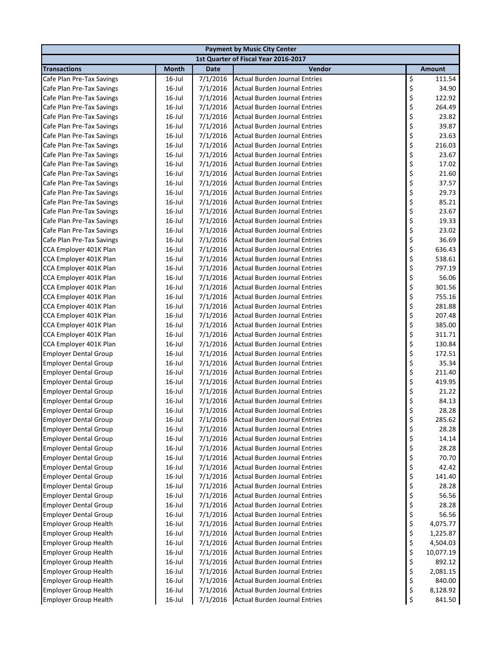| <b>Payment by Music City Center</b>                          |                     |                      |                                                                              |          |                |  |  |
|--------------------------------------------------------------|---------------------|----------------------|------------------------------------------------------------------------------|----------|----------------|--|--|
|                                                              |                     |                      | 1st Quarter of Fiscal Year 2016-2017                                         |          |                |  |  |
| <b>Transactions</b>                                          | <b>Month</b>        | <b>Date</b>          | Vendor                                                                       |          | <b>Amount</b>  |  |  |
| Cafe Plan Pre-Tax Savings                                    | 16-Jul              | 7/1/2016             | <b>Actual Burden Journal Entries</b>                                         | \$       | 111.54         |  |  |
| Cafe Plan Pre-Tax Savings                                    | $16$ -Jul           | 7/1/2016             | <b>Actual Burden Journal Entries</b>                                         | \$       | 34.90          |  |  |
| Cafe Plan Pre-Tax Savings                                    | $16$ -Jul           | 7/1/2016             | <b>Actual Burden Journal Entries</b>                                         | \$       | 122.92         |  |  |
| Cafe Plan Pre-Tax Savings                                    | 16-Jul              | 7/1/2016             | <b>Actual Burden Journal Entries</b>                                         | \$       | 264.49         |  |  |
| Cafe Plan Pre-Tax Savings                                    | $16$ -Jul           | 7/1/2016             | <b>Actual Burden Journal Entries</b>                                         |          | 23.82          |  |  |
| Cafe Plan Pre-Tax Savings                                    | $16$ -Jul           | 7/1/2016             | <b>Actual Burden Journal Entries</b>                                         | \$\$\$   | 39.87          |  |  |
| Cafe Plan Pre-Tax Savings                                    | 16-Jul              | 7/1/2016             | <b>Actual Burden Journal Entries</b>                                         |          | 23.63          |  |  |
| Cafe Plan Pre-Tax Savings                                    | $16$ -Jul           | 7/1/2016             | <b>Actual Burden Journal Entries</b>                                         | \$       | 216.03         |  |  |
| Cafe Plan Pre-Tax Savings                                    | $16$ -Jul           | 7/1/2016             | <b>Actual Burden Journal Entries</b>                                         | \$       | 23.67          |  |  |
| Cafe Plan Pre-Tax Savings                                    | $16$ -Jul           | 7/1/2016             | <b>Actual Burden Journal Entries</b>                                         | \$       | 17.02          |  |  |
| Cafe Plan Pre-Tax Savings                                    | $16$ -Jul           | 7/1/2016             | <b>Actual Burden Journal Entries</b>                                         | \$<br>\$ | 21.60          |  |  |
| Cafe Plan Pre-Tax Savings                                    | $16$ -Jul           | 7/1/2016             | <b>Actual Burden Journal Entries</b>                                         |          | 37.57          |  |  |
| Cafe Plan Pre-Tax Savings                                    | $16$ -Jul           | 7/1/2016             | <b>Actual Burden Journal Entries</b>                                         | \$       | 29.73          |  |  |
| Cafe Plan Pre-Tax Savings                                    | $16$ -Jul           | 7/1/2016             | <b>Actual Burden Journal Entries</b>                                         | \$       | 85.21          |  |  |
| Cafe Plan Pre-Tax Savings                                    | $16$ -Jul           | 7/1/2016             | <b>Actual Burden Journal Entries</b>                                         | \$       | 23.67          |  |  |
| Cafe Plan Pre-Tax Savings                                    | $16$ -Jul           | 7/1/2016             | <b>Actual Burden Journal Entries</b>                                         | \$       | 19.33          |  |  |
| Cafe Plan Pre-Tax Savings                                    | 16-Jul              | 7/1/2016             | <b>Actual Burden Journal Entries</b>                                         | \$<br>\$ | 23.02          |  |  |
| Cafe Plan Pre-Tax Savings                                    | $16$ -Jul           | 7/1/2016             | <b>Actual Burden Journal Entries</b>                                         |          | 36.69          |  |  |
| CCA Employer 401K Plan                                       | $16$ -Jul           | 7/1/2016             | <b>Actual Burden Journal Entries</b>                                         | \$       | 636.43         |  |  |
| CCA Employer 401K Plan                                       | $16$ -Jul           | 7/1/2016             | <b>Actual Burden Journal Entries</b>                                         | \$       | 538.61         |  |  |
| CCA Employer 401K Plan                                       | $16$ -Jul           | 7/1/2016             | <b>Actual Burden Journal Entries</b>                                         | \$       | 797.19         |  |  |
| CCA Employer 401K Plan                                       | $16$ -Jul           | 7/1/2016             | <b>Actual Burden Journal Entries</b>                                         | \$       | 56.06          |  |  |
| CCA Employer 401K Plan                                       | $16$ -Jul           | 7/1/2016             | <b>Actual Burden Journal Entries</b>                                         | \$       | 301.56         |  |  |
| CCA Employer 401K Plan                                       | 16-Jul              | 7/1/2016             | <b>Actual Burden Journal Entries</b>                                         | \$<br>\$ | 755.16         |  |  |
| CCA Employer 401K Plan                                       | 16-Jul              | 7/1/2016             | <b>Actual Burden Journal Entries</b>                                         |          | 281.88         |  |  |
| CCA Employer 401K Plan                                       | $16$ -Jul           | 7/1/2016             | <b>Actual Burden Journal Entries</b>                                         | \$       | 207.48         |  |  |
| CCA Employer 401K Plan                                       | 16-Jul              | 7/1/2016             | <b>Actual Burden Journal Entries</b>                                         | \$<br>\$ | 385.00         |  |  |
| CCA Employer 401K Plan                                       | $16$ -Jul           | 7/1/2016             | <b>Actual Burden Journal Entries</b>                                         |          | 311.71         |  |  |
| CCA Employer 401K Plan                                       | 16-Jul              | 7/1/2016             | <b>Actual Burden Journal Entries</b>                                         | \$       | 130.84         |  |  |
| <b>Employer Dental Group</b>                                 | $16$ -Jul           | 7/1/2016             | <b>Actual Burden Journal Entries</b>                                         | \$<br>\$ | 172.51         |  |  |
| <b>Employer Dental Group</b>                                 | $16$ -Jul           | 7/1/2016             | <b>Actual Burden Journal Entries</b>                                         |          | 35.34          |  |  |
| <b>Employer Dental Group</b>                                 | 16-Jul              | 7/1/2016             | <b>Actual Burden Journal Entries</b>                                         | \$       | 211.40         |  |  |
| <b>Employer Dental Group</b>                                 | 16-Jul              | 7/1/2016             | <b>Actual Burden Journal Entries</b>                                         | \$       | 419.95         |  |  |
| <b>Employer Dental Group</b>                                 | $16$ -Jul           | 7/1/2016             | <b>Actual Burden Journal Entries</b>                                         | \$       | 21.22          |  |  |
| <b>Employer Dental Group</b>                                 | $16$ -Jul           | 7/1/2016             | <b>Actual Burden Journal Entries</b>                                         | \$       | 84.13          |  |  |
| <b>Employer Dental Group</b>                                 | $16$ -Jul           | 7/1/2016             | <b>Actual Burden Journal Entries</b>                                         | \$       | 28.28          |  |  |
| <b>Employer Dental Group</b>                                 | $16$ -Jul           | 7/1/2016             | <b>Actual Burden Journal Entries</b>                                         | \$       | 285.62         |  |  |
| <b>Employer Dental Group</b>                                 | 16-Jul              | 7/1/2016             | <b>Actual Burden Journal Entries</b>                                         | \$       | 28.28          |  |  |
| <b>Employer Dental Group</b>                                 | $16$ -Jul           | 7/1/2016             | <b>Actual Burden Journal Entries</b>                                         | \$       | 14.14          |  |  |
| <b>Employer Dental Group</b>                                 | 16-Jul<br>$16$ -Jul | 7/1/2016             | <b>Actual Burden Journal Entries</b><br><b>Actual Burden Journal Entries</b> | \$       | 28.28<br>70.70 |  |  |
| <b>Employer Dental Group</b>                                 |                     | 7/1/2016<br>7/1/2016 | <b>Actual Burden Journal Entries</b>                                         | \$       | 42.42          |  |  |
| <b>Employer Dental Group</b><br><b>Employer Dental Group</b> | 16-Jul<br>$16$ -Jul | 7/1/2016             | <b>Actual Burden Journal Entries</b>                                         | \$<br>\$ | 141.40         |  |  |
|                                                              | $16$ -Jul           | 7/1/2016             | <b>Actual Burden Journal Entries</b>                                         |          | 28.28          |  |  |
| <b>Employer Dental Group</b>                                 | $16$ -Jul           | 7/1/2016             | <b>Actual Burden Journal Entries</b>                                         | \$\$\$   | 56.56          |  |  |
| <b>Employer Dental Group</b><br><b>Employer Dental Group</b> | $16$ -Jul           | 7/1/2016             | <b>Actual Burden Journal Entries</b>                                         |          | 28.28          |  |  |
| <b>Employer Dental Group</b>                                 | $16$ -Jul           | 7/1/2016             | <b>Actual Burden Journal Entries</b>                                         |          | 56.56          |  |  |
| <b>Employer Group Health</b>                                 | $16$ -Jul           | 7/1/2016             | <b>Actual Burden Journal Entries</b>                                         | \$<br>\$ | 4,075.77       |  |  |
| <b>Employer Group Health</b>                                 | $16$ -Jul           | 7/1/2016             | <b>Actual Burden Journal Entries</b>                                         |          | 1,225.87       |  |  |
| <b>Employer Group Health</b>                                 | $16$ -Jul           | 7/1/2016             | <b>Actual Burden Journal Entries</b>                                         | \$<br>\$ | 4,504.03       |  |  |
| <b>Employer Group Health</b>                                 | $16$ -Jul           | 7/1/2016             | <b>Actual Burden Journal Entries</b>                                         | \$       | 10,077.19      |  |  |
| <b>Employer Group Health</b>                                 | $16$ -Jul           | 7/1/2016             | <b>Actual Burden Journal Entries</b>                                         | \$       | 892.12         |  |  |
| <b>Employer Group Health</b>                                 | 16-Jul              | 7/1/2016             | <b>Actual Burden Journal Entries</b>                                         | \$       | 2,081.15       |  |  |
| <b>Employer Group Health</b>                                 | 16-Jul              | 7/1/2016             | <b>Actual Burden Journal Entries</b>                                         | \$       | 840.00         |  |  |
| <b>Employer Group Health</b>                                 | 16-Jul              | 7/1/2016             | <b>Actual Burden Journal Entries</b>                                         | \$       | 8,128.92       |  |  |
| <b>Employer Group Health</b>                                 | $16$ -Jul           | 7/1/2016             | <b>Actual Burden Journal Entries</b>                                         | \$       | 841.50         |  |  |
|                                                              |                     |                      |                                                                              |          |                |  |  |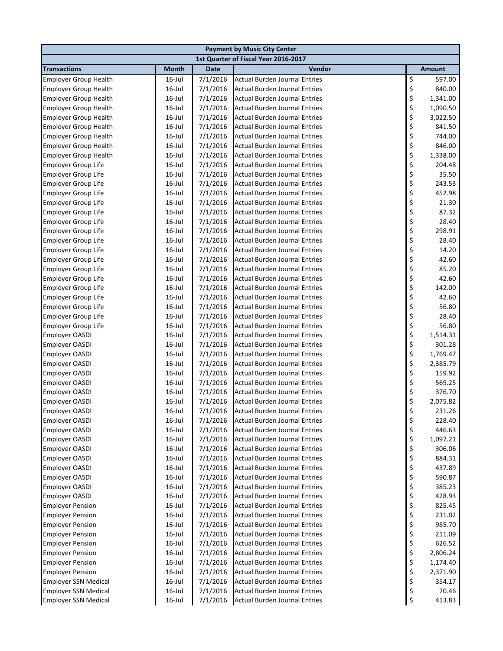| <b>Payment by Music City Center</b> |              |             |                                      |    |               |  |  |
|-------------------------------------|--------------|-------------|--------------------------------------|----|---------------|--|--|
|                                     |              |             | 1st Quarter of Fiscal Year 2016-2017 |    |               |  |  |
| <b>Transactions</b>                 | <b>Month</b> | <b>Date</b> | Vendor                               |    | <b>Amount</b> |  |  |
| <b>Employer Group Health</b>        | 16-Jul       | 7/1/2016    | <b>Actual Burden Journal Entries</b> | \$ | 597.00        |  |  |
| <b>Employer Group Health</b>        | $16$ -Jul    | 7/1/2016    | <b>Actual Burden Journal Entries</b> | \$ | 840.00        |  |  |
| <b>Employer Group Health</b>        | $16$ -Jul    | 7/1/2016    | <b>Actual Burden Journal Entries</b> | \$ | 1,341.00      |  |  |
| <b>Employer Group Health</b>        | $16$ -Jul    | 7/1/2016    | <b>Actual Burden Journal Entries</b> | \$ | 1,090.50      |  |  |
| <b>Employer Group Health</b>        | $16$ -Jul    | 7/1/2016    | <b>Actual Burden Journal Entries</b> | \$ | 3,022.50      |  |  |
| <b>Employer Group Health</b>        | $16$ -Jul    | 7/1/2016    | <b>Actual Burden Journal Entries</b> | \$ | 841.50        |  |  |
| <b>Employer Group Health</b>        | $16$ -Jul    | 7/1/2016    | <b>Actual Burden Journal Entries</b> | \$ | 744.00        |  |  |
| <b>Employer Group Health</b>        | $16$ -Jul    | 7/1/2016    | <b>Actual Burden Journal Entries</b> | \$ | 846.00        |  |  |
| <b>Employer Group Health</b>        | $16$ -Jul    | 7/1/2016    | <b>Actual Burden Journal Entries</b> | \$ | 1,338.00      |  |  |
| <b>Employer Group Life</b>          | $16$ -Jul    | 7/1/2016    | <b>Actual Burden Journal Entries</b> | \$ | 204.48        |  |  |
| <b>Employer Group Life</b>          | $16$ -Jul    | 7/1/2016    | <b>Actual Burden Journal Entries</b> | \$ | 35.50         |  |  |
| <b>Employer Group Life</b>          | $16$ -Jul    | 7/1/2016    | <b>Actual Burden Journal Entries</b> | \$ | 243.53        |  |  |
| <b>Employer Group Life</b>          | $16$ -Jul    | 7/1/2016    | <b>Actual Burden Journal Entries</b> | \$ | 452.98        |  |  |
| <b>Employer Group Life</b>          | $16$ -Jul    | 7/1/2016    | <b>Actual Burden Journal Entries</b> | \$ | 21.30         |  |  |
| <b>Employer Group Life</b>          | $16$ -Jul    | 7/1/2016    | <b>Actual Burden Journal Entries</b> | \$ | 87.32         |  |  |
| <b>Employer Group Life</b>          | $16$ -Jul    | 7/1/2016    | <b>Actual Burden Journal Entries</b> | \$ | 28.40         |  |  |
| <b>Employer Group Life</b>          | $16$ -Jul    | 7/1/2016    | <b>Actual Burden Journal Entries</b> | \$ | 298.91        |  |  |
| <b>Employer Group Life</b>          | $16$ -Jul    | 7/1/2016    | <b>Actual Burden Journal Entries</b> | \$ | 28.40         |  |  |
| <b>Employer Group Life</b>          | $16$ -Jul    | 7/1/2016    | <b>Actual Burden Journal Entries</b> | \$ | 14.20         |  |  |
| <b>Employer Group Life</b>          | $16$ -Jul    | 7/1/2016    | <b>Actual Burden Journal Entries</b> | \$ | 42.60         |  |  |
| <b>Employer Group Life</b>          | $16$ -Jul    | 7/1/2016    | <b>Actual Burden Journal Entries</b> | \$ | 85.20         |  |  |
| <b>Employer Group Life</b>          | $16$ -Jul    | 7/1/2016    | <b>Actual Burden Journal Entries</b> | \$ | 42.60         |  |  |
| <b>Employer Group Life</b>          | $16$ -Jul    | 7/1/2016    | <b>Actual Burden Journal Entries</b> | \$ | 142.00        |  |  |
| <b>Employer Group Life</b>          | $16$ -Jul    | 7/1/2016    | <b>Actual Burden Journal Entries</b> | \$ | 42.60         |  |  |
| <b>Employer Group Life</b>          | $16$ -Jul    | 7/1/2016    | <b>Actual Burden Journal Entries</b> | \$ | 56.80         |  |  |
| Employer Group Life                 | $16$ -Jul    | 7/1/2016    | <b>Actual Burden Journal Entries</b> | \$ | 28.40         |  |  |
| <b>Employer Group Life</b>          | $16$ -Jul    | 7/1/2016    | <b>Actual Burden Journal Entries</b> | \$ | 56.80         |  |  |
| Employer OASDI                      | $16$ -Jul    | 7/1/2016    | <b>Actual Burden Journal Entries</b> | \$ | 1,514.31      |  |  |
| <b>Employer OASDI</b>               | $16$ -Jul    | 7/1/2016    | <b>Actual Burden Journal Entries</b> | \$ | 301.28        |  |  |
| <b>Employer OASDI</b>               | $16$ -Jul    | 7/1/2016    | <b>Actual Burden Journal Entries</b> | \$ | 1,769.47      |  |  |
| <b>Employer OASDI</b>               | $16$ -Jul    | 7/1/2016    | <b>Actual Burden Journal Entries</b> | \$ | 2,385.79      |  |  |
| <b>Employer OASDI</b>               | $16$ -Jul    | 7/1/2016    | <b>Actual Burden Journal Entries</b> | \$ | 159.92        |  |  |
| <b>Employer OASDI</b>               | $16$ -Jul    | 7/1/2016    | <b>Actual Burden Journal Entries</b> | \$ | 569.25        |  |  |
| <b>Employer OASDI</b>               | $16$ -Jul    | 7/1/2016    | <b>Actual Burden Journal Entries</b> | \$ | 376.70        |  |  |
| <b>Employer OASDI</b>               | $16$ -Jul    | 7/1/2016    | <b>Actual Burden Journal Entries</b> | \$ | 2,075.82      |  |  |
| Employer OASDI                      | 16-Jul       | 7/1/2016    | Actual Burden Journal Entries        | Ś  | 231.26        |  |  |
| <b>Employer OASDI</b>               | $16$ -Jul    | 7/1/2016    | <b>Actual Burden Journal Entries</b> | \$ | 228.40        |  |  |
| Employer OASDI                      | $16$ -Jul    | 7/1/2016    | <b>Actual Burden Journal Entries</b> | \$ | 446.63        |  |  |
| Employer OASDI                      | $16$ -Jul    | 7/1/2016    | <b>Actual Burden Journal Entries</b> | \$ | 1,097.21      |  |  |
| Employer OASDI                      | $16$ -Jul    | 7/1/2016    | <b>Actual Burden Journal Entries</b> | \$ | 306.06        |  |  |
| <b>Employer OASDI</b>               | $16$ -Jul    | 7/1/2016    | <b>Actual Burden Journal Entries</b> | \$ | 884.31        |  |  |
| <b>Employer OASDI</b>               | $16$ -Jul    | 7/1/2016    | <b>Actual Burden Journal Entries</b> | \$ | 437.89        |  |  |
| <b>Employer OASDI</b>               | $16$ -Jul    | 7/1/2016    | <b>Actual Burden Journal Entries</b> | \$ | 590.87        |  |  |
| <b>Employer OASDI</b>               | $16$ -Jul    | 7/1/2016    | <b>Actual Burden Journal Entries</b> | \$ | 385.23        |  |  |
| <b>Employer OASDI</b>               | $16$ -Jul    | 7/1/2016    | <b>Actual Burden Journal Entries</b> | \$ | 428.93        |  |  |
| <b>Employer Pension</b>             | $16$ -Jul    | 7/1/2016    | <b>Actual Burden Journal Entries</b> | \$ | 825.45        |  |  |
| <b>Employer Pension</b>             | $16$ -Jul    | 7/1/2016    | <b>Actual Burden Journal Entries</b> | \$ | 231.02        |  |  |
| <b>Employer Pension</b>             | $16$ -Jul    | 7/1/2016    | <b>Actual Burden Journal Entries</b> | \$ | 985.70        |  |  |
| <b>Employer Pension</b>             | $16$ -Jul    | 7/1/2016    | <b>Actual Burden Journal Entries</b> | \$ | 211.09        |  |  |
| <b>Employer Pension</b>             | $16$ -Jul    | 7/1/2016    | <b>Actual Burden Journal Entries</b> | \$ | 626.52        |  |  |
| <b>Employer Pension</b>             | $16$ -Jul    | 7/1/2016    | <b>Actual Burden Journal Entries</b> | \$ | 2,806.24      |  |  |
| <b>Employer Pension</b>             | $16$ -Jul    | 7/1/2016    | <b>Actual Burden Journal Entries</b> | \$ | 1,174.40      |  |  |
| <b>Employer Pension</b>             | $16$ -Jul    | 7/1/2016    | <b>Actual Burden Journal Entries</b> | \$ | 2,371.90      |  |  |
| <b>Employer SSN Medical</b>         | $16$ -Jul    | 7/1/2016    | <b>Actual Burden Journal Entries</b> | \$ | 354.17        |  |  |
| <b>Employer SSN Medical</b>         | $16$ -Jul    | 7/1/2016    | <b>Actual Burden Journal Entries</b> | \$ | 70.46         |  |  |
| <b>Employer SSN Medical</b>         | $16$ -Jul    | 7/1/2016    | <b>Actual Burden Journal Entries</b> | \$ | 413.83        |  |  |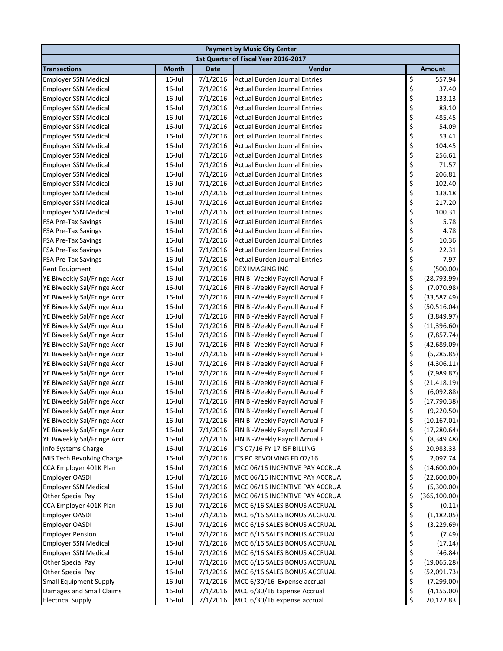| <b>Payment by Music City Center</b>                        |                                      |                      |                                                                  |          |                           |  |  |  |
|------------------------------------------------------------|--------------------------------------|----------------------|------------------------------------------------------------------|----------|---------------------------|--|--|--|
|                                                            | 1st Quarter of Fiscal Year 2016-2017 |                      |                                                                  |          |                           |  |  |  |
| <b>Transactions</b>                                        | <b>Month</b>                         | <b>Date</b>          | Vendor                                                           |          | <b>Amount</b>             |  |  |  |
| <b>Employer SSN Medical</b>                                | 16-Jul                               | 7/1/2016             | <b>Actual Burden Journal Entries</b>                             | \$       | 557.94                    |  |  |  |
| <b>Employer SSN Medical</b>                                | $16$ -Jul                            | 7/1/2016             | Actual Burden Journal Entries                                    | \$       | 37.40                     |  |  |  |
| <b>Employer SSN Medical</b>                                | $16$ -Jul                            | 7/1/2016             | <b>Actual Burden Journal Entries</b>                             | \$       | 133.13                    |  |  |  |
| <b>Employer SSN Medical</b>                                | $16$ -Jul                            | 7/1/2016             | <b>Actual Burden Journal Entries</b>                             | \$       | 88.10                     |  |  |  |
| <b>Employer SSN Medical</b>                                | $16$ -Jul                            | 7/1/2016             | <b>Actual Burden Journal Entries</b>                             | \$       | 485.45                    |  |  |  |
| <b>Employer SSN Medical</b>                                | $16$ -Jul                            | 7/1/2016             | <b>Actual Burden Journal Entries</b>                             | \$       | 54.09                     |  |  |  |
| <b>Employer SSN Medical</b>                                | $16$ -Jul                            | 7/1/2016             | <b>Actual Burden Journal Entries</b>                             | \$       | 53.41                     |  |  |  |
| <b>Employer SSN Medical</b>                                | $16$ -Jul                            | 7/1/2016             | Actual Burden Journal Entries                                    | \$       | 104.45                    |  |  |  |
| <b>Employer SSN Medical</b>                                | $16$ -Jul                            | 7/1/2016             | <b>Actual Burden Journal Entries</b>                             | \$<br>\$ | 256.61                    |  |  |  |
| <b>Employer SSN Medical</b>                                | $16$ -Jul                            | 7/1/2016             | <b>Actual Burden Journal Entries</b>                             |          | 71.57                     |  |  |  |
| <b>Employer SSN Medical</b>                                | $16$ -Jul                            | 7/1/2016             | <b>Actual Burden Journal Entries</b>                             | \$       | 206.81                    |  |  |  |
| <b>Employer SSN Medical</b>                                | $16$ -Jul                            | 7/1/2016             | <b>Actual Burden Journal Entries</b>                             | \$       | 102.40                    |  |  |  |
| <b>Employer SSN Medical</b>                                | $16$ -Jul                            | 7/1/2016             | <b>Actual Burden Journal Entries</b>                             | \$       | 138.18                    |  |  |  |
| <b>Employer SSN Medical</b>                                | $16$ -Jul                            | 7/1/2016             | <b>Actual Burden Journal Entries</b>                             | \$       | 217.20                    |  |  |  |
| <b>Employer SSN Medical</b>                                | $16$ -Jul                            | 7/1/2016             | <b>Actual Burden Journal Entries</b>                             | \$       | 100.31                    |  |  |  |
| <b>FSA Pre-Tax Savings</b>                                 | $16$ -Jul                            | 7/1/2016             | <b>Actual Burden Journal Entries</b>                             | \$       | 5.78                      |  |  |  |
| <b>FSA Pre-Tax Savings</b>                                 | $16$ -Jul                            | 7/1/2016             | <b>Actual Burden Journal Entries</b>                             | \$       | 4.78                      |  |  |  |
| <b>FSA Pre-Tax Savings</b>                                 | $16$ -Jul                            | 7/1/2016             | <b>Actual Burden Journal Entries</b>                             | \$       | 10.36                     |  |  |  |
| <b>FSA Pre-Tax Savings</b>                                 | $16$ -Jul                            | 7/1/2016             | <b>Actual Burden Journal Entries</b>                             | \$       | 22.31                     |  |  |  |
| <b>FSA Pre-Tax Savings</b>                                 | $16$ -Jul                            | 7/1/2016             | Actual Burden Journal Entries                                    | \$       | 7.97                      |  |  |  |
| <b>Rent Equipment</b>                                      | $16$ -Jul                            | 7/1/2016             | DEX IMAGING INC                                                  | \$       | (500.00)                  |  |  |  |
| YE Biweekly Sal/Fringe Accr                                | $16$ -Jul                            | 7/1/2016             | FIN Bi-Weekly Payroll Acrual F                                   | \$       | (28, 793.99)              |  |  |  |
| YE Biweekly Sal/Fringe Accr                                | $16$ -Jul                            | 7/1/2016             | FIN Bi-Weekly Payroll Acrual F                                   | \$       | (7,070.98)                |  |  |  |
| YE Biweekly Sal/Fringe Accr                                | $16$ -Jul                            | 7/1/2016             | FIN Bi-Weekly Payroll Acrual F                                   | \$       | (33,587.49)               |  |  |  |
| YE Biweekly Sal/Fringe Accr                                | $16$ -Jul                            | 7/1/2016             | FIN Bi-Weekly Payroll Acrual F                                   | \$       | (50, 516.04)              |  |  |  |
| YE Biweekly Sal/Fringe Accr                                | 16-Jul                               | 7/1/2016             | FIN Bi-Weekly Payroll Acrual F                                   | \$       | (3,849.97)                |  |  |  |
| YE Biweekly Sal/Fringe Accr                                | 16-Jul                               | 7/1/2016             | FIN Bi-Weekly Payroll Acrual F                                   | \$       | (11, 396.60)              |  |  |  |
| YE Biweekly Sal/Fringe Accr                                | $16$ -Jul<br>$16$ -Jul               | 7/1/2016<br>7/1/2016 | FIN Bi-Weekly Payroll Acrual F                                   | \$<br>\$ | (7, 857.74)               |  |  |  |
| YE Biweekly Sal/Fringe Accr                                | $16$ -Jul                            | 7/1/2016             | FIN Bi-Weekly Payroll Acrual F                                   | \$       | (42,689.09)               |  |  |  |
| YE Biweekly Sal/Fringe Accr<br>YE Biweekly Sal/Fringe Accr | $16$ -Jul                            | 7/1/2016             | FIN Bi-Weekly Payroll Acrual F<br>FIN Bi-Weekly Payroll Acrual F | \$       | (5, 285.85)<br>(4,306.11) |  |  |  |
| YE Biweekly Sal/Fringe Accr                                | 16-Jul                               | 7/1/2016             | FIN Bi-Weekly Payroll Acrual F                                   | \$       | (7,989.87)                |  |  |  |
| YE Biweekly Sal/Fringe Accr                                | $16$ -Jul                            | 7/1/2016             | FIN Bi-Weekly Payroll Acrual F                                   | \$       | (21, 418.19)              |  |  |  |
| YE Biweekly Sal/Fringe Accr                                | $16$ -Jul                            | 7/1/2016             | FIN Bi-Weekly Payroll Acrual F                                   | \$       | (6,092.88)                |  |  |  |
| YE Biweekly Sal/Fringe Accr                                | $16$ -Jul                            | 7/1/2016             | FIN Bi-Weekly Payroll Acrual F                                   | \$       | (17, 790.38)              |  |  |  |
| YE Biweekly Sal/Fringe Accr                                | $16$ -Jul                            | 7/1/2016             | FIN Bi-Weekly Payroll Acrual F                                   | \$       | (9,220.50)                |  |  |  |
| YE Biweekly Sal/Fringe Accr                                | 16-Jul                               | 7/1/2016             | FIN Bi-Weekly Payroll Acrual F                                   | \$       | (10, 167.01)              |  |  |  |
| YE Biweekly Sal/Fringe Accr                                | $16$ -Jul                            | 7/1/2016             | FIN Bi-Weekly Payroll Acrual F                                   | \$       | (17, 280.64)              |  |  |  |
| YE Biweekly Sal/Fringe Accr                                | $16$ -Jul                            | 7/1/2016             | FIN Bi-Weekly Payroll Acrual F                                   | \$       | (8,349.48)                |  |  |  |
| Info Systems Charge                                        | $16$ -Jul                            | 7/1/2016             | ITS 07/16 FY 17 ISF BILLING                                      | \$       | 20,983.33                 |  |  |  |
| MIS Tech Revolving Charge                                  | $16$ -Jul                            | 7/1/2016             | ITS PC REVOLVING FD 07/16                                        | \$       | 2,097.74                  |  |  |  |
| CCA Employer 401K Plan                                     | 16-Jul                               | 7/1/2016             | MCC 06/16 INCENTIVE PAY ACCRUA                                   | \$       | (14,600.00)               |  |  |  |
| <b>Employer OASDI</b>                                      | $16$ -Jul                            | 7/1/2016             | MCC 06/16 INCENTIVE PAY ACCRUA                                   | \$       | (22,600.00)               |  |  |  |
| <b>Employer SSN Medical</b>                                | 16-Jul                               | 7/1/2016             | MCC 06/16 INCENTIVE PAY ACCRUA                                   | \$       | (5,300.00)                |  |  |  |
| Other Special Pay                                          | 16-Jul                               | 7/1/2016             | MCC 06/16 INCENTIVE PAY ACCRUA                                   | \$       | (365, 100.00)             |  |  |  |
| CCA Employer 401K Plan                                     | $16$ -Jul                            | 7/1/2016             | MCC 6/16 SALES BONUS ACCRUAL                                     | \$       | (0.11)                    |  |  |  |
| <b>Employer OASDI</b>                                      | $16$ -Jul                            | 7/1/2016             | MCC 6/16 SALES BONUS ACCRUAL                                     | \$       | (1, 182.05)               |  |  |  |
| <b>Employer OASDI</b>                                      | 16-Jul                               | 7/1/2016             | MCC 6/16 SALES BONUS ACCRUAL                                     | \$       | (3,229.69)                |  |  |  |
| <b>Employer Pension</b>                                    | 16-Jul                               | 7/1/2016             | MCC 6/16 SALES BONUS ACCRUAL                                     | \$       | (7.49)                    |  |  |  |
| <b>Employer SSN Medical</b>                                | 16-Jul                               | 7/1/2016             | MCC 6/16 SALES BONUS ACCRUAL                                     | \$       | (17.14)                   |  |  |  |
| <b>Employer SSN Medical</b>                                | 16-Jul                               | 7/1/2016             | MCC 6/16 SALES BONUS ACCRUAL                                     | \$       | (46.84)                   |  |  |  |
| Other Special Pay                                          | 16-Jul                               | 7/1/2016             | MCC 6/16 SALES BONUS ACCRUAL                                     | \$       | (19,065.28)               |  |  |  |
| Other Special Pay                                          | 16-Jul                               | 7/1/2016             | MCC 6/16 SALES BONUS ACCRUAL                                     | \$       | (52,091.73)               |  |  |  |
| <b>Small Equipment Supply</b>                              | 16-Jul                               | 7/1/2016             | MCC 6/30/16 Expense accrual                                      | \$       | (7, 299.00)               |  |  |  |
| Damages and Small Claims                                   | 16-Jul                               | 7/1/2016             | MCC 6/30/16 Expense Accrual                                      | \$       | (4, 155.00)               |  |  |  |
| <b>Electrical Supply</b>                                   | $16$ -Jul                            | 7/1/2016             | MCC 6/30/16 expense accrual                                      | \$       | 20,122.83                 |  |  |  |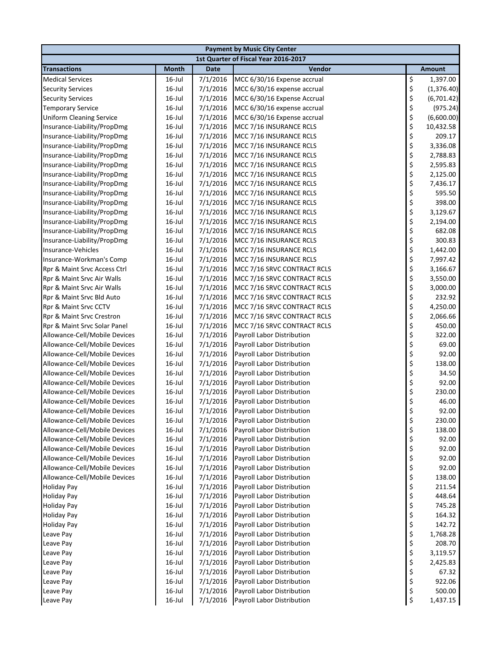| 1st Quarter of Fiscal Year 2016-2017<br><b>Transactions</b><br><b>Month</b><br><b>Date</b><br>Vendor<br><b>Amount</b><br>\$<br>7/1/2016<br><b>Medical Services</b><br>16-Jul<br>MCC 6/30/16 Expense accrual<br>1,397.00<br>\$<br>$16$ -Jul<br>7/1/2016<br><b>Security Services</b><br>MCC 6/30/16 expense accrual<br>(1,376.40)<br>\$<br>$16$ -Jul<br>7/1/2016<br><b>Security Services</b><br>MCC 6/30/16 Expense Accrual<br>(6,701.42)<br>\$<br>$16$ -Jul<br>7/1/2016<br><b>Temporary Service</b><br>MCC 6/30/16 expense accrual<br>(975.24)<br>\$<br><b>Uniform Cleaning Service</b><br>$16$ -Jul<br>7/1/2016<br>(6,600.00)<br>MCC 6/30/16 Expense accrual<br>\$<br>Insurance-Liability/PropDmg<br>$16$ -Jul<br>7/1/2016<br>MCC 7/16 INSURANCE RCLS<br>10,432.58<br>\$<br>7/1/2016<br>209.17<br>Insurance-Liability/PropDmg<br>$16$ -Jul<br>MCC 7/16 INSURANCE RCLS<br>\$<br>$16$ -Jul<br>7/1/2016<br>MCC 7/16 INSURANCE RCLS<br>3,336.08<br>Insurance-Liability/PropDmg<br>\$<br>Insurance-Liability/PropDmg<br>$16$ -Jul<br>7/1/2016<br>MCC 7/16 INSURANCE RCLS<br>2,788.83<br>\$<br>$16$ -Jul<br>7/1/2016<br>2,595.83<br>Insurance-Liability/PropDmg<br>MCC 7/16 INSURANCE RCLS<br>\$<br>$16$ -Jul<br>7/1/2016<br>2,125.00<br>Insurance-Liability/PropDmg<br>MCC 7/16 INSURANCE RCLS<br>\$<br>$16$ -Jul<br>7/1/2016<br>MCC 7/16 INSURANCE RCLS<br>7,436.17<br>Insurance-Liability/PropDmg<br>\$<br>$16$ -Jul<br>7/1/2016<br>595.50<br>Insurance-Liability/PropDmg<br>MCC 7/16 INSURANCE RCLS<br>\$<br>$16$ -Jul<br>7/1/2016<br>398.00<br>Insurance-Liability/PropDmg<br>MCC 7/16 INSURANCE RCLS<br>\$<br>$16$ -Jul<br>7/1/2016<br>3,129.67<br>Insurance-Liability/PropDmg<br>MCC 7/16 INSURANCE RCLS<br>\$<br>$16$ -Jul<br>7/1/2016<br>Insurance-Liability/PropDmg<br>MCC 7/16 INSURANCE RCLS<br>2,194.00<br>\$<br>7/1/2016<br>682.08<br>Insurance-Liability/PropDmg<br>$16$ -Jul<br>MCC 7/16 INSURANCE RCLS<br>\$<br>$16$ -Jul<br>7/1/2016<br>300.83<br>Insurance-Liability/PropDmg<br>MCC 7/16 INSURANCE RCLS<br>\$<br>7/1/2016<br>1,442.00<br>Insurance-Vehicles<br>$16$ -Jul<br>MCC 7/16 INSURANCE RCLS<br>\$<br>7/1/2016<br>7,997.42<br>Insurance-Workman's Comp<br>$16$ -Jul<br>MCC 7/16 INSURANCE RCLS<br>\$<br>$16$ -Jul<br>7/1/2016<br>3,166.67<br>Rpr & Maint Srvc Access Ctrl<br>MCC 7/16 SRVC CONTRACT RCLS<br>\$<br>$16$ -Jul<br>7/1/2016<br>3,550.00<br>Rpr & Maint Srvc Air Walls<br>MCC 7/16 SRVC CONTRACT RCLS<br>\$<br>$16$ -Jul<br>7/1/2016<br>3,000.00<br>Rpr & Maint Srvc Air Walls<br>MCC 7/16 SRVC CONTRACT RCLS<br>\$<br>$16$ -Jul<br>7/1/2016<br>232.92<br>Rpr & Maint Srvc Bld Auto<br>MCC 7/16 SRVC CONTRACT RCLS<br>\$<br>$16$ -Jul<br>7/1/2016<br>4,250.00<br>Rpr & Maint Srvc CCTV<br>MCC 7/16 SRVC CONTRACT RCLS<br>\$<br>$16$ -Jul<br>7/1/2016<br>Rpr & Maint Srvc Crestron<br>MCC 7/16 SRVC CONTRACT RCLS<br>2,066.66<br>\$<br>$16$ -Jul<br>7/1/2016<br>450.00<br>Rpr & Maint Srvc Solar Panel<br>MCC 7/16 SRVC CONTRACT RCLS<br>\$<br>$16$ -Jul<br>7/1/2016<br>322.00<br>Allowance-Cell/Mobile Devices<br>Payroll Labor Distribution<br>\$<br>$16$ -Jul<br>7/1/2016<br>69.00<br>Allowance-Cell/Mobile Devices<br>Payroll Labor Distribution<br>\$<br>$16$ -Jul<br>7/1/2016<br>92.00<br>Allowance-Cell/Mobile Devices<br>Payroll Labor Distribution<br>\$<br>138.00<br>$16$ -Jul<br>7/1/2016<br>Allowance-Cell/Mobile Devices<br>Payroll Labor Distribution<br>\$<br>7/1/2016<br>34.50<br>Allowance-Cell/Mobile Devices<br>$16$ -Jul<br>Payroll Labor Distribution<br>\$<br>$16$ -Jul<br>7/1/2016<br>92.00<br>Allowance-Cell/Mobile Devices<br>Payroll Labor Distribution<br>\$<br>230.00<br>Allowance-Cell/Mobile Devices<br>$16$ -Jul<br>7/1/2016<br>Payroll Labor Distribution<br>\$<br>$16$ -Jul<br>7/1/2016<br>46.00<br>Allowance-Cell/Mobile Devices<br>Payroll Labor Distribution<br>Ś<br>92.00<br>Allowance-Cell/Mobile Devices<br>16-Jul<br>7/1/2016<br><b>Payroll Labor Distribution</b><br>\$<br>Allowance-Cell/Mobile Devices<br>7/1/2016<br>230.00<br>16-Jul<br>Payroll Labor Distribution<br>\$<br>Allowance-Cell/Mobile Devices<br>$16$ -Jul<br>7/1/2016<br>Payroll Labor Distribution<br>138.00<br>\$<br>Allowance-Cell/Mobile Devices<br>$16$ -Jul<br>7/1/2016<br>92.00<br>Payroll Labor Distribution<br>\$<br>$16$ -Jul<br>Allowance-Cell/Mobile Devices<br>7/1/2016<br>Payroll Labor Distribution<br>92.00<br>\$<br>$16$ -Jul<br>7/1/2016<br>Payroll Labor Distribution<br>Allowance-Cell/Mobile Devices<br>92.00<br>\$<br>7/1/2016<br>Allowance-Cell/Mobile Devices<br>$16$ -Jul<br>Payroll Labor Distribution<br>92.00<br>\$<br>138.00<br>Allowance-Cell/Mobile Devices<br>$16$ -Jul<br>7/1/2016<br>Payroll Labor Distribution<br>\$<br><b>Holiday Pay</b><br>$16$ -Jul<br>7/1/2016<br>Payroll Labor Distribution<br>211.54<br>\$<br>7/1/2016<br>448.64<br><b>Holiday Pay</b><br>$16$ -Jul<br>Payroll Labor Distribution<br>\$<br>7/1/2016<br>745.28<br><b>Holiday Pay</b><br>$16$ -Jul<br>Payroll Labor Distribution<br>\$<br>7/1/2016<br>164.32<br><b>Holiday Pay</b><br>$16$ -Jul<br>Payroll Labor Distribution<br>\$<br>7/1/2016<br>142.72<br><b>Holiday Pay</b><br>$16$ -Jul<br>Payroll Labor Distribution<br>\$<br>$16$ -Jul<br>7/1/2016<br>Payroll Labor Distribution<br>1,768.28<br>Leave Pay<br>\$<br>$16$ -Jul<br>7/1/2016<br>Payroll Labor Distribution<br>208.70<br>Leave Pay<br>\$<br>7/1/2016<br>$16$ -Jul<br>Payroll Labor Distribution<br>3,119.57<br>Leave Pay<br>\$<br>$16$ -Jul<br>7/1/2016<br>Leave Pay<br>Payroll Labor Distribution<br>2,425.83<br>\$<br>7/1/2016<br>$16$ -Jul<br>Payroll Labor Distribution<br>67.32<br>Leave Pay<br>\$<br>7/1/2016<br>$16$ -Jul<br>Payroll Labor Distribution<br>922.06<br>Leave Pay<br>\$<br>7/1/2016<br>Payroll Labor Distribution<br>Leave Pay<br>$16$ -Jul<br>500.00<br>\$<br>$16$ -Jul<br>7/1/2016<br>Payroll Labor Distribution<br>1,437.15<br>Leave Pay | <b>Payment by Music City Center</b> |  |  |  |  |  |  |  |  |
|-----------------------------------------------------------------------------------------------------------------------------------------------------------------------------------------------------------------------------------------------------------------------------------------------------------------------------------------------------------------------------------------------------------------------------------------------------------------------------------------------------------------------------------------------------------------------------------------------------------------------------------------------------------------------------------------------------------------------------------------------------------------------------------------------------------------------------------------------------------------------------------------------------------------------------------------------------------------------------------------------------------------------------------------------------------------------------------------------------------------------------------------------------------------------------------------------------------------------------------------------------------------------------------------------------------------------------------------------------------------------------------------------------------------------------------------------------------------------------------------------------------------------------------------------------------------------------------------------------------------------------------------------------------------------------------------------------------------------------------------------------------------------------------------------------------------------------------------------------------------------------------------------------------------------------------------------------------------------------------------------------------------------------------------------------------------------------------------------------------------------------------------------------------------------------------------------------------------------------------------------------------------------------------------------------------------------------------------------------------------------------------------------------------------------------------------------------------------------------------------------------------------------------------------------------------------------------------------------------------------------------------------------------------------------------------------------------------------------------------------------------------------------------------------------------------------------------------------------------------------------------------------------------------------------------------------------------------------------------------------------------------------------------------------------------------------------------------------------------------------------------------------------------------------------------------------------------------------------------------------------------------------------------------------------------------------------------------------------------------------------------------------------------------------------------------------------------------------------------------------------------------------------------------------------------------------------------------------------------------------------------------------------------------------------------------------------------------------------------------------------------------------------------------------------------------------------------------------------------------------------------------------------------------------------------------------------------------------------------------------------------------------------------------------------------------------------------------------------------------------------------------------------------------------------------------------------------------------------------------------------------------------------------------------------------------------------------------------------------------------------------------------------------------------------------------------------------------------------------------------------------------------------------------------------------------------------------------------------------------------------------------------------------------------------------------------------------------------------------------------------------------------------------------------------------------------------------------------------------------------------------------------------------------------------------------------------------------------------------------------------------------------------------------------------------------------------------------------------------------------------------------------------------------------------------------------------------------------------------------------------------------------------------------------------------------------------------------------------------------------------------------------------------------------------------------------------------------------------------------------------------------------------------------------------------------------------------------------------------------------------------------------------------------------------------------------------------------------------------------------------------------------------------------------------------------------------------------------------------------------------------------|-------------------------------------|--|--|--|--|--|--|--|--|
|                                                                                                                                                                                                                                                                                                                                                                                                                                                                                                                                                                                                                                                                                                                                                                                                                                                                                                                                                                                                                                                                                                                                                                                                                                                                                                                                                                                                                                                                                                                                                                                                                                                                                                                                                                                                                                                                                                                                                                                                                                                                                                                                                                                                                                                                                                                                                                                                                                                                                                                                                                                                                                                                                                                                                                                                                                                                                                                                                                                                                                                                                                                                                                                                                                                                                                                                                                                                                                                                                                                                                                                                                                                                                                                                                                                                                                                                                                                                                                                                                                                                                                                                                                                                                                                                                                                                                                                                                                                                                                                                                                                                                                                                                                                                                                                                                                                                                                                                                                                                                                                                                                                                                                                                                                                                                                                                                                                                                                                                                                                                                                                                                                                                                                                                                                                                                                                                                   |                                     |  |  |  |  |  |  |  |  |
|                                                                                                                                                                                                                                                                                                                                                                                                                                                                                                                                                                                                                                                                                                                                                                                                                                                                                                                                                                                                                                                                                                                                                                                                                                                                                                                                                                                                                                                                                                                                                                                                                                                                                                                                                                                                                                                                                                                                                                                                                                                                                                                                                                                                                                                                                                                                                                                                                                                                                                                                                                                                                                                                                                                                                                                                                                                                                                                                                                                                                                                                                                                                                                                                                                                                                                                                                                                                                                                                                                                                                                                                                                                                                                                                                                                                                                                                                                                                                                                                                                                                                                                                                                                                                                                                                                                                                                                                                                                                                                                                                                                                                                                                                                                                                                                                                                                                                                                                                                                                                                                                                                                                                                                                                                                                                                                                                                                                                                                                                                                                                                                                                                                                                                                                                                                                                                                                                   |                                     |  |  |  |  |  |  |  |  |
|                                                                                                                                                                                                                                                                                                                                                                                                                                                                                                                                                                                                                                                                                                                                                                                                                                                                                                                                                                                                                                                                                                                                                                                                                                                                                                                                                                                                                                                                                                                                                                                                                                                                                                                                                                                                                                                                                                                                                                                                                                                                                                                                                                                                                                                                                                                                                                                                                                                                                                                                                                                                                                                                                                                                                                                                                                                                                                                                                                                                                                                                                                                                                                                                                                                                                                                                                                                                                                                                                                                                                                                                                                                                                                                                                                                                                                                                                                                                                                                                                                                                                                                                                                                                                                                                                                                                                                                                                                                                                                                                                                                                                                                                                                                                                                                                                                                                                                                                                                                                                                                                                                                                                                                                                                                                                                                                                                                                                                                                                                                                                                                                                                                                                                                                                                                                                                                                                   |                                     |  |  |  |  |  |  |  |  |
|                                                                                                                                                                                                                                                                                                                                                                                                                                                                                                                                                                                                                                                                                                                                                                                                                                                                                                                                                                                                                                                                                                                                                                                                                                                                                                                                                                                                                                                                                                                                                                                                                                                                                                                                                                                                                                                                                                                                                                                                                                                                                                                                                                                                                                                                                                                                                                                                                                                                                                                                                                                                                                                                                                                                                                                                                                                                                                                                                                                                                                                                                                                                                                                                                                                                                                                                                                                                                                                                                                                                                                                                                                                                                                                                                                                                                                                                                                                                                                                                                                                                                                                                                                                                                                                                                                                                                                                                                                                                                                                                                                                                                                                                                                                                                                                                                                                                                                                                                                                                                                                                                                                                                                                                                                                                                                                                                                                                                                                                                                                                                                                                                                                                                                                                                                                                                                                                                   |                                     |  |  |  |  |  |  |  |  |
|                                                                                                                                                                                                                                                                                                                                                                                                                                                                                                                                                                                                                                                                                                                                                                                                                                                                                                                                                                                                                                                                                                                                                                                                                                                                                                                                                                                                                                                                                                                                                                                                                                                                                                                                                                                                                                                                                                                                                                                                                                                                                                                                                                                                                                                                                                                                                                                                                                                                                                                                                                                                                                                                                                                                                                                                                                                                                                                                                                                                                                                                                                                                                                                                                                                                                                                                                                                                                                                                                                                                                                                                                                                                                                                                                                                                                                                                                                                                                                                                                                                                                                                                                                                                                                                                                                                                                                                                                                                                                                                                                                                                                                                                                                                                                                                                                                                                                                                                                                                                                                                                                                                                                                                                                                                                                                                                                                                                                                                                                                                                                                                                                                                                                                                                                                                                                                                                                   |                                     |  |  |  |  |  |  |  |  |
|                                                                                                                                                                                                                                                                                                                                                                                                                                                                                                                                                                                                                                                                                                                                                                                                                                                                                                                                                                                                                                                                                                                                                                                                                                                                                                                                                                                                                                                                                                                                                                                                                                                                                                                                                                                                                                                                                                                                                                                                                                                                                                                                                                                                                                                                                                                                                                                                                                                                                                                                                                                                                                                                                                                                                                                                                                                                                                                                                                                                                                                                                                                                                                                                                                                                                                                                                                                                                                                                                                                                                                                                                                                                                                                                                                                                                                                                                                                                                                                                                                                                                                                                                                                                                                                                                                                                                                                                                                                                                                                                                                                                                                                                                                                                                                                                                                                                                                                                                                                                                                                                                                                                                                                                                                                                                                                                                                                                                                                                                                                                                                                                                                                                                                                                                                                                                                                                                   |                                     |  |  |  |  |  |  |  |  |
|                                                                                                                                                                                                                                                                                                                                                                                                                                                                                                                                                                                                                                                                                                                                                                                                                                                                                                                                                                                                                                                                                                                                                                                                                                                                                                                                                                                                                                                                                                                                                                                                                                                                                                                                                                                                                                                                                                                                                                                                                                                                                                                                                                                                                                                                                                                                                                                                                                                                                                                                                                                                                                                                                                                                                                                                                                                                                                                                                                                                                                                                                                                                                                                                                                                                                                                                                                                                                                                                                                                                                                                                                                                                                                                                                                                                                                                                                                                                                                                                                                                                                                                                                                                                                                                                                                                                                                                                                                                                                                                                                                                                                                                                                                                                                                                                                                                                                                                                                                                                                                                                                                                                                                                                                                                                                                                                                                                                                                                                                                                                                                                                                                                                                                                                                                                                                                                                                   |                                     |  |  |  |  |  |  |  |  |
|                                                                                                                                                                                                                                                                                                                                                                                                                                                                                                                                                                                                                                                                                                                                                                                                                                                                                                                                                                                                                                                                                                                                                                                                                                                                                                                                                                                                                                                                                                                                                                                                                                                                                                                                                                                                                                                                                                                                                                                                                                                                                                                                                                                                                                                                                                                                                                                                                                                                                                                                                                                                                                                                                                                                                                                                                                                                                                                                                                                                                                                                                                                                                                                                                                                                                                                                                                                                                                                                                                                                                                                                                                                                                                                                                                                                                                                                                                                                                                                                                                                                                                                                                                                                                                                                                                                                                                                                                                                                                                                                                                                                                                                                                                                                                                                                                                                                                                                                                                                                                                                                                                                                                                                                                                                                                                                                                                                                                                                                                                                                                                                                                                                                                                                                                                                                                                                                                   |                                     |  |  |  |  |  |  |  |  |
|                                                                                                                                                                                                                                                                                                                                                                                                                                                                                                                                                                                                                                                                                                                                                                                                                                                                                                                                                                                                                                                                                                                                                                                                                                                                                                                                                                                                                                                                                                                                                                                                                                                                                                                                                                                                                                                                                                                                                                                                                                                                                                                                                                                                                                                                                                                                                                                                                                                                                                                                                                                                                                                                                                                                                                                                                                                                                                                                                                                                                                                                                                                                                                                                                                                                                                                                                                                                                                                                                                                                                                                                                                                                                                                                                                                                                                                                                                                                                                                                                                                                                                                                                                                                                                                                                                                                                                                                                                                                                                                                                                                                                                                                                                                                                                                                                                                                                                                                                                                                                                                                                                                                                                                                                                                                                                                                                                                                                                                                                                                                                                                                                                                                                                                                                                                                                                                                                   |                                     |  |  |  |  |  |  |  |  |
|                                                                                                                                                                                                                                                                                                                                                                                                                                                                                                                                                                                                                                                                                                                                                                                                                                                                                                                                                                                                                                                                                                                                                                                                                                                                                                                                                                                                                                                                                                                                                                                                                                                                                                                                                                                                                                                                                                                                                                                                                                                                                                                                                                                                                                                                                                                                                                                                                                                                                                                                                                                                                                                                                                                                                                                                                                                                                                                                                                                                                                                                                                                                                                                                                                                                                                                                                                                                                                                                                                                                                                                                                                                                                                                                                                                                                                                                                                                                                                                                                                                                                                                                                                                                                                                                                                                                                                                                                                                                                                                                                                                                                                                                                                                                                                                                                                                                                                                                                                                                                                                                                                                                                                                                                                                                                                                                                                                                                                                                                                                                                                                                                                                                                                                                                                                                                                                                                   |                                     |  |  |  |  |  |  |  |  |
|                                                                                                                                                                                                                                                                                                                                                                                                                                                                                                                                                                                                                                                                                                                                                                                                                                                                                                                                                                                                                                                                                                                                                                                                                                                                                                                                                                                                                                                                                                                                                                                                                                                                                                                                                                                                                                                                                                                                                                                                                                                                                                                                                                                                                                                                                                                                                                                                                                                                                                                                                                                                                                                                                                                                                                                                                                                                                                                                                                                                                                                                                                                                                                                                                                                                                                                                                                                                                                                                                                                                                                                                                                                                                                                                                                                                                                                                                                                                                                                                                                                                                                                                                                                                                                                                                                                                                                                                                                                                                                                                                                                                                                                                                                                                                                                                                                                                                                                                                                                                                                                                                                                                                                                                                                                                                                                                                                                                                                                                                                                                                                                                                                                                                                                                                                                                                                                                                   |                                     |  |  |  |  |  |  |  |  |
|                                                                                                                                                                                                                                                                                                                                                                                                                                                                                                                                                                                                                                                                                                                                                                                                                                                                                                                                                                                                                                                                                                                                                                                                                                                                                                                                                                                                                                                                                                                                                                                                                                                                                                                                                                                                                                                                                                                                                                                                                                                                                                                                                                                                                                                                                                                                                                                                                                                                                                                                                                                                                                                                                                                                                                                                                                                                                                                                                                                                                                                                                                                                                                                                                                                                                                                                                                                                                                                                                                                                                                                                                                                                                                                                                                                                                                                                                                                                                                                                                                                                                                                                                                                                                                                                                                                                                                                                                                                                                                                                                                                                                                                                                                                                                                                                                                                                                                                                                                                                                                                                                                                                                                                                                                                                                                                                                                                                                                                                                                                                                                                                                                                                                                                                                                                                                                                                                   |                                     |  |  |  |  |  |  |  |  |
|                                                                                                                                                                                                                                                                                                                                                                                                                                                                                                                                                                                                                                                                                                                                                                                                                                                                                                                                                                                                                                                                                                                                                                                                                                                                                                                                                                                                                                                                                                                                                                                                                                                                                                                                                                                                                                                                                                                                                                                                                                                                                                                                                                                                                                                                                                                                                                                                                                                                                                                                                                                                                                                                                                                                                                                                                                                                                                                                                                                                                                                                                                                                                                                                                                                                                                                                                                                                                                                                                                                                                                                                                                                                                                                                                                                                                                                                                                                                                                                                                                                                                                                                                                                                                                                                                                                                                                                                                                                                                                                                                                                                                                                                                                                                                                                                                                                                                                                                                                                                                                                                                                                                                                                                                                                                                                                                                                                                                                                                                                                                                                                                                                                                                                                                                                                                                                                                                   |                                     |  |  |  |  |  |  |  |  |
|                                                                                                                                                                                                                                                                                                                                                                                                                                                                                                                                                                                                                                                                                                                                                                                                                                                                                                                                                                                                                                                                                                                                                                                                                                                                                                                                                                                                                                                                                                                                                                                                                                                                                                                                                                                                                                                                                                                                                                                                                                                                                                                                                                                                                                                                                                                                                                                                                                                                                                                                                                                                                                                                                                                                                                                                                                                                                                                                                                                                                                                                                                                                                                                                                                                                                                                                                                                                                                                                                                                                                                                                                                                                                                                                                                                                                                                                                                                                                                                                                                                                                                                                                                                                                                                                                                                                                                                                                                                                                                                                                                                                                                                                                                                                                                                                                                                                                                                                                                                                                                                                                                                                                                                                                                                                                                                                                                                                                                                                                                                                                                                                                                                                                                                                                                                                                                                                                   |                                     |  |  |  |  |  |  |  |  |
|                                                                                                                                                                                                                                                                                                                                                                                                                                                                                                                                                                                                                                                                                                                                                                                                                                                                                                                                                                                                                                                                                                                                                                                                                                                                                                                                                                                                                                                                                                                                                                                                                                                                                                                                                                                                                                                                                                                                                                                                                                                                                                                                                                                                                                                                                                                                                                                                                                                                                                                                                                                                                                                                                                                                                                                                                                                                                                                                                                                                                                                                                                                                                                                                                                                                                                                                                                                                                                                                                                                                                                                                                                                                                                                                                                                                                                                                                                                                                                                                                                                                                                                                                                                                                                                                                                                                                                                                                                                                                                                                                                                                                                                                                                                                                                                                                                                                                                                                                                                                                                                                                                                                                                                                                                                                                                                                                                                                                                                                                                                                                                                                                                                                                                                                                                                                                                                                                   |                                     |  |  |  |  |  |  |  |  |
|                                                                                                                                                                                                                                                                                                                                                                                                                                                                                                                                                                                                                                                                                                                                                                                                                                                                                                                                                                                                                                                                                                                                                                                                                                                                                                                                                                                                                                                                                                                                                                                                                                                                                                                                                                                                                                                                                                                                                                                                                                                                                                                                                                                                                                                                                                                                                                                                                                                                                                                                                                                                                                                                                                                                                                                                                                                                                                                                                                                                                                                                                                                                                                                                                                                                                                                                                                                                                                                                                                                                                                                                                                                                                                                                                                                                                                                                                                                                                                                                                                                                                                                                                                                                                                                                                                                                                                                                                                                                                                                                                                                                                                                                                                                                                                                                                                                                                                                                                                                                                                                                                                                                                                                                                                                                                                                                                                                                                                                                                                                                                                                                                                                                                                                                                                                                                                                                                   |                                     |  |  |  |  |  |  |  |  |
|                                                                                                                                                                                                                                                                                                                                                                                                                                                                                                                                                                                                                                                                                                                                                                                                                                                                                                                                                                                                                                                                                                                                                                                                                                                                                                                                                                                                                                                                                                                                                                                                                                                                                                                                                                                                                                                                                                                                                                                                                                                                                                                                                                                                                                                                                                                                                                                                                                                                                                                                                                                                                                                                                                                                                                                                                                                                                                                                                                                                                                                                                                                                                                                                                                                                                                                                                                                                                                                                                                                                                                                                                                                                                                                                                                                                                                                                                                                                                                                                                                                                                                                                                                                                                                                                                                                                                                                                                                                                                                                                                                                                                                                                                                                                                                                                                                                                                                                                                                                                                                                                                                                                                                                                                                                                                                                                                                                                                                                                                                                                                                                                                                                                                                                                                                                                                                                                                   |                                     |  |  |  |  |  |  |  |  |
|                                                                                                                                                                                                                                                                                                                                                                                                                                                                                                                                                                                                                                                                                                                                                                                                                                                                                                                                                                                                                                                                                                                                                                                                                                                                                                                                                                                                                                                                                                                                                                                                                                                                                                                                                                                                                                                                                                                                                                                                                                                                                                                                                                                                                                                                                                                                                                                                                                                                                                                                                                                                                                                                                                                                                                                                                                                                                                                                                                                                                                                                                                                                                                                                                                                                                                                                                                                                                                                                                                                                                                                                                                                                                                                                                                                                                                                                                                                                                                                                                                                                                                                                                                                                                                                                                                                                                                                                                                                                                                                                                                                                                                                                                                                                                                                                                                                                                                                                                                                                                                                                                                                                                                                                                                                                                                                                                                                                                                                                                                                                                                                                                                                                                                                                                                                                                                                                                   |                                     |  |  |  |  |  |  |  |  |
|                                                                                                                                                                                                                                                                                                                                                                                                                                                                                                                                                                                                                                                                                                                                                                                                                                                                                                                                                                                                                                                                                                                                                                                                                                                                                                                                                                                                                                                                                                                                                                                                                                                                                                                                                                                                                                                                                                                                                                                                                                                                                                                                                                                                                                                                                                                                                                                                                                                                                                                                                                                                                                                                                                                                                                                                                                                                                                                                                                                                                                                                                                                                                                                                                                                                                                                                                                                                                                                                                                                                                                                                                                                                                                                                                                                                                                                                                                                                                                                                                                                                                                                                                                                                                                                                                                                                                                                                                                                                                                                                                                                                                                                                                                                                                                                                                                                                                                                                                                                                                                                                                                                                                                                                                                                                                                                                                                                                                                                                                                                                                                                                                                                                                                                                                                                                                                                                                   |                                     |  |  |  |  |  |  |  |  |
|                                                                                                                                                                                                                                                                                                                                                                                                                                                                                                                                                                                                                                                                                                                                                                                                                                                                                                                                                                                                                                                                                                                                                                                                                                                                                                                                                                                                                                                                                                                                                                                                                                                                                                                                                                                                                                                                                                                                                                                                                                                                                                                                                                                                                                                                                                                                                                                                                                                                                                                                                                                                                                                                                                                                                                                                                                                                                                                                                                                                                                                                                                                                                                                                                                                                                                                                                                                                                                                                                                                                                                                                                                                                                                                                                                                                                                                                                                                                                                                                                                                                                                                                                                                                                                                                                                                                                                                                                                                                                                                                                                                                                                                                                                                                                                                                                                                                                                                                                                                                                                                                                                                                                                                                                                                                                                                                                                                                                                                                                                                                                                                                                                                                                                                                                                                                                                                                                   |                                     |  |  |  |  |  |  |  |  |
|                                                                                                                                                                                                                                                                                                                                                                                                                                                                                                                                                                                                                                                                                                                                                                                                                                                                                                                                                                                                                                                                                                                                                                                                                                                                                                                                                                                                                                                                                                                                                                                                                                                                                                                                                                                                                                                                                                                                                                                                                                                                                                                                                                                                                                                                                                                                                                                                                                                                                                                                                                                                                                                                                                                                                                                                                                                                                                                                                                                                                                                                                                                                                                                                                                                                                                                                                                                                                                                                                                                                                                                                                                                                                                                                                                                                                                                                                                                                                                                                                                                                                                                                                                                                                                                                                                                                                                                                                                                                                                                                                                                                                                                                                                                                                                                                                                                                                                                                                                                                                                                                                                                                                                                                                                                                                                                                                                                                                                                                                                                                                                                                                                                                                                                                                                                                                                                                                   |                                     |  |  |  |  |  |  |  |  |
|                                                                                                                                                                                                                                                                                                                                                                                                                                                                                                                                                                                                                                                                                                                                                                                                                                                                                                                                                                                                                                                                                                                                                                                                                                                                                                                                                                                                                                                                                                                                                                                                                                                                                                                                                                                                                                                                                                                                                                                                                                                                                                                                                                                                                                                                                                                                                                                                                                                                                                                                                                                                                                                                                                                                                                                                                                                                                                                                                                                                                                                                                                                                                                                                                                                                                                                                                                                                                                                                                                                                                                                                                                                                                                                                                                                                                                                                                                                                                                                                                                                                                                                                                                                                                                                                                                                                                                                                                                                                                                                                                                                                                                                                                                                                                                                                                                                                                                                                                                                                                                                                                                                                                                                                                                                                                                                                                                                                                                                                                                                                                                                                                                                                                                                                                                                                                                                                                   |                                     |  |  |  |  |  |  |  |  |
|                                                                                                                                                                                                                                                                                                                                                                                                                                                                                                                                                                                                                                                                                                                                                                                                                                                                                                                                                                                                                                                                                                                                                                                                                                                                                                                                                                                                                                                                                                                                                                                                                                                                                                                                                                                                                                                                                                                                                                                                                                                                                                                                                                                                                                                                                                                                                                                                                                                                                                                                                                                                                                                                                                                                                                                                                                                                                                                                                                                                                                                                                                                                                                                                                                                                                                                                                                                                                                                                                                                                                                                                                                                                                                                                                                                                                                                                                                                                                                                                                                                                                                                                                                                                                                                                                                                                                                                                                                                                                                                                                                                                                                                                                                                                                                                                                                                                                                                                                                                                                                                                                                                                                                                                                                                                                                                                                                                                                                                                                                                                                                                                                                                                                                                                                                                                                                                                                   |                                     |  |  |  |  |  |  |  |  |
|                                                                                                                                                                                                                                                                                                                                                                                                                                                                                                                                                                                                                                                                                                                                                                                                                                                                                                                                                                                                                                                                                                                                                                                                                                                                                                                                                                                                                                                                                                                                                                                                                                                                                                                                                                                                                                                                                                                                                                                                                                                                                                                                                                                                                                                                                                                                                                                                                                                                                                                                                                                                                                                                                                                                                                                                                                                                                                                                                                                                                                                                                                                                                                                                                                                                                                                                                                                                                                                                                                                                                                                                                                                                                                                                                                                                                                                                                                                                                                                                                                                                                                                                                                                                                                                                                                                                                                                                                                                                                                                                                                                                                                                                                                                                                                                                                                                                                                                                                                                                                                                                                                                                                                                                                                                                                                                                                                                                                                                                                                                                                                                                                                                                                                                                                                                                                                                                                   |                                     |  |  |  |  |  |  |  |  |
|                                                                                                                                                                                                                                                                                                                                                                                                                                                                                                                                                                                                                                                                                                                                                                                                                                                                                                                                                                                                                                                                                                                                                                                                                                                                                                                                                                                                                                                                                                                                                                                                                                                                                                                                                                                                                                                                                                                                                                                                                                                                                                                                                                                                                                                                                                                                                                                                                                                                                                                                                                                                                                                                                                                                                                                                                                                                                                                                                                                                                                                                                                                                                                                                                                                                                                                                                                                                                                                                                                                                                                                                                                                                                                                                                                                                                                                                                                                                                                                                                                                                                                                                                                                                                                                                                                                                                                                                                                                                                                                                                                                                                                                                                                                                                                                                                                                                                                                                                                                                                                                                                                                                                                                                                                                                                                                                                                                                                                                                                                                                                                                                                                                                                                                                                                                                                                                                                   |                                     |  |  |  |  |  |  |  |  |
|                                                                                                                                                                                                                                                                                                                                                                                                                                                                                                                                                                                                                                                                                                                                                                                                                                                                                                                                                                                                                                                                                                                                                                                                                                                                                                                                                                                                                                                                                                                                                                                                                                                                                                                                                                                                                                                                                                                                                                                                                                                                                                                                                                                                                                                                                                                                                                                                                                                                                                                                                                                                                                                                                                                                                                                                                                                                                                                                                                                                                                                                                                                                                                                                                                                                                                                                                                                                                                                                                                                                                                                                                                                                                                                                                                                                                                                                                                                                                                                                                                                                                                                                                                                                                                                                                                                                                                                                                                                                                                                                                                                                                                                                                                                                                                                                                                                                                                                                                                                                                                                                                                                                                                                                                                                                                                                                                                                                                                                                                                                                                                                                                                                                                                                                                                                                                                                                                   |                                     |  |  |  |  |  |  |  |  |
|                                                                                                                                                                                                                                                                                                                                                                                                                                                                                                                                                                                                                                                                                                                                                                                                                                                                                                                                                                                                                                                                                                                                                                                                                                                                                                                                                                                                                                                                                                                                                                                                                                                                                                                                                                                                                                                                                                                                                                                                                                                                                                                                                                                                                                                                                                                                                                                                                                                                                                                                                                                                                                                                                                                                                                                                                                                                                                                                                                                                                                                                                                                                                                                                                                                                                                                                                                                                                                                                                                                                                                                                                                                                                                                                                                                                                                                                                                                                                                                                                                                                                                                                                                                                                                                                                                                                                                                                                                                                                                                                                                                                                                                                                                                                                                                                                                                                                                                                                                                                                                                                                                                                                                                                                                                                                                                                                                                                                                                                                                                                                                                                                                                                                                                                                                                                                                                                                   |                                     |  |  |  |  |  |  |  |  |
|                                                                                                                                                                                                                                                                                                                                                                                                                                                                                                                                                                                                                                                                                                                                                                                                                                                                                                                                                                                                                                                                                                                                                                                                                                                                                                                                                                                                                                                                                                                                                                                                                                                                                                                                                                                                                                                                                                                                                                                                                                                                                                                                                                                                                                                                                                                                                                                                                                                                                                                                                                                                                                                                                                                                                                                                                                                                                                                                                                                                                                                                                                                                                                                                                                                                                                                                                                                                                                                                                                                                                                                                                                                                                                                                                                                                                                                                                                                                                                                                                                                                                                                                                                                                                                                                                                                                                                                                                                                                                                                                                                                                                                                                                                                                                                                                                                                                                                                                                                                                                                                                                                                                                                                                                                                                                                                                                                                                                                                                                                                                                                                                                                                                                                                                                                                                                                                                                   |                                     |  |  |  |  |  |  |  |  |
|                                                                                                                                                                                                                                                                                                                                                                                                                                                                                                                                                                                                                                                                                                                                                                                                                                                                                                                                                                                                                                                                                                                                                                                                                                                                                                                                                                                                                                                                                                                                                                                                                                                                                                                                                                                                                                                                                                                                                                                                                                                                                                                                                                                                                                                                                                                                                                                                                                                                                                                                                                                                                                                                                                                                                                                                                                                                                                                                                                                                                                                                                                                                                                                                                                                                                                                                                                                                                                                                                                                                                                                                                                                                                                                                                                                                                                                                                                                                                                                                                                                                                                                                                                                                                                                                                                                                                                                                                                                                                                                                                                                                                                                                                                                                                                                                                                                                                                                                                                                                                                                                                                                                                                                                                                                                                                                                                                                                                                                                                                                                                                                                                                                                                                                                                                                                                                                                                   |                                     |  |  |  |  |  |  |  |  |
|                                                                                                                                                                                                                                                                                                                                                                                                                                                                                                                                                                                                                                                                                                                                                                                                                                                                                                                                                                                                                                                                                                                                                                                                                                                                                                                                                                                                                                                                                                                                                                                                                                                                                                                                                                                                                                                                                                                                                                                                                                                                                                                                                                                                                                                                                                                                                                                                                                                                                                                                                                                                                                                                                                                                                                                                                                                                                                                                                                                                                                                                                                                                                                                                                                                                                                                                                                                                                                                                                                                                                                                                                                                                                                                                                                                                                                                                                                                                                                                                                                                                                                                                                                                                                                                                                                                                                                                                                                                                                                                                                                                                                                                                                                                                                                                                                                                                                                                                                                                                                                                                                                                                                                                                                                                                                                                                                                                                                                                                                                                                                                                                                                                                                                                                                                                                                                                                                   |                                     |  |  |  |  |  |  |  |  |
|                                                                                                                                                                                                                                                                                                                                                                                                                                                                                                                                                                                                                                                                                                                                                                                                                                                                                                                                                                                                                                                                                                                                                                                                                                                                                                                                                                                                                                                                                                                                                                                                                                                                                                                                                                                                                                                                                                                                                                                                                                                                                                                                                                                                                                                                                                                                                                                                                                                                                                                                                                                                                                                                                                                                                                                                                                                                                                                                                                                                                                                                                                                                                                                                                                                                                                                                                                                                                                                                                                                                                                                                                                                                                                                                                                                                                                                                                                                                                                                                                                                                                                                                                                                                                                                                                                                                                                                                                                                                                                                                                                                                                                                                                                                                                                                                                                                                                                                                                                                                                                                                                                                                                                                                                                                                                                                                                                                                                                                                                                                                                                                                                                                                                                                                                                                                                                                                                   |                                     |  |  |  |  |  |  |  |  |
|                                                                                                                                                                                                                                                                                                                                                                                                                                                                                                                                                                                                                                                                                                                                                                                                                                                                                                                                                                                                                                                                                                                                                                                                                                                                                                                                                                                                                                                                                                                                                                                                                                                                                                                                                                                                                                                                                                                                                                                                                                                                                                                                                                                                                                                                                                                                                                                                                                                                                                                                                                                                                                                                                                                                                                                                                                                                                                                                                                                                                                                                                                                                                                                                                                                                                                                                                                                                                                                                                                                                                                                                                                                                                                                                                                                                                                                                                                                                                                                                                                                                                                                                                                                                                                                                                                                                                                                                                                                                                                                                                                                                                                                                                                                                                                                                                                                                                                                                                                                                                                                                                                                                                                                                                                                                                                                                                                                                                                                                                                                                                                                                                                                                                                                                                                                                                                                                                   |                                     |  |  |  |  |  |  |  |  |
|                                                                                                                                                                                                                                                                                                                                                                                                                                                                                                                                                                                                                                                                                                                                                                                                                                                                                                                                                                                                                                                                                                                                                                                                                                                                                                                                                                                                                                                                                                                                                                                                                                                                                                                                                                                                                                                                                                                                                                                                                                                                                                                                                                                                                                                                                                                                                                                                                                                                                                                                                                                                                                                                                                                                                                                                                                                                                                                                                                                                                                                                                                                                                                                                                                                                                                                                                                                                                                                                                                                                                                                                                                                                                                                                                                                                                                                                                                                                                                                                                                                                                                                                                                                                                                                                                                                                                                                                                                                                                                                                                                                                                                                                                                                                                                                                                                                                                                                                                                                                                                                                                                                                                                                                                                                                                                                                                                                                                                                                                                                                                                                                                                                                                                                                                                                                                                                                                   |                                     |  |  |  |  |  |  |  |  |
|                                                                                                                                                                                                                                                                                                                                                                                                                                                                                                                                                                                                                                                                                                                                                                                                                                                                                                                                                                                                                                                                                                                                                                                                                                                                                                                                                                                                                                                                                                                                                                                                                                                                                                                                                                                                                                                                                                                                                                                                                                                                                                                                                                                                                                                                                                                                                                                                                                                                                                                                                                                                                                                                                                                                                                                                                                                                                                                                                                                                                                                                                                                                                                                                                                                                                                                                                                                                                                                                                                                                                                                                                                                                                                                                                                                                                                                                                                                                                                                                                                                                                                                                                                                                                                                                                                                                                                                                                                                                                                                                                                                                                                                                                                                                                                                                                                                                                                                                                                                                                                                                                                                                                                                                                                                                                                                                                                                                                                                                                                                                                                                                                                                                                                                                                                                                                                                                                   |                                     |  |  |  |  |  |  |  |  |
|                                                                                                                                                                                                                                                                                                                                                                                                                                                                                                                                                                                                                                                                                                                                                                                                                                                                                                                                                                                                                                                                                                                                                                                                                                                                                                                                                                                                                                                                                                                                                                                                                                                                                                                                                                                                                                                                                                                                                                                                                                                                                                                                                                                                                                                                                                                                                                                                                                                                                                                                                                                                                                                                                                                                                                                                                                                                                                                                                                                                                                                                                                                                                                                                                                                                                                                                                                                                                                                                                                                                                                                                                                                                                                                                                                                                                                                                                                                                                                                                                                                                                                                                                                                                                                                                                                                                                                                                                                                                                                                                                                                                                                                                                                                                                                                                                                                                                                                                                                                                                                                                                                                                                                                                                                                                                                                                                                                                                                                                                                                                                                                                                                                                                                                                                                                                                                                                                   |                                     |  |  |  |  |  |  |  |  |
|                                                                                                                                                                                                                                                                                                                                                                                                                                                                                                                                                                                                                                                                                                                                                                                                                                                                                                                                                                                                                                                                                                                                                                                                                                                                                                                                                                                                                                                                                                                                                                                                                                                                                                                                                                                                                                                                                                                                                                                                                                                                                                                                                                                                                                                                                                                                                                                                                                                                                                                                                                                                                                                                                                                                                                                                                                                                                                                                                                                                                                                                                                                                                                                                                                                                                                                                                                                                                                                                                                                                                                                                                                                                                                                                                                                                                                                                                                                                                                                                                                                                                                                                                                                                                                                                                                                                                                                                                                                                                                                                                                                                                                                                                                                                                                                                                                                                                                                                                                                                                                                                                                                                                                                                                                                                                                                                                                                                                                                                                                                                                                                                                                                                                                                                                                                                                                                                                   |                                     |  |  |  |  |  |  |  |  |
|                                                                                                                                                                                                                                                                                                                                                                                                                                                                                                                                                                                                                                                                                                                                                                                                                                                                                                                                                                                                                                                                                                                                                                                                                                                                                                                                                                                                                                                                                                                                                                                                                                                                                                                                                                                                                                                                                                                                                                                                                                                                                                                                                                                                                                                                                                                                                                                                                                                                                                                                                                                                                                                                                                                                                                                                                                                                                                                                                                                                                                                                                                                                                                                                                                                                                                                                                                                                                                                                                                                                                                                                                                                                                                                                                                                                                                                                                                                                                                                                                                                                                                                                                                                                                                                                                                                                                                                                                                                                                                                                                                                                                                                                                                                                                                                                                                                                                                                                                                                                                                                                                                                                                                                                                                                                                                                                                                                                                                                                                                                                                                                                                                                                                                                                                                                                                                                                                   |                                     |  |  |  |  |  |  |  |  |
|                                                                                                                                                                                                                                                                                                                                                                                                                                                                                                                                                                                                                                                                                                                                                                                                                                                                                                                                                                                                                                                                                                                                                                                                                                                                                                                                                                                                                                                                                                                                                                                                                                                                                                                                                                                                                                                                                                                                                                                                                                                                                                                                                                                                                                                                                                                                                                                                                                                                                                                                                                                                                                                                                                                                                                                                                                                                                                                                                                                                                                                                                                                                                                                                                                                                                                                                                                                                                                                                                                                                                                                                                                                                                                                                                                                                                                                                                                                                                                                                                                                                                                                                                                                                                                                                                                                                                                                                                                                                                                                                                                                                                                                                                                                                                                                                                                                                                                                                                                                                                                                                                                                                                                                                                                                                                                                                                                                                                                                                                                                                                                                                                                                                                                                                                                                                                                                                                   |                                     |  |  |  |  |  |  |  |  |
|                                                                                                                                                                                                                                                                                                                                                                                                                                                                                                                                                                                                                                                                                                                                                                                                                                                                                                                                                                                                                                                                                                                                                                                                                                                                                                                                                                                                                                                                                                                                                                                                                                                                                                                                                                                                                                                                                                                                                                                                                                                                                                                                                                                                                                                                                                                                                                                                                                                                                                                                                                                                                                                                                                                                                                                                                                                                                                                                                                                                                                                                                                                                                                                                                                                                                                                                                                                                                                                                                                                                                                                                                                                                                                                                                                                                                                                                                                                                                                                                                                                                                                                                                                                                                                                                                                                                                                                                                                                                                                                                                                                                                                                                                                                                                                                                                                                                                                                                                                                                                                                                                                                                                                                                                                                                                                                                                                                                                                                                                                                                                                                                                                                                                                                                                                                                                                                                                   |                                     |  |  |  |  |  |  |  |  |
|                                                                                                                                                                                                                                                                                                                                                                                                                                                                                                                                                                                                                                                                                                                                                                                                                                                                                                                                                                                                                                                                                                                                                                                                                                                                                                                                                                                                                                                                                                                                                                                                                                                                                                                                                                                                                                                                                                                                                                                                                                                                                                                                                                                                                                                                                                                                                                                                                                                                                                                                                                                                                                                                                                                                                                                                                                                                                                                                                                                                                                                                                                                                                                                                                                                                                                                                                                                                                                                                                                                                                                                                                                                                                                                                                                                                                                                                                                                                                                                                                                                                                                                                                                                                                                                                                                                                                                                                                                                                                                                                                                                                                                                                                                                                                                                                                                                                                                                                                                                                                                                                                                                                                                                                                                                                                                                                                                                                                                                                                                                                                                                                                                                                                                                                                                                                                                                                                   |                                     |  |  |  |  |  |  |  |  |
|                                                                                                                                                                                                                                                                                                                                                                                                                                                                                                                                                                                                                                                                                                                                                                                                                                                                                                                                                                                                                                                                                                                                                                                                                                                                                                                                                                                                                                                                                                                                                                                                                                                                                                                                                                                                                                                                                                                                                                                                                                                                                                                                                                                                                                                                                                                                                                                                                                                                                                                                                                                                                                                                                                                                                                                                                                                                                                                                                                                                                                                                                                                                                                                                                                                                                                                                                                                                                                                                                                                                                                                                                                                                                                                                                                                                                                                                                                                                                                                                                                                                                                                                                                                                                                                                                                                                                                                                                                                                                                                                                                                                                                                                                                                                                                                                                                                                                                                                                                                                                                                                                                                                                                                                                                                                                                                                                                                                                                                                                                                                                                                                                                                                                                                                                                                                                                                                                   |                                     |  |  |  |  |  |  |  |  |
|                                                                                                                                                                                                                                                                                                                                                                                                                                                                                                                                                                                                                                                                                                                                                                                                                                                                                                                                                                                                                                                                                                                                                                                                                                                                                                                                                                                                                                                                                                                                                                                                                                                                                                                                                                                                                                                                                                                                                                                                                                                                                                                                                                                                                                                                                                                                                                                                                                                                                                                                                                                                                                                                                                                                                                                                                                                                                                                                                                                                                                                                                                                                                                                                                                                                                                                                                                                                                                                                                                                                                                                                                                                                                                                                                                                                                                                                                                                                                                                                                                                                                                                                                                                                                                                                                                                                                                                                                                                                                                                                                                                                                                                                                                                                                                                                                                                                                                                                                                                                                                                                                                                                                                                                                                                                                                                                                                                                                                                                                                                                                                                                                                                                                                                                                                                                                                                                                   |                                     |  |  |  |  |  |  |  |  |
|                                                                                                                                                                                                                                                                                                                                                                                                                                                                                                                                                                                                                                                                                                                                                                                                                                                                                                                                                                                                                                                                                                                                                                                                                                                                                                                                                                                                                                                                                                                                                                                                                                                                                                                                                                                                                                                                                                                                                                                                                                                                                                                                                                                                                                                                                                                                                                                                                                                                                                                                                                                                                                                                                                                                                                                                                                                                                                                                                                                                                                                                                                                                                                                                                                                                                                                                                                                                                                                                                                                                                                                                                                                                                                                                                                                                                                                                                                                                                                                                                                                                                                                                                                                                                                                                                                                                                                                                                                                                                                                                                                                                                                                                                                                                                                                                                                                                                                                                                                                                                                                                                                                                                                                                                                                                                                                                                                                                                                                                                                                                                                                                                                                                                                                                                                                                                                                                                   |                                     |  |  |  |  |  |  |  |  |
|                                                                                                                                                                                                                                                                                                                                                                                                                                                                                                                                                                                                                                                                                                                                                                                                                                                                                                                                                                                                                                                                                                                                                                                                                                                                                                                                                                                                                                                                                                                                                                                                                                                                                                                                                                                                                                                                                                                                                                                                                                                                                                                                                                                                                                                                                                                                                                                                                                                                                                                                                                                                                                                                                                                                                                                                                                                                                                                                                                                                                                                                                                                                                                                                                                                                                                                                                                                                                                                                                                                                                                                                                                                                                                                                                                                                                                                                                                                                                                                                                                                                                                                                                                                                                                                                                                                                                                                                                                                                                                                                                                                                                                                                                                                                                                                                                                                                                                                                                                                                                                                                                                                                                                                                                                                                                                                                                                                                                                                                                                                                                                                                                                                                                                                                                                                                                                                                                   |                                     |  |  |  |  |  |  |  |  |
|                                                                                                                                                                                                                                                                                                                                                                                                                                                                                                                                                                                                                                                                                                                                                                                                                                                                                                                                                                                                                                                                                                                                                                                                                                                                                                                                                                                                                                                                                                                                                                                                                                                                                                                                                                                                                                                                                                                                                                                                                                                                                                                                                                                                                                                                                                                                                                                                                                                                                                                                                                                                                                                                                                                                                                                                                                                                                                                                                                                                                                                                                                                                                                                                                                                                                                                                                                                                                                                                                                                                                                                                                                                                                                                                                                                                                                                                                                                                                                                                                                                                                                                                                                                                                                                                                                                                                                                                                                                                                                                                                                                                                                                                                                                                                                                                                                                                                                                                                                                                                                                                                                                                                                                                                                                                                                                                                                                                                                                                                                                                                                                                                                                                                                                                                                                                                                                                                   |                                     |  |  |  |  |  |  |  |  |
|                                                                                                                                                                                                                                                                                                                                                                                                                                                                                                                                                                                                                                                                                                                                                                                                                                                                                                                                                                                                                                                                                                                                                                                                                                                                                                                                                                                                                                                                                                                                                                                                                                                                                                                                                                                                                                                                                                                                                                                                                                                                                                                                                                                                                                                                                                                                                                                                                                                                                                                                                                                                                                                                                                                                                                                                                                                                                                                                                                                                                                                                                                                                                                                                                                                                                                                                                                                                                                                                                                                                                                                                                                                                                                                                                                                                                                                                                                                                                                                                                                                                                                                                                                                                                                                                                                                                                                                                                                                                                                                                                                                                                                                                                                                                                                                                                                                                                                                                                                                                                                                                                                                                                                                                                                                                                                                                                                                                                                                                                                                                                                                                                                                                                                                                                                                                                                                                                   |                                     |  |  |  |  |  |  |  |  |
|                                                                                                                                                                                                                                                                                                                                                                                                                                                                                                                                                                                                                                                                                                                                                                                                                                                                                                                                                                                                                                                                                                                                                                                                                                                                                                                                                                                                                                                                                                                                                                                                                                                                                                                                                                                                                                                                                                                                                                                                                                                                                                                                                                                                                                                                                                                                                                                                                                                                                                                                                                                                                                                                                                                                                                                                                                                                                                                                                                                                                                                                                                                                                                                                                                                                                                                                                                                                                                                                                                                                                                                                                                                                                                                                                                                                                                                                                                                                                                                                                                                                                                                                                                                                                                                                                                                                                                                                                                                                                                                                                                                                                                                                                                                                                                                                                                                                                                                                                                                                                                                                                                                                                                                                                                                                                                                                                                                                                                                                                                                                                                                                                                                                                                                                                                                                                                                                                   |                                     |  |  |  |  |  |  |  |  |
|                                                                                                                                                                                                                                                                                                                                                                                                                                                                                                                                                                                                                                                                                                                                                                                                                                                                                                                                                                                                                                                                                                                                                                                                                                                                                                                                                                                                                                                                                                                                                                                                                                                                                                                                                                                                                                                                                                                                                                                                                                                                                                                                                                                                                                                                                                                                                                                                                                                                                                                                                                                                                                                                                                                                                                                                                                                                                                                                                                                                                                                                                                                                                                                                                                                                                                                                                                                                                                                                                                                                                                                                                                                                                                                                                                                                                                                                                                                                                                                                                                                                                                                                                                                                                                                                                                                                                                                                                                                                                                                                                                                                                                                                                                                                                                                                                                                                                                                                                                                                                                                                                                                                                                                                                                                                                                                                                                                                                                                                                                                                                                                                                                                                                                                                                                                                                                                                                   |                                     |  |  |  |  |  |  |  |  |
|                                                                                                                                                                                                                                                                                                                                                                                                                                                                                                                                                                                                                                                                                                                                                                                                                                                                                                                                                                                                                                                                                                                                                                                                                                                                                                                                                                                                                                                                                                                                                                                                                                                                                                                                                                                                                                                                                                                                                                                                                                                                                                                                                                                                                                                                                                                                                                                                                                                                                                                                                                                                                                                                                                                                                                                                                                                                                                                                                                                                                                                                                                                                                                                                                                                                                                                                                                                                                                                                                                                                                                                                                                                                                                                                                                                                                                                                                                                                                                                                                                                                                                                                                                                                                                                                                                                                                                                                                                                                                                                                                                                                                                                                                                                                                                                                                                                                                                                                                                                                                                                                                                                                                                                                                                                                                                                                                                                                                                                                                                                                                                                                                                                                                                                                                                                                                                                                                   |                                     |  |  |  |  |  |  |  |  |
|                                                                                                                                                                                                                                                                                                                                                                                                                                                                                                                                                                                                                                                                                                                                                                                                                                                                                                                                                                                                                                                                                                                                                                                                                                                                                                                                                                                                                                                                                                                                                                                                                                                                                                                                                                                                                                                                                                                                                                                                                                                                                                                                                                                                                                                                                                                                                                                                                                                                                                                                                                                                                                                                                                                                                                                                                                                                                                                                                                                                                                                                                                                                                                                                                                                                                                                                                                                                                                                                                                                                                                                                                                                                                                                                                                                                                                                                                                                                                                                                                                                                                                                                                                                                                                                                                                                                                                                                                                                                                                                                                                                                                                                                                                                                                                                                                                                                                                                                                                                                                                                                                                                                                                                                                                                                                                                                                                                                                                                                                                                                                                                                                                                                                                                                                                                                                                                                                   |                                     |  |  |  |  |  |  |  |  |
|                                                                                                                                                                                                                                                                                                                                                                                                                                                                                                                                                                                                                                                                                                                                                                                                                                                                                                                                                                                                                                                                                                                                                                                                                                                                                                                                                                                                                                                                                                                                                                                                                                                                                                                                                                                                                                                                                                                                                                                                                                                                                                                                                                                                                                                                                                                                                                                                                                                                                                                                                                                                                                                                                                                                                                                                                                                                                                                                                                                                                                                                                                                                                                                                                                                                                                                                                                                                                                                                                                                                                                                                                                                                                                                                                                                                                                                                                                                                                                                                                                                                                                                                                                                                                                                                                                                                                                                                                                                                                                                                                                                                                                                                                                                                                                                                                                                                                                                                                                                                                                                                                                                                                                                                                                                                                                                                                                                                                                                                                                                                                                                                                                                                                                                                                                                                                                                                                   |                                     |  |  |  |  |  |  |  |  |
|                                                                                                                                                                                                                                                                                                                                                                                                                                                                                                                                                                                                                                                                                                                                                                                                                                                                                                                                                                                                                                                                                                                                                                                                                                                                                                                                                                                                                                                                                                                                                                                                                                                                                                                                                                                                                                                                                                                                                                                                                                                                                                                                                                                                                                                                                                                                                                                                                                                                                                                                                                                                                                                                                                                                                                                                                                                                                                                                                                                                                                                                                                                                                                                                                                                                                                                                                                                                                                                                                                                                                                                                                                                                                                                                                                                                                                                                                                                                                                                                                                                                                                                                                                                                                                                                                                                                                                                                                                                                                                                                                                                                                                                                                                                                                                                                                                                                                                                                                                                                                                                                                                                                                                                                                                                                                                                                                                                                                                                                                                                                                                                                                                                                                                                                                                                                                                                                                   |                                     |  |  |  |  |  |  |  |  |
|                                                                                                                                                                                                                                                                                                                                                                                                                                                                                                                                                                                                                                                                                                                                                                                                                                                                                                                                                                                                                                                                                                                                                                                                                                                                                                                                                                                                                                                                                                                                                                                                                                                                                                                                                                                                                                                                                                                                                                                                                                                                                                                                                                                                                                                                                                                                                                                                                                                                                                                                                                                                                                                                                                                                                                                                                                                                                                                                                                                                                                                                                                                                                                                                                                                                                                                                                                                                                                                                                                                                                                                                                                                                                                                                                                                                                                                                                                                                                                                                                                                                                                                                                                                                                                                                                                                                                                                                                                                                                                                                                                                                                                                                                                                                                                                                                                                                                                                                                                                                                                                                                                                                                                                                                                                                                                                                                                                                                                                                                                                                                                                                                                                                                                                                                                                                                                                                                   |                                     |  |  |  |  |  |  |  |  |
|                                                                                                                                                                                                                                                                                                                                                                                                                                                                                                                                                                                                                                                                                                                                                                                                                                                                                                                                                                                                                                                                                                                                                                                                                                                                                                                                                                                                                                                                                                                                                                                                                                                                                                                                                                                                                                                                                                                                                                                                                                                                                                                                                                                                                                                                                                                                                                                                                                                                                                                                                                                                                                                                                                                                                                                                                                                                                                                                                                                                                                                                                                                                                                                                                                                                                                                                                                                                                                                                                                                                                                                                                                                                                                                                                                                                                                                                                                                                                                                                                                                                                                                                                                                                                                                                                                                                                                                                                                                                                                                                                                                                                                                                                                                                                                                                                                                                                                                                                                                                                                                                                                                                                                                                                                                                                                                                                                                                                                                                                                                                                                                                                                                                                                                                                                                                                                                                                   |                                     |  |  |  |  |  |  |  |  |
|                                                                                                                                                                                                                                                                                                                                                                                                                                                                                                                                                                                                                                                                                                                                                                                                                                                                                                                                                                                                                                                                                                                                                                                                                                                                                                                                                                                                                                                                                                                                                                                                                                                                                                                                                                                                                                                                                                                                                                                                                                                                                                                                                                                                                                                                                                                                                                                                                                                                                                                                                                                                                                                                                                                                                                                                                                                                                                                                                                                                                                                                                                                                                                                                                                                                                                                                                                                                                                                                                                                                                                                                                                                                                                                                                                                                                                                                                                                                                                                                                                                                                                                                                                                                                                                                                                                                                                                                                                                                                                                                                                                                                                                                                                                                                                                                                                                                                                                                                                                                                                                                                                                                                                                                                                                                                                                                                                                                                                                                                                                                                                                                                                                                                                                                                                                                                                                                                   |                                     |  |  |  |  |  |  |  |  |
|                                                                                                                                                                                                                                                                                                                                                                                                                                                                                                                                                                                                                                                                                                                                                                                                                                                                                                                                                                                                                                                                                                                                                                                                                                                                                                                                                                                                                                                                                                                                                                                                                                                                                                                                                                                                                                                                                                                                                                                                                                                                                                                                                                                                                                                                                                                                                                                                                                                                                                                                                                                                                                                                                                                                                                                                                                                                                                                                                                                                                                                                                                                                                                                                                                                                                                                                                                                                                                                                                                                                                                                                                                                                                                                                                                                                                                                                                                                                                                                                                                                                                                                                                                                                                                                                                                                                                                                                                                                                                                                                                                                                                                                                                                                                                                                                                                                                                                                                                                                                                                                                                                                                                                                                                                                                                                                                                                                                                                                                                                                                                                                                                                                                                                                                                                                                                                                                                   |                                     |  |  |  |  |  |  |  |  |
|                                                                                                                                                                                                                                                                                                                                                                                                                                                                                                                                                                                                                                                                                                                                                                                                                                                                                                                                                                                                                                                                                                                                                                                                                                                                                                                                                                                                                                                                                                                                                                                                                                                                                                                                                                                                                                                                                                                                                                                                                                                                                                                                                                                                                                                                                                                                                                                                                                                                                                                                                                                                                                                                                                                                                                                                                                                                                                                                                                                                                                                                                                                                                                                                                                                                                                                                                                                                                                                                                                                                                                                                                                                                                                                                                                                                                                                                                                                                                                                                                                                                                                                                                                                                                                                                                                                                                                                                                                                                                                                                                                                                                                                                                                                                                                                                                                                                                                                                                                                                                                                                                                                                                                                                                                                                                                                                                                                                                                                                                                                                                                                                                                                                                                                                                                                                                                                                                   |                                     |  |  |  |  |  |  |  |  |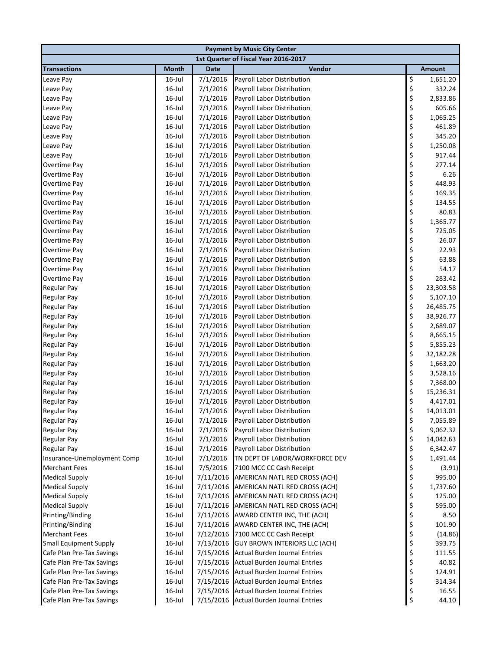| <b>Payment by Music City Center</b>      |                        |                      |                                                                 |          |                      |  |  |
|------------------------------------------|------------------------|----------------------|-----------------------------------------------------------------|----------|----------------------|--|--|
|                                          |                        |                      | 1st Quarter of Fiscal Year 2016-2017                            |          |                      |  |  |
| <b>Transactions</b>                      | <b>Month</b>           | <b>Date</b>          | Vendor                                                          |          | Amount               |  |  |
| Leave Pay                                | 16-Jul                 | 7/1/2016             | Payroll Labor Distribution                                      | \$       | 1,651.20             |  |  |
| Leave Pay                                | $16$ -Jul              | 7/1/2016             | Payroll Labor Distribution                                      | \$       | 332.24               |  |  |
| Leave Pay                                | $16$ -Jul              | 7/1/2016             | Payroll Labor Distribution                                      | \$       | 2,833.86             |  |  |
| Leave Pay                                | $16$ -Jul              | 7/1/2016             | Payroll Labor Distribution                                      | \$       | 605.66               |  |  |
| Leave Pay                                | $16$ -Jul              | 7/1/2016             | Payroll Labor Distribution                                      | \$       | 1,065.25             |  |  |
| Leave Pay                                | $16$ -Jul              | 7/1/2016             | Payroll Labor Distribution                                      | \$       | 461.89               |  |  |
| Leave Pay                                | $16$ -Jul              | 7/1/2016             | Payroll Labor Distribution                                      | \$       | 345.20               |  |  |
| Leave Pay                                | $16$ -Jul              | 7/1/2016             | Payroll Labor Distribution                                      | \$       | 1,250.08             |  |  |
| Leave Pay                                | $16$ -Jul              | 7/1/2016             | <b>Payroll Labor Distribution</b>                               | \$       | 917.44               |  |  |
| Overtime Pay                             | $16$ -Jul              | 7/1/2016             | Payroll Labor Distribution                                      | \$       | 277.14               |  |  |
| Overtime Pay                             | 16-Jul                 | 7/1/2016             | Payroll Labor Distribution                                      | \$       | 6.26                 |  |  |
| Overtime Pay                             | $16$ -Jul              | 7/1/2016             | Payroll Labor Distribution                                      | \$       | 448.93               |  |  |
| Overtime Pay                             | $16$ -Jul              | 7/1/2016             | Payroll Labor Distribution                                      | \$       | 169.35               |  |  |
| Overtime Pay                             | 16-Jul                 | 7/1/2016             | Payroll Labor Distribution                                      | \$       | 134.55               |  |  |
| Overtime Pay                             | $16$ -Jul              | 7/1/2016             | Payroll Labor Distribution                                      | \$       | 80.83                |  |  |
| Overtime Pay                             | $16$ -Jul              | 7/1/2016             | Payroll Labor Distribution                                      | \$       | 1,365.77             |  |  |
| Overtime Pay                             | $16$ -Jul              | 7/1/2016             | Payroll Labor Distribution                                      | \$       | 725.05               |  |  |
| Overtime Pay                             | $16$ -Jul              | 7/1/2016             | Payroll Labor Distribution                                      | \$       | 26.07                |  |  |
| Overtime Pay                             | $16$ -Jul              | 7/1/2016             | Payroll Labor Distribution                                      | \$       | 22.93                |  |  |
| Overtime Pay                             | $16$ -Jul              | 7/1/2016             | Payroll Labor Distribution                                      | \$       | 63.88                |  |  |
| Overtime Pay                             | $16$ -Jul              | 7/1/2016             | Payroll Labor Distribution                                      | \$       | 54.17                |  |  |
| <b>Overtime Pay</b>                      | $16$ -Jul              | 7/1/2016             | Payroll Labor Distribution                                      | \$       | 283.42               |  |  |
| <b>Regular Pay</b>                       | $16$ -Jul              | 7/1/2016             | Payroll Labor Distribution                                      | \$       | 23,303.58            |  |  |
| <b>Regular Pay</b>                       | $16$ -Jul              | 7/1/2016             | Payroll Labor Distribution                                      | \$       | 5,107.10             |  |  |
| <b>Regular Pay</b>                       | $16$ -Jul              | 7/1/2016             | Payroll Labor Distribution                                      | \$       | 26,485.75            |  |  |
| <b>Regular Pay</b>                       | 16-Jul                 | 7/1/2016             | Payroll Labor Distribution                                      | \$       | 38,926.77            |  |  |
| <b>Regular Pay</b>                       | $16$ -Jul              | 7/1/2016             | Payroll Labor Distribution                                      | \$       | 2,689.07             |  |  |
| <b>Regular Pay</b>                       | $16$ -Jul              | 7/1/2016             | Payroll Labor Distribution                                      | \$<br>\$ | 8,665.15             |  |  |
| <b>Regular Pay</b>                       | $16$ -Jul              | 7/1/2016             | Payroll Labor Distribution                                      | \$       | 5,855.23             |  |  |
| <b>Regular Pay</b><br><b>Regular Pay</b> | $16$ -Jul<br>$16$ -Jul | 7/1/2016<br>7/1/2016 | Payroll Labor Distribution<br><b>Payroll Labor Distribution</b> | \$       | 32,182.28            |  |  |
| <b>Regular Pay</b>                       | $16$ -Jul              | 7/1/2016             | Payroll Labor Distribution                                      | \$       | 1,663.20<br>3,528.16 |  |  |
| <b>Regular Pay</b>                       | $16$ -Jul              | 7/1/2016             | Payroll Labor Distribution                                      | \$       | 7,368.00             |  |  |
| <b>Regular Pay</b>                       | $16$ -Jul              | 7/1/2016             | Payroll Labor Distribution                                      | \$       | 15,236.31            |  |  |
| <b>Regular Pay</b>                       | 16-Jul                 | 7/1/2016             | Payroll Labor Distribution                                      | \$       | 4,417.01             |  |  |
| Regular Pay                              | $16$ -Jul              | 7/1/2016             | Payroll Labor Distribution                                      | \$       | 14,013.01            |  |  |
| <b>Regular Pay</b>                       | 16-Jul                 | 7/1/2016             | Payroll Labor Distribution                                      | \$       | 7,055.89             |  |  |
| <b>Regular Pay</b>                       | 16-Jul                 | 7/1/2016             | Payroll Labor Distribution                                      | \$       | 9,062.32             |  |  |
| <b>Regular Pay</b>                       | $16$ -Jul              | 7/1/2016             | Payroll Labor Distribution                                      | \$       | 14,042.63            |  |  |
| <b>Regular Pay</b>                       | 16-Jul                 | 7/1/2016             | Payroll Labor Distribution                                      | \$       | 6,342.47             |  |  |
| Insurance-Unemployment Comp              | $16$ -Jul              | 7/1/2016             | TN DEPT OF LABOR/WORKFORCE DEV                                  | \$       | 1,491.44             |  |  |
| <b>Merchant Fees</b>                     | $16$ -Jul              | 7/5/2016             | 7100 MCC CC Cash Receipt                                        | \$       | (3.91)               |  |  |
| <b>Medical Supply</b>                    | $16$ -Jul              | 7/11/2016            | AMERICAN NATL RED CROSS (ACH)                                   | \$       | 995.00               |  |  |
| <b>Medical Supply</b>                    | $16$ -Jul              | 7/11/2016            | AMERICAN NATL RED CROSS (ACH)                                   | \$       | 1,737.60             |  |  |
| <b>Medical Supply</b>                    | $16$ -Jul              | 7/11/2016            | AMERICAN NATL RED CROSS (ACH)                                   | \$       | 125.00               |  |  |
| <b>Medical Supply</b>                    | $16$ -Jul              | 7/11/2016            | AMERICAN NATL RED CROSS (ACH)                                   | \$       | 595.00               |  |  |
| Printing/Binding                         | 16-Jul                 | 7/11/2016            | AWARD CENTER INC, THE (ACH)                                     | \$       | 8.50                 |  |  |
| Printing/Binding                         | $16$ -Jul              | 7/11/2016            | AWARD CENTER INC, THE (ACH)                                     | \$       | 101.90               |  |  |
| <b>Merchant Fees</b>                     | 16-Jul                 | 7/12/2016            | 7100 MCC CC Cash Receipt                                        | \$       | (14.86)              |  |  |
| <b>Small Equipment Supply</b>            | 16-Jul                 | 7/13/2016            | <b>GUY BROWN INTERIORS LLC (ACH)</b>                            | \$       | 393.75               |  |  |
| Cafe Plan Pre-Tax Savings                | 16-Jul                 | 7/15/2016            | <b>Actual Burden Journal Entries</b>                            | \$       | 111.55               |  |  |
| Cafe Plan Pre-Tax Savings                | 16-Jul                 | 7/15/2016            | <b>Actual Burden Journal Entries</b>                            | \$       | 40.82                |  |  |
| Cafe Plan Pre-Tax Savings                | 16-Jul                 | 7/15/2016            | <b>Actual Burden Journal Entries</b>                            | \$       | 124.91               |  |  |
| Cafe Plan Pre-Tax Savings                | 16-Jul                 | 7/15/2016            | <b>Actual Burden Journal Entries</b>                            | \$       | 314.34               |  |  |
| Cafe Plan Pre-Tax Savings                | $16$ -Jul              | 7/15/2016            | <b>Actual Burden Journal Entries</b>                            | \$       | 16.55                |  |  |
| Cafe Plan Pre-Tax Savings                | 16-Jul                 |                      | 7/15/2016 Actual Burden Journal Entries                         | \$       | 44.10                |  |  |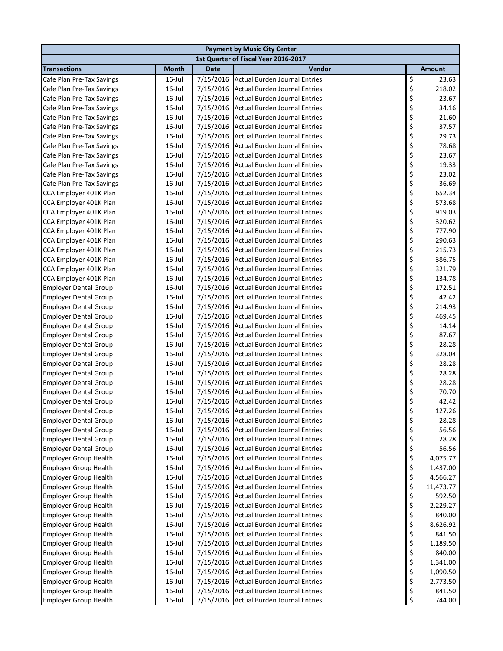| <b>Payment by Music City Center</b>                          |                                      |                        |                                                                              |          |                |  |  |
|--------------------------------------------------------------|--------------------------------------|------------------------|------------------------------------------------------------------------------|----------|----------------|--|--|
|                                                              | 1st Quarter of Fiscal Year 2016-2017 |                        |                                                                              |          |                |  |  |
| <b>Transactions</b>                                          | <b>Month</b>                         | <b>Date</b>            | Vendor                                                                       |          | <b>Amount</b>  |  |  |
| Cafe Plan Pre-Tax Savings                                    | $16$ -Jul                            | 7/15/2016              | Actual Burden Journal Entries                                                | \$       | 23.63          |  |  |
| Cafe Plan Pre-Tax Savings                                    | $16$ -Jul                            | 7/15/2016              | <b>Actual Burden Journal Entries</b>                                         | \$       | 218.02         |  |  |
| Cafe Plan Pre-Tax Savings                                    | $16$ -Jul                            | 7/15/2016              | <b>Actual Burden Journal Entries</b>                                         | \$       | 23.67          |  |  |
| Cafe Plan Pre-Tax Savings                                    | $16$ -Jul                            | 7/15/2016              | <b>Actual Burden Journal Entries</b>                                         | \$       | 34.16          |  |  |
| Cafe Plan Pre-Tax Savings                                    | $16$ -Jul                            | 7/15/2016              | <b>Actual Burden Journal Entries</b>                                         | \$       | 21.60          |  |  |
| Cafe Plan Pre-Tax Savings                                    | $16$ -Jul                            | 7/15/2016              | <b>Actual Burden Journal Entries</b>                                         | \$<br>\$ | 37.57          |  |  |
| Cafe Plan Pre-Tax Savings                                    | $16$ -Jul                            | 7/15/2016              | <b>Actual Burden Journal Entries</b>                                         |          | 29.73          |  |  |
| Cafe Plan Pre-Tax Savings                                    | $16$ -Jul                            | 7/15/2016              | <b>Actual Burden Journal Entries</b>                                         | \$       | 78.68          |  |  |
| Cafe Plan Pre-Tax Savings                                    | $16$ -Jul                            | 7/15/2016              | <b>Actual Burden Journal Entries</b>                                         | \$       | 23.67          |  |  |
| Cafe Plan Pre-Tax Savings                                    | $16$ -Jul                            | 7/15/2016              | <b>Actual Burden Journal Entries</b>                                         | \$       | 19.33          |  |  |
| Cafe Plan Pre-Tax Savings                                    | 16-Jul                               | 7/15/2016              | <b>Actual Burden Journal Entries</b>                                         | \$       | 23.02          |  |  |
| Cafe Plan Pre-Tax Savings                                    | $16$ -Jul                            | 7/15/2016              | <b>Actual Burden Journal Entries</b>                                         | \$       | 36.69          |  |  |
| CCA Employer 401K Plan                                       | $16$ -Jul                            | 7/15/2016              | <b>Actual Burden Journal Entries</b>                                         | \$       | 652.34         |  |  |
| CCA Employer 401K Plan                                       | $16$ -Jul                            | 7/15/2016              | <b>Actual Burden Journal Entries</b>                                         | \$       | 573.68         |  |  |
| CCA Employer 401K Plan                                       | $16$ -Jul                            | 7/15/2016              | <b>Actual Burden Journal Entries</b>                                         | \$       | 919.03         |  |  |
| CCA Employer 401K Plan                                       | $16$ -Jul                            | 7/15/2016              | <b>Actual Burden Journal Entries</b>                                         | \$       | 320.62         |  |  |
| CCA Employer 401K Plan                                       | $16$ -Jul                            | 7/15/2016              | <b>Actual Burden Journal Entries</b>                                         | \$       | 777.90         |  |  |
| CCA Employer 401K Plan                                       | 16-Jul                               | 7/15/2016              | <b>Actual Burden Journal Entries</b>                                         | \$       | 290.63         |  |  |
| CCA Employer 401K Plan                                       | $16$ -Jul                            | 7/15/2016              | <b>Actual Burden Journal Entries</b>                                         | \$<br>\$ | 215.73         |  |  |
| CCA Employer 401K Plan                                       | $16$ -Jul                            | 7/15/2016              | <b>Actual Burden Journal Entries</b>                                         |          | 386.75         |  |  |
| CCA Employer 401K Plan                                       | $16$ -Jul                            | 7/15/2016              | <b>Actual Burden Journal Entries</b>                                         | \$       | 321.79         |  |  |
| CCA Employer 401K Plan                                       | 16-Jul                               | 7/15/2016              | <b>Actual Burden Journal Entries</b>                                         | \$       | 134.78         |  |  |
| <b>Employer Dental Group</b>                                 | $16$ -Jul                            | 7/15/2016              | <b>Actual Burden Journal Entries</b>                                         | \$       | 172.51         |  |  |
| <b>Employer Dental Group</b>                                 | $16$ -Jul                            | 7/15/2016              | <b>Actual Burden Journal Entries</b>                                         | \$       | 42.42          |  |  |
| <b>Employer Dental Group</b>                                 | 16-Jul                               | 7/15/2016              | <b>Actual Burden Journal Entries</b>                                         | \$<br>\$ | 214.93         |  |  |
| <b>Employer Dental Group</b>                                 | $16$ -Jul                            | 7/15/2016              | <b>Actual Burden Journal Entries</b>                                         |          | 469.45         |  |  |
| <b>Employer Dental Group</b>                                 | 16-Jul                               | 7/15/2016              | <b>Actual Burden Journal Entries</b>                                         | \$       | 14.14          |  |  |
| <b>Employer Dental Group</b>                                 | 16-Jul                               | 7/15/2016              | <b>Actual Burden Journal Entries</b>                                         | \$       | 87.67          |  |  |
| <b>Employer Dental Group</b>                                 | 16-Jul                               | 7/15/2016              | <b>Actual Burden Journal Entries</b>                                         | \$       | 28.28          |  |  |
| <b>Employer Dental Group</b>                                 | $16$ -Jul                            | 7/15/2016              | <b>Actual Burden Journal Entries</b>                                         | \$       | 328.04         |  |  |
| <b>Employer Dental Group</b>                                 | $16$ -Jul                            | 7/15/2016              | <b>Actual Burden Journal Entries</b><br><b>Actual Burden Journal Entries</b> | \$<br>\$ | 28.28          |  |  |
| <b>Employer Dental Group</b>                                 | $16$ -Jul<br>$16$ -Jul               | 7/15/2016              | <b>Actual Burden Journal Entries</b>                                         | \$       | 28.28<br>28.28 |  |  |
| <b>Employer Dental Group</b><br><b>Employer Dental Group</b> | $16$ -Jul                            | 7/15/2016<br>7/15/2016 | <b>Actual Burden Journal Entries</b>                                         | \$       | 70.70          |  |  |
| <b>Employer Dental Group</b>                                 | $16$ -Jul                            | 7/15/2016              | <b>Actual Burden Journal Entries</b>                                         | \$       | 42.42          |  |  |
| <b>Employer Dental Group</b>                                 | $16$ -Jul                            |                        | 7/15/2016 Actual Burden Journal Entries                                      | \$       | 127.26         |  |  |
| <b>Employer Dental Group</b>                                 | $16$ -Jul                            | 7/15/2016              | <b>Actual Burden Journal Entries</b>                                         | \$       | 28.28          |  |  |
| <b>Employer Dental Group</b>                                 | 16-Jul                               | 7/15/2016              | <b>Actual Burden Journal Entries</b>                                         | \$       | 56.56          |  |  |
| <b>Employer Dental Group</b>                                 | $16$ -Jul                            | 7/15/2016              | <b>Actual Burden Journal Entries</b>                                         | \$       | 28.28          |  |  |
| <b>Employer Dental Group</b>                                 | $16$ -Jul                            | 7/15/2016              | <b>Actual Burden Journal Entries</b>                                         | \$       | 56.56          |  |  |
| <b>Employer Group Health</b>                                 | $16$ -Jul                            | 7/15/2016              | <b>Actual Burden Journal Entries</b>                                         | \$       | 4,075.77       |  |  |
| <b>Employer Group Health</b>                                 | $16$ -Jul                            | 7/15/2016              | <b>Actual Burden Journal Entries</b>                                         | \$       | 1,437.00       |  |  |
| <b>Employer Group Health</b>                                 | 16-Jul                               | 7/15/2016              | <b>Actual Burden Journal Entries</b>                                         | \$       | 4,566.27       |  |  |
| <b>Employer Group Health</b>                                 | $16$ -Jul                            | 7/15/2016              | <b>Actual Burden Journal Entries</b>                                         |          | 11,473.77      |  |  |
| <b>Employer Group Health</b>                                 | $16$ -Jul                            | 7/15/2016              | <b>Actual Burden Journal Entries</b>                                         | \$\$\$   | 592.50         |  |  |
| <b>Employer Group Health</b>                                 | 16-Jul                               | 7/15/2016              | <b>Actual Burden Journal Entries</b>                                         |          | 2,229.27       |  |  |
| <b>Employer Group Health</b>                                 | 16-Jul                               | 7/15/2016              | <b>Actual Burden Journal Entries</b>                                         |          | 840.00         |  |  |
| <b>Employer Group Health</b>                                 | 16-Jul                               | 7/15/2016              | <b>Actual Burden Journal Entries</b>                                         | \$<br>\$ | 8,626.92       |  |  |
| <b>Employer Group Health</b>                                 | 16-Jul                               | 7/15/2016              | <b>Actual Burden Journal Entries</b>                                         | \$       | 841.50         |  |  |
| <b>Employer Group Health</b>                                 | $16$ -Jul                            | 7/15/2016              | <b>Actual Burden Journal Entries</b>                                         |          | 1,189.50       |  |  |
| <b>Employer Group Health</b>                                 | $16$ -Jul                            | 7/15/2016              | <b>Actual Burden Journal Entries</b>                                         | \$<br>\$ | 840.00         |  |  |
| <b>Employer Group Health</b>                                 | $16$ -Jul                            | 7/15/2016              | <b>Actual Burden Journal Entries</b>                                         | \$       | 1,341.00       |  |  |
| <b>Employer Group Health</b>                                 | 16-Jul                               | 7/15/2016              | <b>Actual Burden Journal Entries</b>                                         | \$       | 1,090.50       |  |  |
| <b>Employer Group Health</b>                                 | 16-Jul                               | 7/15/2016              | <b>Actual Burden Journal Entries</b>                                         | \$       | 2,773.50       |  |  |
| <b>Employer Group Health</b>                                 | 16-Jul                               | 7/15/2016              | <b>Actual Burden Journal Entries</b>                                         | \$       | 841.50         |  |  |
| <b>Employer Group Health</b>                                 | $16$ -Jul                            |                        | 7/15/2016 Actual Burden Journal Entries                                      | \$       | 744.00         |  |  |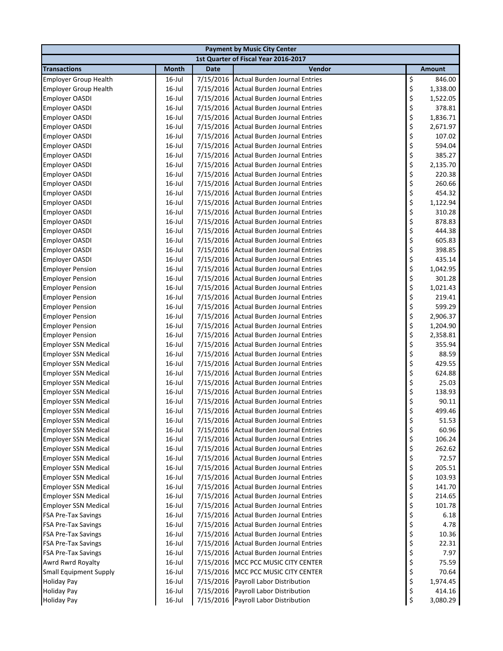| <b>Payment by Music City Center</b> |              |             |                                         |          |               |  |  |  |
|-------------------------------------|--------------|-------------|-----------------------------------------|----------|---------------|--|--|--|
|                                     |              |             | 1st Quarter of Fiscal Year 2016-2017    |          |               |  |  |  |
| <b>Transactions</b>                 | <b>Month</b> | <b>Date</b> | Vendor                                  |          | <b>Amount</b> |  |  |  |
| <b>Employer Group Health</b>        | $16$ -Jul    |             | 7/15/2016 Actual Burden Journal Entries | \$       | 846.00        |  |  |  |
| <b>Employer Group Health</b>        | $16$ -Jul    |             | 7/15/2016 Actual Burden Journal Entries | \$       | 1,338.00      |  |  |  |
| <b>Employer OASDI</b>               | $16$ -Jul    |             | 7/15/2016 Actual Burden Journal Entries | \$       | 1,522.05      |  |  |  |
| <b>Employer OASDI</b>               | $16$ -Jul    |             | 7/15/2016 Actual Burden Journal Entries | \$       | 378.81        |  |  |  |
| <b>Employer OASDI</b>               | $16$ -Jul    |             | 7/15/2016 Actual Burden Journal Entries | \$       | 1,836.71      |  |  |  |
| <b>Employer OASDI</b>               | $16$ -Jul    |             | 7/15/2016 Actual Burden Journal Entries | \$       | 2,671.97      |  |  |  |
| <b>Employer OASDI</b>               | $16$ -Jul    |             | 7/15/2016 Actual Burden Journal Entries | \$       | 107.02        |  |  |  |
| <b>Employer OASDI</b>               | $16$ -Jul    |             | 7/15/2016 Actual Burden Journal Entries | \$       | 594.04        |  |  |  |
| <b>Employer OASDI</b>               | $16$ -Jul    |             | 7/15/2016 Actual Burden Journal Entries | \$       | 385.27        |  |  |  |
| <b>Employer OASDI</b>               | $16$ -Jul    |             | 7/15/2016 Actual Burden Journal Entries | \$       | 2,135.70      |  |  |  |
| <b>Employer OASDI</b>               | $16$ -Jul    |             | 7/15/2016 Actual Burden Journal Entries | \$       | 220.38        |  |  |  |
| <b>Employer OASDI</b>               | $16$ -Jul    |             | 7/15/2016 Actual Burden Journal Entries | \$       | 260.66        |  |  |  |
| <b>Employer OASDI</b>               | $16$ -Jul    | 7/15/2016   | Actual Burden Journal Entries           | \$       | 454.32        |  |  |  |
| <b>Employer OASDI</b>               | $16$ -Jul    | 7/15/2016   | Actual Burden Journal Entries           | \$       | 1,122.94      |  |  |  |
| <b>Employer OASDI</b>               | $16$ -Jul    |             | 7/15/2016 Actual Burden Journal Entries | \$       | 310.28        |  |  |  |
| <b>Employer OASDI</b>               | $16$ -Jul    |             | 7/15/2016 Actual Burden Journal Entries | \$       | 878.83        |  |  |  |
| <b>Employer OASDI</b>               | $16$ -Jul    |             | 7/15/2016 Actual Burden Journal Entries | \$       | 444.38        |  |  |  |
| <b>Employer OASDI</b>               | $16$ -Jul    |             | 7/15/2016 Actual Burden Journal Entries | \$       | 605.83        |  |  |  |
| <b>Employer OASDI</b>               | $16$ -Jul    |             | 7/15/2016 Actual Burden Journal Entries | \$       | 398.85        |  |  |  |
| <b>Employer OASDI</b>               | $16$ -Jul    |             | 7/15/2016 Actual Burden Journal Entries | \$<br>\$ | 435.14        |  |  |  |
| <b>Employer Pension</b>             | $16$ -Jul    |             | 7/15/2016 Actual Burden Journal Entries |          | 1,042.95      |  |  |  |
| <b>Employer Pension</b>             | $16$ -Jul    |             | 7/15/2016 Actual Burden Journal Entries | \$       | 301.28        |  |  |  |
| <b>Employer Pension</b>             | $16$ -Jul    |             | 7/15/2016 Actual Burden Journal Entries | \$       | 1,021.43      |  |  |  |
| <b>Employer Pension</b>             | $16$ -Jul    |             | 7/15/2016 Actual Burden Journal Entries | \$       | 219.41        |  |  |  |
| <b>Employer Pension</b>             | $16$ -Jul    | 7/15/2016   | Actual Burden Journal Entries           | \$       | 599.29        |  |  |  |
| <b>Employer Pension</b>             | $16$ -Jul    | 7/15/2016   | Actual Burden Journal Entries           | \$       | 2,906.37      |  |  |  |
| <b>Employer Pension</b>             | $16$ -Jul    |             | 7/15/2016 Actual Burden Journal Entries | \$       | 1,204.90      |  |  |  |
| <b>Employer Pension</b>             | $16$ -Jul    |             | 7/15/2016 Actual Burden Journal Entries | \$       | 2,358.81      |  |  |  |
| <b>Employer SSN Medical</b>         | $16$ -Jul    |             | 7/15/2016 Actual Burden Journal Entries | \$       | 355.94        |  |  |  |
| <b>Employer SSN Medical</b>         | $16$ -Jul    |             | 7/15/2016 Actual Burden Journal Entries | \$       | 88.59         |  |  |  |
| <b>Employer SSN Medical</b>         | $16$ -Jul    |             | 7/15/2016 Actual Burden Journal Entries | \$       | 429.55        |  |  |  |
| <b>Employer SSN Medical</b>         | $16$ -Jul    |             | 7/15/2016 Actual Burden Journal Entries | \$       | 624.88        |  |  |  |
| <b>Employer SSN Medical</b>         | $16$ -Jul    |             | 7/15/2016 Actual Burden Journal Entries | \$       | 25.03         |  |  |  |
| <b>Employer SSN Medical</b>         | $16$ -Jul    |             | 7/15/2016 Actual Burden Journal Entries | \$       | 138.93        |  |  |  |
| <b>Employer SSN Medical</b>         | $16$ -Jul    |             | 7/15/2016 Actual Burden Journal Entries | \$       | 90.11         |  |  |  |
| <b>Employer SSN Medical</b>         | 16-Jul       |             | 7/15/2016 Actual Burden Journal Entries | ς        | 499.46        |  |  |  |
| <b>Employer SSN Medical</b>         | $16$ -Jul    |             | 7/15/2016 Actual Burden Journal Entries | \$       | 51.53         |  |  |  |
| <b>Employer SSN Medical</b>         | $16$ -Jul    | 7/15/2016   | <b>Actual Burden Journal Entries</b>    | \$       | 60.96         |  |  |  |
| <b>Employer SSN Medical</b>         | $16$ -Jul    |             | 7/15/2016 Actual Burden Journal Entries | \$       | 106.24        |  |  |  |
| <b>Employer SSN Medical</b>         | $16$ -Jul    |             | 7/15/2016 Actual Burden Journal Entries | \$       | 262.62        |  |  |  |
| <b>Employer SSN Medical</b>         | $16$ -Jul    |             | 7/15/2016 Actual Burden Journal Entries | \$       | 72.57         |  |  |  |
| <b>Employer SSN Medical</b>         | $16$ -Jul    |             | 7/15/2016 Actual Burden Journal Entries | \$       | 205.51        |  |  |  |
| <b>Employer SSN Medical</b>         | $16$ -Jul    |             | 7/15/2016 Actual Burden Journal Entries | \$       | 103.93        |  |  |  |
| <b>Employer SSN Medical</b>         | $16$ -Jul    |             | 7/15/2016 Actual Burden Journal Entries | \$       | 141.70        |  |  |  |
| <b>Employer SSN Medical</b>         | $16$ -Jul    |             | 7/15/2016 Actual Burden Journal Entries | \$<br>\$ | 214.65        |  |  |  |
| <b>Employer SSN Medical</b>         | $16$ -Jul    |             | 7/15/2016 Actual Burden Journal Entries |          | 101.78        |  |  |  |
| <b>FSA Pre-Tax Savings</b>          | $16$ -Jul    |             | 7/15/2016 Actual Burden Journal Entries | \$\$\$   | 6.18          |  |  |  |
| <b>FSA Pre-Tax Savings</b>          | $16$ -Jul    |             | 7/15/2016 Actual Burden Journal Entries |          | 4.78          |  |  |  |
| <b>FSA Pre-Tax Savings</b>          | $16$ -Jul    |             | 7/15/2016 Actual Burden Journal Entries |          | 10.36         |  |  |  |
| <b>FSA Pre-Tax Savings</b>          | $16$ -Jul    | 7/15/2016   | <b>Actual Burden Journal Entries</b>    | \$       | 22.31         |  |  |  |
| <b>FSA Pre-Tax Savings</b>          | $16$ -Jul    | 7/15/2016   | <b>Actual Burden Journal Entries</b>    | \$       | 7.97          |  |  |  |
| Awrd Rwrd Royalty                   | $16$ -Jul    | 7/15/2016   | MCC PCC MUSIC CITY CENTER               | \$<br>\$ | 75.59         |  |  |  |
| <b>Small Equipment Supply</b>       | $16$ -Jul    | 7/15/2016   | MCC PCC MUSIC CITY CENTER               |          | 70.64         |  |  |  |
| <b>Holiday Pay</b>                  | $16$ -Jul    | 7/15/2016   | Payroll Labor Distribution              | \$       | 1,974.45      |  |  |  |
| <b>Holiday Pay</b>                  | $16$ -Jul    | 7/15/2016   | Payroll Labor Distribution              | \$       | 414.16        |  |  |  |
| <b>Holiday Pay</b>                  | 16-Jul       |             | 7/15/2016 Payroll Labor Distribution    | \$       | 3,080.29      |  |  |  |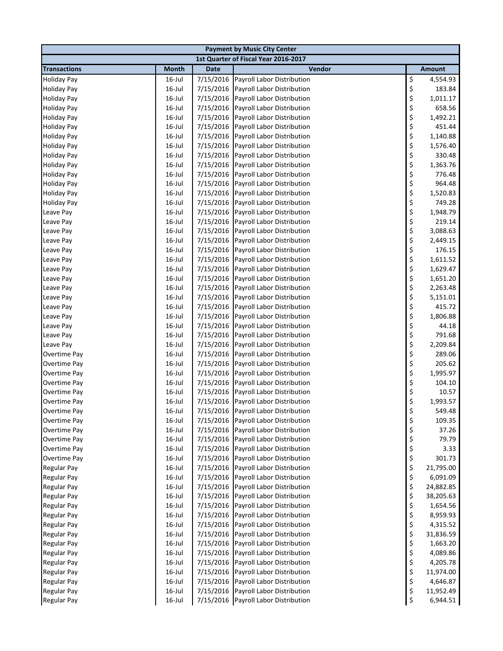| <b>Payment by Music City Center</b>      |                                      |                        |                                                          |          |                       |  |  |
|------------------------------------------|--------------------------------------|------------------------|----------------------------------------------------------|----------|-----------------------|--|--|
|                                          | 1st Quarter of Fiscal Year 2016-2017 |                        |                                                          |          |                       |  |  |
| <b>Transactions</b>                      | <b>Month</b>                         | <b>Date</b>            | Vendor                                                   |          | Amount                |  |  |
| <b>Holiday Pay</b>                       | 16-Jul                               | 7/15/2016              | Payroll Labor Distribution                               | \$       | 4,554.93              |  |  |
| <b>Holiday Pay</b>                       | $16$ -Jul                            | 7/15/2016              | Payroll Labor Distribution                               | \$       | 183.84                |  |  |
| <b>Holiday Pay</b>                       | $16$ -Jul                            | 7/15/2016              | Payroll Labor Distribution                               | \$       | 1,011.17              |  |  |
| <b>Holiday Pay</b>                       | $16$ -Jul                            | 7/15/2016              | Payroll Labor Distribution                               | \$       | 658.56                |  |  |
| <b>Holiday Pay</b>                       | $16$ -Jul                            | 7/15/2016              | Payroll Labor Distribution                               | \$       | 1,492.21              |  |  |
| <b>Holiday Pay</b>                       | $16$ -Jul                            | 7/15/2016              | Payroll Labor Distribution                               | \$       | 451.44                |  |  |
| <b>Holiday Pay</b>                       | $16$ -Jul                            | 7/15/2016              | Payroll Labor Distribution                               | \$       | 1,140.88              |  |  |
| <b>Holiday Pay</b>                       | $16$ -Jul                            | 7/15/2016              | Payroll Labor Distribution                               | \$       | 1,576.40              |  |  |
| <b>Holiday Pay</b>                       | $16$ -Jul                            | 7/15/2016              | Payroll Labor Distribution                               | \$       | 330.48                |  |  |
| <b>Holiday Pay</b>                       | $16$ -Jul                            | 7/15/2016              | Payroll Labor Distribution                               | \$       | 1,363.76              |  |  |
| <b>Holiday Pay</b>                       | $16$ -Jul                            | 7/15/2016              | Payroll Labor Distribution                               | \$       | 776.48                |  |  |
| <b>Holiday Pay</b>                       | $16$ -Jul                            | 7/15/2016              | Payroll Labor Distribution                               | \$       | 964.48                |  |  |
| <b>Holiday Pay</b>                       | $16$ -Jul                            | 7/15/2016              | Payroll Labor Distribution                               | \$       | 1,520.83              |  |  |
| <b>Holiday Pay</b>                       | $16$ -Jul                            | 7/15/2016              | Payroll Labor Distribution                               | \$       | 749.28                |  |  |
| Leave Pay                                | $16$ -Jul                            | 7/15/2016              | Payroll Labor Distribution                               | \$       | 1,948.79              |  |  |
| Leave Pay                                | $16$ -Jul                            | 7/15/2016              | Payroll Labor Distribution                               | \$       | 219.14                |  |  |
| Leave Pay                                | $16$ -Jul                            | 7/15/2016              | Payroll Labor Distribution                               | \$       | 3,088.63              |  |  |
| Leave Pay                                | $16$ -Jul                            | 7/15/2016              | Payroll Labor Distribution                               | \$       | 2,449.15              |  |  |
| Leave Pay                                | $16$ -Jul                            | 7/15/2016              | Payroll Labor Distribution                               | \$       | 176.15                |  |  |
| Leave Pay                                | $16$ -Jul                            | 7/15/2016              | Payroll Labor Distribution                               | \$       | 1,611.52              |  |  |
| Leave Pay                                | $16$ -Jul                            | 7/15/2016              | Payroll Labor Distribution                               | \$       | 1,629.47              |  |  |
| Leave Pay                                | $16$ -Jul                            | 7/15/2016              | <b>Payroll Labor Distribution</b>                        | \$       | 1,651.20              |  |  |
| Leave Pay                                | $16$ -Jul                            | 7/15/2016              | Payroll Labor Distribution                               | \$       | 2,263.48              |  |  |
| Leave Pay                                | $16$ -Jul                            | 7/15/2016              | Payroll Labor Distribution                               | \$       | 5,151.01              |  |  |
| Leave Pay                                | $16$ -Jul                            | 7/15/2016              | Payroll Labor Distribution                               | \$       | 415.72                |  |  |
| Leave Pay                                | $16$ -Jul                            | 7/15/2016              | Payroll Labor Distribution                               | \$       | 1,806.88              |  |  |
| Leave Pay                                | $16$ -Jul                            | 7/15/2016              | Payroll Labor Distribution                               | \$       | 44.18                 |  |  |
| Leave Pay                                | $16$ -Jul                            | 7/15/2016              | Payroll Labor Distribution                               | \$       | 791.68                |  |  |
| Leave Pay                                | $16$ -Jul                            | 7/15/2016              | Payroll Labor Distribution                               | \$       | 2,209.84              |  |  |
| Overtime Pay                             | $16$ -Jul                            | 7/15/2016              | Payroll Labor Distribution                               | \$       | 289.06                |  |  |
| Overtime Pay                             | $16$ -Jul                            | 7/15/2016              | Payroll Labor Distribution                               | \$       | 205.62                |  |  |
| Overtime Pay                             | $16$ -Jul                            | 7/15/2016              | Payroll Labor Distribution                               | \$       | 1,995.97              |  |  |
| Overtime Pay                             | $16$ -Jul                            | 7/15/2016              | Payroll Labor Distribution                               | \$       | 104.10                |  |  |
| Overtime Pay                             | $16$ -Jul                            | 7/15/2016              | Payroll Labor Distribution                               | \$       | 10.57                 |  |  |
| Overtime Pay                             | 16-Jul                               | 7/15/2016              | Payroll Labor Distribution                               | \$<br>Ś  | 1,993.57              |  |  |
| Overtime Pay                             | $16$ -Jul                            |                        | 7/15/2016 Payroll Labor Distribution                     |          | 549.48                |  |  |
| Overtime Pay                             | 16-Jul                               | 7/15/2016              | Payroll Labor Distribution                               | \$       | 109.35                |  |  |
| Overtime Pay                             | $16$ -Jul                            | 7/15/2016              | Payroll Labor Distribution                               | \$       | 37.26                 |  |  |
| Overtime Pay<br><b>Overtime Pay</b>      | $16$ -Jul                            | 7/15/2016              | Payroll Labor Distribution                               | \$       | 79.79                 |  |  |
|                                          | $16$ -Jul                            | 7/15/2016              | Payroll Labor Distribution                               | \$       | 3.33                  |  |  |
| Overtime Pay                             | $16$ -Jul<br>$16$ -Jul               | 7/15/2016              | Payroll Labor Distribution                               | \$<br>\$ | 301.73<br>21,795.00   |  |  |
| <b>Regular Pay</b><br><b>Regular Pay</b> | $16$ -Jul                            | 7/15/2016<br>7/15/2016 | Payroll Labor Distribution                               | \$       |                       |  |  |
| <b>Regular Pay</b>                       | $16$ -Jul                            | 7/15/2016              | Payroll Labor Distribution<br>Payroll Labor Distribution | \$       | 6,091.09<br>24,882.85 |  |  |
| <b>Regular Pay</b>                       | $16$ -Jul                            | 7/15/2016              | Payroll Labor Distribution                               | \$       |                       |  |  |
| <b>Regular Pay</b>                       | $16$ -Jul                            | 7/15/2016              | Payroll Labor Distribution                               | \$       | 38,205.63<br>1,654.56 |  |  |
| <b>Regular Pay</b>                       | $16$ -Jul                            | 7/15/2016              | Payroll Labor Distribution                               | \$       | 8,959.93              |  |  |
| <b>Regular Pay</b>                       | 16-Jul                               | 7/15/2016              | Payroll Labor Distribution                               | \$       | 4,315.52              |  |  |
| <b>Regular Pay</b>                       | $16$ -Jul                            | 7/15/2016              | Payroll Labor Distribution                               | \$       | 31,836.59             |  |  |
| <b>Regular Pay</b>                       | $16$ -Jul                            | 7/15/2016              | Payroll Labor Distribution                               | \$       | 1,663.20              |  |  |
| <b>Regular Pay</b>                       | $16$ -Jul                            | 7/15/2016              | Payroll Labor Distribution                               | \$       | 4,089.86              |  |  |
| <b>Regular Pay</b>                       | $16$ -Jul                            | 7/15/2016              | Payroll Labor Distribution                               | \$       | 4,205.78              |  |  |
| <b>Regular Pay</b>                       | $16$ -Jul                            | 7/15/2016              | Payroll Labor Distribution                               | \$       | 11,974.00             |  |  |
| <b>Regular Pay</b>                       | $16$ -Jul                            | 7/15/2016              | Payroll Labor Distribution                               | \$       | 4,646.87              |  |  |
| <b>Regular Pay</b>                       | $16$ -Jul                            | 7/15/2016              | Payroll Labor Distribution                               | \$       | 11,952.49             |  |  |
| <b>Regular Pay</b>                       | $16$ -Jul                            |                        | 7/15/2016 Payroll Labor Distribution                     | \$       | 6,944.51              |  |  |
|                                          |                                      |                        |                                                          |          |                       |  |  |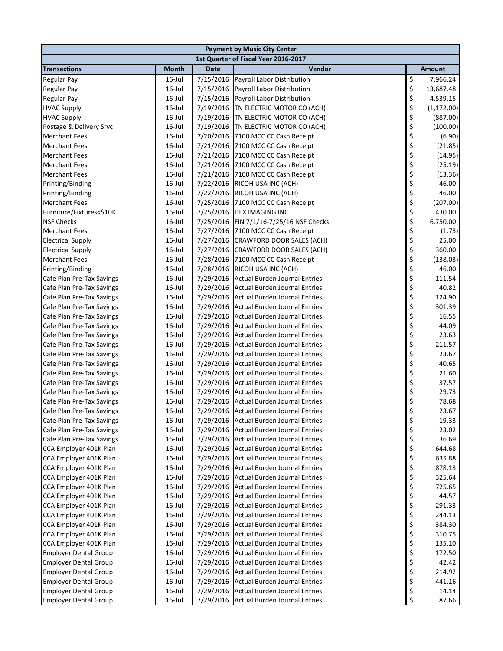| <b>Payment by Music City Center</b>                          |                                      |             |                                                                                 |          |                  |  |  |  |
|--------------------------------------------------------------|--------------------------------------|-------------|---------------------------------------------------------------------------------|----------|------------------|--|--|--|
|                                                              | 1st Quarter of Fiscal Year 2016-2017 |             |                                                                                 |          |                  |  |  |  |
| <b>Transactions</b>                                          | <b>Month</b>                         | <b>Date</b> | Vendor                                                                          |          | <b>Amount</b>    |  |  |  |
| <b>Regular Pay</b>                                           | $16$ -Jul                            | 7/15/2016   | Payroll Labor Distribution                                                      | \$       | 7,966.24         |  |  |  |
| <b>Regular Pay</b>                                           | $16$ -Jul                            | 7/15/2016   | Payroll Labor Distribution                                                      | \$       | 13,687.48        |  |  |  |
| <b>Regular Pay</b>                                           | $16$ -Jul                            | 7/15/2016   | Payroll Labor Distribution                                                      | \$       | 4,539.15         |  |  |  |
| <b>HVAC Supply</b>                                           | $16$ -Jul                            | 7/19/2016   | TN ELECTRIC MOTOR CO (ACH)                                                      | \$       | (1, 172.00)      |  |  |  |
| <b>HVAC Supply</b>                                           | $16$ -Jul                            | 7/19/2016   | TN ELECTRIC MOTOR CO (ACH)                                                      | \$       | (887.00)         |  |  |  |
| Postage & Delivery Srvc                                      | $16$ -Jul                            |             | 7/19/2016 TN ELECTRIC MOTOR CO (ACH)                                            | \$       | (100.00)         |  |  |  |
| <b>Merchant Fees</b>                                         | $16$ -Jul                            |             | 7/20/2016 7100 MCC CC Cash Receipt                                              | \$       | (6.90)           |  |  |  |
| <b>Merchant Fees</b>                                         | $16$ -Jul                            |             | 7/21/2016 7100 MCC CC Cash Receipt                                              | \$<br>\$ | (21.85)          |  |  |  |
| <b>Merchant Fees</b>                                         | $16$ -Jul                            |             | 7/21/2016 7100 MCC CC Cash Receipt                                              |          | (14.95)          |  |  |  |
| <b>Merchant Fees</b>                                         | $16$ -Jul                            |             | 7/21/2016 7100 MCC CC Cash Receipt                                              | \$       | (25.19)          |  |  |  |
| <b>Merchant Fees</b>                                         | $16$ -Jul                            | 7/21/2016   | 7100 MCC CC Cash Receipt                                                        | \$       | (13.36)          |  |  |  |
| Printing/Binding                                             | $16$ -Jul                            | 7/22/2016   | RICOH USA INC (ACH)                                                             | \$       | 46.00            |  |  |  |
| Printing/Binding                                             | $16$ -Jul                            | 7/22/2016   | RICOH USA INC (ACH)                                                             | \$       | 46.00            |  |  |  |
| <b>Merchant Fees</b>                                         | $16$ -Jul                            | 7/25/2016   | 7100 MCC CC Cash Receipt                                                        | \$       | (207.00)         |  |  |  |
| Furniture/Fixtures<\$10K                                     | $16$ -Jul                            |             | 7/25/2016 DEX IMAGING INC                                                       | \$       | 430.00           |  |  |  |
| <b>NSF Checks</b>                                            | $16$ -Jul                            |             | 7/25/2016 FIN 7/1/16-7/25/16 NSF Checks                                         | \$       | 6,750.00         |  |  |  |
| <b>Merchant Fees</b>                                         | $16$ -Jul                            |             | 7/27/2016 7100 MCC CC Cash Receipt                                              | \$       | (1.73)           |  |  |  |
| <b>Electrical Supply</b>                                     | $16$ -Jul                            |             | 7/27/2016 CRAWFORD DOOR SALES (ACH)                                             | \$       | 25.00            |  |  |  |
| <b>Electrical Supply</b>                                     | $16$ -Jul                            |             | 7/27/2016 CRAWFORD DOOR SALES (ACH)                                             | \$       | 360.00           |  |  |  |
| <b>Merchant Fees</b>                                         | $16$ -Jul                            |             | 7/28/2016 7100 MCC CC Cash Receipt                                              | \$       | (138.03)         |  |  |  |
| Printing/Binding                                             | $16$ -Jul                            |             | 7/28/2016 RICOH USA INC (ACH)                                                   | \$       | 46.00            |  |  |  |
| Cafe Plan Pre-Tax Savings                                    | $16$ -Jul                            |             | 7/29/2016 Actual Burden Journal Entries                                         | \$       | 111.54           |  |  |  |
| Cafe Plan Pre-Tax Savings                                    | $16$ -Jul                            |             | 7/29/2016 Actual Burden Journal Entries                                         | \$       | 40.82            |  |  |  |
| Cafe Plan Pre-Tax Savings                                    | $16$ -Jul                            |             | 7/29/2016 Actual Burden Journal Entries                                         | \$       | 124.90           |  |  |  |
| Cafe Plan Pre-Tax Savings                                    | $16$ -Jul                            |             | 7/29/2016 Actual Burden Journal Entries                                         | \$       | 301.39           |  |  |  |
| Cafe Plan Pre-Tax Savings                                    | $16$ -Jul                            |             | 7/29/2016 Actual Burden Journal Entries                                         | \$       | 16.55            |  |  |  |
| Cafe Plan Pre-Tax Savings                                    | $16$ -Jul                            |             | 7/29/2016 Actual Burden Journal Entries                                         | \$<br>\$ | 44.09            |  |  |  |
| Cafe Plan Pre-Tax Savings                                    | $16$ -Jul                            |             | 7/29/2016 Actual Burden Journal Entries                                         |          | 23.63            |  |  |  |
| Cafe Plan Pre-Tax Savings                                    | $16$ -Jul                            |             | 7/29/2016 Actual Burden Journal Entries                                         | \$       | 211.57           |  |  |  |
| Cafe Plan Pre-Tax Savings                                    | $16$ -Jul                            |             | 7/29/2016 Actual Burden Journal Entries                                         | \$       | 23.67            |  |  |  |
| Cafe Plan Pre-Tax Savings                                    | $16$ -Jul                            |             | 7/29/2016 Actual Burden Journal Entries                                         | \$       | 40.65            |  |  |  |
| Cafe Plan Pre-Tax Savings                                    | $16$ -Jul                            |             | 7/29/2016 Actual Burden Journal Entries                                         | \$       | 21.60            |  |  |  |
| Cafe Plan Pre-Tax Savings                                    | $16$ -Jul                            |             | 7/29/2016 Actual Burden Journal Entries                                         | \$       | 37.57            |  |  |  |
| Cafe Plan Pre-Tax Savings                                    | $16$ -Jul                            |             | 7/29/2016 Actual Burden Journal Entries                                         | \$       | 29.73            |  |  |  |
| Cafe Plan Pre-Tax Savings                                    | $16$ -Jul                            |             | 7/29/2016 Actual Burden Journal Entries                                         | \$       | 78.68            |  |  |  |
| Cafe Plan Pre-Tax Savings                                    | 16-Jul                               |             | 7/29/2016 Actual Burden Journal Entries                                         | $\zeta$  | 23.67            |  |  |  |
| Cafe Plan Pre-Tax Savings                                    | $16$ -Jul                            |             | 7/29/2016 Actual Burden Journal Entries                                         | \$       | 19.33            |  |  |  |
| Cafe Plan Pre-Tax Savings                                    | $16$ -Jul                            | 7/29/2016   | <b>Actual Burden Journal Entries</b>                                            | \$       | 23.02            |  |  |  |
| Cafe Plan Pre-Tax Savings                                    | $16$ -Jul                            | 7/29/2016   | <b>Actual Burden Journal Entries</b>                                            | \$       | 36.69            |  |  |  |
| CCA Employer 401K Plan                                       | $16$ -Jul                            |             | 7/29/2016 Actual Burden Journal Entries                                         | \$       | 644.68           |  |  |  |
| CCA Employer 401K Plan                                       | $16$ -Jul                            |             | 7/29/2016 Actual Burden Journal Entries                                         | \$       | 635.88           |  |  |  |
| CCA Employer 401K Plan                                       | $16$ -Jul                            |             | 7/29/2016 Actual Burden Journal Entries                                         | \$       | 878.13           |  |  |  |
| CCA Employer 401K Plan                                       | $16$ -Jul                            |             | 7/29/2016 Actual Burden Journal Entries                                         | \$       | 325.64           |  |  |  |
| CCA Employer 401K Plan                                       | $16$ -Jul                            |             | 7/29/2016 Actual Burden Journal Entries                                         | \$       | 725.65           |  |  |  |
| CCA Employer 401K Plan                                       | $16$ -Jul                            |             | 7/29/2016 Actual Burden Journal Entries<br>Actual Burden Journal Entries        |          | 44.57            |  |  |  |
| CCA Employer 401K Plan                                       | $16$ -Jul                            | 7/29/2016   |                                                                                 |          | 291.33           |  |  |  |
| CCA Employer 401K Plan                                       | $16$ -Jul                            | 7/29/2016   | Actual Burden Journal Entries<br>7/29/2016 Actual Burden Journal Entries        | \$\$\$\$ | 244.13           |  |  |  |
| CCA Employer 401K Plan                                       | $16$ -Jul<br>$16$ -Jul               |             |                                                                                 |          | 384.30<br>310.75 |  |  |  |
| CCA Employer 401K Plan<br>CCA Employer 401K Plan             | $16$ -Jul                            | 7/29/2016   | 7/29/2016 Actual Burden Journal Entries<br><b>Actual Burden Journal Entries</b> | \$       | 135.10           |  |  |  |
|                                                              | $16$ -Jul                            | 7/29/2016   | <b>Actual Burden Journal Entries</b>                                            | \$       | 172.50           |  |  |  |
| <b>Employer Dental Group</b><br><b>Employer Dental Group</b> | $16$ -Jul                            | 7/29/2016   | <b>Actual Burden Journal Entries</b>                                            |          | 42.42            |  |  |  |
| <b>Employer Dental Group</b>                                 | $16$ -Jul                            |             | 7/29/2016 Actual Burden Journal Entries                                         | \$<br>\$ | 214.92           |  |  |  |
| <b>Employer Dental Group</b>                                 | $16$ -Jul                            |             | 7/29/2016 Actual Burden Journal Entries                                         | \$       | 441.16           |  |  |  |
| <b>Employer Dental Group</b>                                 | $16$ -Jul                            |             | 7/29/2016 Actual Burden Journal Entries                                         | \$       | 14.14            |  |  |  |
| <b>Employer Dental Group</b>                                 | 16-Jul                               |             | 7/29/2016 Actual Burden Journal Entries                                         | \$       | 87.66            |  |  |  |
|                                                              |                                      |             |                                                                                 |          |                  |  |  |  |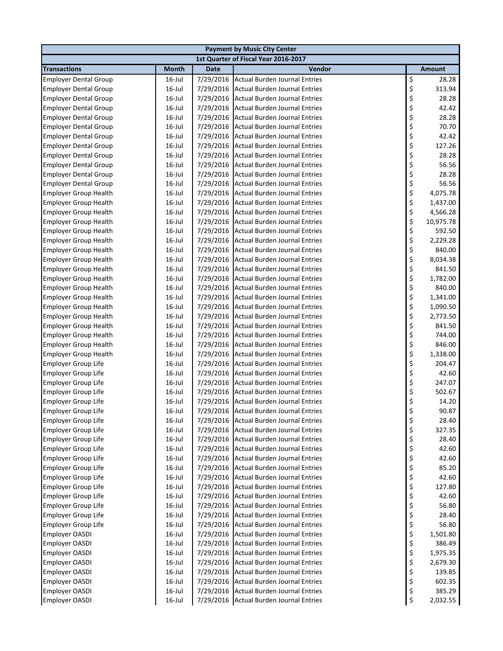|                                                          |                                      |                        | <b>Payment by Music City Center</b>                                          |          |                  |  |  |  |
|----------------------------------------------------------|--------------------------------------|------------------------|------------------------------------------------------------------------------|----------|------------------|--|--|--|
|                                                          | 1st Quarter of Fiscal Year 2016-2017 |                        |                                                                              |          |                  |  |  |  |
| <b>Transactions</b>                                      | <b>Month</b>                         | <b>Date</b>            | Vendor                                                                       |          | <b>Amount</b>    |  |  |  |
| <b>Employer Dental Group</b>                             | 16-Jul                               | 7/29/2016              | <b>Actual Burden Journal Entries</b>                                         | \$       | 28.28            |  |  |  |
| <b>Employer Dental Group</b>                             | $16$ -Jul                            | 7/29/2016              | <b>Actual Burden Journal Entries</b>                                         | \$       | 313.94           |  |  |  |
| <b>Employer Dental Group</b>                             | 16-Jul                               | 7/29/2016              | <b>Actual Burden Journal Entries</b>                                         | \$       | 28.28            |  |  |  |
| <b>Employer Dental Group</b>                             | 16-Jul                               | 7/29/2016              | <b>Actual Burden Journal Entries</b>                                         | \$       | 42.42            |  |  |  |
| <b>Employer Dental Group</b>                             | 16-Jul                               | 7/29/2016              | <b>Actual Burden Journal Entries</b>                                         | \$       | 28.28            |  |  |  |
| <b>Employer Dental Group</b>                             | $16$ -Jul                            | 7/29/2016              | <b>Actual Burden Journal Entries</b>                                         | \$       | 70.70            |  |  |  |
| <b>Employer Dental Group</b>                             | $16$ -Jul                            | 7/29/2016              | <b>Actual Burden Journal Entries</b>                                         | \$<br>\$ | 42.42            |  |  |  |
| <b>Employer Dental Group</b>                             | $16$ -Jul                            | 7/29/2016              | <b>Actual Burden Journal Entries</b>                                         |          | 127.26           |  |  |  |
| <b>Employer Dental Group</b>                             | $16$ -Jul                            | 7/29/2016              | <b>Actual Burden Journal Entries</b>                                         | \$       | 28.28            |  |  |  |
| <b>Employer Dental Group</b>                             | 16-Jul                               | 7/29/2016              | <b>Actual Burden Journal Entries</b>                                         | \$       | 56.56            |  |  |  |
| <b>Employer Dental Group</b>                             | $16$ -Jul                            | 7/29/2016              | <b>Actual Burden Journal Entries</b>                                         | \$       | 28.28            |  |  |  |
| <b>Employer Dental Group</b>                             | $16$ -Jul                            | 7/29/2016              | <b>Actual Burden Journal Entries</b>                                         | \$       | 56.56            |  |  |  |
| <b>Employer Group Health</b>                             | $16$ -Jul                            | 7/29/2016              | <b>Actual Burden Journal Entries</b>                                         | \$       | 4,075.78         |  |  |  |
| <b>Employer Group Health</b>                             | $16$ -Jul                            | 7/29/2016              | <b>Actual Burden Journal Entries</b>                                         | \$       | 1,437.00         |  |  |  |
| <b>Employer Group Health</b>                             | $16$ -Jul                            | 7/29/2016              | <b>Actual Burden Journal Entries</b>                                         | \$       | 4,566.28         |  |  |  |
| <b>Employer Group Health</b>                             | 16-Jul                               | 7/29/2016              | <b>Actual Burden Journal Entries</b>                                         | \$       | 10,975.78        |  |  |  |
| <b>Employer Group Health</b>                             | 16-Jul                               | 7/29/2016              | <b>Actual Burden Journal Entries</b>                                         | \$       | 592.50           |  |  |  |
| <b>Employer Group Health</b>                             | 16-Jul                               | 7/29/2016              | <b>Actual Burden Journal Entries</b>                                         | \$       | 2,229.28         |  |  |  |
| <b>Employer Group Health</b>                             | $16$ -Jul                            | 7/29/2016              | <b>Actual Burden Journal Entries</b>                                         | \$       | 840.00           |  |  |  |
| <b>Employer Group Health</b>                             | $16$ -Jul                            | 7/29/2016              | <b>Actual Burden Journal Entries</b>                                         | \$       | 8,034.38         |  |  |  |
| <b>Employer Group Health</b>                             | 16-Jul                               | 7/29/2016              | <b>Actual Burden Journal Entries</b>                                         | \$       | 841.50           |  |  |  |
| <b>Employer Group Health</b>                             | 16-Jul                               | 7/29/2016              | <b>Actual Burden Journal Entries</b>                                         | \$       | 1,782.00         |  |  |  |
| <b>Employer Group Health</b>                             | 16-Jul                               | 7/29/2016              | <b>Actual Burden Journal Entries</b>                                         | \$       | 840.00           |  |  |  |
| <b>Employer Group Health</b>                             | 16-Jul                               | 7/29/2016              | <b>Actual Burden Journal Entries</b>                                         | \$       | 1,341.00         |  |  |  |
| <b>Employer Group Health</b>                             | $16$ -Jul                            | 7/29/2016              | <b>Actual Burden Journal Entries</b>                                         | \$       | 1,090.50         |  |  |  |
| <b>Employer Group Health</b>                             | 16-Jul                               | 7/29/2016              | <b>Actual Burden Journal Entries</b>                                         | \$       | 2,773.50         |  |  |  |
| <b>Employer Group Health</b>                             | $16$ -Jul                            | 7/29/2016              | <b>Actual Burden Journal Entries</b>                                         | \$       | 841.50           |  |  |  |
| <b>Employer Group Health</b>                             | $16$ -Jul                            | 7/29/2016              | <b>Actual Burden Journal Entries</b>                                         | \$       | 744.00           |  |  |  |
| <b>Employer Group Health</b>                             | $16$ -Jul                            | 7/29/2016              | <b>Actual Burden Journal Entries</b>                                         | \$       | 846.00           |  |  |  |
| <b>Employer Group Health</b>                             | $16$ -Jul                            | 7/29/2016              | <b>Actual Burden Journal Entries</b>                                         | \$       | 1,338.00         |  |  |  |
| <b>Employer Group Life</b>                               | $16$ -Jul                            | 7/29/2016              | <b>Actual Burden Journal Entries</b>                                         | \$       | 204.47           |  |  |  |
| <b>Employer Group Life</b>                               | $16$ -Jul                            | 7/29/2016              | <b>Actual Burden Journal Entries</b><br><b>Actual Burden Journal Entries</b> | \$<br>\$ | 42.60            |  |  |  |
| <b>Employer Group Life</b><br><b>Employer Group Life</b> | $16$ -Jul                            | 7/29/2016              | <b>Actual Burden Journal Entries</b>                                         |          | 247.07<br>502.67 |  |  |  |
| <b>Employer Group Life</b>                               | $16$ -Jul<br>$16$ -Jul               | 7/29/2016<br>7/29/2016 | <b>Actual Burden Journal Entries</b>                                         | \$<br>\$ | 14.20            |  |  |  |
| <b>Employer Group Life</b>                               | $16$ -Jul                            |                        | 7/29/2016 Actual Burden Journal Entries                                      | Ś        | 90.87            |  |  |  |
|                                                          | 16-Jul                               |                        | <b>Actual Burden Journal Entries</b>                                         |          | 28.40            |  |  |  |
| <b>Employer Group Life</b><br><b>Employer Group Life</b> | $16$ -Jul                            | 7/29/2016<br>7/29/2016 | <b>Actual Burden Journal Entries</b>                                         | \$       | 327.35           |  |  |  |
| <b>Employer Group Life</b>                               | $16$ -Jul                            | 7/29/2016              | <b>Actual Burden Journal Entries</b>                                         | \$<br>\$ | 28.40            |  |  |  |
| <b>Employer Group Life</b>                               | $16$ -Jul                            | 7/29/2016              | <b>Actual Burden Journal Entries</b>                                         | \$       | 42.60            |  |  |  |
| <b>Employer Group Life</b>                               | $16$ -Jul                            | 7/29/2016              | <b>Actual Burden Journal Entries</b>                                         | \$       | 42.60            |  |  |  |
| <b>Employer Group Life</b>                               | $16$ -Jul                            | 7/29/2016              | <b>Actual Burden Journal Entries</b>                                         | \$       | 85.20            |  |  |  |
| <b>Employer Group Life</b>                               | 16-Jul                               | 7/29/2016              | <b>Actual Burden Journal Entries</b>                                         | \$       | 42.60            |  |  |  |
| <b>Employer Group Life</b>                               | 16-Jul                               | 7/29/2016              | <b>Actual Burden Journal Entries</b>                                         | \$       | 127.80           |  |  |  |
| <b>Employer Group Life</b>                               | $16$ -Jul                            | 7/29/2016              | <b>Actual Burden Journal Entries</b>                                         |          | 42.60            |  |  |  |
| <b>Employer Group Life</b>                               | $16$ -Jul                            | 7/29/2016              | <b>Actual Burden Journal Entries</b>                                         | \$\$\$   | 56.80            |  |  |  |
| <b>Employer Group Life</b>                               | 16-Jul                               | 7/29/2016              | <b>Actual Burden Journal Entries</b>                                         |          | 28.40            |  |  |  |
| <b>Employer Group Life</b>                               | 16-Jul                               | 7/29/2016              | <b>Actual Burden Journal Entries</b>                                         |          | 56.80            |  |  |  |
| <b>Employer OASDI</b>                                    | 16-Jul                               | 7/29/2016              | <b>Actual Burden Journal Entries</b>                                         | \$<br>\$ | 1,501.80         |  |  |  |
| Employer OASDI                                           | 16-Jul                               | 7/29/2016              | <b>Actual Burden Journal Entries</b>                                         | \$       | 386.49           |  |  |  |
| Employer OASDI                                           | $16$ -Jul                            | 7/29/2016              | <b>Actual Burden Journal Entries</b>                                         |          | 1,975.35         |  |  |  |
| <b>Employer OASDI</b>                                    | $16$ -Jul                            | 7/29/2016              | <b>Actual Burden Journal Entries</b>                                         | \$<br>\$ | 2,679.30         |  |  |  |
| Employer OASDI                                           | 16-Jul                               | 7/29/2016              | <b>Actual Burden Journal Entries</b>                                         | \$       | 139.85           |  |  |  |
| <b>Employer OASDI</b>                                    | 16-Jul                               | 7/29/2016              | <b>Actual Burden Journal Entries</b>                                         | \$       | 602.35           |  |  |  |
| <b>Employer OASDI</b>                                    | 16-Jul                               |                        | 7/29/2016 Actual Burden Journal Entries                                      | \$       | 385.29           |  |  |  |
| <b>Employer OASDI</b>                                    | 16-Jul                               |                        | 7/29/2016 Actual Burden Journal Entries                                      | \$       | 2,032.55         |  |  |  |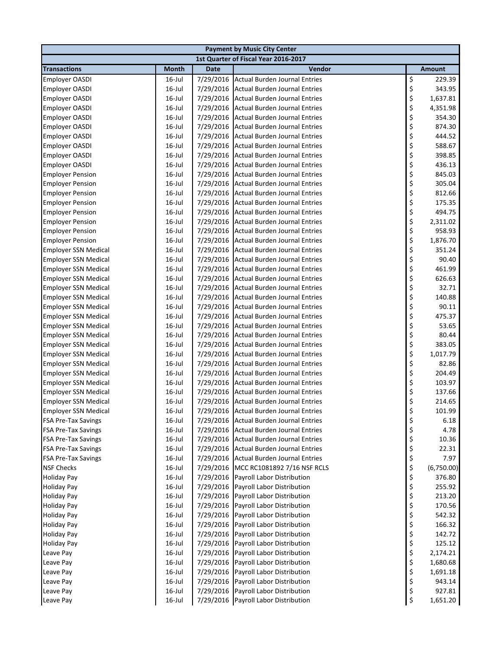| <b>Payment by Music City Center</b> |              |             |                                         |    |            |  |  |  |
|-------------------------------------|--------------|-------------|-----------------------------------------|----|------------|--|--|--|
|                                     |              |             | 1st Quarter of Fiscal Year 2016-2017    |    |            |  |  |  |
| <b>Transactions</b>                 | <b>Month</b> | <b>Date</b> | Vendor                                  |    | Amount     |  |  |  |
| <b>Employer OASDI</b>               | $16$ -Jul    | 7/29/2016   | <b>Actual Burden Journal Entries</b>    | \$ | 229.39     |  |  |  |
| <b>Employer OASDI</b>               | $16$ -Jul    | 7/29/2016   | <b>Actual Burden Journal Entries</b>    | \$ | 343.95     |  |  |  |
| <b>Employer OASDI</b>               | $16$ -Jul    | 7/29/2016   | <b>Actual Burden Journal Entries</b>    | \$ | 1,637.81   |  |  |  |
| <b>Employer OASDI</b>               | $16$ -Jul    | 7/29/2016   | <b>Actual Burden Journal Entries</b>    | \$ | 4,351.98   |  |  |  |
| <b>Employer OASDI</b>               | $16$ -Jul    | 7/29/2016   | Actual Burden Journal Entries           | \$ | 354.30     |  |  |  |
| <b>Employer OASDI</b>               | $16$ -Jul    | 7/29/2016   | <b>Actual Burden Journal Entries</b>    | \$ | 874.30     |  |  |  |
| <b>Employer OASDI</b>               | $16$ -Jul    | 7/29/2016   | <b>Actual Burden Journal Entries</b>    | \$ | 444.52     |  |  |  |
| <b>Employer OASDI</b>               | $16$ -Jul    | 7/29/2016   | <b>Actual Burden Journal Entries</b>    | \$ | 588.67     |  |  |  |
| <b>Employer OASDI</b>               | $16$ -Jul    | 7/29/2016   | <b>Actual Burden Journal Entries</b>    | \$ | 398.85     |  |  |  |
| <b>Employer OASDI</b>               | $16$ -Jul    | 7/29/2016   | <b>Actual Burden Journal Entries</b>    | \$ | 436.13     |  |  |  |
| <b>Employer Pension</b>             | $16$ -Jul    | 7/29/2016   | <b>Actual Burden Journal Entries</b>    | \$ | 845.03     |  |  |  |
| <b>Employer Pension</b>             | $16$ -Jul    | 7/29/2016   | <b>Actual Burden Journal Entries</b>    | \$ | 305.04     |  |  |  |
| <b>Employer Pension</b>             | $16$ -Jul    | 7/29/2016   | <b>Actual Burden Journal Entries</b>    | \$ | 812.66     |  |  |  |
| <b>Employer Pension</b>             | $16$ -Jul    | 7/29/2016   | <b>Actual Burden Journal Entries</b>    | \$ | 175.35     |  |  |  |
| <b>Employer Pension</b>             | $16$ -Jul    | 7/29/2016   | <b>Actual Burden Journal Entries</b>    | \$ | 494.75     |  |  |  |
| <b>Employer Pension</b>             | $16$ -Jul    | 7/29/2016   | <b>Actual Burden Journal Entries</b>    | \$ | 2,311.02   |  |  |  |
| <b>Employer Pension</b>             | $16$ -Jul    | 7/29/2016   | Actual Burden Journal Entries           | \$ | 958.93     |  |  |  |
| <b>Employer Pension</b>             | $16$ -Jul    | 7/29/2016   | <b>Actual Burden Journal Entries</b>    | \$ | 1,876.70   |  |  |  |
| <b>Employer SSN Medical</b>         | $16$ -Jul    | 7/29/2016   | <b>Actual Burden Journal Entries</b>    | \$ | 351.24     |  |  |  |
| <b>Employer SSN Medical</b>         | $16$ -Jul    | 7/29/2016   | <b>Actual Burden Journal Entries</b>    | \$ | 90.40      |  |  |  |
| <b>Employer SSN Medical</b>         | $16$ -Jul    | 7/29/2016   | <b>Actual Burden Journal Entries</b>    | \$ | 461.99     |  |  |  |
| <b>Employer SSN Medical</b>         | $16$ -Jul    | 7/29/2016   | <b>Actual Burden Journal Entries</b>    | \$ | 626.63     |  |  |  |
| <b>Employer SSN Medical</b>         | $16$ -Jul    | 7/29/2016   | <b>Actual Burden Journal Entries</b>    | \$ | 32.71      |  |  |  |
| <b>Employer SSN Medical</b>         | $16$ -Jul    | 7/29/2016   | <b>Actual Burden Journal Entries</b>    | \$ | 140.88     |  |  |  |
| <b>Employer SSN Medical</b>         | $16$ -Jul    | 7/29/2016   | <b>Actual Burden Journal Entries</b>    | \$ | 90.11      |  |  |  |
| <b>Employer SSN Medical</b>         | $16$ -Jul    | 7/29/2016   | <b>Actual Burden Journal Entries</b>    | \$ | 475.37     |  |  |  |
| <b>Employer SSN Medical</b>         | $16$ -Jul    | 7/29/2016   | <b>Actual Burden Journal Entries</b>    | \$ | 53.65      |  |  |  |
| <b>Employer SSN Medical</b>         | $16$ -Jul    | 7/29/2016   | <b>Actual Burden Journal Entries</b>    | \$ | 80.44      |  |  |  |
| <b>Employer SSN Medical</b>         | $16$ -Jul    | 7/29/2016   | <b>Actual Burden Journal Entries</b>    | \$ | 383.05     |  |  |  |
| <b>Employer SSN Medical</b>         | $16$ -Jul    | 7/29/2016   | Actual Burden Journal Entries           | \$ | 1,017.79   |  |  |  |
| <b>Employer SSN Medical</b>         | $16$ -Jul    | 7/29/2016   | <b>Actual Burden Journal Entries</b>    | \$ | 82.86      |  |  |  |
| <b>Employer SSN Medical</b>         | $16$ -Jul    | 7/29/2016   | <b>Actual Burden Journal Entries</b>    | \$ | 204.49     |  |  |  |
| <b>Employer SSN Medical</b>         | $16$ -Jul    | 7/29/2016   | <b>Actual Burden Journal Entries</b>    | \$ | 103.97     |  |  |  |
| <b>Employer SSN Medical</b>         | $16$ -Jul    | 7/29/2016   | <b>Actual Burden Journal Entries</b>    | \$ | 137.66     |  |  |  |
| <b>Employer SSN Medical</b>         | $16$ -Jul    | 7/29/2016   | Actual Burden Journal Entries           | \$ | 214.65     |  |  |  |
| <b>Employer SSN Medical</b>         | $16$ -Jul    |             | 7/29/2016 Actual Burden Journal Entries | \$ | 101.99     |  |  |  |
| <b>FSA Pre-Tax Savings</b>          | 16-Jul       | 7/29/2016   | Actual Burden Journal Entries           | \$ | 6.18       |  |  |  |
| <b>FSA Pre-Tax Savings</b>          | 16-Jul       | 7/29/2016   | <b>Actual Burden Journal Entries</b>    | \$ | 4.78       |  |  |  |
| <b>FSA Pre-Tax Savings</b>          | 16-Jul       | 7/29/2016   | <b>Actual Burden Journal Entries</b>    | \$ | 10.36      |  |  |  |
| <b>FSA Pre-Tax Savings</b>          | $16$ -Jul    | 7/29/2016   | <b>Actual Burden Journal Entries</b>    | \$ | 22.31      |  |  |  |
| <b>FSA Pre-Tax Savings</b>          | $16$ -Jul    | 7/29/2016   | <b>Actual Burden Journal Entries</b>    | \$ | 7.97       |  |  |  |
| <b>NSF Checks</b>                   | $16$ -Jul    | 7/29/2016   | MCC RC1081892 7/16 NSF RCLS             | \$ | (6,750.00) |  |  |  |
| <b>Holiday Pay</b>                  | $16$ -Jul    | 7/29/2016   | Payroll Labor Distribution              | \$ | 376.80     |  |  |  |
| <b>Holiday Pay</b>                  | $16$ -Jul    | 7/29/2016   | Payroll Labor Distribution              | \$ | 255.92     |  |  |  |
| <b>Holiday Pay</b>                  | $16$ -Jul    | 7/29/2016   | Payroll Labor Distribution              | \$ | 213.20     |  |  |  |
| <b>Holiday Pay</b>                  | $16$ -Jul    | 7/29/2016   | Payroll Labor Distribution              | \$ | 170.56     |  |  |  |
| <b>Holiday Pay</b>                  | $16$ -Jul    | 7/29/2016   | Payroll Labor Distribution              | \$ | 542.32     |  |  |  |
| <b>Holiday Pay</b>                  | $16$ -Jul    | 7/29/2016   | Payroll Labor Distribution              | \$ | 166.32     |  |  |  |
| <b>Holiday Pay</b>                  | $16$ -Jul    | 7/29/2016   | Payroll Labor Distribution              | \$ | 142.72     |  |  |  |
| <b>Holiday Pay</b>                  | $16$ -Jul    | 7/29/2016   | Payroll Labor Distribution              | \$ | 125.12     |  |  |  |
| Leave Pay                           | $16$ -Jul    | 7/29/2016   | Payroll Labor Distribution              | \$ | 2,174.21   |  |  |  |
| Leave Pay                           | $16$ -Jul    | 7/29/2016   | Payroll Labor Distribution              | \$ | 1,680.68   |  |  |  |
| Leave Pay                           | $16$ -Jul    | 7/29/2016   | Payroll Labor Distribution              | \$ | 1,691.18   |  |  |  |
| Leave Pay                           | $16$ -Jul    | 7/29/2016   | Payroll Labor Distribution              | \$ | 943.14     |  |  |  |
| Leave Pay                           | $16$ -Jul    | 7/29/2016   | Payroll Labor Distribution              | \$ | 927.81     |  |  |  |
| Leave Pay                           | 16-Jul       |             | 7/29/2016 Payroll Labor Distribution    | \$ | 1,651.20   |  |  |  |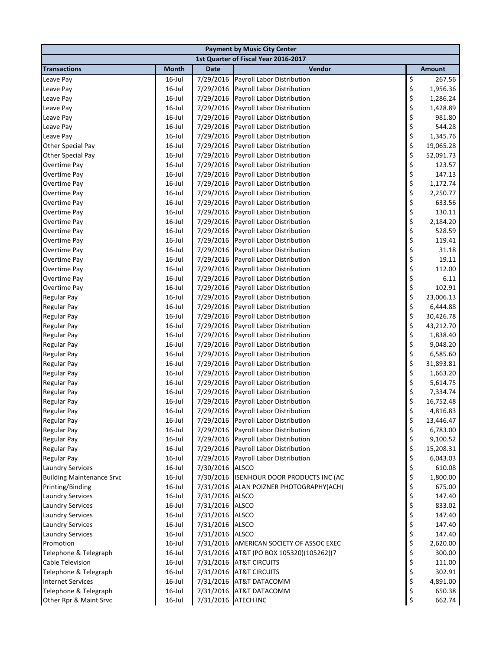| <b>Payment by Music City Center</b> |              |                     |                                          |    |           |  |  |
|-------------------------------------|--------------|---------------------|------------------------------------------|----|-----------|--|--|
|                                     |              |                     | 1st Quarter of Fiscal Year 2016-2017     |    |           |  |  |
| <b>Transactions</b>                 | <b>Month</b> | <b>Date</b>         | Vendor                                   |    | Amount    |  |  |
| Leave Pay                           | 16-Jul       | 7/29/2016           | Payroll Labor Distribution               | \$ | 267.56    |  |  |
| Leave Pay                           | $16$ -Jul    | 7/29/2016           | Payroll Labor Distribution               | \$ | 1,956.36  |  |  |
| Leave Pay                           | $16$ -Jul    | 7/29/2016           | Payroll Labor Distribution               | \$ | 1,286.24  |  |  |
| Leave Pay                           | $16$ -Jul    | 7/29/2016           | Payroll Labor Distribution               | \$ | 1,428.89  |  |  |
| Leave Pay                           | $16$ -Jul    | 7/29/2016           | Payroll Labor Distribution               | \$ | 981.80    |  |  |
| Leave Pay                           | $16$ -Jul    | 7/29/2016           | Payroll Labor Distribution               | \$ | 544.28    |  |  |
| Leave Pay                           | $16$ -Jul    | 7/29/2016           | Payroll Labor Distribution               | \$ | 1,345.76  |  |  |
| Other Special Pay                   | $16$ -Jul    | 7/29/2016           | Payroll Labor Distribution               | \$ | 19,065.28 |  |  |
| Other Special Pay                   | $16$ -Jul    | 7/29/2016           | <b>Payroll Labor Distribution</b>        | \$ | 52,091.73 |  |  |
| Overtime Pay                        | $16$ -Jul    | 7/29/2016           | Payroll Labor Distribution               | \$ | 123.57    |  |  |
| Overtime Pay                        | $16$ -Jul    | 7/29/2016           | Payroll Labor Distribution               | \$ | 147.13    |  |  |
| Overtime Pay                        | $16$ -Jul    | 7/29/2016           | Payroll Labor Distribution               | \$ | 1,172.74  |  |  |
| Overtime Pay                        | $16$ -Jul    | 7/29/2016           | Payroll Labor Distribution               | \$ | 2,250.77  |  |  |
| Overtime Pay                        | $16$ -Jul    | 7/29/2016           | Payroll Labor Distribution               | \$ | 633.56    |  |  |
| Overtime Pay                        | $16$ -Jul    | 7/29/2016           | Payroll Labor Distribution               | \$ | 130.11    |  |  |
| Overtime Pay                        | $16$ -Jul    | 7/29/2016           | Payroll Labor Distribution               | \$ | 2,184.20  |  |  |
| Overtime Pay                        | $16$ -Jul    | 7/29/2016           | Payroll Labor Distribution               | \$ | 528.59    |  |  |
| Overtime Pay                        | $16$ -Jul    | 7/29/2016           | Payroll Labor Distribution               | \$ | 119.41    |  |  |
| Overtime Pay                        | $16$ -Jul    | 7/29/2016           | Payroll Labor Distribution               | \$ | 31.18     |  |  |
| Overtime Pay                        | 16-Jul       | 7/29/2016           | Payroll Labor Distribution               | \$ | 19.11     |  |  |
| Overtime Pay                        | $16$ -Jul    | 7/29/2016           | Payroll Labor Distribution               | \$ | 112.00    |  |  |
| <b>Overtime Pay</b>                 | $16$ -Jul    | 7/29/2016           | Payroll Labor Distribution               | \$ | 6.11      |  |  |
| Overtime Pay                        | 16-Jul       | 7/29/2016           | Payroll Labor Distribution               | \$ | 102.91    |  |  |
| <b>Regular Pay</b>                  | $16$ -Jul    | 7/29/2016           | Payroll Labor Distribution               | \$ | 23,006.13 |  |  |
| <b>Regular Pay</b>                  | 16-Jul       | 7/29/2016           | Payroll Labor Distribution               | \$ | 6,444.88  |  |  |
| <b>Regular Pay</b>                  | $16$ -Jul    | 7/29/2016           | Payroll Labor Distribution               | \$ | 30,426.78 |  |  |
| <b>Regular Pay</b>                  | $16$ -Jul    | 7/29/2016           | Payroll Labor Distribution               | \$ | 43,212.70 |  |  |
| <b>Regular Pay</b>                  | $16$ -Jul    | 7/29/2016           | Payroll Labor Distribution               | \$ | 1,838.40  |  |  |
| <b>Regular Pay</b>                  | $16$ -Jul    | 7/29/2016           | Payroll Labor Distribution               | \$ | 9,048.20  |  |  |
| <b>Regular Pay</b>                  | $16$ -Jul    | 7/29/2016           | Payroll Labor Distribution               | \$ | 6,585.60  |  |  |
| <b>Regular Pay</b>                  | $16$ -Jul    | 7/29/2016           | Payroll Labor Distribution               | \$ | 31,893.81 |  |  |
| <b>Regular Pay</b>                  | $16$ -Jul    | 7/29/2016           | Payroll Labor Distribution               | \$ | 1,663.20  |  |  |
| <b>Regular Pay</b>                  | $16$ -Jul    | 7/29/2016           | Payroll Labor Distribution               | \$ | 5,614.75  |  |  |
| <b>Regular Pay</b>                  | $16$ -Jul    | 7/29/2016           | Payroll Labor Distribution               | \$ | 7,334.74  |  |  |
| <b>Regular Pay</b>                  | 16-Jul       | 7/29/2016           | Payroll Labor Distribution               | \$ | 16,752.48 |  |  |
| Regular Pay                         | $16$ -Jul    |                     | 7/29/2016 Payroll Labor Distribution     | \$ | 4,816.83  |  |  |
| <b>Regular Pay</b>                  | $16$ -Jul    |                     | 7/29/2016 Payroll Labor Distribution     | \$ | 13,446.47 |  |  |
| <b>Regular Pay</b>                  | 16-Jul       | 7/29/2016           | Payroll Labor Distribution               | \$ | 6,783.00  |  |  |
| <b>Regular Pay</b>                  | 16-Jul       | 7/29/2016           | Payroll Labor Distribution               | \$ | 9,100.52  |  |  |
| <b>Regular Pay</b>                  | 16-Jul       | 7/29/2016           | Payroll Labor Distribution               | \$ | 15,208.31 |  |  |
| <b>Regular Pay</b>                  | 16-Jul       | 7/29/2016           | Payroll Labor Distribution               | \$ | 6,043.03  |  |  |
| <b>Laundry Services</b>             | 16-Jul       | 7/30/2016           | <b>ALSCO</b>                             | \$ | 610.08    |  |  |
| <b>Building Maintenance Srvc</b>    | $16$ -Jul    |                     | 7/30/2016 ISENHOUR DOOR PRODUCTS INC (AC | \$ | 1,800.00  |  |  |
| Printing/Binding                    | $16$ -Jul    | 7/31/2016           | ALAN POIZNER PHOTOGRAPHY(ACH)            | \$ | 675.00    |  |  |
| <b>Laundry Services</b>             | $16$ -Jul    | 7/31/2016           | <b>ALSCO</b>                             | \$ | 147.40    |  |  |
| <b>Laundry Services</b>             | $16$ -Jul    | 7/31/2016           | <b>ALSCO</b>                             | \$ | 833.02    |  |  |
| <b>Laundry Services</b>             | $16$ -Jul    | 7/31/2016           | ALSCO                                    | \$ | 147.40    |  |  |
| <b>Laundry Services</b>             | $16$ -Jul    | 7/31/2016 ALSCO     |                                          | \$ | 147.40    |  |  |
| <b>Laundry Services</b>             | $16$ -Jul    | 7/31/2016 ALSCO     |                                          | \$ | 147.40    |  |  |
| Promotion                           | $16$ -Jul    |                     | 7/31/2016 AMERICAN SOCIETY OF ASSOC EXEC | \$ | 2,620.00  |  |  |
| Telephone & Telegraph               | $16$ -Jul    | 7/31/2016           | AT&T (PO BOX 105320)(105262)(7           | \$ | 300.00    |  |  |
| <b>Cable Television</b>             | $16$ -Jul    | 7/31/2016           | <b>AT&amp;T CIRCUITS</b>                 | \$ | 111.00    |  |  |
| Telephone & Telegraph               | $16$ -Jul    |                     | 7/31/2016 AT&T CIRCUITS                  | \$ | 302.91    |  |  |
| <b>Internet Services</b>            | $16$ -Jul    |                     | 7/31/2016 AT&T DATACOMM                  | \$ | 4,891.00  |  |  |
| Telephone & Telegraph               | $16$ -Jul    |                     | 7/31/2016 AT&T DATACOMM                  | \$ | 650.38    |  |  |
| Other Rpr & Maint Srvc              | $16$ -Jul    | 7/31/2016 ATECH INC |                                          | \$ | 662.74    |  |  |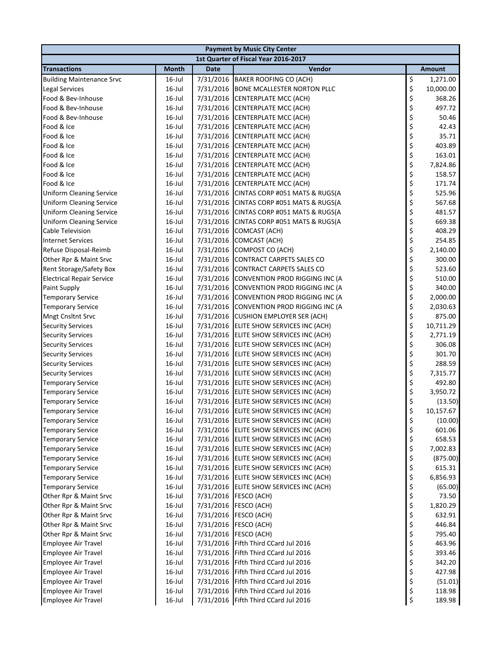| <b>Payment by Music City Center</b> |              |             |                                          |          |               |  |
|-------------------------------------|--------------|-------------|------------------------------------------|----------|---------------|--|
|                                     |              |             | 1st Quarter of Fiscal Year 2016-2017     |          |               |  |
| <b>Transactions</b>                 | <b>Month</b> | <b>Date</b> | Vendor                                   |          | <b>Amount</b> |  |
| <b>Building Maintenance Srvc</b>    | $16$ -Jul    |             | 7/31/2016 BAKER ROOFING CO (ACH)         | \$       | 1,271.00      |  |
| <b>Legal Services</b>               | 16-Jul       | 7/31/2016   | <b>BONE MCALLESTER NORTON PLLC</b>       | \$       | 10,000.00     |  |
| Food & Bev-Inhouse                  | $16$ -Jul    | 7/31/2016   | <b>CENTERPLATE MCC (ACH)</b>             | \$       | 368.26        |  |
| Food & Bev-Inhouse                  | $16$ -Jul    | 7/31/2016   | <b>CENTERPLATE MCC (ACH)</b>             | \$       | 497.72        |  |
| Food & Bev-Inhouse                  | $16$ -Jul    | 7/31/2016   | <b>CENTERPLATE MCC (ACH)</b>             | \$       | 50.46         |  |
| Food & Ice                          | $16$ -Jul    |             | 7/31/2016 CENTERPLATE MCC (ACH)          | \$       | 42.43         |  |
| Food & Ice                          | $16$ -Jul    |             | 7/31/2016 CENTERPLATE MCC (ACH)          | \$       | 35.71         |  |
| Food & Ice                          | $16$ -Jul    |             | 7/31/2016 CENTERPLATE MCC (ACH)          | \$       | 403.89        |  |
| Food & Ice                          | $16$ -Jul    |             | 7/31/2016 CENTERPLATE MCC (ACH)          | \$       | 163.01        |  |
| Food & Ice                          | $16$ -Jul    | 7/31/2016   | <b>CENTERPLATE MCC (ACH)</b>             | \$       | 7,824.86      |  |
| Food & Ice                          | $16$ -Jul    | 7/31/2016   | CENTERPLATE MCC (ACH)                    | \$       | 158.57        |  |
| Food & Ice                          | $16$ -Jul    | 7/31/2016   | <b>CENTERPLATE MCC (ACH)</b>             | \$       | 171.74        |  |
| <b>Uniform Cleaning Service</b>     | $16$ -Jul    | 7/31/2016   | CINTAS CORP #051 MATS & RUGS(A           | \$       | 525.96        |  |
| <b>Uniform Cleaning Service</b>     | $16$ -Jul    | 7/31/2016   | CINTAS CORP #051 MATS & RUGS(A           | \$       | 567.68        |  |
| <b>Uniform Cleaning Service</b>     | $16$ -Jul    |             | 7/31/2016 CINTAS CORP #051 MATS & RUGS(A | \$       | 481.57        |  |
| <b>Uniform Cleaning Service</b>     | $16$ -Jul    | 7/31/2016   | CINTAS CORP #051 MATS & RUGS(A           | \$       | 669.38        |  |
| <b>Cable Television</b>             | $16$ -Jul    | 7/31/2016   | COMCAST (ACH)                            | \$       | 408.29        |  |
| <b>Internet Services</b>            | $16$ -Jul    | 7/31/2016   | COMCAST (ACH)                            | \$       | 254.85        |  |
| Refuse Disposal-Reimb               | $16$ -Jul    | 7/31/2016   | COMPOST CO (ACH)                         | \$       | 2,140.00      |  |
| Other Rpr & Maint Srvc              | $16$ -Jul    | 7/31/2016   | CONTRACT CARPETS SALES CO                | \$       | 300.00        |  |
| Rent Storage/Safety Box             | $16$ -Jul    |             | 7/31/2016 CONTRACT CARPETS SALES CO      | \$       | 523.60        |  |
| <b>Electrical Repair Service</b>    | $16$ -Jul    |             | 7/31/2016 CONVENTION PROD RIGGING INC (A | \$       | 510.00        |  |
| <b>Paint Supply</b>                 | $16$ -Jul    | 7/31/2016   | CONVENTION PROD RIGGING INC (A           | \$       | 340.00        |  |
| <b>Temporary Service</b>            | 16-Jul       | 7/31/2016   | CONVENTION PROD RIGGING INC (A           | \$       | 2,000.00      |  |
| <b>Temporary Service</b>            | 16-Jul       | 7/31/2016   | CONVENTION PROD RIGGING INC (A           | \$       | 2,030.63      |  |
| <b>Mngt Cnsltnt Srvc</b>            | $16$ -Jul    | 7/31/2016   | <b>CUSHION EMPLOYER SER (ACH)</b>        | \$       | 875.00        |  |
| <b>Security Services</b>            | $16$ -Jul    |             | 7/31/2016 ELITE SHOW SERVICES INC (ACH)  | \$       | 10,711.29     |  |
| <b>Security Services</b>            | $16$ -Jul    |             | 7/31/2016 ELITE SHOW SERVICES INC (ACH)  | \$       | 2,771.19      |  |
| <b>Security Services</b>            | $16$ -Jul    |             | 7/31/2016 ELITE SHOW SERVICES INC (ACH)  | \$       | 306.08        |  |
| <b>Security Services</b>            | 16-Jul       |             | 7/31/2016 ELITE SHOW SERVICES INC (ACH)  | \$       | 301.70        |  |
| <b>Security Services</b>            | $16$ -Jul    |             | 7/31/2016 ELITE SHOW SERVICES INC (ACH)  | \$       | 288.59        |  |
| <b>Security Services</b>            | $16$ -Jul    |             | 7/31/2016 ELITE SHOW SERVICES INC (ACH)  | \$       | 7,315.77      |  |
| <b>Temporary Service</b>            | $16$ -Jul    |             | 7/31/2016 ELITE SHOW SERVICES INC (ACH)  | \$       | 492.80        |  |
| <b>Temporary Service</b>            | $16$ -Jul    |             | 7/31/2016 ELITE SHOW SERVICES INC (ACH)  | \$       | 3,950.72      |  |
| <b>Temporary Service</b>            | $16$ -Jul    |             | 7/31/2016 ELITE SHOW SERVICES INC (ACH)  | \$       | (13.50)       |  |
| <b>Temporary Service</b>            | $16$ -Jul    |             | 7/31/2016 ELITE SHOW SERVICES INC (ACH)  | \$       | 10,157.67     |  |
| <b>Temporary Service</b>            | 16-Jul       |             | 7/31/2016 ELITE SHOW SERVICES INC (ACH)  | \$       | (10.00)       |  |
| <b>Temporary Service</b>            | 16-Jul       |             | 7/31/2016 ELITE SHOW SERVICES INC (ACH)  | \$       | 601.06        |  |
| <b>Temporary Service</b>            | $16$ -Jul    |             | 7/31/2016 ELITE SHOW SERVICES INC (ACH)  | \$       | 658.53        |  |
| <b>Temporary Service</b>            | $16$ -Jul    |             | 7/31/2016 ELITE SHOW SERVICES INC (ACH)  | \$       | 7,002.83      |  |
| <b>Temporary Service</b>            | $16$ -Jul    |             | 7/31/2016 ELITE SHOW SERVICES INC (ACH)  | \$       | (875.00)      |  |
| <b>Temporary Service</b>            | $16$ -Jul    |             | 7/31/2016 ELITE SHOW SERVICES INC (ACH)  | \$       | 615.31        |  |
| <b>Temporary Service</b>            | $16$ -Jul    |             | 7/31/2016 ELITE SHOW SERVICES INC (ACH)  | \$       | 6,856.93      |  |
| <b>Temporary Service</b>            | 16-Jul       |             | 7/31/2016 ELITE SHOW SERVICES INC (ACH)  | \$       | (65.00)       |  |
| Other Rpr & Maint Srvc              | 16-Jul       |             | 7/31/2016 FESCO (ACH)                    | \$<br>\$ | 73.50         |  |
| Other Rpr & Maint Srvc              | $16$ -Jul    | 7/31/2016   | FESCO (ACH)                              |          | 1,820.29      |  |
| Other Rpr & Maint Srvc              | 16-Jul       | 7/31/2016   | FESCO (ACH)                              | \$       | 632.91        |  |
| Other Rpr & Maint Srvc              | 16-Jul       | 7/31/2016   | FESCO (ACH)                              | \$       | 446.84        |  |
| Other Rpr & Maint Srvc              | 16-Jul       | 7/31/2016   | FESCO (ACH)                              | \$       | 795.40        |  |
| <b>Employee Air Travel</b>          | 16-Jul       | 7/31/2016   | Fifth Third CCard Jul 2016               | \$       | 463.96        |  |
| <b>Employee Air Travel</b>          | 16-Jul       | 7/31/2016   | Fifth Third CCard Jul 2016               | \$       | 393.46        |  |
| <b>Employee Air Travel</b>          | 16-Jul       | 7/31/2016   | Fifth Third CCard Jul 2016               | \$       | 342.20        |  |
| Employee Air Travel                 | $16$ -Jul    | 7/31/2016   | Fifth Third CCard Jul 2016               | \$       | 427.98        |  |
| <b>Employee Air Travel</b>          | $16$ -Jul    | 7/31/2016   | Fifth Third CCard Jul 2016               | \$       | (51.01)       |  |
| <b>Employee Air Travel</b>          | 16-Jul       | 7/31/2016   | Fifth Third CCard Jul 2016               | \$       | 118.98        |  |
| <b>Employee Air Travel</b>          | $16$ -Jul    |             | 7/31/2016 Fifth Third CCard Jul 2016     | \$       | 189.98        |  |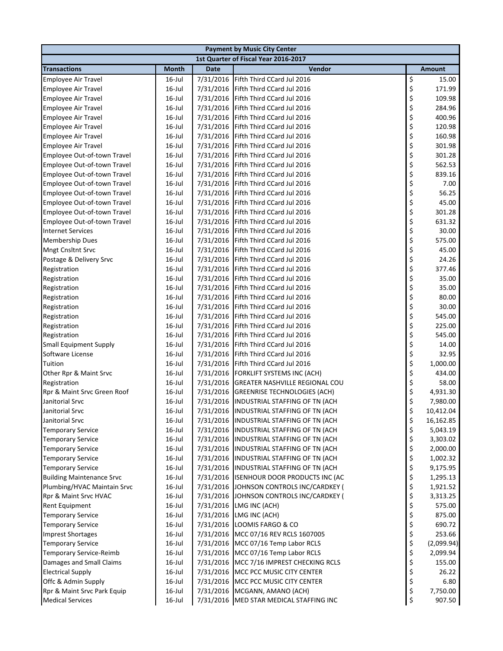| <b>Payment by Music City Center</b> |           |             |                                          |          |               |  |  |
|-------------------------------------|-----------|-------------|------------------------------------------|----------|---------------|--|--|
|                                     |           |             | 1st Quarter of Fiscal Year 2016-2017     |          |               |  |  |
| <b>Transactions</b>                 | Month     | <b>Date</b> | Vendor                                   |          | <b>Amount</b> |  |  |
| <b>Employee Air Travel</b>          | $16$ -Jul | 7/31/2016   | Fifth Third CCard Jul 2016               | \$       | 15.00         |  |  |
| Employee Air Travel                 | $16$ -Jul | 7/31/2016   | Fifth Third CCard Jul 2016               | \$       | 171.99        |  |  |
| <b>Employee Air Travel</b>          | 16-Jul    | 7/31/2016   | Fifth Third CCard Jul 2016               | \$       | 109.98        |  |  |
| <b>Employee Air Travel</b>          | $16$ -Jul | 7/31/2016   | Fifth Third CCard Jul 2016               | \$       | 284.96        |  |  |
| <b>Employee Air Travel</b>          | $16$ -Jul | 7/31/2016   | Fifth Third CCard Jul 2016               | \$       | 400.96        |  |  |
| <b>Employee Air Travel</b>          | $16$ -Jul | 7/31/2016   | Fifth Third CCard Jul 2016               | \$       | 120.98        |  |  |
| <b>Employee Air Travel</b>          | 16-Jul    | 7/31/2016   | Fifth Third CCard Jul 2016               | \$       | 160.98        |  |  |
| <b>Employee Air Travel</b>          | $16$ -Jul | 7/31/2016   | Fifth Third CCard Jul 2016               | \$       | 301.98        |  |  |
| Employee Out-of-town Travel         | $16$ -Jul | 7/31/2016   | Fifth Third CCard Jul 2016               |          | 301.28        |  |  |
| Employee Out-of-town Travel         | $16$ -Jul | 7/31/2016   | Fifth Third CCard Jul 2016               | \$<br>\$ | 562.53        |  |  |
| Employee Out-of-town Travel         | $16$ -Jul | 7/31/2016   | Fifth Third CCard Jul 2016               | \$       | 839.16        |  |  |
| Employee Out-of-town Travel         | $16$ -Jul | 7/31/2016   | Fifth Third CCard Jul 2016               | \$       | 7.00          |  |  |
| Employee Out-of-town Travel         | 16-Jul    | 7/31/2016   | Fifth Third CCard Jul 2016               | \$       | 56.25         |  |  |
| Employee Out-of-town Travel         | 16-Jul    | 7/31/2016   | Fifth Third CCard Jul 2016               | \$       | 45.00         |  |  |
| Employee Out-of-town Travel         | $16$ -Jul | 7/31/2016   | Fifth Third CCard Jul 2016               | \$       | 301.28        |  |  |
| Employee Out-of-town Travel         | $16$ -Jul | 7/31/2016   | Fifth Third CCard Jul 2016               | \$       | 631.32        |  |  |
| <b>Internet Services</b>            | $16$ -Jul | 7/31/2016   | Fifth Third CCard Jul 2016               | \$       | 30.00         |  |  |
| <b>Membership Dues</b>              | $16$ -Jul | 7/31/2016   | Fifth Third CCard Jul 2016               | \$       | 575.00        |  |  |
| <b>Mngt Cnsltnt Srvc</b>            | 16-Jul    | 7/31/2016   | Fifth Third CCard Jul 2016               | \$       | 45.00         |  |  |
| Postage & Delivery Srvc             | 16-Jul    | 7/31/2016   | Fifth Third CCard Jul 2016               | \$       | 24.26         |  |  |
| Registration                        | $16$ -Jul | 7/31/2016   | Fifth Third CCard Jul 2016               | \$       | 377.46        |  |  |
| Registration                        | $16$ -Jul | 7/31/2016   | Fifth Third CCard Jul 2016               | \$       | 35.00         |  |  |
| Registration                        | $16$ -Jul | 7/31/2016   | Fifth Third CCard Jul 2016               | \$       | 35.00         |  |  |
| Registration                        | $16$ -Jul | 7/31/2016   | Fifth Third CCard Jul 2016               | \$       | 80.00         |  |  |
| Registration                        | 16-Jul    | 7/31/2016   | Fifth Third CCard Jul 2016               | \$       | 30.00         |  |  |
| Registration                        | 16-Jul    | 7/31/2016   | Fifth Third CCard Jul 2016               | \$       | 545.00        |  |  |
| Registration                        | $16$ -Jul | 7/31/2016   | Fifth Third CCard Jul 2016               |          | 225.00        |  |  |
| Registration                        | $16$ -Jul | 7/31/2016   | Fifth Third CCard Jul 2016               | \$<br>\$ | 545.00        |  |  |
| <b>Small Equipment Supply</b>       | $16$ -Jul | 7/31/2016   | Fifth Third CCard Jul 2016               | \$       | 14.00         |  |  |
| Software License                    | $16$ -Jul | 7/31/2016   | Fifth Third CCard Jul 2016               | \$       | 32.95         |  |  |
| Tuition                             | $16$ -Jul | 7/31/2016   | Fifth Third CCard Jul 2016               | \$       | 1,000.00      |  |  |
| Other Rpr & Maint Srvc              | 16-Jul    | 7/31/2016   | FORKLIFT SYSTEMS INC (ACH)               | \$       | 434.00        |  |  |
| Registration                        | 16-Jul    | 7/31/2016   | <b>GREATER NASHVILLE REGIONAL COU</b>    | \$       | 58.00         |  |  |
| Rpr & Maint Srvc Green Roof         | $16$ -Jul | 7/31/2016   | <b>GREENRISE TECHNOLOGIES (ACH)</b>      | \$       | 4,931.30      |  |  |
| Janitorial Srvc                     | $16$ -Jul | 7/31/2016   | INDUSTRIAL STAFFING OF TN (ACH           | \$       | 7,980.00      |  |  |
| Janitorial Srvc                     | $16$ -Jul |             | 7/31/2016 INDUSTRIAL STAFFING OF TN (ACH | \$       | 10,412.04     |  |  |
| Janitorial Srvc                     | 16-Jul    |             | 7/31/2016 INDUSTRIAL STAFFING OF TN (ACH | \$       | 16,162.85     |  |  |
| <b>Temporary Service</b>            | 16-Jul    | 7/31/2016   | INDUSTRIAL STAFFING OF TN (ACH           | \$       | 5,043.19      |  |  |
| <b>Temporary Service</b>            | 16-Jul    | 7/31/2016   | INDUSTRIAL STAFFING OF TN (ACH           | \$       | 3,303.02      |  |  |
| <b>Temporary Service</b>            | 16-Jul    | 7/31/2016   | INDUSTRIAL STAFFING OF TN (ACH           | \$       | 2,000.00      |  |  |
| <b>Temporary Service</b>            | 16-Jul    |             | 7/31/2016 INDUSTRIAL STAFFING OF TN (ACH | \$       | 1,002.32      |  |  |
| <b>Temporary Service</b>            | 16-Jul    |             | 7/31/2016 INDUSTRIAL STAFFING OF TN (ACH | \$       | 9,175.95      |  |  |
| <b>Building Maintenance Srvc</b>    | 16-Jul    |             | 7/31/2016 ISENHOUR DOOR PRODUCTS INC (AC | \$       | 1,295.13      |  |  |
| Plumbing/HVAC Maintain Srvc         | 16-Jul    |             | 7/31/2016 JOHNSON CONTROLS INC/CARDKEY ( | \$       | 1,921.52      |  |  |
| Rpr & Maint Srvc HVAC               | 16-Jul    | 7/31/2016   | JOHNSON CONTROLS INC/CARDKEY (           | \$       | 3,313.25      |  |  |
| <b>Rent Equipment</b>               | 16-Jul    | 7/31/2016   | LMG INC (ACH)                            | \$       | 575.00        |  |  |
| <b>Temporary Service</b>            | $16$ -Jul | 7/31/2016   | LMG INC (ACH)                            | \$       | 875.00        |  |  |
| <b>Temporary Service</b>            | $16$ -Jul |             | 7/31/2016 LOOMIS FARGO & CO              | \$       | 690.72        |  |  |
| <b>Imprest Shortages</b>            | 16-Jul    |             | 7/31/2016 MCC 07/16 REV RCLS 1607005     | \$       | 253.66        |  |  |
| <b>Temporary Service</b>            | 16-Jul    |             | 7/31/2016 MCC 07/16 Temp Labor RCLS      | \$       | (2,099.94)    |  |  |
| Temporary Service-Reimb             | 16-Jul    | 7/31/2016   | MCC 07/16 Temp Labor RCLS                | \$       | 2,099.94      |  |  |
| Damages and Small Claims            | 16-Jul    | 7/31/2016   | MCC 7/16 IMPREST CHECKING RCLS           | \$       | 155.00        |  |  |
| <b>Electrical Supply</b>            | $16$ -Jul |             | 7/31/2016 MCC PCC MUSIC CITY CENTER      | \$       | 26.22         |  |  |
| Offc & Admin Supply                 | 16-Jul    |             | 7/31/2016 MCC PCC MUSIC CITY CENTER      | \$       | 6.80          |  |  |
| Rpr & Maint Srvc Park Equip         | 16-Jul    |             | 7/31/2016 MCGANN, AMANO (ACH)            | \$       | 7,750.00      |  |  |
| <b>Medical Services</b>             | 16-Jul    |             | 7/31/2016 MED STAR MEDICAL STAFFING INC  | \$       | 907.50        |  |  |
|                                     |           |             |                                          |          |               |  |  |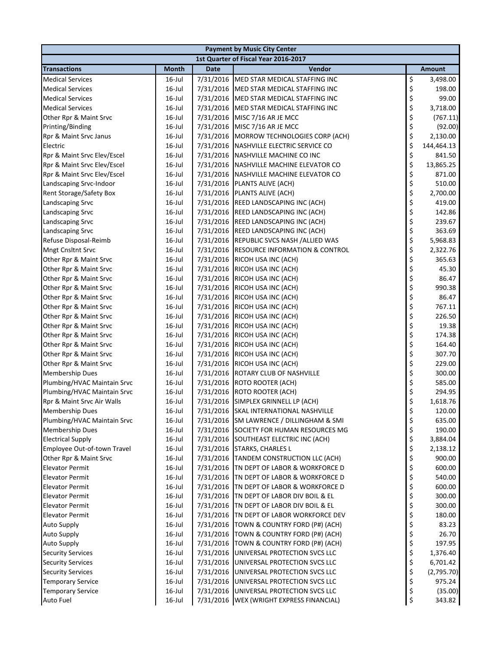| <b>Payment by Music City Center</b> |              |             |                                            |    |               |  |
|-------------------------------------|--------------|-------------|--------------------------------------------|----|---------------|--|
|                                     |              |             | 1st Quarter of Fiscal Year 2016-2017       |    |               |  |
| <b>Transactions</b>                 | <b>Month</b> | <b>Date</b> | Vendor                                     |    | <b>Amount</b> |  |
| <b>Medical Services</b>             | 16-Jul       |             | 7/31/2016 MED STAR MEDICAL STAFFING INC    | \$ | 3,498.00      |  |
| <b>Medical Services</b>             | 16-Jul       |             | 7/31/2016 MED STAR MEDICAL STAFFING INC    | \$ | 198.00        |  |
| <b>Medical Services</b>             | 16-Jul       |             | 7/31/2016 MED STAR MEDICAL STAFFING INC    | \$ | 99.00         |  |
| <b>Medical Services</b>             | 16-Jul       |             | 7/31/2016 MED STAR MEDICAL STAFFING INC    | \$ | 3,718.00      |  |
| Other Rpr & Maint Srvc              | 16-Jul       |             | 7/31/2016 MISC 7/16 AR JE MCC              | \$ | (767.11)      |  |
| Printing/Binding                    | 16-Jul       |             | 7/31/2016 MISC 7/16 AR JE MCC              | \$ | (92.00)       |  |
| Rpr & Maint Srvc Janus              | $16$ -Jul    |             | 7/31/2016 MORROW TECHNOLOGIES CORP (ACH)   | \$ | 2,130.00      |  |
| Electric                            | $16$ -Jul    |             | 7/31/2016 NASHVILLE ELECTRIC SERVICE CO    | \$ | 144,464.13    |  |
| Rpr & Maint Srvc Elev/Escel         | 16-Jul       |             | 7/31/2016 NASHVILLE MACHINE CO INC         | \$ | 841.50        |  |
| Rpr & Maint Srvc Elev/Escel         | 16-Jul       |             | 7/31/2016 NASHVILLE MACHINE ELEVATOR CO    | \$ | 13,865.25     |  |
| Rpr & Maint Srvc Elev/Escel         | 16-Jul       |             | 7/31/2016 NASHVILLE MACHINE ELEVATOR CO    | \$ | 871.00        |  |
| Landscaping Srvc-Indoor             | 16-Jul       |             | 7/31/2016 PLANTS ALIVE (ACH)               | \$ | 510.00        |  |
| Rent Storage/Safety Box             | $16$ -Jul    |             | 7/31/2016 PLANTS ALIVE (ACH)               | \$ | 2,700.00      |  |
| Landscaping Srvc                    | $16$ -Jul    |             | 7/31/2016 REED LANDSCAPING INC (ACH)       | \$ | 419.00        |  |
| Landscaping Srvc                    | $16$ -Jul    |             | 7/31/2016 REED LANDSCAPING INC (ACH)       | \$ | 142.86        |  |
| Landscaping Srvc                    | 16-Jul       |             | 7/31/2016 REED LANDSCAPING INC (ACH)       | \$ | 239.67        |  |
| Landscaping Srvc                    | 16-Jul       |             | 7/31/2016 REED LANDSCAPING INC (ACH)       | \$ | 363.69        |  |
| Refuse Disposal-Reimb               | 16-Jul       |             | 7/31/2016 REPUBLIC SVCS NASH /ALLIED WAS   | \$ | 5,968.83      |  |
| Mngt Cnsltnt Srvc                   | $16$ -Jul    |             | 7/31/2016 RESOURCE INFORMATION & CONTROL   | \$ | 2,322.76      |  |
| Other Rpr & Maint Srvc              | $16$ -Jul    |             | 7/31/2016 RICOH USA INC (ACH)              | \$ | 365.63        |  |
| Other Rpr & Maint Srvc              | 16-Jul       |             | 7/31/2016 RICOH USA INC (ACH)              | \$ | 45.30         |  |
| Other Rpr & Maint Srvc              | 16-Jul       |             | 7/31/2016 RICOH USA INC (ACH)              | \$ | 86.47         |  |
| Other Rpr & Maint Srvc              | 16-Jul       |             | 7/31/2016 RICOH USA INC (ACH)              | \$ | 990.38        |  |
| Other Rpr & Maint Srvc              | 16-Jul       |             | 7/31/2016 RICOH USA INC (ACH)              | \$ | 86.47         |  |
| Other Rpr & Maint Srvc              | 16-Jul       |             | 7/31/2016 RICOH USA INC (ACH)              | \$ | 767.11        |  |
| Other Rpr & Maint Srvc              | 16-Jul       | 7/31/2016   | RICOH USA INC (ACH)                        | \$ | 226.50        |  |
| Other Rpr & Maint Srvc              | $16$ -Jul    |             | 7/31/2016 RICOH USA INC (ACH)              | \$ | 19.38         |  |
| Other Rpr & Maint Srvc              | 16-Jul       |             | 7/31/2016 RICOH USA INC (ACH)              | \$ | 174.38        |  |
| Other Rpr & Maint Srvc              | 16-Jul       |             | 7/31/2016 RICOH USA INC (ACH)              | \$ | 164.40        |  |
| Other Rpr & Maint Srvc              | 16-Jul       |             | 7/31/2016 RICOH USA INC (ACH)              | \$ | 307.70        |  |
| Other Rpr & Maint Srvc              | 16-Jul       |             | 7/31/2016 RICOH USA INC (ACH)              | \$ | 229.00        |  |
| <b>Membership Dues</b>              | $16$ -Jul    |             | 7/31/2016 ROTARY CLUB OF NASHVILLE         | \$ | 300.00        |  |
| Plumbing/HVAC Maintain Srvc         | 16-Jul       |             | 7/31/2016 ROTO ROOTER (ACH)                | \$ | 585.00        |  |
| Plumbing/HVAC Maintain Srvc         | 16-Jul       |             | 7/31/2016 ROTO ROOTER (ACH)                | \$ | 294.95        |  |
| Rpr & Maint Srvc Air Walls          | $16$ -Jul    |             | 7/31/2016 SIMPLEX GRINNELL LP (ACH)        | \$ | 1,618.76      |  |
| <b>Membership Dues</b>              | 16-Jul       |             | 7/31/2016 SKAL INTERNATIONAL NASHVILLE     | Ś  | 120.00        |  |
| Plumbing/HVAC Maintain Srvc         | $16$ -Jul    |             | 7/31/2016 SM LAWRENCE / DILLINGHAM & SMI   | \$ | 635.00        |  |
| Membership Dues                     | $16$ -Jul    |             | 7/31/2016 SOCIETY FOR HUMAN RESOURCES MG   | \$ | 190.00        |  |
| <b>Electrical Supply</b>            | $16$ -Jul    |             | 7/31/2016 SOUTHEAST ELECTRIC INC (ACH)     | \$ | 3,884.04      |  |
| Employee Out-of-town Travel         | $16$ -Jul    |             | 7/31/2016 STARKS, CHARLES L                | \$ | 2,138.12      |  |
| Other Rpr & Maint Srvc              | $16$ -Jul    |             | 7/31/2016 TANDEM CONSTRUCTION LLC (ACH)    | \$ | 900.00        |  |
| <b>Elevator Permit</b>              | $16$ -Jul    |             | 7/31/2016 TN DEPT OF LABOR & WORKFORCE D   | \$ | 600.00        |  |
| <b>Elevator Permit</b>              | $16$ -Jul    |             | 7/31/2016 TN DEPT OF LABOR & WORKFORCE D   | \$ | 540.00        |  |
| <b>Elevator Permit</b>              | $16$ -Jul    |             | 7/31/2016 TN DEPT OF LABOR & WORKFORCE D   | \$ | 600.00        |  |
| <b>Elevator Permit</b>              | $16$ -Jul    |             | 7/31/2016 TN DEPT OF LABOR DIV BOIL & EL   | \$ | 300.00        |  |
| <b>Elevator Permit</b>              | $16$ -Jul    |             | 7/31/2016 TN DEPT OF LABOR DIV BOIL & EL   | \$ | 300.00        |  |
| <b>Elevator Permit</b>              | $16$ -Jul    |             | 7/31/2016 TN DEPT OF LABOR WORKFORCE DEV   | \$ | 180.00        |  |
| <b>Auto Supply</b>                  | $16$ -Jul    |             | 7/31/2016 TOWN & COUNTRY FORD (P#) (ACH)   | \$ | 83.23         |  |
| <b>Auto Supply</b>                  | $16$ -Jul    |             | 7/31/2016 TOWN & COUNTRY FORD (P#) (ACH)   | \$ | 26.70         |  |
| <b>Auto Supply</b>                  | $16$ -Jul    |             | 7/31/2016   TOWN & COUNTRY FORD (P#) (ACH) | \$ | 197.95        |  |
| <b>Security Services</b>            | $16$ -Jul    |             | 7/31/2016 UNIVERSAL PROTECTION SVCS LLC    | \$ | 1,376.40      |  |
| <b>Security Services</b>            | $16$ -Jul    |             | 7/31/2016 UNIVERSAL PROTECTION SVCS LLC    | \$ | 6,701.42      |  |
| <b>Security Services</b>            | $16$ -Jul    |             | 7/31/2016 UNIVERSAL PROTECTION SVCS LLC    | \$ | (2,795.70)    |  |
| <b>Temporary Service</b>            | $16$ -Jul    |             | 7/31/2016 UNIVERSAL PROTECTION SVCS LLC    | \$ | 975.24        |  |
| <b>Temporary Service</b>            | $16$ -Jul    |             | 7/31/2016 UNIVERSAL PROTECTION SVCS LLC    | \$ | (35.00)       |  |
| Auto Fuel                           | $16$ -Jul    |             | 7/31/2016 WEX (WRIGHT EXPRESS FINANCIAL)   | \$ | 343.82        |  |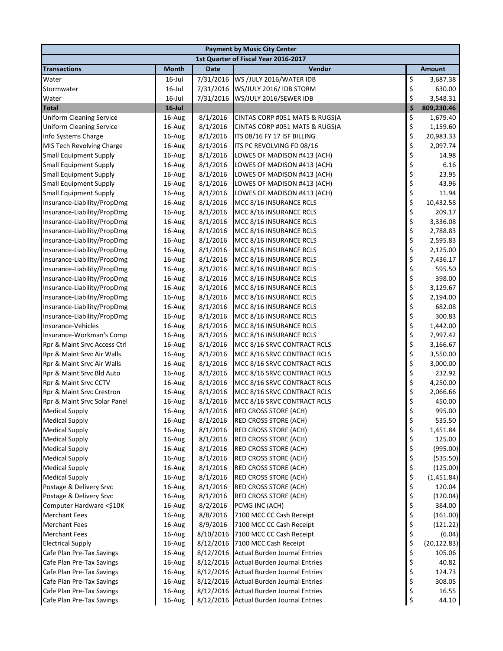| <b>Payment by Music City Center</b>  |              |             |                                         |    |               |  |  |
|--------------------------------------|--------------|-------------|-----------------------------------------|----|---------------|--|--|
| 1st Quarter of Fiscal Year 2016-2017 |              |             |                                         |    |               |  |  |
| <b>Transactions</b>                  | <b>Month</b> | <b>Date</b> | Vendor                                  |    | <b>Amount</b> |  |  |
| Water                                | $16$ -Jul    | 7/31/2016   | WS /JULY 2016/WATER IDB                 | \$ | 3,687.38      |  |  |
| Stormwater                           | $16$ -Jul    | 7/31/2016   | WS/JULY 2016/ IDB STORM                 | \$ | 630.00        |  |  |
| Water                                | $16$ -Jul    | 7/31/2016   | WS/JULY 2016/SEWER IDB                  | \$ | 3,548.31      |  |  |
| <b>Total</b>                         | $16$ -Jul    |             |                                         | \$ | 809,230.46    |  |  |
| <b>Uniform Cleaning Service</b>      | 16-Aug       | 8/1/2016    | CINTAS CORP #051 MATS & RUGS(A          | \$ | 1,679.40      |  |  |
| <b>Uniform Cleaning Service</b>      | 16-Aug       | 8/1/2016    | CINTAS CORP #051 MATS & RUGS(A          | \$ | 1,159.60      |  |  |
| Info Systems Charge                  | 16-Aug       | 8/1/2016    | ITS 08/16 FY 17 ISF BILLING             | \$ | 20,983.33     |  |  |
| MIS Tech Revolving Charge            | 16-Aug       | 8/1/2016    | ITS PC REVOLVING FD 08/16               | \$ | 2,097.74      |  |  |
| <b>Small Equipment Supply</b>        | 16-Aug       | 8/1/2016    | LOWES OF MADISON #413 (ACH)             | \$ | 14.98         |  |  |
| <b>Small Equipment Supply</b>        | 16-Aug       | 8/1/2016    | LOWES OF MADISON #413 (ACH)             | \$ | 6.16          |  |  |
| <b>Small Equipment Supply</b>        | 16-Aug       | 8/1/2016    | LOWES OF MADISON #413 (ACH)             | \$ | 23.95         |  |  |
| <b>Small Equipment Supply</b>        | 16-Aug       | 8/1/2016    | LOWES OF MADISON #413 (ACH)             | \$ | 43.96         |  |  |
| <b>Small Equipment Supply</b>        | 16-Aug       | 8/1/2016    | LOWES OF MADISON #413 (ACH)             | \$ | 11.94         |  |  |
| Insurance-Liability/PropDmg          | 16-Aug       | 8/1/2016    | MCC 8/16 INSURANCE RCLS                 | \$ | 10,432.58     |  |  |
| Insurance-Liability/PropDmg          | 16-Aug       | 8/1/2016    | MCC 8/16 INSURANCE RCLS                 | \$ | 209.17        |  |  |
| Insurance-Liability/PropDmg          | 16-Aug       | 8/1/2016    | MCC 8/16 INSURANCE RCLS                 | \$ | 3,336.08      |  |  |
| Insurance-Liability/PropDmg          | 16-Aug       | 8/1/2016    | MCC 8/16 INSURANCE RCLS                 | \$ | 2,788.83      |  |  |
| Insurance-Liability/PropDmg          | 16-Aug       | 8/1/2016    | MCC 8/16 INSURANCE RCLS                 | \$ | 2,595.83      |  |  |
| Insurance-Liability/PropDmg          | 16-Aug       | 8/1/2016    | MCC 8/16 INSURANCE RCLS                 | \$ | 2,125.00      |  |  |
| Insurance-Liability/PropDmg          | 16-Aug       | 8/1/2016    | MCC 8/16 INSURANCE RCLS                 | \$ | 7,436.17      |  |  |
| Insurance-Liability/PropDmg          | 16-Aug       | 8/1/2016    | MCC 8/16 INSURANCE RCLS                 | \$ | 595.50        |  |  |
| Insurance-Liability/PropDmg          | 16-Aug       | 8/1/2016    | MCC 8/16 INSURANCE RCLS                 | \$ | 398.00        |  |  |
| Insurance-Liability/PropDmg          | 16-Aug       | 8/1/2016    | MCC 8/16 INSURANCE RCLS                 | \$ | 3,129.67      |  |  |
| Insurance-Liability/PropDmg          | 16-Aug       | 8/1/2016    | MCC 8/16 INSURANCE RCLS                 | \$ | 2,194.00      |  |  |
| Insurance-Liability/PropDmg          | 16-Aug       | 8/1/2016    | MCC 8/16 INSURANCE RCLS                 | \$ | 682.08        |  |  |
| Insurance-Liability/PropDmg          | 16-Aug       | 8/1/2016    | MCC 8/16 INSURANCE RCLS                 | \$ | 300.83        |  |  |
| Insurance-Vehicles                   | 16-Aug       | 8/1/2016    | MCC 8/16 INSURANCE RCLS                 | \$ | 1,442.00      |  |  |
| Insurance-Workman's Comp             | 16-Aug       | 8/1/2016    | MCC 8/16 INSURANCE RCLS                 | \$ | 7,997.42      |  |  |
| Rpr & Maint Srvc Access Ctrl         | 16-Aug       | 8/1/2016    | MCC 8/16 SRVC CONTRACT RCLS             | \$ | 3,166.67      |  |  |
| Rpr & Maint Srvc Air Walls           | 16-Aug       | 8/1/2016    | MCC 8/16 SRVC CONTRACT RCLS             | \$ | 3,550.00      |  |  |
| Rpr & Maint Srvc Air Walls           | 16-Aug       | 8/1/2016    | MCC 8/16 SRVC CONTRACT RCLS             | \$ | 3,000.00      |  |  |
| Rpr & Maint Srvc Bld Auto            | 16-Aug       | 8/1/2016    | MCC 8/16 SRVC CONTRACT RCLS             | \$ | 232.92        |  |  |
| Rpr & Maint Srvc CCTV                | 16-Aug       | 8/1/2016    | MCC 8/16 SRVC CONTRACT RCLS             | \$ | 4,250.00      |  |  |
| Rpr & Maint Srvc Crestron            | 16-Aug       | 8/1/2016    | MCC 8/16 SRVC CONTRACT RCLS             | \$ | 2,066.66      |  |  |
| Rpr & Maint Srvc Solar Panel         | 16-Aug       | 8/1/2016    | MCC 8/16 SRVC CONTRACT RCLS             | \$ | 450.00        |  |  |
| <b>Medical Supply</b>                | 16-Aug       | 8/1/2016    | <b>RED CROSS STORE (ACH)</b>            | Ś  | 995.00        |  |  |
| <b>Medical Supply</b>                | 16-Aug       | 8/1/2016    | <b>RED CROSS STORE (ACH)</b>            | \$ | 535.50        |  |  |
| <b>Medical Supply</b>                | 16-Aug       | 8/1/2016    | <b>RED CROSS STORE (ACH)</b>            | \$ | 1,451.84      |  |  |
| <b>Medical Supply</b>                | 16-Aug       | 8/1/2016    | <b>RED CROSS STORE (ACH)</b>            | \$ | 125.00        |  |  |
| <b>Medical Supply</b>                | 16-Aug       | 8/1/2016    | <b>RED CROSS STORE (ACH)</b>            | \$ | (995.00)      |  |  |
| <b>Medical Supply</b>                | 16-Aug       | 8/1/2016    | <b>RED CROSS STORE (ACH)</b>            | \$ | (535.50)      |  |  |
| <b>Medical Supply</b>                | 16-Aug       | 8/1/2016    | <b>RED CROSS STORE (ACH)</b>            | \$ | (125.00)      |  |  |
| <b>Medical Supply</b>                | 16-Aug       | 8/1/2016    | <b>RED CROSS STORE (ACH)</b>            | \$ | (1,451.84)    |  |  |
| Postage & Delivery Srvc              | 16-Aug       | 8/1/2016    | <b>RED CROSS STORE (ACH)</b>            | \$ | 120.04        |  |  |
| Postage & Delivery Srvc              | 16-Aug       | 8/1/2016    | <b>RED CROSS STORE (ACH)</b>            | \$ | (120.04)      |  |  |
| Computer Hardware <\$10K             | 16-Aug       | 8/2/2016    | PCMG INC (ACH)                          | \$ | 384.00        |  |  |
| <b>Merchant Fees</b>                 | 16-Aug       | 8/8/2016    | 7100 MCC CC Cash Receipt                | \$ | (161.00)      |  |  |
| <b>Merchant Fees</b>                 | 16-Aug       | 8/9/2016    | 7100 MCC CC Cash Receipt                | \$ | (121.22)      |  |  |
| <b>Merchant Fees</b>                 | 16-Aug       | 8/10/2016   | 7100 MCC CC Cash Receipt                | \$ | (6.04)        |  |  |
| <b>Electrical Supply</b>             | 16-Aug       | 8/12/2016   | 7100 MCC Cash Receipt                   | \$ | (20, 122.83)  |  |  |
| Cafe Plan Pre-Tax Savings            | 16-Aug       | 8/12/2016   | <b>Actual Burden Journal Entries</b>    | \$ | 105.06        |  |  |
| Cafe Plan Pre-Tax Savings            | 16-Aug       | 8/12/2016   | <b>Actual Burden Journal Entries</b>    | \$ | 40.82         |  |  |
| Cafe Plan Pre-Tax Savings            | 16-Aug       | 8/12/2016   | <b>Actual Burden Journal Entries</b>    | \$ | 124.73        |  |  |
| Cafe Plan Pre-Tax Savings            | 16-Aug       | 8/12/2016   | <b>Actual Burden Journal Entries</b>    | \$ | 308.05        |  |  |
| Cafe Plan Pre-Tax Savings            | 16-Aug       | 8/12/2016   | <b>Actual Burden Journal Entries</b>    | \$ | 16.55         |  |  |
| Cafe Plan Pre-Tax Savings            | 16-Aug       |             | 8/12/2016 Actual Burden Journal Entries | \$ | 44.10         |  |  |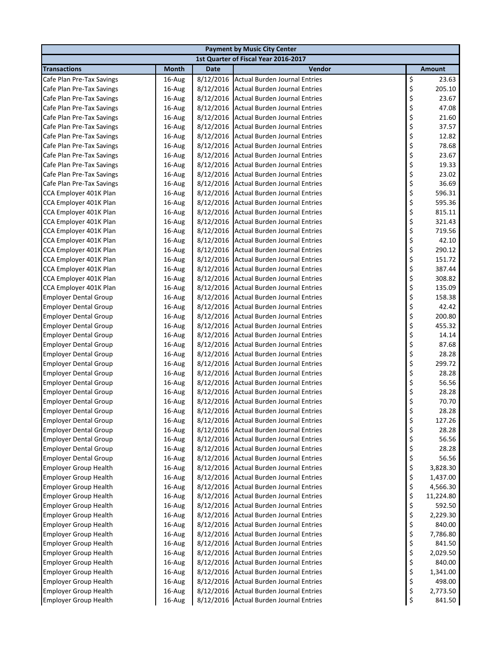| <b>Payment by Music City Center</b> |              |             |                                         |          |               |  |
|-------------------------------------|--------------|-------------|-----------------------------------------|----------|---------------|--|
|                                     |              |             | 1st Quarter of Fiscal Year 2016-2017    |          |               |  |
| <b>Transactions</b>                 | <b>Month</b> | <b>Date</b> | Vendor                                  |          | <b>Amount</b> |  |
| Cafe Plan Pre-Tax Savings           | 16-Aug       | 8/12/2016   | <b>Actual Burden Journal Entries</b>    | \$       | 23.63         |  |
| Cafe Plan Pre-Tax Savings           | 16-Aug       | 8/12/2016   | <b>Actual Burden Journal Entries</b>    | \$       | 205.10        |  |
| Cafe Plan Pre-Tax Savings           | 16-Aug       | 8/12/2016   | <b>Actual Burden Journal Entries</b>    | \$       | 23.67         |  |
| Cafe Plan Pre-Tax Savings           | 16-Aug       | 8/12/2016   | <b>Actual Burden Journal Entries</b>    | \$       | 47.08         |  |
| Cafe Plan Pre-Tax Savings           | 16-Aug       | 8/12/2016   | <b>Actual Burden Journal Entries</b>    | \$       | 21.60         |  |
| Cafe Plan Pre-Tax Savings           | 16-Aug       | 8/12/2016   | <b>Actual Burden Journal Entries</b>    |          | 37.57         |  |
| Cafe Plan Pre-Tax Savings           | 16-Aug       | 8/12/2016   | <b>Actual Burden Journal Entries</b>    | \$<br>\$ | 12.82         |  |
| Cafe Plan Pre-Tax Savings           | 16-Aug       | 8/12/2016   | <b>Actual Burden Journal Entries</b>    | \$       | 78.68         |  |
| Cafe Plan Pre-Tax Savings           | 16-Aug       | 8/12/2016   | <b>Actual Burden Journal Entries</b>    | \$       | 23.67         |  |
| Cafe Plan Pre-Tax Savings           | 16-Aug       | 8/12/2016   | <b>Actual Burden Journal Entries</b>    | \$       | 19.33         |  |
| Cafe Plan Pre-Tax Savings           | 16-Aug       | 8/12/2016   | <b>Actual Burden Journal Entries</b>    | \$       | 23.02         |  |
| Cafe Plan Pre-Tax Savings           | 16-Aug       | 8/12/2016   | Actual Burden Journal Entries           | \$       | 36.69         |  |
| CCA Employer 401K Plan              | 16-Aug       | 8/12/2016   | <b>Actual Burden Journal Entries</b>    | \$       | 596.31        |  |
| CCA Employer 401K Plan              | 16-Aug       | 8/12/2016   | <b>Actual Burden Journal Entries</b>    | \$       | 595.36        |  |
| CCA Employer 401K Plan              | 16-Aug       | 8/12/2016   | <b>Actual Burden Journal Entries</b>    | \$       | 815.11        |  |
| CCA Employer 401K Plan              | 16-Aug       | 8/12/2016   | <b>Actual Burden Journal Entries</b>    | \$       | 321.43        |  |
| CCA Employer 401K Plan              | 16-Aug       | 8/12/2016   | <b>Actual Burden Journal Entries</b>    | \$       | 719.56        |  |
| CCA Employer 401K Plan              | 16-Aug       | 8/12/2016   | <b>Actual Burden Journal Entries</b>    | \$       | 42.10         |  |
| CCA Employer 401K Plan              | 16-Aug       | 8/12/2016   | <b>Actual Burden Journal Entries</b>    | \$       | 290.12        |  |
| CCA Employer 401K Plan              | 16-Aug       | 8/12/2016   | <b>Actual Burden Journal Entries</b>    | \$       | 151.72        |  |
| CCA Employer 401K Plan              | 16-Aug       | 8/12/2016   | <b>Actual Burden Journal Entries</b>    | \$       | 387.44        |  |
| CCA Employer 401K Plan              | 16-Aug       | 8/12/2016   | <b>Actual Burden Journal Entries</b>    | \$       | 308.82        |  |
| CCA Employer 401K Plan              | 16-Aug       | 8/12/2016   | <b>Actual Burden Journal Entries</b>    | \$       | 135.09        |  |
| <b>Employer Dental Group</b>        | 16-Aug       | 8/12/2016   | <b>Actual Burden Journal Entries</b>    | \$       | 158.38        |  |
| <b>Employer Dental Group</b>        | 16-Aug       | 8/12/2016   | <b>Actual Burden Journal Entries</b>    | \$       | 42.42         |  |
| <b>Employer Dental Group</b>        | 16-Aug       | 8/12/2016   | <b>Actual Burden Journal Entries</b>    | \$       | 200.80        |  |
| <b>Employer Dental Group</b>        | 16-Aug       | 8/12/2016   | <b>Actual Burden Journal Entries</b>    | \$       | 455.32        |  |
| <b>Employer Dental Group</b>        | 16-Aug       | 8/12/2016   | <b>Actual Burden Journal Entries</b>    | \$       | 14.14         |  |
| <b>Employer Dental Group</b>        | 16-Aug       | 8/12/2016   | <b>Actual Burden Journal Entries</b>    | \$       | 87.68         |  |
| <b>Employer Dental Group</b>        | 16-Aug       | 8/12/2016   | <b>Actual Burden Journal Entries</b>    | \$       | 28.28         |  |
| <b>Employer Dental Group</b>        | 16-Aug       | 8/12/2016   | <b>Actual Burden Journal Entries</b>    | \$       | 299.72        |  |
| <b>Employer Dental Group</b>        | 16-Aug       | 8/12/2016   | <b>Actual Burden Journal Entries</b>    | \$       | 28.28         |  |
| <b>Employer Dental Group</b>        | 16-Aug       | 8/12/2016   | <b>Actual Burden Journal Entries</b>    | \$       | 56.56         |  |
| <b>Employer Dental Group</b>        | 16-Aug       | 8/12/2016   | <b>Actual Burden Journal Entries</b>    | \$       | 28.28         |  |
| <b>Employer Dental Group</b>        | 16-Aug       | 8/12/2016   | <b>Actual Burden Journal Entries</b>    | \$       | 70.70         |  |
| <b>Employer Dental Group</b>        | 16-Aug       |             | 8/12/2016 Actual Burden Journal Entries | \$       | 28.28         |  |
| <b>Employer Dental Group</b>        | 16-Aug       | 8/12/2016   | <b>Actual Burden Journal Entries</b>    | \$       | 127.26        |  |
| <b>Employer Dental Group</b>        | 16-Aug       | 8/12/2016   | <b>Actual Burden Journal Entries</b>    | \$       | 28.28         |  |
| <b>Employer Dental Group</b>        | 16-Aug       | 8/12/2016   | <b>Actual Burden Journal Entries</b>    | \$       | 56.56         |  |
| <b>Employer Dental Group</b>        | 16-Aug       | 8/12/2016   | <b>Actual Burden Journal Entries</b>    | \$       | 28.28         |  |
| <b>Employer Dental Group</b>        | 16-Aug       | 8/12/2016   | <b>Actual Burden Journal Entries</b>    | \$       | 56.56         |  |
| <b>Employer Group Health</b>        | 16-Aug       | 8/12/2016   | <b>Actual Burden Journal Entries</b>    | \$       | 3,828.30      |  |
| <b>Employer Group Health</b>        | 16-Aug       | 8/12/2016   | <b>Actual Burden Journal Entries</b>    | \$       | 1,437.00      |  |
| <b>Employer Group Health</b>        | 16-Aug       | 8/12/2016   | <b>Actual Burden Journal Entries</b>    |          | 4,566.30      |  |
| <b>Employer Group Health</b>        | 16-Aug       | 8/12/2016   | <b>Actual Burden Journal Entries</b>    | \$\$\$   | 11,224.80     |  |
| <b>Employer Group Health</b>        | 16-Aug       | 8/12/2016   | <b>Actual Burden Journal Entries</b>    |          | 592.50        |  |
| <b>Employer Group Health</b>        | 16-Aug       | 8/12/2016   | <b>Actual Burden Journal Entries</b>    | \$       | 2,229.30      |  |
| <b>Employer Group Health</b>        | 16-Aug       | 8/12/2016   | <b>Actual Burden Journal Entries</b>    | \$       | 840.00        |  |
| <b>Employer Group Health</b>        | 16-Aug       | 8/12/2016   | <b>Actual Burden Journal Entries</b>    | \$       | 7,786.80      |  |
| <b>Employer Group Health</b>        | 16-Aug       | 8/12/2016   | <b>Actual Burden Journal Entries</b>    | \$       | 841.50        |  |
| <b>Employer Group Health</b>        | 16-Aug       | 8/12/2016   | <b>Actual Burden Journal Entries</b>    | \$       | 2,029.50      |  |
| <b>Employer Group Health</b>        | 16-Aug       | 8/12/2016   | <b>Actual Burden Journal Entries</b>    | \$       | 840.00        |  |
| <b>Employer Group Health</b>        | 16-Aug       | 8/12/2016   | <b>Actual Burden Journal Entries</b>    | \$       | 1,341.00      |  |
| <b>Employer Group Health</b>        | 16-Aug       | 8/12/2016   | <b>Actual Burden Journal Entries</b>    | \$       | 498.00        |  |
| <b>Employer Group Health</b>        | 16-Aug       | 8/12/2016   | <b>Actual Burden Journal Entries</b>    | \$       | 2,773.50      |  |
| <b>Employer Group Health</b>        | 16-Aug       |             | 8/12/2016 Actual Burden Journal Entries | \$       | 841.50        |  |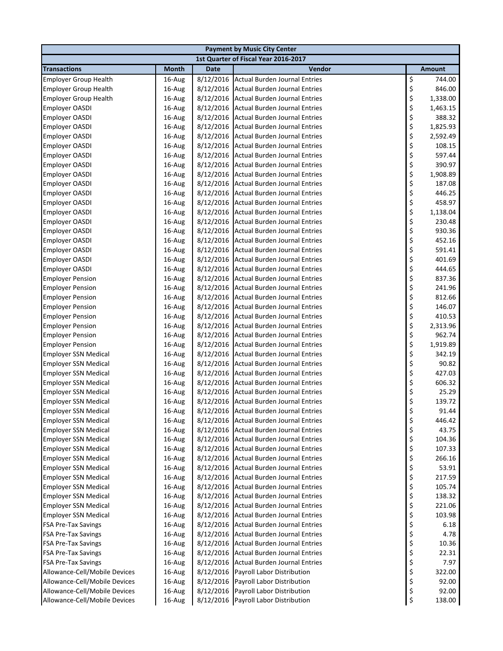|                                                    |                  |                        | <b>Payment by Music City Center</b>                                          |          |                    |
|----------------------------------------------------|------------------|------------------------|------------------------------------------------------------------------------|----------|--------------------|
|                                                    |                  |                        | 1st Quarter of Fiscal Year 2016-2017                                         |          |                    |
| <b>Transactions</b>                                | <b>Month</b>     | <b>Date</b>            | Vendor                                                                       |          | <b>Amount</b>      |
| <b>Employer Group Health</b>                       | 16-Aug           | 8/12/2016              | <b>Actual Burden Journal Entries</b>                                         | \$       | 744.00             |
| <b>Employer Group Health</b>                       | 16-Aug           | 8/12/2016              | <b>Actual Burden Journal Entries</b>                                         | \$       | 846.00             |
| <b>Employer Group Health</b>                       | 16-Aug           | 8/12/2016              | <b>Actual Burden Journal Entries</b>                                         | \$       | 1,338.00           |
| <b>Employer OASDI</b>                              | 16-Aug           | 8/12/2016              | <b>Actual Burden Journal Entries</b>                                         | \$       | 1,463.15           |
| <b>Employer OASDI</b>                              | 16-Aug           | 8/12/2016              | Actual Burden Journal Entries                                                | \$       | 388.32             |
| <b>Employer OASDI</b>                              | 16-Aug           | 8/12/2016              | <b>Actual Burden Journal Entries</b>                                         | \$       | 1,825.93           |
| <b>Employer OASDI</b>                              | 16-Aug           | 8/12/2016              | <b>Actual Burden Journal Entries</b>                                         | \$       | 2,592.49           |
| <b>Employer OASDI</b>                              | 16-Aug           | 8/12/2016              | <b>Actual Burden Journal Entries</b>                                         | \$       | 108.15             |
| <b>Employer OASDI</b>                              | 16-Aug           | 8/12/2016              | <b>Actual Burden Journal Entries</b>                                         | \$       | 597.44             |
| <b>Employer OASDI</b>                              | 16-Aug           | 8/12/2016              | <b>Actual Burden Journal Entries</b>                                         | \$       | 390.97             |
| <b>Employer OASDI</b>                              | 16-Aug           | 8/12/2016              | <b>Actual Burden Journal Entries</b>                                         | \$       | 1,908.89           |
| <b>Employer OASDI</b>                              | 16-Aug           | 8/12/2016              | <b>Actual Burden Journal Entries</b>                                         | \$       | 187.08             |
| <b>Employer OASDI</b>                              | 16-Aug           | 8/12/2016              | <b>Actual Burden Journal Entries</b>                                         | \$       | 446.25             |
| <b>Employer OASDI</b>                              | 16-Aug           | 8/12/2016              | <b>Actual Burden Journal Entries</b>                                         | \$       | 458.97             |
| <b>Employer OASDI</b>                              | 16-Aug           | 8/12/2016              | <b>Actual Burden Journal Entries</b>                                         | \$       | 1,138.04           |
| <b>Employer OASDI</b>                              | 16-Aug           | 8/12/2016              | Actual Burden Journal Entries                                                | \$       | 230.48             |
| <b>Employer OASDI</b>                              | 16-Aug           | 8/12/2016              | <b>Actual Burden Journal Entries</b>                                         | \$       | 930.36             |
| <b>Employer OASDI</b>                              | 16-Aug           | 8/12/2016              | <b>Actual Burden Journal Entries</b>                                         | \$       | 452.16             |
| <b>Employer OASDI</b>                              | 16-Aug           | 8/12/2016              | <b>Actual Burden Journal Entries</b>                                         | \$       | 591.41             |
| <b>Employer OASDI</b>                              | 16-Aug           | 8/12/2016              | <b>Actual Burden Journal Entries</b>                                         | \$       | 401.69             |
| <b>Employer OASDI</b>                              | 16-Aug           | 8/12/2016              | Actual Burden Journal Entries                                                | \$       | 444.65             |
| <b>Employer Pension</b>                            | 16-Aug           | 8/12/2016              | <b>Actual Burden Journal Entries</b>                                         | \$       | 837.36             |
| <b>Employer Pension</b>                            | 16-Aug           | 8/12/2016              | <b>Actual Burden Journal Entries</b>                                         | \$       | 241.96             |
| <b>Employer Pension</b>                            | 16-Aug           | 8/12/2016              | <b>Actual Burden Journal Entries</b>                                         | \$       | 812.66             |
| <b>Employer Pension</b>                            | 16-Aug           | 8/12/2016              | <b>Actual Burden Journal Entries</b>                                         | \$       | 146.07             |
| <b>Employer Pension</b>                            | 16-Aug           | 8/12/2016              | <b>Actual Burden Journal Entries</b>                                         | \$       | 410.53             |
| <b>Employer Pension</b>                            | 16-Aug           | 8/12/2016              | <b>Actual Burden Journal Entries</b><br><b>Actual Burden Journal Entries</b> | \$<br>\$ | 2,313.96<br>962.74 |
| <b>Employer Pension</b><br><b>Employer Pension</b> | 16-Aug<br>16-Aug | 8/12/2016<br>8/12/2016 | <b>Actual Burden Journal Entries</b>                                         | \$       | 1,919.89           |
| <b>Employer SSN Medical</b>                        | 16-Aug           | 8/12/2016              | Actual Burden Journal Entries                                                | \$       | 342.19             |
| <b>Employer SSN Medical</b>                        | 16-Aug           | 8/12/2016              | <b>Actual Burden Journal Entries</b>                                         | \$       | 90.82              |
| <b>Employer SSN Medical</b>                        | 16-Aug           | 8/12/2016              | <b>Actual Burden Journal Entries</b>                                         | \$       | 427.03             |
| <b>Employer SSN Medical</b>                        | 16-Aug           | 8/12/2016              | <b>Actual Burden Journal Entries</b>                                         | \$       | 606.32             |
| <b>Employer SSN Medical</b>                        | 16-Aug           | 8/12/2016              | Actual Burden Journal Entries                                                | \$       | 25.29              |
| <b>Employer SSN Medical</b>                        | 16-Aug           | 8/12/2016              | <b>Actual Burden Journal Entries</b>                                         | \$       | 139.72             |
| <b>Employer SSN Medical</b>                        | 16-Aug           |                        | 8/12/2016 Actual Burden Journal Entries                                      | \$       | 91.44              |
| <b>Employer SSN Medical</b>                        | 16-Aug           | 8/12/2016              | <b>Actual Burden Journal Entries</b>                                         | \$       | 446.42             |
| <b>Employer SSN Medical</b>                        | 16-Aug           | 8/12/2016              | <b>Actual Burden Journal Entries</b>                                         | \$       | 43.75              |
| <b>Employer SSN Medical</b>                        | 16-Aug           | 8/12/2016              | <b>Actual Burden Journal Entries</b>                                         | \$       | 104.36             |
| <b>Employer SSN Medical</b>                        | 16-Aug           |                        | 8/12/2016 Actual Burden Journal Entries                                      | \$       | 107.33             |
| <b>Employer SSN Medical</b>                        | 16-Aug           | 8/12/2016              | <b>Actual Burden Journal Entries</b>                                         | \$       | 266.16             |
| <b>Employer SSN Medical</b>                        | 16-Aug           | 8/12/2016              | Actual Burden Journal Entries                                                | \$       | 53.91              |
| <b>Employer SSN Medical</b>                        | 16-Aug           | 8/12/2016              | <b>Actual Burden Journal Entries</b>                                         | \$       | 217.59             |
| <b>Employer SSN Medical</b>                        | 16-Aug           | 8/12/2016              | <b>Actual Burden Journal Entries</b>                                         | \$       | 105.74             |
| <b>Employer SSN Medical</b>                        | 16-Aug           | 8/12/2016              | <b>Actual Burden Journal Entries</b>                                         | \$       | 138.32             |
| <b>Employer SSN Medical</b>                        | 16-Aug           | 8/12/2016              | <b>Actual Burden Journal Entries</b>                                         | \$       | 221.06             |
| <b>Employer SSN Medical</b>                        | 16-Aug           | 8/12/2016              | <b>Actual Burden Journal Entries</b>                                         | \$       | 103.98             |
| <b>FSA Pre-Tax Savings</b>                         | 16-Aug           | 8/12/2016              | <b>Actual Burden Journal Entries</b>                                         | \$       | 6.18               |
| <b>FSA Pre-Tax Savings</b>                         | 16-Aug           | 8/12/2016              | <b>Actual Burden Journal Entries</b>                                         | \$       | 4.78               |
| <b>FSA Pre-Tax Savings</b>                         | 16-Aug           | 8/12/2016              | <b>Actual Burden Journal Entries</b>                                         | \$       | 10.36              |
| <b>FSA Pre-Tax Savings</b>                         | 16-Aug           | 8/12/2016              | <b>Actual Burden Journal Entries</b>                                         | \$       | 22.31              |
| <b>FSA Pre-Tax Savings</b>                         | 16-Aug           | 8/12/2016              | <b>Actual Burden Journal Entries</b>                                         | \$       | 7.97               |
| Allowance-Cell/Mobile Devices                      | 16-Aug           | 8/12/2016              | Payroll Labor Distribution                                                   | \$       | 322.00             |
| Allowance-Cell/Mobile Devices                      | 16-Aug           | 8/12/2016              | Payroll Labor Distribution                                                   | \$       | 92.00              |
| Allowance-Cell/Mobile Devices                      | 16-Aug           | 8/12/2016              | Payroll Labor Distribution                                                   | \$       | 92.00              |
| Allowance-Cell/Mobile Devices                      | 16-Aug           | 8/12/2016              | Payroll Labor Distribution                                                   | \$       | 138.00             |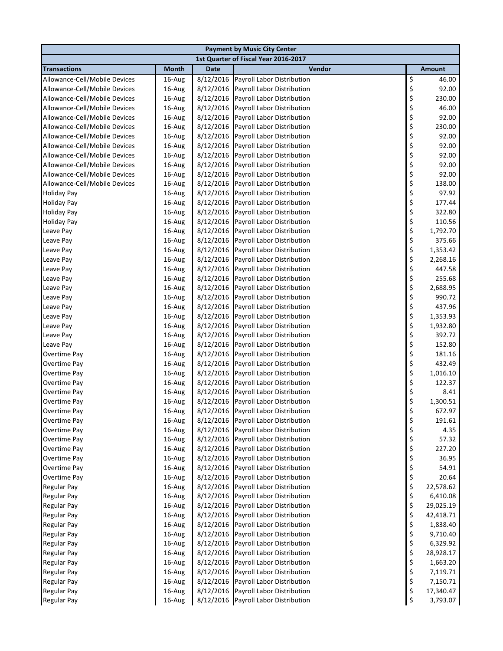| <b>Payment by Music City Center</b> |              |             |                                      |    |               |  |
|-------------------------------------|--------------|-------------|--------------------------------------|----|---------------|--|
|                                     |              |             | 1st Quarter of Fiscal Year 2016-2017 |    |               |  |
| <b>Transactions</b>                 | <b>Month</b> | <b>Date</b> | Vendor                               |    | <b>Amount</b> |  |
| Allowance-Cell/Mobile Devices       | 16-Aug       | 8/12/2016   | Payroll Labor Distribution           | \$ | 46.00         |  |
| Allowance-Cell/Mobile Devices       | 16-Aug       | 8/12/2016   | Payroll Labor Distribution           | \$ | 92.00         |  |
| Allowance-Cell/Mobile Devices       | 16-Aug       | 8/12/2016   | Payroll Labor Distribution           | \$ | 230.00        |  |
| Allowance-Cell/Mobile Devices       | 16-Aug       | 8/12/2016   | Payroll Labor Distribution           | \$ | 46.00         |  |
| Allowance-Cell/Mobile Devices       | 16-Aug       | 8/12/2016   | Payroll Labor Distribution           | \$ | 92.00         |  |
| Allowance-Cell/Mobile Devices       | 16-Aug       | 8/12/2016   | Payroll Labor Distribution           | \$ | 230.00        |  |
| Allowance-Cell/Mobile Devices       | 16-Aug       | 8/12/2016   | Payroll Labor Distribution           | \$ | 92.00         |  |
| Allowance-Cell/Mobile Devices       | 16-Aug       | 8/12/2016   | Payroll Labor Distribution           | \$ | 92.00         |  |
| Allowance-Cell/Mobile Devices       | 16-Aug       | 8/12/2016   | Payroll Labor Distribution           | \$ | 92.00         |  |
| Allowance-Cell/Mobile Devices       | 16-Aug       | 8/12/2016   | Payroll Labor Distribution           | \$ | 92.00         |  |
| Allowance-Cell/Mobile Devices       | 16-Aug       | 8/12/2016   | Payroll Labor Distribution           | \$ | 92.00         |  |
| Allowance-Cell/Mobile Devices       | 16-Aug       | 8/12/2016   | Payroll Labor Distribution           | \$ | 138.00        |  |
| <b>Holiday Pay</b>                  | 16-Aug       | 8/12/2016   | Payroll Labor Distribution           | \$ | 97.92         |  |
| <b>Holiday Pay</b>                  | 16-Aug       | 8/12/2016   | Payroll Labor Distribution           | \$ | 177.44        |  |
| <b>Holiday Pay</b>                  | 16-Aug       | 8/12/2016   | Payroll Labor Distribution           | \$ | 322.80        |  |
| <b>Holiday Pay</b>                  | 16-Aug       | 8/12/2016   | Payroll Labor Distribution           | \$ | 110.56        |  |
| Leave Pay                           | 16-Aug       | 8/12/2016   | Payroll Labor Distribution           | \$ | 1,792.70      |  |
| Leave Pay                           | 16-Aug       | 8/12/2016   | Payroll Labor Distribution           | \$ | 375.66        |  |
| Leave Pay                           | 16-Aug       | 8/12/2016   | Payroll Labor Distribution           | \$ | 1,353.42      |  |
| Leave Pay                           | 16-Aug       | 8/12/2016   | Payroll Labor Distribution           | \$ | 2,268.16      |  |
| Leave Pay                           | 16-Aug       | 8/12/2016   | Payroll Labor Distribution           | \$ | 447.58        |  |
| Leave Pay                           | 16-Aug       | 8/12/2016   | Payroll Labor Distribution           | \$ | 255.68        |  |
| Leave Pay                           | 16-Aug       | 8/12/2016   | Payroll Labor Distribution           | \$ | 2,688.95      |  |
| Leave Pay                           | 16-Aug       | 8/12/2016   | Payroll Labor Distribution           | \$ | 990.72        |  |
| Leave Pay                           | 16-Aug       | 8/12/2016   | Payroll Labor Distribution           | \$ | 437.96        |  |
| Leave Pay                           | 16-Aug       | 8/12/2016   | Payroll Labor Distribution           | \$ | 1,353.93      |  |
| Leave Pay                           | 16-Aug       | 8/12/2016   | Payroll Labor Distribution           | \$ | 1,932.80      |  |
| Leave Pay                           | 16-Aug       | 8/12/2016   | Payroll Labor Distribution           | \$ | 392.72        |  |
| Leave Pay                           | 16-Aug       | 8/12/2016   | Payroll Labor Distribution           | \$ | 152.80        |  |
| Overtime Pay                        | 16-Aug       | 8/12/2016   | Payroll Labor Distribution           | \$ | 181.16        |  |
| Overtime Pay                        | 16-Aug       | 8/12/2016   | Payroll Labor Distribution           | \$ | 432.49        |  |
| Overtime Pay                        | 16-Aug       | 8/12/2016   | Payroll Labor Distribution           | \$ | 1,016.10      |  |
| Overtime Pay                        | 16-Aug       | 8/12/2016   | Payroll Labor Distribution           | \$ | 122.37        |  |
| Overtime Pay                        | 16-Aug       | 8/12/2016   | Payroll Labor Distribution           | \$ | 8.41          |  |
| Overtime Pay                        | 16-Aug       | 8/12/2016   | Payroll Labor Distribution           | \$ | 1,300.51      |  |
| Overtime Pay                        | 16-Aug       |             | 8/12/2016 Payroll Labor Distribution | \$ | 672.97        |  |
| Overtime Pay                        | 16-Aug       | 8/12/2016   | Payroll Labor Distribution           | \$ | 191.61        |  |
| Overtime Pay                        | 16-Aug       | 8/12/2016   | Payroll Labor Distribution           | \$ | 4.35          |  |
| Overtime Pay                        | 16-Aug       | 8/12/2016   | Payroll Labor Distribution           | \$ | 57.32         |  |
| Overtime Pay                        | 16-Aug       | 8/12/2016   | Payroll Labor Distribution           | \$ | 227.20        |  |
| Overtime Pay                        | 16-Aug       | 8/12/2016   | Payroll Labor Distribution           | \$ | 36.95         |  |
| Overtime Pay                        | 16-Aug       | 8/12/2016   | Payroll Labor Distribution           | \$ | 54.91         |  |
| Overtime Pay                        | 16-Aug       | 8/12/2016   | Payroll Labor Distribution           | \$ | 20.64         |  |
| <b>Regular Pay</b>                  | 16-Aug       | 8/12/2016   | Payroll Labor Distribution           | \$ | 22,578.62     |  |
| <b>Regular Pay</b>                  | 16-Aug       | 8/12/2016   | Payroll Labor Distribution           | \$ | 6,410.08      |  |
| <b>Regular Pay</b>                  | 16-Aug       | 8/12/2016   | Payroll Labor Distribution           | \$ | 29,025.19     |  |
| <b>Regular Pay</b>                  | 16-Aug       | 8/12/2016   | Payroll Labor Distribution           | \$ | 42,418.71     |  |
| <b>Regular Pay</b>                  | 16-Aug       | 8/12/2016   | Payroll Labor Distribution           | \$ | 1,838.40      |  |
| <b>Regular Pay</b>                  | 16-Aug       | 8/12/2016   | Payroll Labor Distribution           | \$ | 9,710.40      |  |
| <b>Regular Pay</b>                  | 16-Aug       | 8/12/2016   | Payroll Labor Distribution           | \$ | 6,329.92      |  |
| <b>Regular Pay</b>                  | 16-Aug       | 8/12/2016   | Payroll Labor Distribution           | \$ | 28,928.17     |  |
| <b>Regular Pay</b>                  | 16-Aug       | 8/12/2016   | Payroll Labor Distribution           | \$ | 1,663.20      |  |
| Regular Pay                         | 16-Aug       | 8/12/2016   | Payroll Labor Distribution           | \$ | 7,119.71      |  |
| <b>Regular Pay</b>                  | 16-Aug       | 8/12/2016   | Payroll Labor Distribution           | \$ | 7,150.71      |  |
| <b>Regular Pay</b>                  | 16-Aug       | 8/12/2016   | Payroll Labor Distribution           | \$ | 17,340.47     |  |
| <b>Regular Pay</b>                  | 16-Aug       | 8/12/2016   | Payroll Labor Distribution           | \$ | 3,793.07      |  |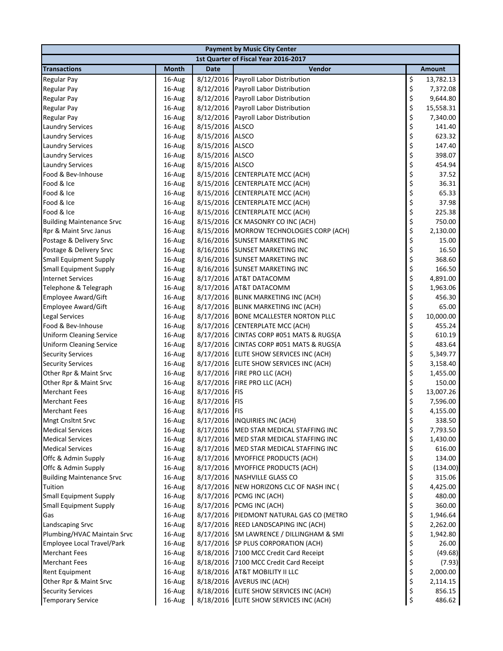|                                  | <b>Payment by Music City Center</b> |               |                                          |    |                   |  |  |
|----------------------------------|-------------------------------------|---------------|------------------------------------------|----|-------------------|--|--|
|                                  |                                     |               | 1st Quarter of Fiscal Year 2016-2017     |    |                   |  |  |
| <b>Transactions</b>              | <b>Month</b>                        | <b>Date</b>   | Vendor                                   |    | <b>Amount</b>     |  |  |
| <b>Regular Pay</b>               | 16-Aug                              | 8/12/2016     | Payroll Labor Distribution               | \$ | 13,782.13         |  |  |
| <b>Regular Pay</b>               | 16-Aug                              | 8/12/2016     | Payroll Labor Distribution               | \$ | 7,372.08          |  |  |
| <b>Regular Pay</b>               | 16-Aug                              | 8/12/2016     | Payroll Labor Distribution               | \$ | 9,644.80          |  |  |
| <b>Regular Pay</b>               | 16-Aug                              | 8/12/2016     | Payroll Labor Distribution               | \$ | 15,558.31         |  |  |
| <b>Regular Pay</b>               | 16-Aug                              | 8/12/2016     | Payroll Labor Distribution               | \$ | 7,340.00          |  |  |
| <b>Laundry Services</b>          | 16-Aug                              | 8/15/2016     | <b>ALSCO</b>                             | \$ | 141.40            |  |  |
| <b>Laundry Services</b>          | 16-Aug                              | 8/15/2016     | <b>ALSCO</b>                             | \$ | 623.32            |  |  |
| <b>Laundry Services</b>          | 16-Aug                              | 8/15/2016     | <b>ALSCO</b>                             | \$ | 147.40            |  |  |
| <b>Laundry Services</b>          | 16-Aug                              | 8/15/2016     | <b>ALSCO</b>                             | \$ | 398.07            |  |  |
| <b>Laundry Services</b>          | 16-Aug                              | 8/15/2016     | <b>ALSCO</b>                             | \$ | 454.94            |  |  |
| Food & Bev-Inhouse               | 16-Aug                              |               | 8/15/2016 CENTERPLATE MCC (ACH)          | \$ | 37.52             |  |  |
| Food & Ice                       | 16-Aug                              |               | 8/15/2016 CENTERPLATE MCC (ACH)          | \$ | 36.31             |  |  |
| Food & Ice                       | 16-Aug                              | 8/15/2016     | <b>CENTERPLATE MCC (ACH)</b>             | \$ | 65.33             |  |  |
| Food & Ice                       | 16-Aug                              | 8/15/2016     | <b>CENTERPLATE MCC (ACH)</b>             | \$ | 37.98             |  |  |
| Food & Ice                       | 16-Aug                              | 8/15/2016     | CENTERPLATE MCC (ACH)                    | \$ | 225.38            |  |  |
| <b>Building Maintenance Srvc</b> | 16-Aug                              | 8/15/2016     | CK MASONRY CO INC (ACH)                  | \$ | 750.00            |  |  |
| Rpr & Maint Srvc Janus           | 16-Aug                              |               | 8/15/2016 MORROW TECHNOLOGIES CORP (ACH) | \$ | 2,130.00          |  |  |
| Postage & Delivery Srvc          | 16-Aug                              |               | 8/16/2016 SUNSET MARKETING INC           | \$ | 15.00             |  |  |
| Postage & Delivery Srvc          | 16-Aug                              |               | 8/16/2016 SUNSET MARKETING INC           | \$ | 16.50             |  |  |
| <b>Small Equipment Supply</b>    | 16-Aug                              |               | 8/16/2016 SUNSET MARKETING INC           | \$ | 368.60            |  |  |
| <b>Small Equipment Supply</b>    | 16-Aug                              |               | 8/16/2016 SUNSET MARKETING INC           | \$ | 166.50            |  |  |
| <b>Internet Services</b>         | 16-Aug                              | 8/17/2016     | <b>AT&amp;T DATACOMM</b>                 | \$ | 4,891.00          |  |  |
| Telephone & Telegraph            | 16-Aug                              |               | 8/17/2016 AT&T DATACOMM                  | \$ | 1,963.06          |  |  |
| <b>Employee Award/Gift</b>       | 16-Aug                              |               | 8/17/2016 BLINK MARKETING INC (ACH)      | \$ | 456.30            |  |  |
| <b>Employee Award/Gift</b>       | 16-Aug                              | 8/17/2016     | <b>BLINK MARKETING INC (ACH)</b>         | \$ | 65.00             |  |  |
| <b>Legal Services</b>            | 16-Aug                              | 8/17/2016     | <b>BONE MCALLESTER NORTON PLLC</b>       | \$ | 10,000.00         |  |  |
| Food & Bev-Inhouse               | 16-Aug                              | 8/17/2016     | CENTERPLATE MCC (ACH)                    | \$ | 455.24            |  |  |
| <b>Uniform Cleaning Service</b>  | 16-Aug                              | 8/17/2016     | CINTAS CORP #051 MATS & RUGS(A           | \$ | 610.19            |  |  |
| <b>Uniform Cleaning Service</b>  | 16-Aug                              |               | 8/17/2016 CINTAS CORP #051 MATS & RUGS(A | \$ | 483.64            |  |  |
| <b>Security Services</b>         | 16-Aug                              |               | 8/17/2016 ELITE SHOW SERVICES INC (ACH)  | \$ | 5,349.77          |  |  |
| <b>Security Services</b>         | 16-Aug                              |               | 8/17/2016 ELITE SHOW SERVICES INC (ACH)  | \$ | 3,158.40          |  |  |
| Other Rpr & Maint Srvc           | 16-Aug                              |               | 8/17/2016 FIRE PRO LLC (ACH)             | \$ | 1,455.00          |  |  |
| Other Rpr & Maint Srvc           | 16-Aug                              | 8/17/2016     | FIRE PRO LLC (ACH)                       | \$ | 150.00            |  |  |
| <b>Merchant Fees</b>             | 16-Aug                              | 8/17/2016     | FIS                                      | \$ | 13,007.26         |  |  |
| <b>Merchant Fees</b>             | 16-Aug                              | 8/17/2016     | FIS                                      | \$ | 7,596.00          |  |  |
| Merchant Fees                    | 16-Aug                              | 8/17/2016 FIS |                                          | \$ | 4,155.00          |  |  |
| <b>Mngt Cnsltnt Srvc</b>         | 16-Aug                              |               | 8/17/2016 INQUIRIES INC (ACH)            | \$ | 338.50            |  |  |
| <b>Medical Services</b>          | 16-Aug                              | 8/17/2016     | MED STAR MEDICAL STAFFING INC            | \$ | 7,793.50          |  |  |
| <b>Medical Services</b>          | 16-Aug                              |               | 8/17/2016 MED STAR MEDICAL STAFFING INC  | \$ | 1,430.00          |  |  |
| <b>Medical Services</b>          | 16-Aug                              | 8/17/2016     | MED STAR MEDICAL STAFFING INC            | \$ | 616.00            |  |  |
| Offc & Admin Supply              | 16-Aug                              |               | 8/17/2016 MYOFFICE PRODUCTS (ACH)        | \$ | 134.00            |  |  |
| Offc & Admin Supply              | 16-Aug                              |               | 8/17/2016 MYOFFICE PRODUCTS (ACH)        | \$ | (134.00)          |  |  |
| <b>Building Maintenance Srvc</b> | 16-Aug                              | 8/17/2016     | <b>NASHVILLE GLASS CO</b>                | \$ | 315.06            |  |  |
| Tuition                          | 16-Aug                              | 8/17/2016     | NEW HORIZONS CLC OF NASH INC (           | \$ | 4,425.00          |  |  |
| <b>Small Equipment Supply</b>    | 16-Aug                              | 8/17/2016     | PCMG INC (ACH)                           | \$ | 480.00            |  |  |
| <b>Small Equipment Supply</b>    | 16-Aug                              |               | 8/17/2016 PCMG INC (ACH)                 | \$ | 360.00            |  |  |
| Gas                              | 16-Aug                              |               | 8/17/2016 PIEDMONT NATURAL GAS CO (METRO | \$ | 1,946.64          |  |  |
| Landscaping Srvc                 | 16-Aug                              |               | 8/17/2016 REED LANDSCAPING INC (ACH)     | \$ | 2,262.00          |  |  |
| Plumbing/HVAC Maintain Srvc      | 16-Aug                              |               | 8/17/2016 SM LAWRENCE / DILLINGHAM & SMI | \$ | 1,942.80          |  |  |
| Employee Local Travel/Park       | 16-Aug                              |               | 8/17/2016 SP PLUS CORPORATION (ACH)      | \$ | 26.00             |  |  |
| <b>Merchant Fees</b>             |                                     |               | 8/18/2016 7100 MCC Credit Card Receipt   | \$ |                   |  |  |
| <b>Merchant Fees</b>             | 16-Aug<br>16-Aug                    | 8/18/2016     | 7100 MCC Credit Card Receipt             | \$ | (49.68)<br>(7.93) |  |  |
| Rent Equipment                   | 16-Aug                              |               | 8/18/2016 AT&T MOBILITY II LLC           | \$ | 2,000.00          |  |  |
|                                  |                                     |               | 8/18/2016 AVERUS INC (ACH)               | \$ |                   |  |  |
| Other Rpr & Maint Srvc           | 16-Aug                              |               |                                          |    | 2,114.15          |  |  |
| <b>Security Services</b>         | 16-Aug                              |               | 8/18/2016 ELITE SHOW SERVICES INC (ACH)  | \$ | 856.15            |  |  |
| <b>Temporary Service</b>         | 16-Aug                              |               | 8/18/2016 ELITE SHOW SERVICES INC (ACH)  | \$ | 486.62            |  |  |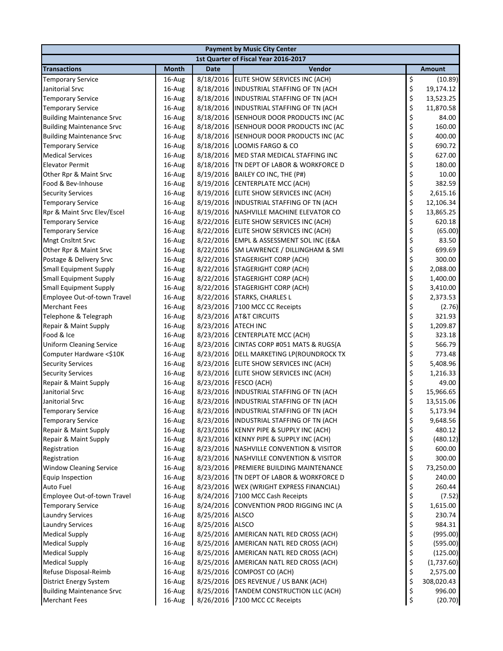| <b>Payment by Music City Center</b>  |        |             |                                               |    |            |  |  |
|--------------------------------------|--------|-------------|-----------------------------------------------|----|------------|--|--|
| 1st Quarter of Fiscal Year 2016-2017 |        |             |                                               |    |            |  |  |
| <b>Transactions</b>                  | Month  | <b>Date</b> | Vendor                                        |    | Amount     |  |  |
| <b>Temporary Service</b>             | 16-Aug | 8/18/2016   | ELITE SHOW SERVICES INC (ACH)                 | \$ | (10.89)    |  |  |
| Janitorial Srvc                      | 16-Aug | 8/18/2016   | INDUSTRIAL STAFFING OF TN (ACH                | \$ | 19,174.12  |  |  |
| <b>Temporary Service</b>             | 16-Aug | 8/18/2016   | INDUSTRIAL STAFFING OF TN (ACH                | \$ | 13,523.25  |  |  |
| <b>Temporary Service</b>             | 16-Aug | 8/18/2016   | <b>INDUSTRIAL STAFFING OF TN (ACH</b>         | \$ | 11,870.58  |  |  |
| <b>Building Maintenance Srvc</b>     | 16-Aug | 8/18/2016   | <b>ISENHOUR DOOR PRODUCTS INC (AC</b>         | \$ | 84.00      |  |  |
| <b>Building Maintenance Srvc</b>     | 16-Aug | 8/18/2016   | <b>ISENHOUR DOOR PRODUCTS INC (AC</b>         | \$ | 160.00     |  |  |
| <b>Building Maintenance Srvc</b>     | 16-Aug | 8/18/2016   | <b>ISENHOUR DOOR PRODUCTS INC (AC</b>         | \$ | 400.00     |  |  |
| <b>Temporary Service</b>             | 16-Aug | 8/18/2016   | LOOMIS FARGO & CO                             | \$ | 690.72     |  |  |
| <b>Medical Services</b>              | 16-Aug | 8/18/2016   | MED STAR MEDICAL STAFFING INC                 | \$ | 627.00     |  |  |
| <b>Elevator Permit</b>               | 16-Aug | 8/18/2016   | TN DEPT OF LABOR & WORKFORCE D                | \$ | 180.00     |  |  |
| Other Rpr & Maint Srvc               | 16-Aug | 8/19/2016   | BAILEY CO INC, THE (P#)                       | \$ | 10.00      |  |  |
| Food & Bev-Inhouse                   | 16-Aug | 8/19/2016   | <b>CENTERPLATE MCC (ACH)</b>                  | \$ | 382.59     |  |  |
| <b>Security Services</b>             | 16-Aug | 8/19/2016   | ELITE SHOW SERVICES INC (ACH)                 | \$ | 2,615.16   |  |  |
| <b>Temporary Service</b>             | 16-Aug | 8/19/2016   | INDUSTRIAL STAFFING OF TN (ACH                | \$ | 12,106.34  |  |  |
| Rpr & Maint Srvc Elev/Escel          | 16-Aug | 8/19/2016   | NASHVILLE MACHINE ELEVATOR CO                 | \$ | 13,865.25  |  |  |
| <b>Temporary Service</b>             | 16-Aug | 8/22/2016   | ELITE SHOW SERVICES INC (ACH)                 | \$ | 620.18     |  |  |
| <b>Temporary Service</b>             | 16-Aug |             | 8/22/2016 ELITE SHOW SERVICES INC (ACH)       | \$ | (65.00)    |  |  |
| <b>Mngt Cnsltnt Srvc</b>             | 16-Aug | 8/22/2016   | <b>EMPL &amp; ASSESSMENT SOL INC (E&amp;A</b> | \$ | 83.50      |  |  |
| Other Rpr & Maint Srvc               | 16-Aug | 8/22/2016   | SM LAWRENCE / DILLINGHAM & SMI                | \$ | 699.69     |  |  |
| Postage & Delivery Srvc              | 16-Aug | 8/22/2016   | <b>STAGERIGHT CORP (ACH)</b>                  | \$ | 300.00     |  |  |
| <b>Small Equipment Supply</b>        | 16-Aug | 8/22/2016   | <b>STAGERIGHT CORP (ACH)</b>                  | \$ | 2,088.00   |  |  |
| <b>Small Equipment Supply</b>        | 16-Aug |             | 8/22/2016 STAGERIGHT CORP (ACH)               | \$ | 1,400.00   |  |  |
| <b>Small Equipment Supply</b>        | 16-Aug |             | 8/22/2016 STAGERIGHT CORP (ACH)               | \$ | 3,410.00   |  |  |
| Employee Out-of-town Travel          | 16-Aug | 8/22/2016   | STARKS, CHARLES L                             | \$ | 2,373.53   |  |  |
| <b>Merchant Fees</b>                 | 16-Aug | 8/23/2016   | 7100 MCC CC Receipts                          | \$ | (2.76)     |  |  |
| Telephone & Telegraph                | 16-Aug | 8/23/2016   | <b>AT&amp;T CIRCUITS</b>                      | \$ | 321.93     |  |  |
| Repair & Maint Supply                | 16-Aug | 8/23/2016   | <b>ATECH INC</b>                              | \$ | 1,209.87   |  |  |
| Food & Ice                           | 16-Aug | 8/23/2016   | <b>CENTERPLATE MCC (ACH)</b>                  | \$ | 323.18     |  |  |
| <b>Uniform Cleaning Service</b>      | 16-Aug | 8/23/2016   | CINTAS CORP #051 MATS & RUGS(A                | \$ | 566.79     |  |  |
| Computer Hardware <\$10K             | 16-Aug |             | 8/23/2016 DELL MARKETING LP(ROUNDROCK TX      | \$ | 773.48     |  |  |
| <b>Security Services</b>             | 16-Aug |             | 8/23/2016 ELITE SHOW SERVICES INC (ACH)       | \$ | 5,408.96   |  |  |
| <b>Security Services</b>             | 16-Aug |             | 8/23/2016 ELITE SHOW SERVICES INC (ACH)       | \$ | 1,216.33   |  |  |
| Repair & Maint Supply                | 16-Aug | 8/23/2016   | FESCO (ACH)                                   | \$ | 49.00      |  |  |
| Janitorial Srvc                      | 16-Aug | 8/23/2016   | INDUSTRIAL STAFFING OF TN (ACH                | \$ | 15,966.65  |  |  |
| Janitorial Srvc                      | 16-Aug |             | 8/23/2016 INDUSTRIAL STAFFING OF TN (ACH      | \$ | 13,515.06  |  |  |
| <b>Temporary Service</b>             | 16-Aug |             | 8/23/2016 INDUSTRIAL STAFFING OF TN (ACH      | Ś  | 5,173.94   |  |  |
| <b>Temporary Service</b>             | 16-Aug |             | 8/23/2016 INDUSTRIAL STAFFING OF TN (ACH      | \$ | 9,648.56   |  |  |
| Repair & Maint Supply                | 16-Aug | 8/23/2016   | KENNY PIPE & SUPPLY INC (ACH)                 | \$ | 480.12     |  |  |
| Repair & Maint Supply                | 16-Aug | 8/23/2016   | KENNY PIPE & SUPPLY INC (ACH)                 | \$ | (480.12)   |  |  |
| Registration                         | 16-Aug | 8/23/2016   | <b>NASHVILLE CONVENTION &amp; VISITOR</b>     | \$ | 600.00     |  |  |
| Registration                         | 16-Aug | 8/23/2016   | <b>NASHVILLE CONVENTION &amp; VISITOR</b>     | \$ | 300.00     |  |  |
| <b>Window Cleaning Service</b>       | 16-Aug | 8/23/2016   | PREMIERE BUILDING MAINTENANCE                 | \$ | 73,250.00  |  |  |
| <b>Equip Inspection</b>              | 16-Aug | 8/23/2016   | TN DEPT OF LABOR & WORKFORCE D                | \$ | 240.00     |  |  |
| <b>Auto Fuel</b>                     | 16-Aug | 8/23/2016   | WEX (WRIGHT EXPRESS FINANCIAL)                | \$ | 260.44     |  |  |
| Employee Out-of-town Travel          | 16-Aug | 8/24/2016   | 7100 MCC Cash Receipts                        | \$ | (7.52)     |  |  |
| <b>Temporary Service</b>             | 16-Aug | 8/24/2016   | CONVENTION PROD RIGGING INC (A                | \$ | 1,615.00   |  |  |
| <b>Laundry Services</b>              | 16-Aug | 8/25/2016   | <b>ALSCO</b>                                  | \$ | 230.74     |  |  |
| <b>Laundry Services</b>              | 16-Aug | 8/25/2016   | <b>ALSCO</b>                                  | \$ | 984.31     |  |  |
| <b>Medical Supply</b>                | 16-Aug |             | 8/25/2016 AMERICAN NATL RED CROSS (ACH)       | \$ | (995.00)   |  |  |
| <b>Medical Supply</b>                | 16-Aug | 8/25/2016   | AMERICAN NATL RED CROSS (ACH)                 | \$ | (595.00)   |  |  |
| <b>Medical Supply</b>                | 16-Aug | 8/25/2016   | AMERICAN NATL RED CROSS (ACH)                 | \$ | (125.00)   |  |  |
| <b>Medical Supply</b>                | 16-Aug | 8/25/2016   | AMERICAN NATL RED CROSS (ACH)                 | \$ | (1,737.60) |  |  |
| Refuse Disposal-Reimb                | 16-Aug |             | 8/25/2016 COMPOST CO (ACH)                    | \$ | 2,575.00   |  |  |
| <b>District Energy System</b>        | 16-Aug |             | 8/25/2016 DES REVENUE / US BANK (ACH)         | \$ | 308,020.43 |  |  |
| <b>Building Maintenance Srvc</b>     | 16-Aug |             | 8/25/2016 TANDEM CONSTRUCTION LLC (ACH)       | \$ | 996.00     |  |  |
| <b>Merchant Fees</b>                 | 16-Aug |             | 8/26/2016 7100 MCC CC Receipts                | \$ | (20.70)    |  |  |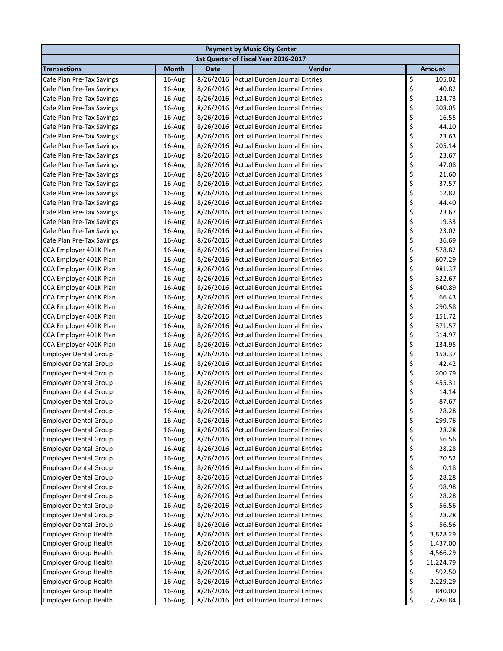|                                                              | <b>Payment by Music City Center</b>  |                        |                                                                              |          |                |  |  |
|--------------------------------------------------------------|--------------------------------------|------------------------|------------------------------------------------------------------------------|----------|----------------|--|--|
|                                                              | 1st Quarter of Fiscal Year 2016-2017 |                        |                                                                              |          |                |  |  |
| <b>Transactions</b>                                          | <b>Month</b>                         | <b>Date</b>            | Vendor                                                                       |          | <b>Amount</b>  |  |  |
| Cafe Plan Pre-Tax Savings                                    | 16-Aug                               | 8/26/2016              | <b>Actual Burden Journal Entries</b>                                         | \$       | 105.02         |  |  |
| Cafe Plan Pre-Tax Savings                                    | 16-Aug                               | 8/26/2016              | <b>Actual Burden Journal Entries</b>                                         | \$       | 40.82          |  |  |
| Cafe Plan Pre-Tax Savings                                    | 16-Aug                               | 8/26/2016              | <b>Actual Burden Journal Entries</b>                                         | \$       | 124.73         |  |  |
| Cafe Plan Pre-Tax Savings                                    | 16-Aug                               | 8/26/2016              | <b>Actual Burden Journal Entries</b>                                         | \$       | 308.05         |  |  |
| Cafe Plan Pre-Tax Savings                                    | 16-Aug                               | 8/26/2016              | <b>Actual Burden Journal Entries</b>                                         | \$       | 16.55          |  |  |
| Cafe Plan Pre-Tax Savings                                    | 16-Aug                               | 8/26/2016              | <b>Actual Burden Journal Entries</b>                                         | \$       | 44.10          |  |  |
| Cafe Plan Pre-Tax Savings                                    | 16-Aug                               | 8/26/2016              | <b>Actual Burden Journal Entries</b>                                         | \$       | 23.63          |  |  |
| Cafe Plan Pre-Tax Savings                                    | 16-Aug                               | 8/26/2016              | <b>Actual Burden Journal Entries</b>                                         | \$       | 205.14         |  |  |
| Cafe Plan Pre-Tax Savings                                    | 16-Aug                               | 8/26/2016              | <b>Actual Burden Journal Entries</b>                                         | \$       | 23.67          |  |  |
| Cafe Plan Pre-Tax Savings                                    | 16-Aug                               | 8/26/2016              | <b>Actual Burden Journal Entries</b>                                         | \$       | 47.08          |  |  |
| Cafe Plan Pre-Tax Savings                                    | 16-Aug                               | 8/26/2016              | <b>Actual Burden Journal Entries</b>                                         | \$       | 21.60          |  |  |
| Cafe Plan Pre-Tax Savings                                    | 16-Aug                               | 8/26/2016              | <b>Actual Burden Journal Entries</b>                                         | \$       | 37.57          |  |  |
| Cafe Plan Pre-Tax Savings                                    | 16-Aug                               | 8/26/2016              | Actual Burden Journal Entries                                                | \$       | 12.82          |  |  |
| Cafe Plan Pre-Tax Savings                                    | 16-Aug                               | 8/26/2016              | <b>Actual Burden Journal Entries</b>                                         | \$       | 44.40          |  |  |
| Cafe Plan Pre-Tax Savings                                    | 16-Aug                               | 8/26/2016              | <b>Actual Burden Journal Entries</b>                                         | \$       | 23.67          |  |  |
| Cafe Plan Pre-Tax Savings                                    | 16-Aug                               | 8/26/2016              | <b>Actual Burden Journal Entries</b>                                         | \$       | 19.33          |  |  |
| Cafe Plan Pre-Tax Savings                                    | 16-Aug                               | 8/26/2016              | <b>Actual Burden Journal Entries</b>                                         | \$       | 23.02          |  |  |
| Cafe Plan Pre-Tax Savings                                    | 16-Aug                               | 8/26/2016              | <b>Actual Burden Journal Entries</b>                                         | \$       | 36.69          |  |  |
| CCA Employer 401K Plan                                       | 16-Aug                               | 8/26/2016              | <b>Actual Burden Journal Entries</b>                                         | \$       | 578.82         |  |  |
| CCA Employer 401K Plan                                       | 16-Aug                               | 8/26/2016              | <b>Actual Burden Journal Entries</b>                                         | \$       | 607.29         |  |  |
| CCA Employer 401K Plan                                       | 16-Aug                               | 8/26/2016              | <b>Actual Burden Journal Entries</b>                                         | \$       | 981.37         |  |  |
| CCA Employer 401K Plan                                       | 16-Aug                               | 8/26/2016              | <b>Actual Burden Journal Entries</b>                                         | \$       | 322.67         |  |  |
| CCA Employer 401K Plan                                       | 16-Aug                               | 8/26/2016              | <b>Actual Burden Journal Entries</b>                                         | \$       | 640.89         |  |  |
| CCA Employer 401K Plan                                       | 16-Aug                               | 8/26/2016              | <b>Actual Burden Journal Entries</b>                                         | \$       | 66.43          |  |  |
| CCA Employer 401K Plan                                       | 16-Aug                               | 8/26/2016              | Actual Burden Journal Entries                                                | \$       | 290.58         |  |  |
| CCA Employer 401K Plan                                       | 16-Aug                               | 8/26/2016              | <b>Actual Burden Journal Entries</b>                                         | \$<br>\$ | 151.72         |  |  |
| CCA Employer 401K Plan                                       | 16-Aug                               | 8/26/2016              | <b>Actual Burden Journal Entries</b>                                         |          | 371.57         |  |  |
| CCA Employer 401K Plan                                       | 16-Aug                               | 8/26/2016              | <b>Actual Burden Journal Entries</b>                                         | \$       | 314.97         |  |  |
| CCA Employer 401K Plan                                       | 16-Aug                               | 8/26/2016              | <b>Actual Burden Journal Entries</b>                                         | \$       | 134.95         |  |  |
| <b>Employer Dental Group</b>                                 | 16-Aug                               | 8/26/2016              | <b>Actual Burden Journal Entries</b>                                         | \$       | 158.37         |  |  |
| <b>Employer Dental Group</b>                                 | 16-Aug                               | 8/26/2016              | <b>Actual Burden Journal Entries</b>                                         | \$       | 42.42          |  |  |
| <b>Employer Dental Group</b>                                 | 16-Aug                               | 8/26/2016              | <b>Actual Burden Journal Entries</b>                                         | \$       | 200.79         |  |  |
| <b>Employer Dental Group</b>                                 | 16-Aug                               | 8/26/2016              | <b>Actual Burden Journal Entries</b>                                         | \$       | 455.31         |  |  |
| <b>Employer Dental Group</b>                                 | 16-Aug                               | 8/26/2016              | <b>Actual Burden Journal Entries</b>                                         | \$       | 14.14          |  |  |
| <b>Employer Dental Group</b>                                 | 16-Aug                               | 8/26/2016              | <b>Actual Burden Journal Entries</b>                                         | \$<br>Ś  | 87.67          |  |  |
| <b>Employer Dental Group</b>                                 | 16-Aug                               |                        | 8/26/2016 Actual Burden Journal Entries                                      |          | 28.28          |  |  |
| <b>Employer Dental Group</b>                                 | 16-Aug                               | 8/26/2016              | <b>Actual Burden Journal Entries</b>                                         | \$       | 299.76         |  |  |
| <b>Employer Dental Group</b>                                 | 16-Aug                               | 8/26/2016              | <b>Actual Burden Journal Entries</b><br><b>Actual Burden Journal Entries</b> | \$<br>\$ | 28.28<br>56.56 |  |  |
| <b>Employer Dental Group</b>                                 | 16-Aug                               | 8/26/2016              | <b>Actual Burden Journal Entries</b>                                         |          | 28.28          |  |  |
| <b>Employer Dental Group</b><br><b>Employer Dental Group</b> | 16-Aug                               | 8/26/2016<br>8/26/2016 | <b>Actual Burden Journal Entries</b>                                         | \$<br>\$ | 70.52          |  |  |
| <b>Employer Dental Group</b>                                 | 16-Aug<br>16-Aug                     | 8/26/2016              | <b>Actual Burden Journal Entries</b>                                         | \$       | 0.18           |  |  |
| <b>Employer Dental Group</b>                                 | 16-Aug                               | 8/26/2016              | <b>Actual Burden Journal Entries</b>                                         | \$       | 28.28          |  |  |
| <b>Employer Dental Group</b>                                 | 16-Aug                               | 8/26/2016              | <b>Actual Burden Journal Entries</b>                                         | \$       | 98.98          |  |  |
| <b>Employer Dental Group</b>                                 | 16-Aug                               | 8/26/2016              | <b>Actual Burden Journal Entries</b>                                         |          | 28.28          |  |  |
| <b>Employer Dental Group</b>                                 | 16-Aug                               | 8/26/2016              | <b>Actual Burden Journal Entries</b>                                         | \$\$\$   | 56.56          |  |  |
| <b>Employer Dental Group</b>                                 | 16-Aug                               | 8/26/2016              | <b>Actual Burden Journal Entries</b>                                         |          | 28.28          |  |  |
| <b>Employer Dental Group</b>                                 | 16-Aug                               | 8/26/2016              | <b>Actual Burden Journal Entries</b>                                         |          | 56.56          |  |  |
| <b>Employer Group Health</b>                                 | 16-Aug                               | 8/26/2016              | <b>Actual Burden Journal Entries</b>                                         | \$<br>\$ | 3,828.29       |  |  |
| <b>Employer Group Health</b>                                 | 16-Aug                               | 8/26/2016              | <b>Actual Burden Journal Entries</b>                                         | \$       | 1,437.00       |  |  |
| <b>Employer Group Health</b>                                 | 16-Aug                               | 8/26/2016              | <b>Actual Burden Journal Entries</b>                                         |          | 4,566.29       |  |  |
| <b>Employer Group Health</b>                                 | 16-Aug                               | 8/26/2016              | <b>Actual Burden Journal Entries</b>                                         | \$<br>\$ | 11,224.79      |  |  |
| <b>Employer Group Health</b>                                 | 16-Aug                               | 8/26/2016              | <b>Actual Burden Journal Entries</b>                                         | \$       | 592.50         |  |  |
| <b>Employer Group Health</b>                                 | 16-Aug                               | 8/26/2016              | <b>Actual Burden Journal Entries</b>                                         | \$       | 2,229.29       |  |  |
| <b>Employer Group Health</b>                                 | 16-Aug                               | 8/26/2016              | <b>Actual Burden Journal Entries</b>                                         | \$       | 840.00         |  |  |
| <b>Employer Group Health</b>                                 | 16-Aug                               |                        | 8/26/2016 Actual Burden Journal Entries                                      | \$       | 7,786.84       |  |  |
|                                                              |                                      |                        |                                                                              |          |                |  |  |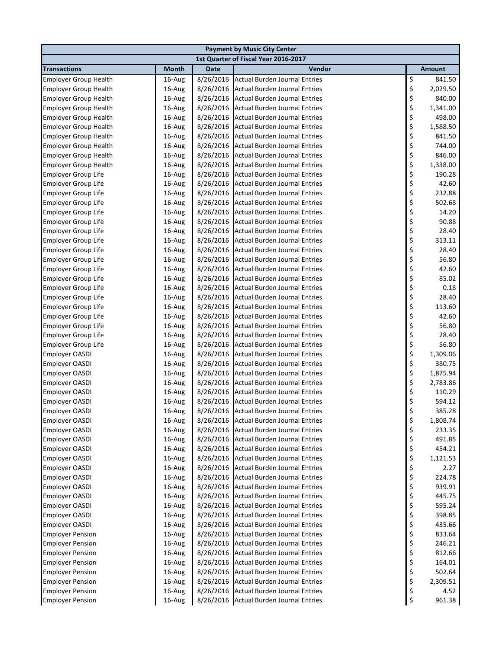| 1st Quarter of Fiscal Year 2016-2017<br><b>Transactions</b><br>Vendor<br><b>Month</b><br><b>Date</b><br><b>Amount</b><br>\$<br><b>Actual Burden Journal Entries</b><br>16-Aug<br>8/26/2016<br>841.50<br><b>Employer Group Health</b><br>\$<br><b>Actual Burden Journal Entries</b><br>2,029.50<br><b>Employer Group Health</b><br>16-Aug<br>8/26/2016<br>\$<br>840.00<br><b>Employer Group Health</b><br>16-Aug<br>8/26/2016<br>Actual Burden Journal Entries<br>\$<br>8/26/2016<br>Actual Burden Journal Entries<br>1,341.00<br><b>Employer Group Health</b><br>16-Aug<br>\$<br>498.00<br>8/26/2016<br><b>Actual Burden Journal Entries</b><br><b>Employer Group Health</b><br>16-Aug<br>\$<br>8/26/2016<br><b>Actual Burden Journal Entries</b><br>1,588.50<br><b>Employer Group Health</b><br>16-Aug<br>\$<br>8/26/2016<br>841.50<br><b>Employer Group Health</b><br>16-Aug<br><b>Actual Burden Journal Entries</b><br>\$<br>8/26/2016<br><b>Actual Burden Journal Entries</b><br>744.00<br><b>Employer Group Health</b><br>16-Aug<br>\$<br>846.00<br><b>Employer Group Health</b><br>16-Aug<br>8/26/2016<br><b>Actual Burden Journal Entries</b><br>\$<br>8/26/2016<br><b>Actual Burden Journal Entries</b><br>1,338.00<br><b>Employer Group Health</b><br>16-Aug<br>\$<br>8/26/2016<br><b>Actual Burden Journal Entries</b><br>190.28<br><b>Employer Group Life</b><br>16-Aug<br>\$<br><b>Actual Burden Journal Entries</b><br>42.60<br><b>Employer Group Life</b><br>16-Aug<br>8/26/2016<br>\$<br><b>Actual Burden Journal Entries</b><br>232.88<br><b>Employer Group Life</b><br>16-Aug<br>8/26/2016<br>\$<br><b>Actual Burden Journal Entries</b><br>502.68<br><b>Employer Group Life</b><br>16-Aug<br>8/26/2016<br>\$<br>Actual Burden Journal Entries<br>14.20<br><b>Employer Group Life</b><br>16-Aug<br>8/26/2016 |
|-------------------------------------------------------------------------------------------------------------------------------------------------------------------------------------------------------------------------------------------------------------------------------------------------------------------------------------------------------------------------------------------------------------------------------------------------------------------------------------------------------------------------------------------------------------------------------------------------------------------------------------------------------------------------------------------------------------------------------------------------------------------------------------------------------------------------------------------------------------------------------------------------------------------------------------------------------------------------------------------------------------------------------------------------------------------------------------------------------------------------------------------------------------------------------------------------------------------------------------------------------------------------------------------------------------------------------------------------------------------------------------------------------------------------------------------------------------------------------------------------------------------------------------------------------------------------------------------------------------------------------------------------------------------------------------------------------------------------------------------------------------------------------------------------------------------------------|
|                                                                                                                                                                                                                                                                                                                                                                                                                                                                                                                                                                                                                                                                                                                                                                                                                                                                                                                                                                                                                                                                                                                                                                                                                                                                                                                                                                                                                                                                                                                                                                                                                                                                                                                                                                                                                               |
|                                                                                                                                                                                                                                                                                                                                                                                                                                                                                                                                                                                                                                                                                                                                                                                                                                                                                                                                                                                                                                                                                                                                                                                                                                                                                                                                                                                                                                                                                                                                                                                                                                                                                                                                                                                                                               |
|                                                                                                                                                                                                                                                                                                                                                                                                                                                                                                                                                                                                                                                                                                                                                                                                                                                                                                                                                                                                                                                                                                                                                                                                                                                                                                                                                                                                                                                                                                                                                                                                                                                                                                                                                                                                                               |
|                                                                                                                                                                                                                                                                                                                                                                                                                                                                                                                                                                                                                                                                                                                                                                                                                                                                                                                                                                                                                                                                                                                                                                                                                                                                                                                                                                                                                                                                                                                                                                                                                                                                                                                                                                                                                               |
|                                                                                                                                                                                                                                                                                                                                                                                                                                                                                                                                                                                                                                                                                                                                                                                                                                                                                                                                                                                                                                                                                                                                                                                                                                                                                                                                                                                                                                                                                                                                                                                                                                                                                                                                                                                                                               |
|                                                                                                                                                                                                                                                                                                                                                                                                                                                                                                                                                                                                                                                                                                                                                                                                                                                                                                                                                                                                                                                                                                                                                                                                                                                                                                                                                                                                                                                                                                                                                                                                                                                                                                                                                                                                                               |
|                                                                                                                                                                                                                                                                                                                                                                                                                                                                                                                                                                                                                                                                                                                                                                                                                                                                                                                                                                                                                                                                                                                                                                                                                                                                                                                                                                                                                                                                                                                                                                                                                                                                                                                                                                                                                               |
|                                                                                                                                                                                                                                                                                                                                                                                                                                                                                                                                                                                                                                                                                                                                                                                                                                                                                                                                                                                                                                                                                                                                                                                                                                                                                                                                                                                                                                                                                                                                                                                                                                                                                                                                                                                                                               |
|                                                                                                                                                                                                                                                                                                                                                                                                                                                                                                                                                                                                                                                                                                                                                                                                                                                                                                                                                                                                                                                                                                                                                                                                                                                                                                                                                                                                                                                                                                                                                                                                                                                                                                                                                                                                                               |
|                                                                                                                                                                                                                                                                                                                                                                                                                                                                                                                                                                                                                                                                                                                                                                                                                                                                                                                                                                                                                                                                                                                                                                                                                                                                                                                                                                                                                                                                                                                                                                                                                                                                                                                                                                                                                               |
|                                                                                                                                                                                                                                                                                                                                                                                                                                                                                                                                                                                                                                                                                                                                                                                                                                                                                                                                                                                                                                                                                                                                                                                                                                                                                                                                                                                                                                                                                                                                                                                                                                                                                                                                                                                                                               |
|                                                                                                                                                                                                                                                                                                                                                                                                                                                                                                                                                                                                                                                                                                                                                                                                                                                                                                                                                                                                                                                                                                                                                                                                                                                                                                                                                                                                                                                                                                                                                                                                                                                                                                                                                                                                                               |
|                                                                                                                                                                                                                                                                                                                                                                                                                                                                                                                                                                                                                                                                                                                                                                                                                                                                                                                                                                                                                                                                                                                                                                                                                                                                                                                                                                                                                                                                                                                                                                                                                                                                                                                                                                                                                               |
|                                                                                                                                                                                                                                                                                                                                                                                                                                                                                                                                                                                                                                                                                                                                                                                                                                                                                                                                                                                                                                                                                                                                                                                                                                                                                                                                                                                                                                                                                                                                                                                                                                                                                                                                                                                                                               |
|                                                                                                                                                                                                                                                                                                                                                                                                                                                                                                                                                                                                                                                                                                                                                                                                                                                                                                                                                                                                                                                                                                                                                                                                                                                                                                                                                                                                                                                                                                                                                                                                                                                                                                                                                                                                                               |
|                                                                                                                                                                                                                                                                                                                                                                                                                                                                                                                                                                                                                                                                                                                                                                                                                                                                                                                                                                                                                                                                                                                                                                                                                                                                                                                                                                                                                                                                                                                                                                                                                                                                                                                                                                                                                               |
|                                                                                                                                                                                                                                                                                                                                                                                                                                                                                                                                                                                                                                                                                                                                                                                                                                                                                                                                                                                                                                                                                                                                                                                                                                                                                                                                                                                                                                                                                                                                                                                                                                                                                                                                                                                                                               |
| \$<br>Actual Burden Journal Entries<br>90.88<br><b>Employer Group Life</b><br>16-Aug<br>8/26/2016                                                                                                                                                                                                                                                                                                                                                                                                                                                                                                                                                                                                                                                                                                                                                                                                                                                                                                                                                                                                                                                                                                                                                                                                                                                                                                                                                                                                                                                                                                                                                                                                                                                                                                                             |
| \$<br>28.40<br><b>Employer Group Life</b><br>16-Aug<br>8/26/2016<br>Actual Burden Journal Entries                                                                                                                                                                                                                                                                                                                                                                                                                                                                                                                                                                                                                                                                                                                                                                                                                                                                                                                                                                                                                                                                                                                                                                                                                                                                                                                                                                                                                                                                                                                                                                                                                                                                                                                             |
| \$<br>313.11<br><b>Employer Group Life</b><br>16-Aug<br>8/26/2016<br><b>Actual Burden Journal Entries</b>                                                                                                                                                                                                                                                                                                                                                                                                                                                                                                                                                                                                                                                                                                                                                                                                                                                                                                                                                                                                                                                                                                                                                                                                                                                                                                                                                                                                                                                                                                                                                                                                                                                                                                                     |
| \$<br><b>Employer Group Life</b><br>28.40<br>16-Aug<br>8/26/2016<br><b>Actual Burden Journal Entries</b>                                                                                                                                                                                                                                                                                                                                                                                                                                                                                                                                                                                                                                                                                                                                                                                                                                                                                                                                                                                                                                                                                                                                                                                                                                                                                                                                                                                                                                                                                                                                                                                                                                                                                                                      |
| \$<br><b>Employer Group Life</b><br>8/26/2016<br><b>Actual Burden Journal Entries</b><br>56.80<br>16-Aug                                                                                                                                                                                                                                                                                                                                                                                                                                                                                                                                                                                                                                                                                                                                                                                                                                                                                                                                                                                                                                                                                                                                                                                                                                                                                                                                                                                                                                                                                                                                                                                                                                                                                                                      |
| \$<br><b>Employer Group Life</b><br><b>Actual Burden Journal Entries</b><br>42.60<br>16-Aug<br>8/26/2016                                                                                                                                                                                                                                                                                                                                                                                                                                                                                                                                                                                                                                                                                                                                                                                                                                                                                                                                                                                                                                                                                                                                                                                                                                                                                                                                                                                                                                                                                                                                                                                                                                                                                                                      |
| \$<br>85.02<br><b>Actual Burden Journal Entries</b><br><b>Employer Group Life</b><br>16-Aug<br>8/26/2016                                                                                                                                                                                                                                                                                                                                                                                                                                                                                                                                                                                                                                                                                                                                                                                                                                                                                                                                                                                                                                                                                                                                                                                                                                                                                                                                                                                                                                                                                                                                                                                                                                                                                                                      |
| \$<br>8/26/2016<br><b>Actual Burden Journal Entries</b><br>0.18<br><b>Employer Group Life</b><br>16-Aug                                                                                                                                                                                                                                                                                                                                                                                                                                                                                                                                                                                                                                                                                                                                                                                                                                                                                                                                                                                                                                                                                                                                                                                                                                                                                                                                                                                                                                                                                                                                                                                                                                                                                                                       |
| \$<br><b>Actual Burden Journal Entries</b><br>28.40<br>Employer Group Life<br>16-Aug<br>8/26/2016                                                                                                                                                                                                                                                                                                                                                                                                                                                                                                                                                                                                                                                                                                                                                                                                                                                                                                                                                                                                                                                                                                                                                                                                                                                                                                                                                                                                                                                                                                                                                                                                                                                                                                                             |
| \$<br>113.60<br>Employer Group Life<br>16-Aug<br>8/26/2016<br><b>Actual Burden Journal Entries</b>                                                                                                                                                                                                                                                                                                                                                                                                                                                                                                                                                                                                                                                                                                                                                                                                                                                                                                                                                                                                                                                                                                                                                                                                                                                                                                                                                                                                                                                                                                                                                                                                                                                                                                                            |
| \$<br>16-Aug<br>8/26/2016<br><b>Actual Burden Journal Entries</b><br>42.60<br><b>Employer Group Life</b>                                                                                                                                                                                                                                                                                                                                                                                                                                                                                                                                                                                                                                                                                                                                                                                                                                                                                                                                                                                                                                                                                                                                                                                                                                                                                                                                                                                                                                                                                                                                                                                                                                                                                                                      |
| \$<br>8/26/2016<br><b>Actual Burden Journal Entries</b><br>56.80<br><b>Employer Group Life</b><br>16-Aug                                                                                                                                                                                                                                                                                                                                                                                                                                                                                                                                                                                                                                                                                                                                                                                                                                                                                                                                                                                                                                                                                                                                                                                                                                                                                                                                                                                                                                                                                                                                                                                                                                                                                                                      |
| \$<br>28.40<br><b>Employer Group Life</b><br>16-Aug<br>8/26/2016<br><b>Actual Burden Journal Entries</b>                                                                                                                                                                                                                                                                                                                                                                                                                                                                                                                                                                                                                                                                                                                                                                                                                                                                                                                                                                                                                                                                                                                                                                                                                                                                                                                                                                                                                                                                                                                                                                                                                                                                                                                      |
| \$<br>8/26/2016<br>Actual Burden Journal Entries<br>56.80<br><b>Employer Group Life</b><br>16-Aug                                                                                                                                                                                                                                                                                                                                                                                                                                                                                                                                                                                                                                                                                                                                                                                                                                                                                                                                                                                                                                                                                                                                                                                                                                                                                                                                                                                                                                                                                                                                                                                                                                                                                                                             |
| \$<br>8/26/2016<br><b>Actual Burden Journal Entries</b><br>1,309.06<br><b>Employer OASDI</b><br>16-Aug                                                                                                                                                                                                                                                                                                                                                                                                                                                                                                                                                                                                                                                                                                                                                                                                                                                                                                                                                                                                                                                                                                                                                                                                                                                                                                                                                                                                                                                                                                                                                                                                                                                                                                                        |
| \$<br>380.75<br><b>Employer OASDI</b><br>8/26/2016<br><b>Actual Burden Journal Entries</b><br>16-Aug                                                                                                                                                                                                                                                                                                                                                                                                                                                                                                                                                                                                                                                                                                                                                                                                                                                                                                                                                                                                                                                                                                                                                                                                                                                                                                                                                                                                                                                                                                                                                                                                                                                                                                                          |
| \$<br>8/26/2016<br>1,875.94<br><b>Employer OASDI</b><br>16-Aug<br><b>Actual Burden Journal Entries</b>                                                                                                                                                                                                                                                                                                                                                                                                                                                                                                                                                                                                                                                                                                                                                                                                                                                                                                                                                                                                                                                                                                                                                                                                                                                                                                                                                                                                                                                                                                                                                                                                                                                                                                                        |
| \$<br><b>Employer OASDI</b><br>8/26/2016<br><b>Actual Burden Journal Entries</b><br>2,783.86<br>16-Aug                                                                                                                                                                                                                                                                                                                                                                                                                                                                                                                                                                                                                                                                                                                                                                                                                                                                                                                                                                                                                                                                                                                                                                                                                                                                                                                                                                                                                                                                                                                                                                                                                                                                                                                        |
| \$<br><b>Employer OASDI</b><br>8/26/2016<br><b>Actual Burden Journal Entries</b><br>110.29<br>16-Aug                                                                                                                                                                                                                                                                                                                                                                                                                                                                                                                                                                                                                                                                                                                                                                                                                                                                                                                                                                                                                                                                                                                                                                                                                                                                                                                                                                                                                                                                                                                                                                                                                                                                                                                          |
| \$<br>8/26/2016<br><b>Actual Burden Journal Entries</b><br>594.12<br><b>Employer OASDI</b><br>16-Aug                                                                                                                                                                                                                                                                                                                                                                                                                                                                                                                                                                                                                                                                                                                                                                                                                                                                                                                                                                                                                                                                                                                                                                                                                                                                                                                                                                                                                                                                                                                                                                                                                                                                                                                          |
| Ś<br>8/26/2016 Actual Burden Journal Entries<br>385.28<br><b>Employer OASDI</b><br>$16$ -Aug                                                                                                                                                                                                                                                                                                                                                                                                                                                                                                                                                                                                                                                                                                                                                                                                                                                                                                                                                                                                                                                                                                                                                                                                                                                                                                                                                                                                                                                                                                                                                                                                                                                                                                                                  |
| \$<br><b>Employer OASDI</b><br>8/26/2016<br><b>Actual Burden Journal Entries</b><br>1,808.74<br>16-Aug                                                                                                                                                                                                                                                                                                                                                                                                                                                                                                                                                                                                                                                                                                                                                                                                                                                                                                                                                                                                                                                                                                                                                                                                                                                                                                                                                                                                                                                                                                                                                                                                                                                                                                                        |
| \$<br>Employer OASDI<br>16-Aug<br>8/26/2016<br><b>Actual Burden Journal Entries</b><br>233.35<br><b>Actual Burden Journal Entries</b>                                                                                                                                                                                                                                                                                                                                                                                                                                                                                                                                                                                                                                                                                                                                                                                                                                                                                                                                                                                                                                                                                                                                                                                                                                                                                                                                                                                                                                                                                                                                                                                                                                                                                         |
| \$<br>Employer OASDI<br>16-Aug<br>8/26/2016<br>491.85                                                                                                                                                                                                                                                                                                                                                                                                                                                                                                                                                                                                                                                                                                                                                                                                                                                                                                                                                                                                                                                                                                                                                                                                                                                                                                                                                                                                                                                                                                                                                                                                                                                                                                                                                                         |
| \$<br><b>Employer OASDI</b><br>Actual Burden Journal Entries<br>454.21<br>16-Aug<br>8/26/2016<br><b>Actual Burden Journal Entries</b>                                                                                                                                                                                                                                                                                                                                                                                                                                                                                                                                                                                                                                                                                                                                                                                                                                                                                                                                                                                                                                                                                                                                                                                                                                                                                                                                                                                                                                                                                                                                                                                                                                                                                         |
| \$<br><b>Employer OASDI</b><br>8/26/2016<br>1,121.53<br>16-Aug<br>\$<br><b>Employer OASDI</b><br>8/26/2016<br>16-Aug<br><b>Actual Burden Journal Entries</b><br>2.27                                                                                                                                                                                                                                                                                                                                                                                                                                                                                                                                                                                                                                                                                                                                                                                                                                                                                                                                                                                                                                                                                                                                                                                                                                                                                                                                                                                                                                                                                                                                                                                                                                                          |
| \$<br>Employer OASDI<br>224.78<br>16-Aug<br>8/26/2016<br><b>Actual Burden Journal Entries</b>                                                                                                                                                                                                                                                                                                                                                                                                                                                                                                                                                                                                                                                                                                                                                                                                                                                                                                                                                                                                                                                                                                                                                                                                                                                                                                                                                                                                                                                                                                                                                                                                                                                                                                                                 |
| \$<br><b>Employer OASDI</b><br>939.91<br>16-Aug<br>8/26/2016<br><b>Actual Burden Journal Entries</b>                                                                                                                                                                                                                                                                                                                                                                                                                                                                                                                                                                                                                                                                                                                                                                                                                                                                                                                                                                                                                                                                                                                                                                                                                                                                                                                                                                                                                                                                                                                                                                                                                                                                                                                          |
| \$<br><b>Employer OASDI</b><br>8/26/2016<br><b>Actual Burden Journal Entries</b><br>445.75<br>16-Aug                                                                                                                                                                                                                                                                                                                                                                                                                                                                                                                                                                                                                                                                                                                                                                                                                                                                                                                                                                                                                                                                                                                                                                                                                                                                                                                                                                                                                                                                                                                                                                                                                                                                                                                          |
| \$<br><b>Employer OASDI</b><br>8/26/2016<br><b>Actual Burden Journal Entries</b><br>595.24<br>16-Aug                                                                                                                                                                                                                                                                                                                                                                                                                                                                                                                                                                                                                                                                                                                                                                                                                                                                                                                                                                                                                                                                                                                                                                                                                                                                                                                                                                                                                                                                                                                                                                                                                                                                                                                          |
| \$<br>Employer OASDI<br>8/26/2016<br><b>Actual Burden Journal Entries</b><br>398.85<br>16-Aug                                                                                                                                                                                                                                                                                                                                                                                                                                                                                                                                                                                                                                                                                                                                                                                                                                                                                                                                                                                                                                                                                                                                                                                                                                                                                                                                                                                                                                                                                                                                                                                                                                                                                                                                 |
| \$<br>8/26/2016<br><b>Actual Burden Journal Entries</b><br>435.66<br><b>Employer OASDI</b><br>16-Aug                                                                                                                                                                                                                                                                                                                                                                                                                                                                                                                                                                                                                                                                                                                                                                                                                                                                                                                                                                                                                                                                                                                                                                                                                                                                                                                                                                                                                                                                                                                                                                                                                                                                                                                          |
| \$<br><b>Actual Burden Journal Entries</b><br>833.64<br><b>Employer Pension</b><br>16-Aug<br>8/26/2016                                                                                                                                                                                                                                                                                                                                                                                                                                                                                                                                                                                                                                                                                                                                                                                                                                                                                                                                                                                                                                                                                                                                                                                                                                                                                                                                                                                                                                                                                                                                                                                                                                                                                                                        |
| \$<br>246.21<br><b>Employer Pension</b><br>16-Aug<br>8/26/2016<br><b>Actual Burden Journal Entries</b>                                                                                                                                                                                                                                                                                                                                                                                                                                                                                                                                                                                                                                                                                                                                                                                                                                                                                                                                                                                                                                                                                                                                                                                                                                                                                                                                                                                                                                                                                                                                                                                                                                                                                                                        |
| \$<br>8/26/2016<br><b>Actual Burden Journal Entries</b><br>812.66<br><b>Employer Pension</b><br>16-Aug                                                                                                                                                                                                                                                                                                                                                                                                                                                                                                                                                                                                                                                                                                                                                                                                                                                                                                                                                                                                                                                                                                                                                                                                                                                                                                                                                                                                                                                                                                                                                                                                                                                                                                                        |
| \$<br>8/26/2016<br><b>Actual Burden Journal Entries</b><br>164.01<br><b>Employer Pension</b><br>16-Aug                                                                                                                                                                                                                                                                                                                                                                                                                                                                                                                                                                                                                                                                                                                                                                                                                                                                                                                                                                                                                                                                                                                                                                                                                                                                                                                                                                                                                                                                                                                                                                                                                                                                                                                        |
| \$<br>502.64<br><b>Employer Pension</b><br>16-Aug<br>8/26/2016<br>Actual Burden Journal Entries                                                                                                                                                                                                                                                                                                                                                                                                                                                                                                                                                                                                                                                                                                                                                                                                                                                                                                                                                                                                                                                                                                                                                                                                                                                                                                                                                                                                                                                                                                                                                                                                                                                                                                                               |
| \$<br>8/26/2016<br>Actual Burden Journal Entries<br>2,309.51<br><b>Employer Pension</b><br>16-Aug                                                                                                                                                                                                                                                                                                                                                                                                                                                                                                                                                                                                                                                                                                                                                                                                                                                                                                                                                                                                                                                                                                                                                                                                                                                                                                                                                                                                                                                                                                                                                                                                                                                                                                                             |
| \$<br><b>Employer Pension</b><br>8/26/2016 Actual Burden Journal Entries<br>4.52<br>16-Aug                                                                                                                                                                                                                                                                                                                                                                                                                                                                                                                                                                                                                                                                                                                                                                                                                                                                                                                                                                                                                                                                                                                                                                                                                                                                                                                                                                                                                                                                                                                                                                                                                                                                                                                                    |
| \$<br><b>Employer Pension</b><br>8/26/2016 Actual Burden Journal Entries<br>961.38<br>16-Aug                                                                                                                                                                                                                                                                                                                                                                                                                                                                                                                                                                                                                                                                                                                                                                                                                                                                                                                                                                                                                                                                                                                                                                                                                                                                                                                                                                                                                                                                                                                                                                                                                                                                                                                                  |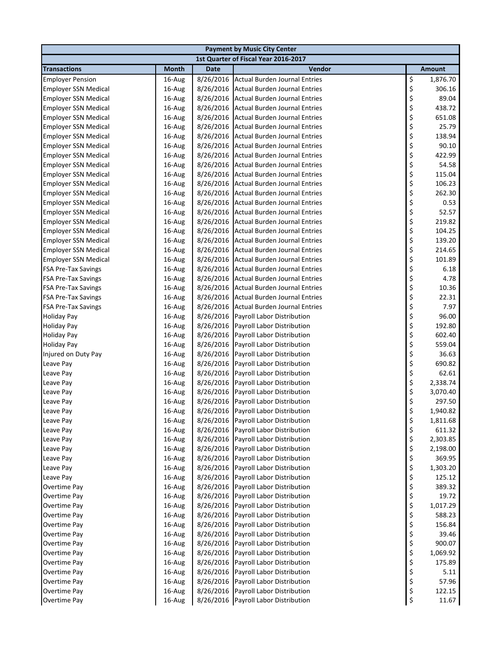| <b>Payment by Music City Center</b> |              |             |                                      |    |               |  |
|-------------------------------------|--------------|-------------|--------------------------------------|----|---------------|--|
|                                     |              |             | 1st Quarter of Fiscal Year 2016-2017 |    |               |  |
| <b>Transactions</b>                 | <b>Month</b> | <b>Date</b> | Vendor                               |    | <b>Amount</b> |  |
| <b>Employer Pension</b>             | 16-Aug       | 8/26/2016   | <b>Actual Burden Journal Entries</b> | \$ | 1,876.70      |  |
| <b>Employer SSN Medical</b>         | 16-Aug       | 8/26/2016   | <b>Actual Burden Journal Entries</b> | \$ | 306.16        |  |
| <b>Employer SSN Medical</b>         | 16-Aug       | 8/26/2016   | <b>Actual Burden Journal Entries</b> | \$ | 89.04         |  |
| <b>Employer SSN Medical</b>         | 16-Aug       | 8/26/2016   | <b>Actual Burden Journal Entries</b> | \$ | 438.72        |  |
| <b>Employer SSN Medical</b>         | 16-Aug       | 8/26/2016   | <b>Actual Burden Journal Entries</b> | \$ | 651.08        |  |
| <b>Employer SSN Medical</b>         | 16-Aug       | 8/26/2016   | <b>Actual Burden Journal Entries</b> | \$ | 25.79         |  |
| <b>Employer SSN Medical</b>         | 16-Aug       | 8/26/2016   | <b>Actual Burden Journal Entries</b> | \$ | 138.94        |  |
| <b>Employer SSN Medical</b>         | 16-Aug       | 8/26/2016   | <b>Actual Burden Journal Entries</b> | \$ | 90.10         |  |
| <b>Employer SSN Medical</b>         | 16-Aug       | 8/26/2016   | <b>Actual Burden Journal Entries</b> | \$ | 422.99        |  |
| <b>Employer SSN Medical</b>         | 16-Aug       | 8/26/2016   | <b>Actual Burden Journal Entries</b> | \$ | 54.58         |  |
| <b>Employer SSN Medical</b>         | 16-Aug       | 8/26/2016   | <b>Actual Burden Journal Entries</b> | \$ | 115.04        |  |
| <b>Employer SSN Medical</b>         | 16-Aug       | 8/26/2016   | <b>Actual Burden Journal Entries</b> | \$ | 106.23        |  |
| <b>Employer SSN Medical</b>         | 16-Aug       | 8/26/2016   | <b>Actual Burden Journal Entries</b> | \$ | 262.30        |  |
| <b>Employer SSN Medical</b>         | 16-Aug       | 8/26/2016   | <b>Actual Burden Journal Entries</b> | \$ | 0.53          |  |
| <b>Employer SSN Medical</b>         | 16-Aug       | 8/26/2016   | <b>Actual Burden Journal Entries</b> | \$ | 52.57         |  |
| <b>Employer SSN Medical</b>         | 16-Aug       | 8/26/2016   | <b>Actual Burden Journal Entries</b> | \$ | 219.82        |  |
| <b>Employer SSN Medical</b>         | 16-Aug       | 8/26/2016   | <b>Actual Burden Journal Entries</b> | \$ | 104.25        |  |
| <b>Employer SSN Medical</b>         | 16-Aug       | 8/26/2016   | <b>Actual Burden Journal Entries</b> | \$ | 139.20        |  |
| <b>Employer SSN Medical</b>         | 16-Aug       | 8/26/2016   | <b>Actual Burden Journal Entries</b> | \$ | 214.65        |  |
| <b>Employer SSN Medical</b>         | 16-Aug       | 8/26/2016   | <b>Actual Burden Journal Entries</b> | \$ | 101.89        |  |
| FSA Pre-Tax Savings                 | 16-Aug       | 8/26/2016   | <b>Actual Burden Journal Entries</b> | \$ | 6.18          |  |
| FSA Pre-Tax Savings                 | 16-Aug       | 8/26/2016   | <b>Actual Burden Journal Entries</b> | \$ | 4.78          |  |
| <b>FSA Pre-Tax Savings</b>          | 16-Aug       | 8/26/2016   | <b>Actual Burden Journal Entries</b> | \$ | 10.36         |  |
| <b>FSA Pre-Tax Savings</b>          | 16-Aug       | 8/26/2016   | <b>Actual Burden Journal Entries</b> | \$ | 22.31         |  |
| <b>FSA Pre-Tax Savings</b>          | 16-Aug       | 8/26/2016   | <b>Actual Burden Journal Entries</b> | \$ | 7.97          |  |
| <b>Holiday Pay</b>                  | 16-Aug       | 8/26/2016   | Payroll Labor Distribution           | \$ | 96.00         |  |
| <b>Holiday Pay</b>                  | 16-Aug       | 8/26/2016   | Payroll Labor Distribution           | \$ | 192.80        |  |
| <b>Holiday Pay</b>                  | 16-Aug       | 8/26/2016   | Payroll Labor Distribution           | \$ | 602.40        |  |
| <b>Holiday Pay</b>                  | 16-Aug       | 8/26/2016   | Payroll Labor Distribution           | \$ | 559.04        |  |
| Injured on Duty Pay                 | 16-Aug       | 8/26/2016   | Payroll Labor Distribution           | \$ | 36.63         |  |
| Leave Pay                           | 16-Aug       | 8/26/2016   | Payroll Labor Distribution           | \$ | 690.82        |  |
| Leave Pay                           | 16-Aug       | 8/26/2016   | Payroll Labor Distribution           | \$ | 62.61         |  |
| Leave Pay                           | 16-Aug       | 8/26/2016   | Payroll Labor Distribution           | \$ | 2,338.74      |  |
| Leave Pay                           | 16-Aug       | 8/26/2016   | Payroll Labor Distribution           | \$ | 3,070.40      |  |
| Leave Pay                           | 16-Aug       | 8/26/2016   | Payroll Labor Distribution           | \$ | 297.50        |  |
| Leave Pay                           | 16-Aug       |             | 8/26/2016 Payroll Labor Distribution | Ś  | 1,940.82      |  |
| Leave Pay                           | 16-Aug       | 8/26/2016   | Payroll Labor Distribution           | \$ | 1,811.68      |  |
| Leave Pay                           | 16-Aug       | 8/26/2016   | Payroll Labor Distribution           | \$ | 611.32        |  |
| Leave Pay                           | 16-Aug       | 8/26/2016   | Payroll Labor Distribution           | \$ | 2,303.85      |  |
| Leave Pay                           | 16-Aug       | 8/26/2016   | Payroll Labor Distribution           | \$ | 2,198.00      |  |
| Leave Pay                           | 16-Aug       | 8/26/2016   | Payroll Labor Distribution           | \$ | 369.95        |  |
| Leave Pay                           | 16-Aug       | 8/26/2016   | Payroll Labor Distribution           | \$ | 1,303.20      |  |
| Leave Pay                           | 16-Aug       | 8/26/2016   | Payroll Labor Distribution           | \$ | 125.12        |  |
| Overtime Pay                        | 16-Aug       | 8/26/2016   | Payroll Labor Distribution           | \$ | 389.32        |  |
| Overtime Pay                        | 16-Aug       | 8/26/2016   | Payroll Labor Distribution           | \$ | 19.72         |  |
| Overtime Pay                        | 16-Aug       | 8/26/2016   | Payroll Labor Distribution           | \$ | 1,017.29      |  |
| Overtime Pay                        | 16-Aug       | 8/26/2016   | Payroll Labor Distribution           | \$ | 588.23        |  |
| Overtime Pay                        | 16-Aug       | 8/26/2016   | Payroll Labor Distribution           | \$ | 156.84        |  |
| Overtime Pay                        | 16-Aug       | 8/26/2016   | Payroll Labor Distribution           | \$ | 39.46         |  |
| Overtime Pay                        | 16-Aug       | 8/26/2016   | Payroll Labor Distribution           | \$ | 900.07        |  |
| Overtime Pay                        | 16-Aug       | 8/26/2016   | Payroll Labor Distribution           | \$ | 1,069.92      |  |
| Overtime Pay                        | 16-Aug       | 8/26/2016   | Payroll Labor Distribution           | \$ | 175.89        |  |
| Overtime Pay                        | 16-Aug       | 8/26/2016   | Payroll Labor Distribution           | \$ | 5.11          |  |
| Overtime Pay                        | 16-Aug       | 8/26/2016   | Payroll Labor Distribution           | \$ | 57.96         |  |
| Overtime Pay                        | 16-Aug       | 8/26/2016   | Payroll Labor Distribution           | \$ | 122.15        |  |
| <b>Overtime Pay</b>                 | 16-Aug       | 8/26/2016   | Payroll Labor Distribution           | \$ | 11.67         |  |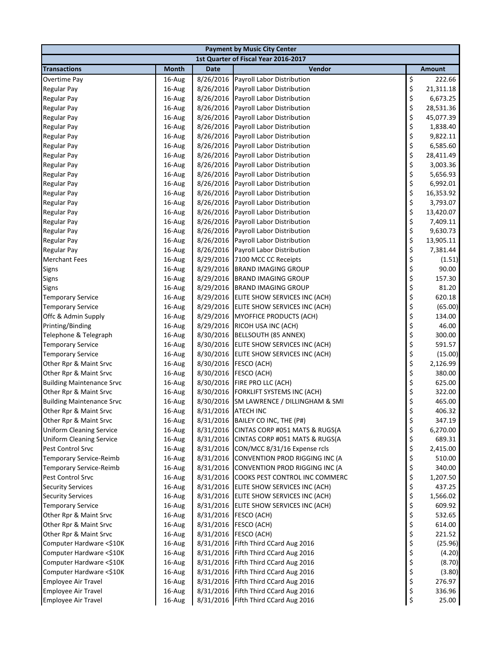| <b>Payment by Music City Center</b> |              |             |                                          |    |           |  |  |
|-------------------------------------|--------------|-------------|------------------------------------------|----|-----------|--|--|
|                                     |              |             | 1st Quarter of Fiscal Year 2016-2017     |    |           |  |  |
| <b>Transactions</b>                 | <b>Month</b> | <b>Date</b> | Vendor                                   |    | Amount    |  |  |
| Overtime Pay                        | 16-Aug       | 8/26/2016   | Payroll Labor Distribution               | \$ | 222.66    |  |  |
| <b>Regular Pay</b>                  | 16-Aug       | 8/26/2016   | <b>Payroll Labor Distribution</b>        | \$ | 21,311.18 |  |  |
| <b>Regular Pay</b>                  | 16-Aug       | 8/26/2016   | Payroll Labor Distribution               | \$ | 6,673.25  |  |  |
| <b>Regular Pay</b>                  | 16-Aug       | 8/26/2016   | Payroll Labor Distribution               | \$ | 28,531.36 |  |  |
| <b>Regular Pay</b>                  | 16-Aug       | 8/26/2016   | Payroll Labor Distribution               | \$ | 45,077.39 |  |  |
| <b>Regular Pay</b>                  | 16-Aug       | 8/26/2016   | Payroll Labor Distribution               | \$ | 1,838.40  |  |  |
| <b>Regular Pay</b>                  | 16-Aug       | 8/26/2016   | Payroll Labor Distribution               | \$ | 9,822.11  |  |  |
| <b>Regular Pay</b>                  | 16-Aug       | 8/26/2016   | Payroll Labor Distribution               | \$ | 6,585.60  |  |  |
| <b>Regular Pay</b>                  | 16-Aug       | 8/26/2016   | <b>Payroll Labor Distribution</b>        | \$ | 28,411.49 |  |  |
| <b>Regular Pay</b>                  | 16-Aug       | 8/26/2016   | Payroll Labor Distribution               | \$ | 3,003.36  |  |  |
| <b>Regular Pay</b>                  | 16-Aug       | 8/26/2016   | Payroll Labor Distribution               | \$ | 5,656.93  |  |  |
| <b>Regular Pay</b>                  | 16-Aug       | 8/26/2016   | Payroll Labor Distribution               | \$ | 6,992.01  |  |  |
| <b>Regular Pay</b>                  | 16-Aug       | 8/26/2016   | Payroll Labor Distribution               | \$ | 16,353.92 |  |  |
| <b>Regular Pay</b>                  | 16-Aug       | 8/26/2016   | Payroll Labor Distribution               | \$ | 3,793.07  |  |  |
| <b>Regular Pay</b>                  | 16-Aug       | 8/26/2016   | Payroll Labor Distribution               | \$ | 13,420.07 |  |  |
| <b>Regular Pay</b>                  | 16-Aug       | 8/26/2016   | Payroll Labor Distribution               | \$ | 7,409.11  |  |  |
| <b>Regular Pay</b>                  | 16-Aug       | 8/26/2016   | Payroll Labor Distribution               | \$ | 9,630.73  |  |  |
| <b>Regular Pay</b>                  | 16-Aug       | 8/26/2016   | Payroll Labor Distribution               | \$ | 13,905.11 |  |  |
| <b>Regular Pay</b>                  | 16-Aug       | 8/26/2016   | Payroll Labor Distribution               | \$ | 7,381.44  |  |  |
| <b>Merchant Fees</b>                | 16-Aug       | 8/29/2016   | 7100 MCC CC Receipts                     | \$ | (1.51)    |  |  |
| Signs                               | 16-Aug       | 8/29/2016   | <b>BRAND IMAGING GROUP</b>               | \$ | 90.00     |  |  |
| Signs                               | 16-Aug       | 8/29/2016   | <b>BRAND IMAGING GROUP</b>               | \$ | 157.30    |  |  |
| <b>Signs</b>                        | 16-Aug       | 8/29/2016   | <b>BRAND IMAGING GROUP</b>               | \$ | 81.20     |  |  |
| <b>Temporary Service</b>            | 16-Aug       | 8/29/2016   | ELITE SHOW SERVICES INC (ACH)            | \$ | 620.18    |  |  |
| <b>Temporary Service</b>            | 16-Aug       | 8/29/2016   | ELITE SHOW SERVICES INC (ACH)            | \$ | (65.00)   |  |  |
| Offc & Admin Supply                 | 16-Aug       | 8/29/2016   | MYOFFICE PRODUCTS (ACH)                  | \$ | 134.00    |  |  |
| Printing/Binding                    | 16-Aug       | 8/29/2016   | RICOH USA INC (ACH)                      | \$ | 46.00     |  |  |
| Telephone & Telegraph               | 16-Aug       | 8/30/2016   | <b>BELLSOUTH (85 ANNEX)</b>              | \$ | 300.00    |  |  |
| <b>Temporary Service</b>            | 16-Aug       | 8/30/2016   | ELITE SHOW SERVICES INC (ACH)            | \$ | 591.57    |  |  |
| <b>Temporary Service</b>            | 16-Aug       | 8/30/2016   | ELITE SHOW SERVICES INC (ACH)            | \$ | (15.00)   |  |  |
| Other Rpr & Maint Srvc              | 16-Aug       | 8/30/2016   | FESCO (ACH)                              | \$ | 2,126.99  |  |  |
| Other Rpr & Maint Srvc              | 16-Aug       | 8/30/2016   | FESCO (ACH)                              | \$ | 380.00    |  |  |
| <b>Building Maintenance Srvc</b>    | 16-Aug       | 8/30/2016   | FIRE PRO LLC (ACH)                       | \$ | 625.00    |  |  |
| Other Rpr & Maint Srvc              | 16-Aug       | 8/30/2016   | FORKLIFT SYSTEMS INC (ACH)               | \$ | 322.00    |  |  |
| <b>Building Maintenance Srvc</b>    | 16-Aug       |             | 8/30/2016 SM LAWRENCE / DILLINGHAM & SMI | \$ | 465.00    |  |  |
| Other Rpr & Maint Srvc              | 16-Aug       |             | 8/31/2016 ATECH INC                      | ς  | 406.32    |  |  |
| Other Rpr & Maint Srvc              | 16-Aug       | 8/31/2016   | BAILEY CO INC, THE (P#)                  | \$ | 347.19    |  |  |
| <b>Uniform Cleaning Service</b>     | 16-Aug       | 8/31/2016   | CINTAS CORP #051 MATS & RUGS(A           | \$ | 6,270.00  |  |  |
| <b>Uniform Cleaning Service</b>     | 16-Aug       | 8/31/2016   | CINTAS CORP #051 MATS & RUGS(A           | \$ | 689.31    |  |  |
| Pest Control Srvc                   | 16-Aug       | 8/31/2016   | CON/MCC 8/31/16 Expense rcls             | \$ | 2,415.00  |  |  |
| Temporary Service-Reimb             | 16-Aug       | 8/31/2016   | CONVENTION PROD RIGGING INC (A           | \$ | 510.00    |  |  |
| <b>Temporary Service-Reimb</b>      | 16-Aug       | 8/31/2016   | CONVENTION PROD RIGGING INC (A           | \$ | 340.00    |  |  |
| Pest Control Srvc                   | 16-Aug       | 8/31/2016   | COOKS PEST CONTROL INC COMMERC           | \$ | 1,207.50  |  |  |
| <b>Security Services</b>            | 16-Aug       | 8/31/2016   | ELITE SHOW SERVICES INC (ACH)            | \$ | 437.25    |  |  |
| <b>Security Services</b>            | 16-Aug       | 8/31/2016   | ELITE SHOW SERVICES INC (ACH)            | \$ | 1,566.02  |  |  |
| <b>Temporary Service</b>            | 16-Aug       | 8/31/2016   | ELITE SHOW SERVICES INC (ACH)            | \$ | 609.92    |  |  |
| Other Rpr & Maint Srvc              | 16-Aug       | 8/31/2016   | FESCO (ACH)                              | \$ | 532.65    |  |  |
| Other Rpr & Maint Srvc              | 16-Aug       | 8/31/2016   | FESCO (ACH)                              | \$ | 614.00    |  |  |
| Other Rpr & Maint Srvc              | 16-Aug       | 8/31/2016   | FESCO (ACH)                              | \$ | 221.52    |  |  |
| Computer Hardware <\$10K            | 16-Aug       | 8/31/2016   | Fifth Third CCard Aug 2016               | \$ | (25.96)   |  |  |
| Computer Hardware <\$10K            | 16-Aug       | 8/31/2016   | Fifth Third CCard Aug 2016               | \$ | (4.20)    |  |  |
| Computer Hardware <\$10K            | 16-Aug       | 8/31/2016   | Fifth Third CCard Aug 2016               | \$ | (8.70)    |  |  |
| Computer Hardware <\$10K            | 16-Aug       | 8/31/2016   | Fifth Third CCard Aug 2016               | \$ | (3.80)    |  |  |
| <b>Employee Air Travel</b>          | 16-Aug       | 8/31/2016   | Fifth Third CCard Aug 2016               | \$ | 276.97    |  |  |
| <b>Employee Air Travel</b>          | 16-Aug       | 8/31/2016   | Fifth Third CCard Aug 2016               | \$ | 336.96    |  |  |
| <b>Employee Air Travel</b>          | 16-Aug       |             | 8/31/2016 Fifth Third CCard Aug 2016     | \$ | 25.00     |  |  |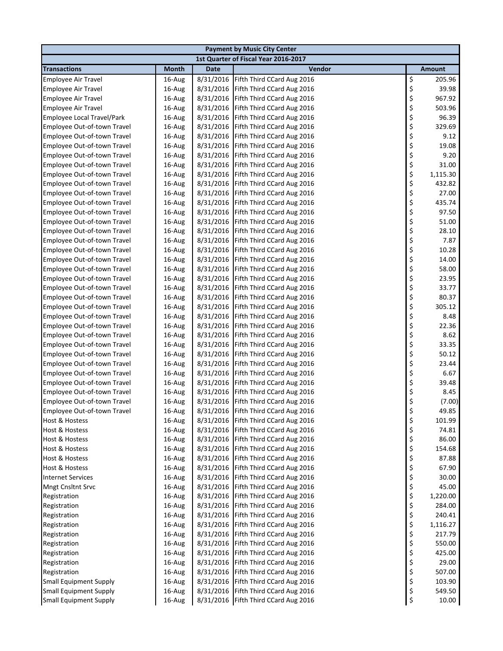|                                    | <b>Payment by Music City Center</b> |             |                                      |    |               |  |  |  |
|------------------------------------|-------------------------------------|-------------|--------------------------------------|----|---------------|--|--|--|
|                                    |                                     |             | 1st Quarter of Fiscal Year 2016-2017 |    |               |  |  |  |
| <b>Transactions</b>                | <b>Month</b>                        | <b>Date</b> | Vendor                               |    | <b>Amount</b> |  |  |  |
| Employee Air Travel                | 16-Aug                              | 8/31/2016   | Fifth Third CCard Aug 2016           | \$ | 205.96        |  |  |  |
| <b>Employee Air Travel</b>         | 16-Aug                              | 8/31/2016   | Fifth Third CCard Aug 2016           | \$ | 39.98         |  |  |  |
| <b>Employee Air Travel</b>         | 16-Aug                              | 8/31/2016   | Fifth Third CCard Aug 2016           | \$ | 967.92        |  |  |  |
| <b>Employee Air Travel</b>         | 16-Aug                              | 8/31/2016   | Fifth Third CCard Aug 2016           | \$ | 503.96        |  |  |  |
| Employee Local Travel/Park         | 16-Aug                              | 8/31/2016   | Fifth Third CCard Aug 2016           | \$ | 96.39         |  |  |  |
| Employee Out-of-town Travel        | 16-Aug                              | 8/31/2016   | Fifth Third CCard Aug 2016           | \$ | 329.69        |  |  |  |
| Employee Out-of-town Travel        | 16-Aug                              | 8/31/2016   | Fifth Third CCard Aug 2016           | \$ | 9.12          |  |  |  |
| Employee Out-of-town Travel        | 16-Aug                              | 8/31/2016   | Fifth Third CCard Aug 2016           | \$ | 19.08         |  |  |  |
| Employee Out-of-town Travel        | 16-Aug                              | 8/31/2016   | Fifth Third CCard Aug 2016           | \$ | 9.20          |  |  |  |
| Employee Out-of-town Travel        | 16-Aug                              | 8/31/2016   | Fifth Third CCard Aug 2016           | \$ | 31.00         |  |  |  |
| Employee Out-of-town Travel        | 16-Aug                              | 8/31/2016   | Fifth Third CCard Aug 2016           | \$ | 1,115.30      |  |  |  |
| Employee Out-of-town Travel        | 16-Aug                              | 8/31/2016   | Fifth Third CCard Aug 2016           | \$ | 432.82        |  |  |  |
| Employee Out-of-town Travel        | 16-Aug                              | 8/31/2016   | Fifth Third CCard Aug 2016           | \$ | 27.00         |  |  |  |
| Employee Out-of-town Travel        | 16-Aug                              | 8/31/2016   | Fifth Third CCard Aug 2016           | \$ | 435.74        |  |  |  |
| Employee Out-of-town Travel        | 16-Aug                              | 8/31/2016   | Fifth Third CCard Aug 2016           | \$ | 97.50         |  |  |  |
| Employee Out-of-town Travel        | 16-Aug                              | 8/31/2016   | Fifth Third CCard Aug 2016           | \$ | 51.00         |  |  |  |
| Employee Out-of-town Travel        | 16-Aug                              | 8/31/2016   | Fifth Third CCard Aug 2016           | \$ | 28.10         |  |  |  |
| Employee Out-of-town Travel        | 16-Aug                              | 8/31/2016   | Fifth Third CCard Aug 2016           | \$ | 7.87          |  |  |  |
| Employee Out-of-town Travel        | 16-Aug                              | 8/31/2016   | Fifth Third CCard Aug 2016           | \$ | 10.28         |  |  |  |
| Employee Out-of-town Travel        | 16-Aug                              | 8/31/2016   | Fifth Third CCard Aug 2016           | \$ | 14.00         |  |  |  |
| Employee Out-of-town Travel        | 16-Aug                              | 8/31/2016   | Fifth Third CCard Aug 2016           | \$ | 58.00         |  |  |  |
| Employee Out-of-town Travel        | 16-Aug                              | 8/31/2016   | Fifth Third CCard Aug 2016           | \$ | 23.95         |  |  |  |
| Employee Out-of-town Travel        | 16-Aug                              | 8/31/2016   | Fifth Third CCard Aug 2016           | \$ | 33.77         |  |  |  |
| Employee Out-of-town Travel        | 16-Aug                              | 8/31/2016   | Fifth Third CCard Aug 2016           | \$ | 80.37         |  |  |  |
| Employee Out-of-town Travel        | 16-Aug                              | 8/31/2016   | Fifth Third CCard Aug 2016           | \$ | 305.12        |  |  |  |
| Employee Out-of-town Travel        | 16-Aug                              | 8/31/2016   | Fifth Third CCard Aug 2016           | \$ | 8.48          |  |  |  |
| <b>Employee Out-of-town Travel</b> | 16-Aug                              | 8/31/2016   | Fifth Third CCard Aug 2016           | \$ | 22.36         |  |  |  |
| Employee Out-of-town Travel        | 16-Aug                              | 8/31/2016   | Fifth Third CCard Aug 2016           | \$ | 8.62          |  |  |  |
| Employee Out-of-town Travel        | 16-Aug                              | 8/31/2016   | Fifth Third CCard Aug 2016           | \$ | 33.35         |  |  |  |
| Employee Out-of-town Travel        | 16-Aug                              | 8/31/2016   | Fifth Third CCard Aug 2016           | \$ | 50.12         |  |  |  |
| Employee Out-of-town Travel        | 16-Aug                              | 8/31/2016   | Fifth Third CCard Aug 2016           | \$ | 23.44         |  |  |  |
| Employee Out-of-town Travel        | 16-Aug                              | 8/31/2016   | Fifth Third CCard Aug 2016           | \$ | 6.67          |  |  |  |
| Employee Out-of-town Travel        | 16-Aug                              | 8/31/2016   | Fifth Third CCard Aug 2016           | \$ | 39.48         |  |  |  |
| Employee Out-of-town Travel        | 16-Aug                              | 8/31/2016   | Fifth Third CCard Aug 2016           | \$ | 8.45          |  |  |  |
| Employee Out-of-town Travel        | 16-Aug                              | 8/31/2016   | Fifth Third CCard Aug 2016           | \$ | (7.00)        |  |  |  |
| Employee Out-of-town Travel        | 16-Aug                              |             | 8/31/2016 Fifth Third CCard Aug 2016 | ς  | 49.85         |  |  |  |
| Host & Hostess                     | 16-Aug                              |             | 8/31/2016 Fifth Third CCard Aug 2016 | \$ | 101.99        |  |  |  |
| Host & Hostess                     | 16-Aug                              | 8/31/2016   | Fifth Third CCard Aug 2016           | \$ | 74.81         |  |  |  |
| Host & Hostess                     | 16-Aug                              | 8/31/2016   | Fifth Third CCard Aug 2016           | \$ | 86.00         |  |  |  |
| Host & Hostess                     | 16-Aug                              | 8/31/2016   | Fifth Third CCard Aug 2016           | \$ | 154.68        |  |  |  |
| Host & Hostess                     | 16-Aug                              | 8/31/2016   | Fifth Third CCard Aug 2016           | \$ | 87.88         |  |  |  |
| Host & Hostess                     | 16-Aug                              | 8/31/2016   | Fifth Third CCard Aug 2016           | \$ | 67.90         |  |  |  |
| <b>Internet Services</b>           | 16-Aug                              | 8/31/2016   | Fifth Third CCard Aug 2016           | \$ | 30.00         |  |  |  |
| <b>Mngt Cnsltnt Srvc</b>           | 16-Aug                              | 8/31/2016   | Fifth Third CCard Aug 2016           | \$ | 45.00         |  |  |  |
| Registration                       | 16-Aug                              | 8/31/2016   | Fifth Third CCard Aug 2016           | \$ | 1,220.00      |  |  |  |
| Registration                       | 16-Aug                              | 8/31/2016   | Fifth Third CCard Aug 2016           | \$ | 284.00        |  |  |  |
| Registration                       | 16-Aug                              | 8/31/2016   | Fifth Third CCard Aug 2016           | \$ | 240.41        |  |  |  |
| Registration                       | 16-Aug                              | 8/31/2016   | Fifth Third CCard Aug 2016           | \$ | 1,116.27      |  |  |  |
| Registration                       | 16-Aug                              | 8/31/2016   | Fifth Third CCard Aug 2016           | \$ | 217.79        |  |  |  |
| Registration                       | 16-Aug                              | 8/31/2016   | Fifth Third CCard Aug 2016           | \$ | 550.00        |  |  |  |
| Registration                       | 16-Aug                              | 8/31/2016   | Fifth Third CCard Aug 2016           | \$ | 425.00        |  |  |  |
| Registration                       | 16-Aug                              | 8/31/2016   | Fifth Third CCard Aug 2016           | \$ | 29.00         |  |  |  |
| Registration                       | 16-Aug                              | 8/31/2016   | Fifth Third CCard Aug 2016           | \$ | 507.00        |  |  |  |
| <b>Small Equipment Supply</b>      | 16-Aug                              | 8/31/2016   | Fifth Third CCard Aug 2016           | \$ | 103.90        |  |  |  |
| <b>Small Equipment Supply</b>      | 16-Aug                              | 8/31/2016   | Fifth Third CCard Aug 2016           | \$ | 549.50        |  |  |  |
| <b>Small Equipment Supply</b>      | 16-Aug                              | 8/31/2016   | Fifth Third CCard Aug 2016           | \$ | 10.00         |  |  |  |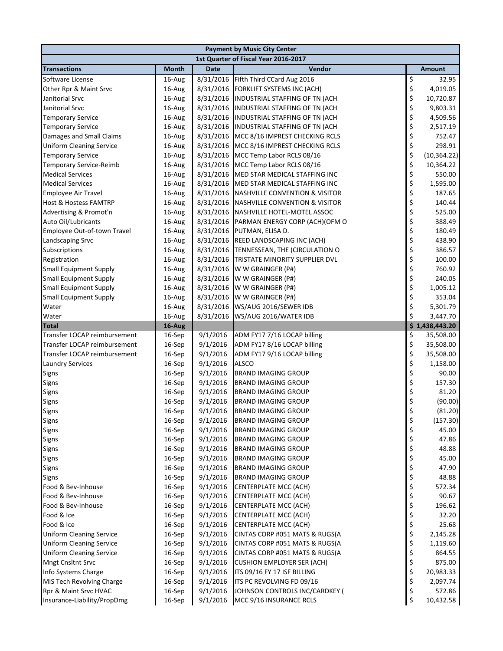| 1st Quarter of Fiscal Year 2016-2017<br><b>Transactions</b><br>Month<br><b>Date</b><br>Vendor<br><b>Amount</b><br>\$<br>Fifth Third CCard Aug 2016<br>Software License<br>16-Aug<br>8/31/2016<br>32.95<br>\$<br>4,019.05<br>Other Rpr & Maint Srvc<br>16-Aug<br>8/31/2016<br><b>FORKLIFT SYSTEMS INC (ACH)</b><br>\$<br>16-Aug<br>8/31/2016<br>INDUSTRIAL STAFFING OF TN (ACH<br>10,720.87<br>\$<br>8/31/2016 INDUSTRIAL STAFFING OF TN (ACH<br>9,803.31<br>Janitorial Srvc<br>16-Aug<br>\$<br>8/31/2016<br>4,509.56<br><b>Temporary Service</b><br>16-Aug<br>INDUSTRIAL STAFFING OF TN (ACH<br>\$<br>8/31/2016 INDUSTRIAL STAFFING OF TN (ACH<br>2,517.19<br>16-Aug<br>\$<br>8/31/2016<br>752.47<br>16-Aug<br>MCC 8/16 IMPREST CHECKING RCLS<br>\$<br>8/31/2016<br>298.91<br>16-Aug<br>MCC 8/16 IMPREST CHECKING RCLS<br>\$<br>8/31/2016<br>16-Aug<br>MCC Temp Labor RCLS 08/16<br>\$<br>8/31/2016<br>10,364.22<br>16-Aug<br>MCC Temp Labor RCLS 08/16<br>\$<br>8/31/2016<br>550.00<br>16-Aug<br>MED STAR MEDICAL STAFFING INC<br>\$<br>8/31/2016<br>1,595.00<br>16-Aug<br>MED STAR MEDICAL STAFFING INC<br>\$<br>16-Aug<br>8/31/2016<br><b>NASHVILLE CONVENTION &amp; VISITOR</b><br>187.65<br>\$<br>16-Aug<br>8/31/2016<br><b>NASHVILLE CONVENTION &amp; VISITOR</b><br>140.44<br>\$<br>8/31/2016<br>16-Aug<br>NASHVILLE HOTEL-MOTEL ASSOC<br>525.00<br>\$<br>16-Aug<br>8/31/2016<br>PARMAN ENERGY CORP (ACH)(OFM O<br>388.49<br>\$<br>16-Aug<br>8/31/2016<br>PUTMAN, ELISA D.<br>180.49<br>\$<br>8/31/2016<br>438.90<br>16-Aug<br>REED LANDSCAPING INC (ACH)<br>\$<br>8/31/2016<br>386.57<br>16-Aug<br>TENNESSEAN, THE (CIRCULATION O<br>\$<br>8/31/2016<br>100.00<br>16-Aug<br>TRISTATE MINORITY SUPPLIER DVL<br>\$<br>8/31/2016<br>760.92<br>16-Aug<br>W W GRAINGER (P#)<br>\$<br>240.05<br>16-Aug<br>8/31/2016<br>W W GRAINGER (P#)<br>\$<br><b>Small Equipment Supply</b><br>8/31/2016<br>1,005.12<br>16-Aug<br>W W GRAINGER (P#)<br>\$<br>353.04<br><b>Small Equipment Supply</b><br>16-Aug<br>8/31/2016<br>W W GRAINGER (P#)<br>\$<br>Water<br>16-Aug<br>8/31/2016<br>WS/AUG 2016/SEWER IDB<br>5,301.79<br>\$<br>8/31/2016<br>WS/AUG 2016/WATER IDB<br>16-Aug<br>3,447.70<br>\$1,438,443.20<br>16-Aug<br><b>Total</b><br>\$<br>16-Sep<br>9/1/2016<br>ADM FY17 7/16 LOCAP billing<br>35,508.00<br>\$<br>9/1/2016<br>ADM FY17 8/16 LOCAP billing<br>Transfer LOCAP reimbursement<br>16-Sep<br>35,508.00<br>\$<br>9/1/2016<br>ADM FY17 9/16 LOCAP billing<br>35,508.00<br>16-Sep<br>\$<br>9/1/2016<br><b>ALSCO</b><br>1,158.00<br>16-Sep<br>\$<br>16-Sep<br>9/1/2016<br><b>BRAND IMAGING GROUP</b><br>90.00<br>\$<br>9/1/2016<br>157.30<br>16-Sep<br><b>BRAND IMAGING GROUP</b><br>\$<br>9/1/2016<br>81.20<br>16-Sep<br><b>BRAND IMAGING GROUP</b><br>\$<br>9/1/2016<br>Signs<br>16-Sep<br><b>BRAND IMAGING GROUP</b><br>\$<br>$16-Sep$<br>9/1/2016<br><b>BRAND IMAGING GROUP</b><br>\$<br>16-Sep<br>9/1/2016<br><b>BRAND IMAGING GROUP</b><br>\$<br>9/1/2016<br>16-Sep<br><b>BRAND IMAGING GROUP</b><br>45.00<br>\$<br>16-Sep<br>9/1/2016<br>47.86<br><b>BRAND IMAGING GROUP</b><br>\$<br>16-Sep<br>9/1/2016<br><b>BRAND IMAGING GROUP</b><br>48.88<br>\$<br>9/1/2016<br>16-Sep<br><b>BRAND IMAGING GROUP</b><br>45.00<br>\$<br>16-Sep<br>9/1/2016<br><b>BRAND IMAGING GROUP</b><br>47.90<br>\$<br>16-Sep<br>9/1/2016<br><b>BRAND IMAGING GROUP</b><br>48.88<br>\$<br>16-Sep<br>9/1/2016<br>CENTERPLATE MCC (ACH)<br>572.34<br>\$<br>9/1/2016<br>90.67<br>16-Sep<br><b>CENTERPLATE MCC (ACH)</b><br>\$<br>196.62<br>16-Sep<br>9/1/2016<br>CENTERPLATE MCC (ACH)<br>\$<br>9/1/2016<br>32.20<br>16-Sep<br>CENTERPLATE MCC (ACH)<br>\$<br>9/1/2016<br>CENTERPLATE MCC (ACH)<br>25.68<br>16-Sep<br>\$<br><b>Uniform Cleaning Service</b><br>16-Sep<br>9/1/2016<br>CINTAS CORP #051 MATS & RUGS(A<br>2,145.28<br>\$<br>16-Sep<br>9/1/2016<br>CINTAS CORP #051 MATS & RUGS(A<br>1,119.60<br>\$<br>16-Sep<br>9/1/2016<br>CINTAS CORP #051 MATS & RUGS(A<br>864.55<br>\$<br>9/1/2016<br>16-Sep<br><b>CUSHION EMPLOYER SER (ACH)</b><br>875.00<br>\$<br>16-Sep<br>9/1/2016<br>ITS 09/16 FY 17 ISF BILLING<br>20,983.33<br>\$<br>16-Sep<br>9/1/2016<br>ITS PC REVOLVING FD 09/16<br>2,097.74<br>\$<br>9/1/2016<br>JOHNSON CONTROLS INC/CARDKEY (<br>16-Sep<br>572.86<br>\$<br>Insurance-Liability/PropDmg<br>9/1/2016<br>MCC 9/16 INSURANCE RCLS<br>10,432.58<br>16-Sep |                                  | <b>Payment by Music City Center</b> |  |  |  |  |  |  |
|-----------------------------------------------------------------------------------------------------------------------------------------------------------------------------------------------------------------------------------------------------------------------------------------------------------------------------------------------------------------------------------------------------------------------------------------------------------------------------------------------------------------------------------------------------------------------------------------------------------------------------------------------------------------------------------------------------------------------------------------------------------------------------------------------------------------------------------------------------------------------------------------------------------------------------------------------------------------------------------------------------------------------------------------------------------------------------------------------------------------------------------------------------------------------------------------------------------------------------------------------------------------------------------------------------------------------------------------------------------------------------------------------------------------------------------------------------------------------------------------------------------------------------------------------------------------------------------------------------------------------------------------------------------------------------------------------------------------------------------------------------------------------------------------------------------------------------------------------------------------------------------------------------------------------------------------------------------------------------------------------------------------------------------------------------------------------------------------------------------------------------------------------------------------------------------------------------------------------------------------------------------------------------------------------------------------------------------------------------------------------------------------------------------------------------------------------------------------------------------------------------------------------------------------------------------------------------------------------------------------------------------------------------------------------------------------------------------------------------------------------------------------------------------------------------------------------------------------------------------------------------------------------------------------------------------------------------------------------------------------------------------------------------------------------------------------------------------------------------------------------------------------------------------------------------------------------------------------------------------------------------------------------------------------------------------------------------------------------------------------------------------------------------------------------------------------------------------------------------------------------------------------------------------------------------------------------------------------------------------------------------------------------------------------------------------------------------------------------------------------------------------------------------------------------------------------------------------------------------------------------------------------------------------------------------------------------------------------------------------------------------------------------------------------------------------------------------------------------------------------------------------------------------------------------------------------------------------------------------------------------------------------------------------------------------------------------------------------------------------------------|----------------------------------|-------------------------------------|--|--|--|--|--|--|
| (10, 364.22)<br>(90.00)<br>(81.20)<br>(157.30)                                                                                                                                                                                                                                                                                                                                                                                                                                                                                                                                                                                                                                                                                                                                                                                                                                                                                                                                                                                                                                                                                                                                                                                                                                                                                                                                                                                                                                                                                                                                                                                                                                                                                                                                                                                                                                                                                                                                                                                                                                                                                                                                                                                                                                                                                                                                                                                                                                                                                                                                                                                                                                                                                                                                                                                                                                                                                                                                                                                                                                                                                                                                                                                                                                                                                                                                                                                                                                                                                                                                                                                                                                                                                                                                                                                                                                                                                                                                                                                                                                                                                                                                                                                                                                                                                                                        |                                  |                                     |  |  |  |  |  |  |
|                                                                                                                                                                                                                                                                                                                                                                                                                                                                                                                                                                                                                                                                                                                                                                                                                                                                                                                                                                                                                                                                                                                                                                                                                                                                                                                                                                                                                                                                                                                                                                                                                                                                                                                                                                                                                                                                                                                                                                                                                                                                                                                                                                                                                                                                                                                                                                                                                                                                                                                                                                                                                                                                                                                                                                                                                                                                                                                                                                                                                                                                                                                                                                                                                                                                                                                                                                                                                                                                                                                                                                                                                                                                                                                                                                                                                                                                                                                                                                                                                                                                                                                                                                                                                                                                                                                                                                       |                                  |                                     |  |  |  |  |  |  |
|                                                                                                                                                                                                                                                                                                                                                                                                                                                                                                                                                                                                                                                                                                                                                                                                                                                                                                                                                                                                                                                                                                                                                                                                                                                                                                                                                                                                                                                                                                                                                                                                                                                                                                                                                                                                                                                                                                                                                                                                                                                                                                                                                                                                                                                                                                                                                                                                                                                                                                                                                                                                                                                                                                                                                                                                                                                                                                                                                                                                                                                                                                                                                                                                                                                                                                                                                                                                                                                                                                                                                                                                                                                                                                                                                                                                                                                                                                                                                                                                                                                                                                                                                                                                                                                                                                                                                                       |                                  |                                     |  |  |  |  |  |  |
|                                                                                                                                                                                                                                                                                                                                                                                                                                                                                                                                                                                                                                                                                                                                                                                                                                                                                                                                                                                                                                                                                                                                                                                                                                                                                                                                                                                                                                                                                                                                                                                                                                                                                                                                                                                                                                                                                                                                                                                                                                                                                                                                                                                                                                                                                                                                                                                                                                                                                                                                                                                                                                                                                                                                                                                                                                                                                                                                                                                                                                                                                                                                                                                                                                                                                                                                                                                                                                                                                                                                                                                                                                                                                                                                                                                                                                                                                                                                                                                                                                                                                                                                                                                                                                                                                                                                                                       |                                  |                                     |  |  |  |  |  |  |
|                                                                                                                                                                                                                                                                                                                                                                                                                                                                                                                                                                                                                                                                                                                                                                                                                                                                                                                                                                                                                                                                                                                                                                                                                                                                                                                                                                                                                                                                                                                                                                                                                                                                                                                                                                                                                                                                                                                                                                                                                                                                                                                                                                                                                                                                                                                                                                                                                                                                                                                                                                                                                                                                                                                                                                                                                                                                                                                                                                                                                                                                                                                                                                                                                                                                                                                                                                                                                                                                                                                                                                                                                                                                                                                                                                                                                                                                                                                                                                                                                                                                                                                                                                                                                                                                                                                                                                       | Janitorial Srvc                  |                                     |  |  |  |  |  |  |
|                                                                                                                                                                                                                                                                                                                                                                                                                                                                                                                                                                                                                                                                                                                                                                                                                                                                                                                                                                                                                                                                                                                                                                                                                                                                                                                                                                                                                                                                                                                                                                                                                                                                                                                                                                                                                                                                                                                                                                                                                                                                                                                                                                                                                                                                                                                                                                                                                                                                                                                                                                                                                                                                                                                                                                                                                                                                                                                                                                                                                                                                                                                                                                                                                                                                                                                                                                                                                                                                                                                                                                                                                                                                                                                                                                                                                                                                                                                                                                                                                                                                                                                                                                                                                                                                                                                                                                       |                                  |                                     |  |  |  |  |  |  |
|                                                                                                                                                                                                                                                                                                                                                                                                                                                                                                                                                                                                                                                                                                                                                                                                                                                                                                                                                                                                                                                                                                                                                                                                                                                                                                                                                                                                                                                                                                                                                                                                                                                                                                                                                                                                                                                                                                                                                                                                                                                                                                                                                                                                                                                                                                                                                                                                                                                                                                                                                                                                                                                                                                                                                                                                                                                                                                                                                                                                                                                                                                                                                                                                                                                                                                                                                                                                                                                                                                                                                                                                                                                                                                                                                                                                                                                                                                                                                                                                                                                                                                                                                                                                                                                                                                                                                                       |                                  |                                     |  |  |  |  |  |  |
|                                                                                                                                                                                                                                                                                                                                                                                                                                                                                                                                                                                                                                                                                                                                                                                                                                                                                                                                                                                                                                                                                                                                                                                                                                                                                                                                                                                                                                                                                                                                                                                                                                                                                                                                                                                                                                                                                                                                                                                                                                                                                                                                                                                                                                                                                                                                                                                                                                                                                                                                                                                                                                                                                                                                                                                                                                                                                                                                                                                                                                                                                                                                                                                                                                                                                                                                                                                                                                                                                                                                                                                                                                                                                                                                                                                                                                                                                                                                                                                                                                                                                                                                                                                                                                                                                                                                                                       | <b>Temporary Service</b>         |                                     |  |  |  |  |  |  |
|                                                                                                                                                                                                                                                                                                                                                                                                                                                                                                                                                                                                                                                                                                                                                                                                                                                                                                                                                                                                                                                                                                                                                                                                                                                                                                                                                                                                                                                                                                                                                                                                                                                                                                                                                                                                                                                                                                                                                                                                                                                                                                                                                                                                                                                                                                                                                                                                                                                                                                                                                                                                                                                                                                                                                                                                                                                                                                                                                                                                                                                                                                                                                                                                                                                                                                                                                                                                                                                                                                                                                                                                                                                                                                                                                                                                                                                                                                                                                                                                                                                                                                                                                                                                                                                                                                                                                                       | Damages and Small Claims         |                                     |  |  |  |  |  |  |
|                                                                                                                                                                                                                                                                                                                                                                                                                                                                                                                                                                                                                                                                                                                                                                                                                                                                                                                                                                                                                                                                                                                                                                                                                                                                                                                                                                                                                                                                                                                                                                                                                                                                                                                                                                                                                                                                                                                                                                                                                                                                                                                                                                                                                                                                                                                                                                                                                                                                                                                                                                                                                                                                                                                                                                                                                                                                                                                                                                                                                                                                                                                                                                                                                                                                                                                                                                                                                                                                                                                                                                                                                                                                                                                                                                                                                                                                                                                                                                                                                                                                                                                                                                                                                                                                                                                                                                       | <b>Uniform Cleaning Service</b>  |                                     |  |  |  |  |  |  |
|                                                                                                                                                                                                                                                                                                                                                                                                                                                                                                                                                                                                                                                                                                                                                                                                                                                                                                                                                                                                                                                                                                                                                                                                                                                                                                                                                                                                                                                                                                                                                                                                                                                                                                                                                                                                                                                                                                                                                                                                                                                                                                                                                                                                                                                                                                                                                                                                                                                                                                                                                                                                                                                                                                                                                                                                                                                                                                                                                                                                                                                                                                                                                                                                                                                                                                                                                                                                                                                                                                                                                                                                                                                                                                                                                                                                                                                                                                                                                                                                                                                                                                                                                                                                                                                                                                                                                                       | <b>Temporary Service</b>         |                                     |  |  |  |  |  |  |
|                                                                                                                                                                                                                                                                                                                                                                                                                                                                                                                                                                                                                                                                                                                                                                                                                                                                                                                                                                                                                                                                                                                                                                                                                                                                                                                                                                                                                                                                                                                                                                                                                                                                                                                                                                                                                                                                                                                                                                                                                                                                                                                                                                                                                                                                                                                                                                                                                                                                                                                                                                                                                                                                                                                                                                                                                                                                                                                                                                                                                                                                                                                                                                                                                                                                                                                                                                                                                                                                                                                                                                                                                                                                                                                                                                                                                                                                                                                                                                                                                                                                                                                                                                                                                                                                                                                                                                       | Temporary Service-Reimb          |                                     |  |  |  |  |  |  |
|                                                                                                                                                                                                                                                                                                                                                                                                                                                                                                                                                                                                                                                                                                                                                                                                                                                                                                                                                                                                                                                                                                                                                                                                                                                                                                                                                                                                                                                                                                                                                                                                                                                                                                                                                                                                                                                                                                                                                                                                                                                                                                                                                                                                                                                                                                                                                                                                                                                                                                                                                                                                                                                                                                                                                                                                                                                                                                                                                                                                                                                                                                                                                                                                                                                                                                                                                                                                                                                                                                                                                                                                                                                                                                                                                                                                                                                                                                                                                                                                                                                                                                                                                                                                                                                                                                                                                                       | <b>Medical Services</b>          |                                     |  |  |  |  |  |  |
|                                                                                                                                                                                                                                                                                                                                                                                                                                                                                                                                                                                                                                                                                                                                                                                                                                                                                                                                                                                                                                                                                                                                                                                                                                                                                                                                                                                                                                                                                                                                                                                                                                                                                                                                                                                                                                                                                                                                                                                                                                                                                                                                                                                                                                                                                                                                                                                                                                                                                                                                                                                                                                                                                                                                                                                                                                                                                                                                                                                                                                                                                                                                                                                                                                                                                                                                                                                                                                                                                                                                                                                                                                                                                                                                                                                                                                                                                                                                                                                                                                                                                                                                                                                                                                                                                                                                                                       | <b>Medical Services</b>          |                                     |  |  |  |  |  |  |
|                                                                                                                                                                                                                                                                                                                                                                                                                                                                                                                                                                                                                                                                                                                                                                                                                                                                                                                                                                                                                                                                                                                                                                                                                                                                                                                                                                                                                                                                                                                                                                                                                                                                                                                                                                                                                                                                                                                                                                                                                                                                                                                                                                                                                                                                                                                                                                                                                                                                                                                                                                                                                                                                                                                                                                                                                                                                                                                                                                                                                                                                                                                                                                                                                                                                                                                                                                                                                                                                                                                                                                                                                                                                                                                                                                                                                                                                                                                                                                                                                                                                                                                                                                                                                                                                                                                                                                       | <b>Employee Air Travel</b>       |                                     |  |  |  |  |  |  |
|                                                                                                                                                                                                                                                                                                                                                                                                                                                                                                                                                                                                                                                                                                                                                                                                                                                                                                                                                                                                                                                                                                                                                                                                                                                                                                                                                                                                                                                                                                                                                                                                                                                                                                                                                                                                                                                                                                                                                                                                                                                                                                                                                                                                                                                                                                                                                                                                                                                                                                                                                                                                                                                                                                                                                                                                                                                                                                                                                                                                                                                                                                                                                                                                                                                                                                                                                                                                                                                                                                                                                                                                                                                                                                                                                                                                                                                                                                                                                                                                                                                                                                                                                                                                                                                                                                                                                                       | <b>Host &amp; Hostess FAMTRP</b> |                                     |  |  |  |  |  |  |
|                                                                                                                                                                                                                                                                                                                                                                                                                                                                                                                                                                                                                                                                                                                                                                                                                                                                                                                                                                                                                                                                                                                                                                                                                                                                                                                                                                                                                                                                                                                                                                                                                                                                                                                                                                                                                                                                                                                                                                                                                                                                                                                                                                                                                                                                                                                                                                                                                                                                                                                                                                                                                                                                                                                                                                                                                                                                                                                                                                                                                                                                                                                                                                                                                                                                                                                                                                                                                                                                                                                                                                                                                                                                                                                                                                                                                                                                                                                                                                                                                                                                                                                                                                                                                                                                                                                                                                       | Advertising & Promot'n           |                                     |  |  |  |  |  |  |
|                                                                                                                                                                                                                                                                                                                                                                                                                                                                                                                                                                                                                                                                                                                                                                                                                                                                                                                                                                                                                                                                                                                                                                                                                                                                                                                                                                                                                                                                                                                                                                                                                                                                                                                                                                                                                                                                                                                                                                                                                                                                                                                                                                                                                                                                                                                                                                                                                                                                                                                                                                                                                                                                                                                                                                                                                                                                                                                                                                                                                                                                                                                                                                                                                                                                                                                                                                                                                                                                                                                                                                                                                                                                                                                                                                                                                                                                                                                                                                                                                                                                                                                                                                                                                                                                                                                                                                       | Auto Oil/Lubricants              |                                     |  |  |  |  |  |  |
|                                                                                                                                                                                                                                                                                                                                                                                                                                                                                                                                                                                                                                                                                                                                                                                                                                                                                                                                                                                                                                                                                                                                                                                                                                                                                                                                                                                                                                                                                                                                                                                                                                                                                                                                                                                                                                                                                                                                                                                                                                                                                                                                                                                                                                                                                                                                                                                                                                                                                                                                                                                                                                                                                                                                                                                                                                                                                                                                                                                                                                                                                                                                                                                                                                                                                                                                                                                                                                                                                                                                                                                                                                                                                                                                                                                                                                                                                                                                                                                                                                                                                                                                                                                                                                                                                                                                                                       | Employee Out-of-town Travel      |                                     |  |  |  |  |  |  |
|                                                                                                                                                                                                                                                                                                                                                                                                                                                                                                                                                                                                                                                                                                                                                                                                                                                                                                                                                                                                                                                                                                                                                                                                                                                                                                                                                                                                                                                                                                                                                                                                                                                                                                                                                                                                                                                                                                                                                                                                                                                                                                                                                                                                                                                                                                                                                                                                                                                                                                                                                                                                                                                                                                                                                                                                                                                                                                                                                                                                                                                                                                                                                                                                                                                                                                                                                                                                                                                                                                                                                                                                                                                                                                                                                                                                                                                                                                                                                                                                                                                                                                                                                                                                                                                                                                                                                                       | Landscaping Srvc                 |                                     |  |  |  |  |  |  |
|                                                                                                                                                                                                                                                                                                                                                                                                                                                                                                                                                                                                                                                                                                                                                                                                                                                                                                                                                                                                                                                                                                                                                                                                                                                                                                                                                                                                                                                                                                                                                                                                                                                                                                                                                                                                                                                                                                                                                                                                                                                                                                                                                                                                                                                                                                                                                                                                                                                                                                                                                                                                                                                                                                                                                                                                                                                                                                                                                                                                                                                                                                                                                                                                                                                                                                                                                                                                                                                                                                                                                                                                                                                                                                                                                                                                                                                                                                                                                                                                                                                                                                                                                                                                                                                                                                                                                                       | Subscriptions                    |                                     |  |  |  |  |  |  |
|                                                                                                                                                                                                                                                                                                                                                                                                                                                                                                                                                                                                                                                                                                                                                                                                                                                                                                                                                                                                                                                                                                                                                                                                                                                                                                                                                                                                                                                                                                                                                                                                                                                                                                                                                                                                                                                                                                                                                                                                                                                                                                                                                                                                                                                                                                                                                                                                                                                                                                                                                                                                                                                                                                                                                                                                                                                                                                                                                                                                                                                                                                                                                                                                                                                                                                                                                                                                                                                                                                                                                                                                                                                                                                                                                                                                                                                                                                                                                                                                                                                                                                                                                                                                                                                                                                                                                                       | Registration                     |                                     |  |  |  |  |  |  |
|                                                                                                                                                                                                                                                                                                                                                                                                                                                                                                                                                                                                                                                                                                                                                                                                                                                                                                                                                                                                                                                                                                                                                                                                                                                                                                                                                                                                                                                                                                                                                                                                                                                                                                                                                                                                                                                                                                                                                                                                                                                                                                                                                                                                                                                                                                                                                                                                                                                                                                                                                                                                                                                                                                                                                                                                                                                                                                                                                                                                                                                                                                                                                                                                                                                                                                                                                                                                                                                                                                                                                                                                                                                                                                                                                                                                                                                                                                                                                                                                                                                                                                                                                                                                                                                                                                                                                                       | <b>Small Equipment Supply</b>    |                                     |  |  |  |  |  |  |
|                                                                                                                                                                                                                                                                                                                                                                                                                                                                                                                                                                                                                                                                                                                                                                                                                                                                                                                                                                                                                                                                                                                                                                                                                                                                                                                                                                                                                                                                                                                                                                                                                                                                                                                                                                                                                                                                                                                                                                                                                                                                                                                                                                                                                                                                                                                                                                                                                                                                                                                                                                                                                                                                                                                                                                                                                                                                                                                                                                                                                                                                                                                                                                                                                                                                                                                                                                                                                                                                                                                                                                                                                                                                                                                                                                                                                                                                                                                                                                                                                                                                                                                                                                                                                                                                                                                                                                       | <b>Small Equipment Supply</b>    |                                     |  |  |  |  |  |  |
|                                                                                                                                                                                                                                                                                                                                                                                                                                                                                                                                                                                                                                                                                                                                                                                                                                                                                                                                                                                                                                                                                                                                                                                                                                                                                                                                                                                                                                                                                                                                                                                                                                                                                                                                                                                                                                                                                                                                                                                                                                                                                                                                                                                                                                                                                                                                                                                                                                                                                                                                                                                                                                                                                                                                                                                                                                                                                                                                                                                                                                                                                                                                                                                                                                                                                                                                                                                                                                                                                                                                                                                                                                                                                                                                                                                                                                                                                                                                                                                                                                                                                                                                                                                                                                                                                                                                                                       |                                  |                                     |  |  |  |  |  |  |
|                                                                                                                                                                                                                                                                                                                                                                                                                                                                                                                                                                                                                                                                                                                                                                                                                                                                                                                                                                                                                                                                                                                                                                                                                                                                                                                                                                                                                                                                                                                                                                                                                                                                                                                                                                                                                                                                                                                                                                                                                                                                                                                                                                                                                                                                                                                                                                                                                                                                                                                                                                                                                                                                                                                                                                                                                                                                                                                                                                                                                                                                                                                                                                                                                                                                                                                                                                                                                                                                                                                                                                                                                                                                                                                                                                                                                                                                                                                                                                                                                                                                                                                                                                                                                                                                                                                                                                       |                                  |                                     |  |  |  |  |  |  |
|                                                                                                                                                                                                                                                                                                                                                                                                                                                                                                                                                                                                                                                                                                                                                                                                                                                                                                                                                                                                                                                                                                                                                                                                                                                                                                                                                                                                                                                                                                                                                                                                                                                                                                                                                                                                                                                                                                                                                                                                                                                                                                                                                                                                                                                                                                                                                                                                                                                                                                                                                                                                                                                                                                                                                                                                                                                                                                                                                                                                                                                                                                                                                                                                                                                                                                                                                                                                                                                                                                                                                                                                                                                                                                                                                                                                                                                                                                                                                                                                                                                                                                                                                                                                                                                                                                                                                                       |                                  |                                     |  |  |  |  |  |  |
|                                                                                                                                                                                                                                                                                                                                                                                                                                                                                                                                                                                                                                                                                                                                                                                                                                                                                                                                                                                                                                                                                                                                                                                                                                                                                                                                                                                                                                                                                                                                                                                                                                                                                                                                                                                                                                                                                                                                                                                                                                                                                                                                                                                                                                                                                                                                                                                                                                                                                                                                                                                                                                                                                                                                                                                                                                                                                                                                                                                                                                                                                                                                                                                                                                                                                                                                                                                                                                                                                                                                                                                                                                                                                                                                                                                                                                                                                                                                                                                                                                                                                                                                                                                                                                                                                                                                                                       | Water                            |                                     |  |  |  |  |  |  |
|                                                                                                                                                                                                                                                                                                                                                                                                                                                                                                                                                                                                                                                                                                                                                                                                                                                                                                                                                                                                                                                                                                                                                                                                                                                                                                                                                                                                                                                                                                                                                                                                                                                                                                                                                                                                                                                                                                                                                                                                                                                                                                                                                                                                                                                                                                                                                                                                                                                                                                                                                                                                                                                                                                                                                                                                                                                                                                                                                                                                                                                                                                                                                                                                                                                                                                                                                                                                                                                                                                                                                                                                                                                                                                                                                                                                                                                                                                                                                                                                                                                                                                                                                                                                                                                                                                                                                                       |                                  |                                     |  |  |  |  |  |  |
|                                                                                                                                                                                                                                                                                                                                                                                                                                                                                                                                                                                                                                                                                                                                                                                                                                                                                                                                                                                                                                                                                                                                                                                                                                                                                                                                                                                                                                                                                                                                                                                                                                                                                                                                                                                                                                                                                                                                                                                                                                                                                                                                                                                                                                                                                                                                                                                                                                                                                                                                                                                                                                                                                                                                                                                                                                                                                                                                                                                                                                                                                                                                                                                                                                                                                                                                                                                                                                                                                                                                                                                                                                                                                                                                                                                                                                                                                                                                                                                                                                                                                                                                                                                                                                                                                                                                                                       | Transfer LOCAP reimbursement     |                                     |  |  |  |  |  |  |
|                                                                                                                                                                                                                                                                                                                                                                                                                                                                                                                                                                                                                                                                                                                                                                                                                                                                                                                                                                                                                                                                                                                                                                                                                                                                                                                                                                                                                                                                                                                                                                                                                                                                                                                                                                                                                                                                                                                                                                                                                                                                                                                                                                                                                                                                                                                                                                                                                                                                                                                                                                                                                                                                                                                                                                                                                                                                                                                                                                                                                                                                                                                                                                                                                                                                                                                                                                                                                                                                                                                                                                                                                                                                                                                                                                                                                                                                                                                                                                                                                                                                                                                                                                                                                                                                                                                                                                       |                                  |                                     |  |  |  |  |  |  |
|                                                                                                                                                                                                                                                                                                                                                                                                                                                                                                                                                                                                                                                                                                                                                                                                                                                                                                                                                                                                                                                                                                                                                                                                                                                                                                                                                                                                                                                                                                                                                                                                                                                                                                                                                                                                                                                                                                                                                                                                                                                                                                                                                                                                                                                                                                                                                                                                                                                                                                                                                                                                                                                                                                                                                                                                                                                                                                                                                                                                                                                                                                                                                                                                                                                                                                                                                                                                                                                                                                                                                                                                                                                                                                                                                                                                                                                                                                                                                                                                                                                                                                                                                                                                                                                                                                                                                                       | Transfer LOCAP reimbursement     |                                     |  |  |  |  |  |  |
|                                                                                                                                                                                                                                                                                                                                                                                                                                                                                                                                                                                                                                                                                                                                                                                                                                                                                                                                                                                                                                                                                                                                                                                                                                                                                                                                                                                                                                                                                                                                                                                                                                                                                                                                                                                                                                                                                                                                                                                                                                                                                                                                                                                                                                                                                                                                                                                                                                                                                                                                                                                                                                                                                                                                                                                                                                                                                                                                                                                                                                                                                                                                                                                                                                                                                                                                                                                                                                                                                                                                                                                                                                                                                                                                                                                                                                                                                                                                                                                                                                                                                                                                                                                                                                                                                                                                                                       | <b>Laundry Services</b>          |                                     |  |  |  |  |  |  |
|                                                                                                                                                                                                                                                                                                                                                                                                                                                                                                                                                                                                                                                                                                                                                                                                                                                                                                                                                                                                                                                                                                                                                                                                                                                                                                                                                                                                                                                                                                                                                                                                                                                                                                                                                                                                                                                                                                                                                                                                                                                                                                                                                                                                                                                                                                                                                                                                                                                                                                                                                                                                                                                                                                                                                                                                                                                                                                                                                                                                                                                                                                                                                                                                                                                                                                                                                                                                                                                                                                                                                                                                                                                                                                                                                                                                                                                                                                                                                                                                                                                                                                                                                                                                                                                                                                                                                                       | Signs                            |                                     |  |  |  |  |  |  |
|                                                                                                                                                                                                                                                                                                                                                                                                                                                                                                                                                                                                                                                                                                                                                                                                                                                                                                                                                                                                                                                                                                                                                                                                                                                                                                                                                                                                                                                                                                                                                                                                                                                                                                                                                                                                                                                                                                                                                                                                                                                                                                                                                                                                                                                                                                                                                                                                                                                                                                                                                                                                                                                                                                                                                                                                                                                                                                                                                                                                                                                                                                                                                                                                                                                                                                                                                                                                                                                                                                                                                                                                                                                                                                                                                                                                                                                                                                                                                                                                                                                                                                                                                                                                                                                                                                                                                                       | Signs                            |                                     |  |  |  |  |  |  |
|                                                                                                                                                                                                                                                                                                                                                                                                                                                                                                                                                                                                                                                                                                                                                                                                                                                                                                                                                                                                                                                                                                                                                                                                                                                                                                                                                                                                                                                                                                                                                                                                                                                                                                                                                                                                                                                                                                                                                                                                                                                                                                                                                                                                                                                                                                                                                                                                                                                                                                                                                                                                                                                                                                                                                                                                                                                                                                                                                                                                                                                                                                                                                                                                                                                                                                                                                                                                                                                                                                                                                                                                                                                                                                                                                                                                                                                                                                                                                                                                                                                                                                                                                                                                                                                                                                                                                                       | Signs                            |                                     |  |  |  |  |  |  |
|                                                                                                                                                                                                                                                                                                                                                                                                                                                                                                                                                                                                                                                                                                                                                                                                                                                                                                                                                                                                                                                                                                                                                                                                                                                                                                                                                                                                                                                                                                                                                                                                                                                                                                                                                                                                                                                                                                                                                                                                                                                                                                                                                                                                                                                                                                                                                                                                                                                                                                                                                                                                                                                                                                                                                                                                                                                                                                                                                                                                                                                                                                                                                                                                                                                                                                                                                                                                                                                                                                                                                                                                                                                                                                                                                                                                                                                                                                                                                                                                                                                                                                                                                                                                                                                                                                                                                                       |                                  |                                     |  |  |  |  |  |  |
|                                                                                                                                                                                                                                                                                                                                                                                                                                                                                                                                                                                                                                                                                                                                                                                                                                                                                                                                                                                                                                                                                                                                                                                                                                                                                                                                                                                                                                                                                                                                                                                                                                                                                                                                                                                                                                                                                                                                                                                                                                                                                                                                                                                                                                                                                                                                                                                                                                                                                                                                                                                                                                                                                                                                                                                                                                                                                                                                                                                                                                                                                                                                                                                                                                                                                                                                                                                                                                                                                                                                                                                                                                                                                                                                                                                                                                                                                                                                                                                                                                                                                                                                                                                                                                                                                                                                                                       |                                  |                                     |  |  |  |  |  |  |
|                                                                                                                                                                                                                                                                                                                                                                                                                                                                                                                                                                                                                                                                                                                                                                                                                                                                                                                                                                                                                                                                                                                                                                                                                                                                                                                                                                                                                                                                                                                                                                                                                                                                                                                                                                                                                                                                                                                                                                                                                                                                                                                                                                                                                                                                                                                                                                                                                                                                                                                                                                                                                                                                                                                                                                                                                                                                                                                                                                                                                                                                                                                                                                                                                                                                                                                                                                                                                                                                                                                                                                                                                                                                                                                                                                                                                                                                                                                                                                                                                                                                                                                                                                                                                                                                                                                                                                       |                                  |                                     |  |  |  |  |  |  |
|                                                                                                                                                                                                                                                                                                                                                                                                                                                                                                                                                                                                                                                                                                                                                                                                                                                                                                                                                                                                                                                                                                                                                                                                                                                                                                                                                                                                                                                                                                                                                                                                                                                                                                                                                                                                                                                                                                                                                                                                                                                                                                                                                                                                                                                                                                                                                                                                                                                                                                                                                                                                                                                                                                                                                                                                                                                                                                                                                                                                                                                                                                                                                                                                                                                                                                                                                                                                                                                                                                                                                                                                                                                                                                                                                                                                                                                                                                                                                                                                                                                                                                                                                                                                                                                                                                                                                                       | Signs                            |                                     |  |  |  |  |  |  |
|                                                                                                                                                                                                                                                                                                                                                                                                                                                                                                                                                                                                                                                                                                                                                                                                                                                                                                                                                                                                                                                                                                                                                                                                                                                                                                                                                                                                                                                                                                                                                                                                                                                                                                                                                                                                                                                                                                                                                                                                                                                                                                                                                                                                                                                                                                                                                                                                                                                                                                                                                                                                                                                                                                                                                                                                                                                                                                                                                                                                                                                                                                                                                                                                                                                                                                                                                                                                                                                                                                                                                                                                                                                                                                                                                                                                                                                                                                                                                                                                                                                                                                                                                                                                                                                                                                                                                                       | Signs                            |                                     |  |  |  |  |  |  |
|                                                                                                                                                                                                                                                                                                                                                                                                                                                                                                                                                                                                                                                                                                                                                                                                                                                                                                                                                                                                                                                                                                                                                                                                                                                                                                                                                                                                                                                                                                                                                                                                                                                                                                                                                                                                                                                                                                                                                                                                                                                                                                                                                                                                                                                                                                                                                                                                                                                                                                                                                                                                                                                                                                                                                                                                                                                                                                                                                                                                                                                                                                                                                                                                                                                                                                                                                                                                                                                                                                                                                                                                                                                                                                                                                                                                                                                                                                                                                                                                                                                                                                                                                                                                                                                                                                                                                                       | Signs                            |                                     |  |  |  |  |  |  |
|                                                                                                                                                                                                                                                                                                                                                                                                                                                                                                                                                                                                                                                                                                                                                                                                                                                                                                                                                                                                                                                                                                                                                                                                                                                                                                                                                                                                                                                                                                                                                                                                                                                                                                                                                                                                                                                                                                                                                                                                                                                                                                                                                                                                                                                                                                                                                                                                                                                                                                                                                                                                                                                                                                                                                                                                                                                                                                                                                                                                                                                                                                                                                                                                                                                                                                                                                                                                                                                                                                                                                                                                                                                                                                                                                                                                                                                                                                                                                                                                                                                                                                                                                                                                                                                                                                                                                                       | Signs                            |                                     |  |  |  |  |  |  |
|                                                                                                                                                                                                                                                                                                                                                                                                                                                                                                                                                                                                                                                                                                                                                                                                                                                                                                                                                                                                                                                                                                                                                                                                                                                                                                                                                                                                                                                                                                                                                                                                                                                                                                                                                                                                                                                                                                                                                                                                                                                                                                                                                                                                                                                                                                                                                                                                                                                                                                                                                                                                                                                                                                                                                                                                                                                                                                                                                                                                                                                                                                                                                                                                                                                                                                                                                                                                                                                                                                                                                                                                                                                                                                                                                                                                                                                                                                                                                                                                                                                                                                                                                                                                                                                                                                                                                                       | Signs                            |                                     |  |  |  |  |  |  |
|                                                                                                                                                                                                                                                                                                                                                                                                                                                                                                                                                                                                                                                                                                                                                                                                                                                                                                                                                                                                                                                                                                                                                                                                                                                                                                                                                                                                                                                                                                                                                                                                                                                                                                                                                                                                                                                                                                                                                                                                                                                                                                                                                                                                                                                                                                                                                                                                                                                                                                                                                                                                                                                                                                                                                                                                                                                                                                                                                                                                                                                                                                                                                                                                                                                                                                                                                                                                                                                                                                                                                                                                                                                                                                                                                                                                                                                                                                                                                                                                                                                                                                                                                                                                                                                                                                                                                                       | Signs                            |                                     |  |  |  |  |  |  |
|                                                                                                                                                                                                                                                                                                                                                                                                                                                                                                                                                                                                                                                                                                                                                                                                                                                                                                                                                                                                                                                                                                                                                                                                                                                                                                                                                                                                                                                                                                                                                                                                                                                                                                                                                                                                                                                                                                                                                                                                                                                                                                                                                                                                                                                                                                                                                                                                                                                                                                                                                                                                                                                                                                                                                                                                                                                                                                                                                                                                                                                                                                                                                                                                                                                                                                                                                                                                                                                                                                                                                                                                                                                                                                                                                                                                                                                                                                                                                                                                                                                                                                                                                                                                                                                                                                                                                                       | Signs<br><b>Signs</b>            |                                     |  |  |  |  |  |  |
|                                                                                                                                                                                                                                                                                                                                                                                                                                                                                                                                                                                                                                                                                                                                                                                                                                                                                                                                                                                                                                                                                                                                                                                                                                                                                                                                                                                                                                                                                                                                                                                                                                                                                                                                                                                                                                                                                                                                                                                                                                                                                                                                                                                                                                                                                                                                                                                                                                                                                                                                                                                                                                                                                                                                                                                                                                                                                                                                                                                                                                                                                                                                                                                                                                                                                                                                                                                                                                                                                                                                                                                                                                                                                                                                                                                                                                                                                                                                                                                                                                                                                                                                                                                                                                                                                                                                                                       | Food & Bev-Inhouse               |                                     |  |  |  |  |  |  |
|                                                                                                                                                                                                                                                                                                                                                                                                                                                                                                                                                                                                                                                                                                                                                                                                                                                                                                                                                                                                                                                                                                                                                                                                                                                                                                                                                                                                                                                                                                                                                                                                                                                                                                                                                                                                                                                                                                                                                                                                                                                                                                                                                                                                                                                                                                                                                                                                                                                                                                                                                                                                                                                                                                                                                                                                                                                                                                                                                                                                                                                                                                                                                                                                                                                                                                                                                                                                                                                                                                                                                                                                                                                                                                                                                                                                                                                                                                                                                                                                                                                                                                                                                                                                                                                                                                                                                                       | Food & Bev-Inhouse               |                                     |  |  |  |  |  |  |
|                                                                                                                                                                                                                                                                                                                                                                                                                                                                                                                                                                                                                                                                                                                                                                                                                                                                                                                                                                                                                                                                                                                                                                                                                                                                                                                                                                                                                                                                                                                                                                                                                                                                                                                                                                                                                                                                                                                                                                                                                                                                                                                                                                                                                                                                                                                                                                                                                                                                                                                                                                                                                                                                                                                                                                                                                                                                                                                                                                                                                                                                                                                                                                                                                                                                                                                                                                                                                                                                                                                                                                                                                                                                                                                                                                                                                                                                                                                                                                                                                                                                                                                                                                                                                                                                                                                                                                       | Food & Bev-Inhouse               |                                     |  |  |  |  |  |  |
|                                                                                                                                                                                                                                                                                                                                                                                                                                                                                                                                                                                                                                                                                                                                                                                                                                                                                                                                                                                                                                                                                                                                                                                                                                                                                                                                                                                                                                                                                                                                                                                                                                                                                                                                                                                                                                                                                                                                                                                                                                                                                                                                                                                                                                                                                                                                                                                                                                                                                                                                                                                                                                                                                                                                                                                                                                                                                                                                                                                                                                                                                                                                                                                                                                                                                                                                                                                                                                                                                                                                                                                                                                                                                                                                                                                                                                                                                                                                                                                                                                                                                                                                                                                                                                                                                                                                                                       | Food & Ice                       |                                     |  |  |  |  |  |  |
|                                                                                                                                                                                                                                                                                                                                                                                                                                                                                                                                                                                                                                                                                                                                                                                                                                                                                                                                                                                                                                                                                                                                                                                                                                                                                                                                                                                                                                                                                                                                                                                                                                                                                                                                                                                                                                                                                                                                                                                                                                                                                                                                                                                                                                                                                                                                                                                                                                                                                                                                                                                                                                                                                                                                                                                                                                                                                                                                                                                                                                                                                                                                                                                                                                                                                                                                                                                                                                                                                                                                                                                                                                                                                                                                                                                                                                                                                                                                                                                                                                                                                                                                                                                                                                                                                                                                                                       | Food & Ice                       |                                     |  |  |  |  |  |  |
|                                                                                                                                                                                                                                                                                                                                                                                                                                                                                                                                                                                                                                                                                                                                                                                                                                                                                                                                                                                                                                                                                                                                                                                                                                                                                                                                                                                                                                                                                                                                                                                                                                                                                                                                                                                                                                                                                                                                                                                                                                                                                                                                                                                                                                                                                                                                                                                                                                                                                                                                                                                                                                                                                                                                                                                                                                                                                                                                                                                                                                                                                                                                                                                                                                                                                                                                                                                                                                                                                                                                                                                                                                                                                                                                                                                                                                                                                                                                                                                                                                                                                                                                                                                                                                                                                                                                                                       |                                  |                                     |  |  |  |  |  |  |
|                                                                                                                                                                                                                                                                                                                                                                                                                                                                                                                                                                                                                                                                                                                                                                                                                                                                                                                                                                                                                                                                                                                                                                                                                                                                                                                                                                                                                                                                                                                                                                                                                                                                                                                                                                                                                                                                                                                                                                                                                                                                                                                                                                                                                                                                                                                                                                                                                                                                                                                                                                                                                                                                                                                                                                                                                                                                                                                                                                                                                                                                                                                                                                                                                                                                                                                                                                                                                                                                                                                                                                                                                                                                                                                                                                                                                                                                                                                                                                                                                                                                                                                                                                                                                                                                                                                                                                       | <b>Uniform Cleaning Service</b>  |                                     |  |  |  |  |  |  |
|                                                                                                                                                                                                                                                                                                                                                                                                                                                                                                                                                                                                                                                                                                                                                                                                                                                                                                                                                                                                                                                                                                                                                                                                                                                                                                                                                                                                                                                                                                                                                                                                                                                                                                                                                                                                                                                                                                                                                                                                                                                                                                                                                                                                                                                                                                                                                                                                                                                                                                                                                                                                                                                                                                                                                                                                                                                                                                                                                                                                                                                                                                                                                                                                                                                                                                                                                                                                                                                                                                                                                                                                                                                                                                                                                                                                                                                                                                                                                                                                                                                                                                                                                                                                                                                                                                                                                                       | <b>Uniform Cleaning Service</b>  |                                     |  |  |  |  |  |  |
|                                                                                                                                                                                                                                                                                                                                                                                                                                                                                                                                                                                                                                                                                                                                                                                                                                                                                                                                                                                                                                                                                                                                                                                                                                                                                                                                                                                                                                                                                                                                                                                                                                                                                                                                                                                                                                                                                                                                                                                                                                                                                                                                                                                                                                                                                                                                                                                                                                                                                                                                                                                                                                                                                                                                                                                                                                                                                                                                                                                                                                                                                                                                                                                                                                                                                                                                                                                                                                                                                                                                                                                                                                                                                                                                                                                                                                                                                                                                                                                                                                                                                                                                                                                                                                                                                                                                                                       | <b>Mngt Cnsltnt Srvc</b>         |                                     |  |  |  |  |  |  |
|                                                                                                                                                                                                                                                                                                                                                                                                                                                                                                                                                                                                                                                                                                                                                                                                                                                                                                                                                                                                                                                                                                                                                                                                                                                                                                                                                                                                                                                                                                                                                                                                                                                                                                                                                                                                                                                                                                                                                                                                                                                                                                                                                                                                                                                                                                                                                                                                                                                                                                                                                                                                                                                                                                                                                                                                                                                                                                                                                                                                                                                                                                                                                                                                                                                                                                                                                                                                                                                                                                                                                                                                                                                                                                                                                                                                                                                                                                                                                                                                                                                                                                                                                                                                                                                                                                                                                                       | Info Systems Charge              |                                     |  |  |  |  |  |  |
|                                                                                                                                                                                                                                                                                                                                                                                                                                                                                                                                                                                                                                                                                                                                                                                                                                                                                                                                                                                                                                                                                                                                                                                                                                                                                                                                                                                                                                                                                                                                                                                                                                                                                                                                                                                                                                                                                                                                                                                                                                                                                                                                                                                                                                                                                                                                                                                                                                                                                                                                                                                                                                                                                                                                                                                                                                                                                                                                                                                                                                                                                                                                                                                                                                                                                                                                                                                                                                                                                                                                                                                                                                                                                                                                                                                                                                                                                                                                                                                                                                                                                                                                                                                                                                                                                                                                                                       | MIS Tech Revolving Charge        |                                     |  |  |  |  |  |  |
|                                                                                                                                                                                                                                                                                                                                                                                                                                                                                                                                                                                                                                                                                                                                                                                                                                                                                                                                                                                                                                                                                                                                                                                                                                                                                                                                                                                                                                                                                                                                                                                                                                                                                                                                                                                                                                                                                                                                                                                                                                                                                                                                                                                                                                                                                                                                                                                                                                                                                                                                                                                                                                                                                                                                                                                                                                                                                                                                                                                                                                                                                                                                                                                                                                                                                                                                                                                                                                                                                                                                                                                                                                                                                                                                                                                                                                                                                                                                                                                                                                                                                                                                                                                                                                                                                                                                                                       | Rpr & Maint Srvc HVAC            |                                     |  |  |  |  |  |  |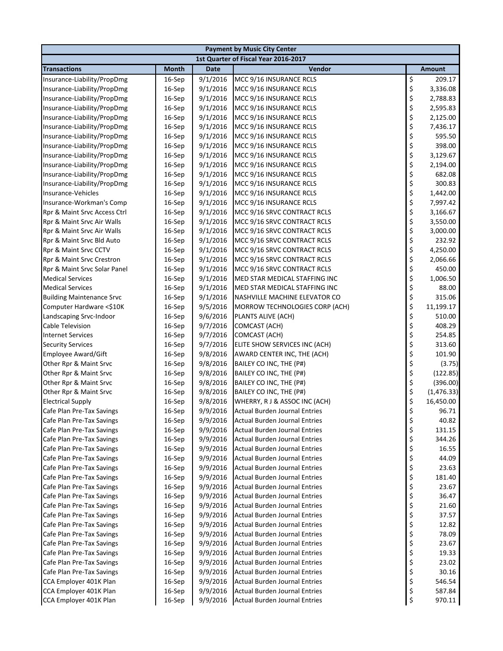| <b>Payment by Music City Center</b>                    |                  |                      |                                                                              |          |                 |  |  |
|--------------------------------------------------------|------------------|----------------------|------------------------------------------------------------------------------|----------|-----------------|--|--|
|                                                        |                  |                      | 1st Quarter of Fiscal Year 2016-2017                                         |          |                 |  |  |
| <b>Transactions</b>                                    | <b>Month</b>     | Date                 | Vendor                                                                       |          | <b>Amount</b>   |  |  |
| Insurance-Liability/PropDmg                            | 16-Sep           | 9/1/2016             | MCC 9/16 INSURANCE RCLS                                                      | \$       | 209.17          |  |  |
| Insurance-Liability/PropDmg                            | 16-Sep           | 9/1/2016             | MCC 9/16 INSURANCE RCLS                                                      | \$       | 3,336.08        |  |  |
| Insurance-Liability/PropDmg                            | 16-Sep           | 9/1/2016             | MCC 9/16 INSURANCE RCLS                                                      | \$       | 2,788.83        |  |  |
| Insurance-Liability/PropDmg                            | 16-Sep           | 9/1/2016             | MCC 9/16 INSURANCE RCLS                                                      | \$       | 2,595.83        |  |  |
| Insurance-Liability/PropDmg                            | 16-Sep           | 9/1/2016             | MCC 9/16 INSURANCE RCLS                                                      | \$       | 2,125.00        |  |  |
| Insurance-Liability/PropDmg                            | 16-Sep           | 9/1/2016             | MCC 9/16 INSURANCE RCLS                                                      | \$       | 7,436.17        |  |  |
| Insurance-Liability/PropDmg                            | 16-Sep           | 9/1/2016             | MCC 9/16 INSURANCE RCLS                                                      | \$       | 595.50          |  |  |
| Insurance-Liability/PropDmg                            | 16-Sep           | 9/1/2016             | MCC 9/16 INSURANCE RCLS                                                      | \$       | 398.00          |  |  |
| Insurance-Liability/PropDmg                            | 16-Sep           | 9/1/2016             | MCC 9/16 INSURANCE RCLS                                                      | \$       | 3,129.67        |  |  |
| Insurance-Liability/PropDmg                            | 16-Sep           | 9/1/2016             | MCC 9/16 INSURANCE RCLS                                                      | \$       | 2,194.00        |  |  |
| Insurance-Liability/PropDmg                            | 16-Sep           | 9/1/2016             | MCC 9/16 INSURANCE RCLS                                                      | \$       | 682.08          |  |  |
| Insurance-Liability/PropDmg                            | 16-Sep           | 9/1/2016             | MCC 9/16 INSURANCE RCLS                                                      | \$       | 300.83          |  |  |
| Insurance-Vehicles                                     | 16-Sep           | 9/1/2016             | MCC 9/16 INSURANCE RCLS                                                      | \$       | 1,442.00        |  |  |
| Insurance-Workman's Comp                               | 16-Sep           | 9/1/2016             | MCC 9/16 INSURANCE RCLS                                                      | \$       | 7,997.42        |  |  |
| Rpr & Maint Srvc Access Ctrl                           | 16-Sep           | 9/1/2016             | MCC 9/16 SRVC CONTRACT RCLS                                                  | \$       | 3,166.67        |  |  |
| Rpr & Maint Srvc Air Walls                             | 16-Sep           | 9/1/2016             | MCC 9/16 SRVC CONTRACT RCLS                                                  | \$       | 3,550.00        |  |  |
| Rpr & Maint Srvc Air Walls                             | 16-Sep           | 9/1/2016             | MCC 9/16 SRVC CONTRACT RCLS                                                  | \$       | 3,000.00        |  |  |
| Rpr & Maint Srvc Bld Auto                              | 16-Sep           | 9/1/2016             | MCC 9/16 SRVC CONTRACT RCLS                                                  | \$       | 232.92          |  |  |
| Rpr & Maint Srvc CCTV                                  | 16-Sep           | 9/1/2016             | MCC 9/16 SRVC CONTRACT RCLS                                                  | \$       | 4,250.00        |  |  |
| Rpr & Maint Srvc Crestron                              | 16-Sep           | 9/1/2016             | MCC 9/16 SRVC CONTRACT RCLS                                                  | \$       | 2,066.66        |  |  |
| Rpr & Maint Srvc Solar Panel                           | 16-Sep           | 9/1/2016             | MCC 9/16 SRVC CONTRACT RCLS                                                  | \$       | 450.00          |  |  |
| <b>Medical Services</b>                                | 16-Sep           | 9/1/2016             | MED STAR MEDICAL STAFFING INC                                                | \$       | 1,006.50        |  |  |
| <b>Medical Services</b>                                | 16-Sep           | 9/1/2016             | MED STAR MEDICAL STAFFING INC                                                | \$       | 88.00           |  |  |
| <b>Building Maintenance Srvc</b>                       | 16-Sep           | 9/1/2016             | NASHVILLE MACHINE ELEVATOR CO                                                | \$       | 315.06          |  |  |
| Computer Hardware <\$10K                               | 16-Sep           | 9/5/2016             | MORROW TECHNOLOGIES CORP (ACH)                                               | \$       | 11,199.17       |  |  |
| Landscaping Srvc-Indoor                                | 16-Sep           | 9/6/2016             | PLANTS ALIVE (ACH)                                                           | \$       | 510.00          |  |  |
| Cable Television                                       | 16-Sep           | 9/7/2016             | COMCAST (ACH)                                                                | \$       | 408.29          |  |  |
| <b>Internet Services</b>                               | 16-Sep           | 9/7/2016             | COMCAST (ACH)                                                                | \$       | 254.85          |  |  |
| <b>Security Services</b>                               | 16-Sep           | 9/7/2016             | ELITE SHOW SERVICES INC (ACH)                                                | \$       | 313.60          |  |  |
| <b>Employee Award/Gift</b>                             | 16-Sep           | 9/8/2016             | AWARD CENTER INC, THE (ACH)                                                  | \$       | 101.90          |  |  |
| Other Rpr & Maint Srvc                                 | 16-Sep           | 9/8/2016             | BAILEY CO INC, THE (P#)                                                      | \$       | (3.75)          |  |  |
| Other Rpr & Maint Srvc                                 | 16-Sep           | 9/8/2016             | BAILEY CO INC, THE (P#)                                                      | \$       | (122.85)        |  |  |
| Other Rpr & Maint Srvc                                 | 16-Sep           | 9/8/2016             | BAILEY CO INC, THE (P#)                                                      | \$       | (396.00)        |  |  |
| Other Rpr & Maint Srvc                                 | 16-Sep           | 9/8/2016             | BAILEY CO INC, THE (P#)                                                      | \$       | (1,476.33)      |  |  |
| <b>Electrical Supply</b>                               | 16-Sep           | 9/8/2016             | WHERRY, R J & ASSOC INC (ACH)                                                | \$       | 16,450.00       |  |  |
| Cafe Plan Pre-Tax Savings                              | 16-Sep           | 9/9/2016             | Actual Burden Journal Entries                                                | \$       | 96.71           |  |  |
| Cafe Plan Pre-Tax Savings                              | 16-Sep           | 9/9/2016             | <b>Actual Burden Journal Entries</b>                                         | \$       | 40.82           |  |  |
| Cafe Plan Pre-Tax Savings                              | 16-Sep           | 9/9/2016             | <b>Actual Burden Journal Entries</b>                                         | \$       | 131.15          |  |  |
| Cafe Plan Pre-Tax Savings                              | 16-Sep           | 9/9/2016             | <b>Actual Burden Journal Entries</b>                                         | \$       | 344.26          |  |  |
| Cafe Plan Pre-Tax Savings                              | 16-Sep           | 9/9/2016             | <b>Actual Burden Journal Entries</b>                                         | \$       | 16.55           |  |  |
| Cafe Plan Pre-Tax Savings                              | 16-Sep           | 9/9/2016             | <b>Actual Burden Journal Entries</b><br><b>Actual Burden Journal Entries</b> | \$       | 44.09           |  |  |
| Cafe Plan Pre-Tax Savings                              | 16-Sep           | 9/9/2016             |                                                                              | \$       | 23.63<br>181.40 |  |  |
| Cafe Plan Pre-Tax Savings<br>Cafe Plan Pre-Tax Savings | 16-Sep           | 9/9/2016             | <b>Actual Burden Journal Entries</b>                                         | \$       | 23.67           |  |  |
| Cafe Plan Pre-Tax Savings                              | 16-Sep<br>16-Sep | 9/9/2016<br>9/9/2016 | <b>Actual Burden Journal Entries</b><br><b>Actual Burden Journal Entries</b> | \$       | 36.47           |  |  |
| Cafe Plan Pre-Tax Savings                              | 16-Sep           | 9/9/2016             | <b>Actual Burden Journal Entries</b>                                         | \$<br>\$ | 21.60           |  |  |
| Cafe Plan Pre-Tax Savings                              | 16-Sep           | 9/9/2016             | <b>Actual Burden Journal Entries</b>                                         | \$       | 37.57           |  |  |
| Cafe Plan Pre-Tax Savings                              | $16-$ Sep        | 9/9/2016             | <b>Actual Burden Journal Entries</b>                                         | \$       | 12.82           |  |  |
| Cafe Plan Pre-Tax Savings                              | 16-Sep           | 9/9/2016             | <b>Actual Burden Journal Entries</b>                                         | \$       | 78.09           |  |  |
| Cafe Plan Pre-Tax Savings                              | 16-Sep           | 9/9/2016             | <b>Actual Burden Journal Entries</b>                                         | \$       | 23.67           |  |  |
| Cafe Plan Pre-Tax Savings                              |                  | 9/9/2016             | <b>Actual Burden Journal Entries</b>                                         | \$       |                 |  |  |
| Cafe Plan Pre-Tax Savings                              | 16-Sep<br>16-Sep | 9/9/2016             | <b>Actual Burden Journal Entries</b>                                         | \$       | 19.33<br>23.02  |  |  |
| Cafe Plan Pre-Tax Savings                              | 16-Sep           | 9/9/2016             | <b>Actual Burden Journal Entries</b>                                         | \$       | 30.16           |  |  |
| CCA Employer 401K Plan                                 | 16-Sep           | 9/9/2016             | <b>Actual Burden Journal Entries</b>                                         | \$       | 546.54          |  |  |
| CCA Employer 401K Plan                                 | 16-Sep           | 9/9/2016             | <b>Actual Burden Journal Entries</b>                                         | \$       | 587.84          |  |  |
| CCA Employer 401K Plan                                 |                  | 9/9/2016             |                                                                              | \$       | 970.11          |  |  |
|                                                        | 16-Sep           |                      | <b>Actual Burden Journal Entries</b>                                         |          |                 |  |  |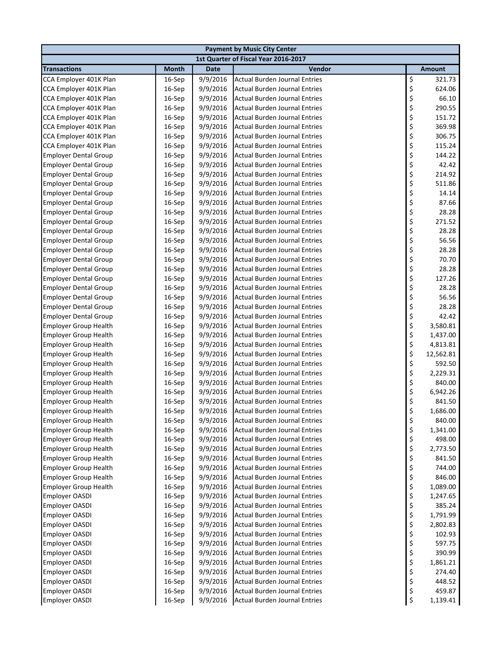| <b>Payment by Music City Center</b>                          |                  |                      |                                                                              |          |                     |  |
|--------------------------------------------------------------|------------------|----------------------|------------------------------------------------------------------------------|----------|---------------------|--|
|                                                              |                  |                      | 1st Quarter of Fiscal Year 2016-2017                                         |          |                     |  |
| <b>Transactions</b>                                          | <b>Month</b>     | <b>Date</b>          | Vendor                                                                       |          | <b>Amount</b>       |  |
| CCA Employer 401K Plan                                       | 16-Sep           | 9/9/2016             | <b>Actual Burden Journal Entries</b>                                         | \$       | 321.73              |  |
| CCA Employer 401K Plan                                       | 16-Sep           | 9/9/2016             | <b>Actual Burden Journal Entries</b>                                         | \$       | 624.06              |  |
| CCA Employer 401K Plan                                       | 16-Sep           | 9/9/2016             | <b>Actual Burden Journal Entries</b>                                         | \$       | 66.10               |  |
| CCA Employer 401K Plan                                       | 16-Sep           | 9/9/2016             | <b>Actual Burden Journal Entries</b>                                         | \$       | 290.55              |  |
| CCA Employer 401K Plan                                       | 16-Sep           | 9/9/2016             | <b>Actual Burden Journal Entries</b>                                         | \$       | 151.72              |  |
| CCA Employer 401K Plan                                       | 16-Sep           | 9/9/2016             | <b>Actual Burden Journal Entries</b>                                         | \$       | 369.98              |  |
| CCA Employer 401K Plan                                       | 16-Sep           | 9/9/2016             | <b>Actual Burden Journal Entries</b>                                         | \$       | 306.75              |  |
| CCA Employer 401K Plan                                       | 16-Sep           | 9/9/2016             | <b>Actual Burden Journal Entries</b>                                         | \$       | 115.24              |  |
| <b>Employer Dental Group</b>                                 | 16-Sep           | 9/9/2016             | <b>Actual Burden Journal Entries</b>                                         | \$       | 144.22              |  |
| <b>Employer Dental Group</b>                                 | 16-Sep           | 9/9/2016             | <b>Actual Burden Journal Entries</b>                                         | \$       | 42.42               |  |
| <b>Employer Dental Group</b>                                 | 16-Sep           | 9/9/2016             | <b>Actual Burden Journal Entries</b>                                         | \$       | 214.92              |  |
| <b>Employer Dental Group</b>                                 | 16-Sep           | 9/9/2016             | <b>Actual Burden Journal Entries</b>                                         | \$       | 511.86              |  |
| <b>Employer Dental Group</b>                                 | 16-Sep           | 9/9/2016             | <b>Actual Burden Journal Entries</b>                                         | \$       | 14.14               |  |
| <b>Employer Dental Group</b>                                 | 16-Sep           | 9/9/2016             | <b>Actual Burden Journal Entries</b>                                         | \$       | 87.66               |  |
| <b>Employer Dental Group</b>                                 | 16-Sep           | 9/9/2016             | <b>Actual Burden Journal Entries</b>                                         | \$       | 28.28               |  |
| <b>Employer Dental Group</b>                                 | 16-Sep           | 9/9/2016             | <b>Actual Burden Journal Entries</b>                                         | \$       | 271.52              |  |
| <b>Employer Dental Group</b>                                 | 16-Sep           | 9/9/2016             | <b>Actual Burden Journal Entries</b>                                         | \$       | 28.28               |  |
| <b>Employer Dental Group</b>                                 | 16-Sep           | 9/9/2016             | <b>Actual Burden Journal Entries</b>                                         | \$       | 56.56               |  |
| <b>Employer Dental Group</b>                                 | 16-Sep           | 9/9/2016             | <b>Actual Burden Journal Entries</b>                                         | \$       | 28.28               |  |
| <b>Employer Dental Group</b>                                 | 16-Sep           | 9/9/2016             | <b>Actual Burden Journal Entries</b>                                         | \$       | 70.70               |  |
| <b>Employer Dental Group</b>                                 | 16-Sep           | 9/9/2016             | <b>Actual Burden Journal Entries</b>                                         | \$       | 28.28               |  |
| <b>Employer Dental Group</b>                                 | 16-Sep           | 9/9/2016             | <b>Actual Burden Journal Entries</b>                                         | \$       | 127.26              |  |
| <b>Employer Dental Group</b>                                 | 16-Sep           | 9/9/2016             | <b>Actual Burden Journal Entries</b>                                         | \$       | 28.28               |  |
| <b>Employer Dental Group</b>                                 | 16-Sep           | 9/9/2016             | <b>Actual Burden Journal Entries</b>                                         | \$       | 56.56               |  |
| <b>Employer Dental Group</b>                                 | 16-Sep           | 9/9/2016             | <b>Actual Burden Journal Entries</b>                                         | \$       | 28.28               |  |
| <b>Employer Dental Group</b>                                 | 16-Sep           | 9/9/2016             | <b>Actual Burden Journal Entries</b>                                         | \$       | 42.42               |  |
| <b>Employer Group Health</b>                                 | 16-Sep           | 9/9/2016             | <b>Actual Burden Journal Entries</b>                                         | \$       | 3,580.81            |  |
| <b>Employer Group Health</b>                                 | 16-Sep           | 9/9/2016             | <b>Actual Burden Journal Entries</b>                                         | \$       | 1,437.00            |  |
| <b>Employer Group Health</b>                                 | 16-Sep           | 9/9/2016             | <b>Actual Burden Journal Entries</b>                                         | \$       | 4,813.81            |  |
| <b>Employer Group Health</b>                                 | 16-Sep           | 9/9/2016             | <b>Actual Burden Journal Entries</b><br><b>Actual Burden Journal Entries</b> | \$       | 12,562.81<br>592.50 |  |
| <b>Employer Group Health</b><br><b>Employer Group Health</b> | 16-Sep           | 9/9/2016<br>9/9/2016 | <b>Actual Burden Journal Entries</b>                                         | \$<br>\$ | 2,229.31            |  |
|                                                              | 16-Sep<br>16-Sep | 9/9/2016             | <b>Actual Burden Journal Entries</b>                                         | \$       | 840.00              |  |
| <b>Employer Group Health</b><br><b>Employer Group Health</b> | 16-Sep           | 9/9/2016             | <b>Actual Burden Journal Entries</b>                                         | \$       | 6,942.26            |  |
| <b>Employer Group Health</b>                                 | 16-Sep           | 9/9/2016             | <b>Actual Burden Journal Entries</b>                                         | \$       | 841.50              |  |
| <b>Employer Group Health</b>                                 | 16-Sep           | 9/9/2016             | <b>Actual Burden Journal Entries</b>                                         | Ś        | 1,686.00            |  |
| <b>Employer Group Health</b>                                 | 16-Sep           | 9/9/2016             | <b>Actual Burden Journal Entries</b>                                         | \$       | 840.00              |  |
| <b>Employer Group Health</b>                                 | 16-Sep           | 9/9/2016             | <b>Actual Burden Journal Entries</b>                                         | \$       | 1,341.00            |  |
| <b>Employer Group Health</b>                                 | 16-Sep           | 9/9/2016             | <b>Actual Burden Journal Entries</b>                                         | \$       | 498.00              |  |
| <b>Employer Group Health</b>                                 | 16-Sep           | 9/9/2016             | <b>Actual Burden Journal Entries</b>                                         | \$       | 2,773.50            |  |
| <b>Employer Group Health</b>                                 | 16-Sep           | 9/9/2016             | <b>Actual Burden Journal Entries</b>                                         | \$       | 841.50              |  |
| <b>Employer Group Health</b>                                 | 16-Sep           | 9/9/2016             | <b>Actual Burden Journal Entries</b>                                         | \$       | 744.00              |  |
| <b>Employer Group Health</b>                                 | 16-Sep           | 9/9/2016             | <b>Actual Burden Journal Entries</b>                                         | \$       | 846.00              |  |
| <b>Employer Group Health</b>                                 | 16-Sep           | 9/9/2016             | <b>Actual Burden Journal Entries</b>                                         | \$       | 1,089.00            |  |
| Employer OASDI                                               | 16-Sep           | 9/9/2016             | <b>Actual Burden Journal Entries</b>                                         | \$       | 1,247.65            |  |
| Employer OASDI                                               | 16-Sep           | 9/9/2016             | <b>Actual Burden Journal Entries</b>                                         | \$       | 385.24              |  |
| <b>Employer OASDI</b>                                        | 16-Sep           | 9/9/2016             | <b>Actual Burden Journal Entries</b>                                         | \$       | 1,791.99            |  |
| <b>Employer OASDI</b>                                        | 16-Sep           | 9/9/2016             | <b>Actual Burden Journal Entries</b>                                         | \$       | 2,802.83            |  |
| <b>Employer OASDI</b>                                        | 16-Sep           | 9/9/2016             | <b>Actual Burden Journal Entries</b>                                         | \$       | 102.93              |  |
| <b>Employer OASDI</b>                                        | 16-Sep           | 9/9/2016             | <b>Actual Burden Journal Entries</b>                                         | \$       | 597.75              |  |
| Employer OASDI                                               | 16-Sep           | 9/9/2016             | <b>Actual Burden Journal Entries</b>                                         | \$       | 390.99              |  |
| Employer OASDI                                               | 16-Sep           | 9/9/2016             | <b>Actual Burden Journal Entries</b>                                         | \$       | 1,861.21            |  |
| Employer OASDI                                               | 16-Sep           | 9/9/2016             | <b>Actual Burden Journal Entries</b>                                         | \$       | 274.40              |  |
| Employer OASDI                                               | 16-Sep           | 9/9/2016             | <b>Actual Burden Journal Entries</b>                                         | \$       | 448.52              |  |
| Employer OASDI                                               | 16-Sep           | 9/9/2016             | <b>Actual Burden Journal Entries</b>                                         | \$       | 459.87              |  |
| <b>Employer OASDI</b>                                        | 16-Sep           | 9/9/2016             | <b>Actual Burden Journal Entries</b>                                         | \$       | 1,139.41            |  |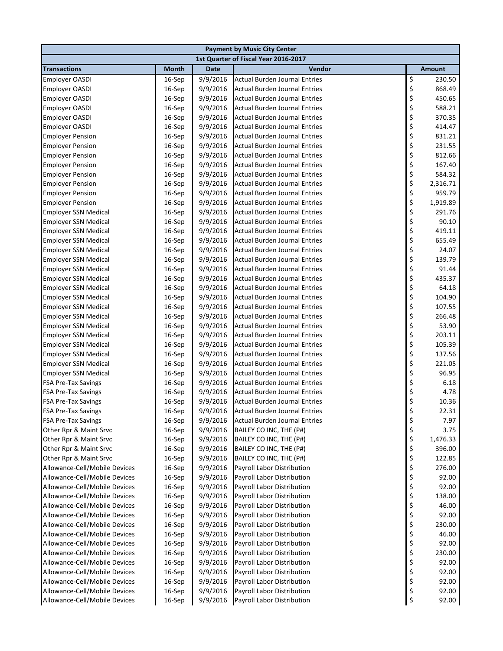| <b>Payment by Music City Center</b> |              |             |                                      |    |               |  |  |
|-------------------------------------|--------------|-------------|--------------------------------------|----|---------------|--|--|
|                                     |              |             | 1st Quarter of Fiscal Year 2016-2017 |    |               |  |  |
| <b>Transactions</b>                 | <b>Month</b> | <b>Date</b> | Vendor                               |    | <b>Amount</b> |  |  |
| <b>Employer OASDI</b>               | 16-Sep       | 9/9/2016    | <b>Actual Burden Journal Entries</b> | \$ | 230.50        |  |  |
| <b>Employer OASDI</b>               | 16-Sep       | 9/9/2016    | <b>Actual Burden Journal Entries</b> | \$ | 868.49        |  |  |
| <b>Employer OASDI</b>               | 16-Sep       | 9/9/2016    | <b>Actual Burden Journal Entries</b> | \$ | 450.65        |  |  |
| <b>Employer OASDI</b>               | 16-Sep       | 9/9/2016    | <b>Actual Burden Journal Entries</b> | \$ | 588.21        |  |  |
| <b>Employer OASDI</b>               | 16-Sep       | 9/9/2016    | <b>Actual Burden Journal Entries</b> | \$ | 370.35        |  |  |
| <b>Employer OASDI</b>               | 16-Sep       | 9/9/2016    | <b>Actual Burden Journal Entries</b> | \$ | 414.47        |  |  |
| <b>Employer Pension</b>             | 16-Sep       | 9/9/2016    | <b>Actual Burden Journal Entries</b> | \$ | 831.21        |  |  |
| <b>Employer Pension</b>             | 16-Sep       | 9/9/2016    | <b>Actual Burden Journal Entries</b> | \$ | 231.55        |  |  |
| <b>Employer Pension</b>             | 16-Sep       | 9/9/2016    | <b>Actual Burden Journal Entries</b> | \$ | 812.66        |  |  |
| <b>Employer Pension</b>             | 16-Sep       | 9/9/2016    | <b>Actual Burden Journal Entries</b> | \$ | 167.40        |  |  |
| <b>Employer Pension</b>             | 16-Sep       | 9/9/2016    | <b>Actual Burden Journal Entries</b> | \$ | 584.32        |  |  |
| <b>Employer Pension</b>             | 16-Sep       | 9/9/2016    | <b>Actual Burden Journal Entries</b> | \$ | 2,316.71      |  |  |
| <b>Employer Pension</b>             | 16-Sep       | 9/9/2016    | <b>Actual Burden Journal Entries</b> | \$ | 959.79        |  |  |
| <b>Employer Pension</b>             | 16-Sep       | 9/9/2016    | <b>Actual Burden Journal Entries</b> | \$ | 1,919.89      |  |  |
| <b>Employer SSN Medical</b>         | 16-Sep       | 9/9/2016    | <b>Actual Burden Journal Entries</b> | \$ | 291.76        |  |  |
| <b>Employer SSN Medical</b>         | 16-Sep       | 9/9/2016    | <b>Actual Burden Journal Entries</b> | \$ | 90.10         |  |  |
| <b>Employer SSN Medical</b>         | 16-Sep       | 9/9/2016    | <b>Actual Burden Journal Entries</b> | \$ | 419.11        |  |  |
| <b>Employer SSN Medical</b>         | 16-Sep       | 9/9/2016    | <b>Actual Burden Journal Entries</b> | \$ | 655.49        |  |  |
| <b>Employer SSN Medical</b>         | 16-Sep       | 9/9/2016    | Actual Burden Journal Entries        | \$ | 24.07         |  |  |
| <b>Employer SSN Medical</b>         | 16-Sep       | 9/9/2016    | Actual Burden Journal Entries        | \$ | 139.79        |  |  |
| <b>Employer SSN Medical</b>         | 16-Sep       | 9/9/2016    | <b>Actual Burden Journal Entries</b> | \$ | 91.44         |  |  |
| <b>Employer SSN Medical</b>         | 16-Sep       | 9/9/2016    | <b>Actual Burden Journal Entries</b> | \$ | 435.37        |  |  |
| <b>Employer SSN Medical</b>         | 16-Sep       | 9/9/2016    | <b>Actual Burden Journal Entries</b> | \$ | 64.18         |  |  |
| <b>Employer SSN Medical</b>         | 16-Sep       | 9/9/2016    | <b>Actual Burden Journal Entries</b> | \$ | 104.90        |  |  |
| <b>Employer SSN Medical</b>         | 16-Sep       | 9/9/2016    | <b>Actual Burden Journal Entries</b> | \$ | 107.55        |  |  |
| <b>Employer SSN Medical</b>         | 16-Sep       | 9/9/2016    | <b>Actual Burden Journal Entries</b> | \$ | 266.48        |  |  |
| <b>Employer SSN Medical</b>         | 16-Sep       | 9/9/2016    | <b>Actual Burden Journal Entries</b> | \$ | 53.90         |  |  |
| <b>Employer SSN Medical</b>         | 16-Sep       | 9/9/2016    | <b>Actual Burden Journal Entries</b> | \$ | 203.11        |  |  |
| <b>Employer SSN Medical</b>         | 16-Sep       | 9/9/2016    | <b>Actual Burden Journal Entries</b> | \$ | 105.39        |  |  |
| <b>Employer SSN Medical</b>         | 16-Sep       | 9/9/2016    | <b>Actual Burden Journal Entries</b> | \$ | 137.56        |  |  |
| <b>Employer SSN Medical</b>         | 16-Sep       | 9/9/2016    | <b>Actual Burden Journal Entries</b> | \$ | 221.05        |  |  |
| <b>Employer SSN Medical</b>         | 16-Sep       | 9/9/2016    | <b>Actual Burden Journal Entries</b> | \$ | 96.95         |  |  |
| <b>FSA Pre-Tax Savings</b>          | 16-Sep       | 9/9/2016    | <b>Actual Burden Journal Entries</b> | \$ | 6.18          |  |  |
| <b>FSA Pre-Tax Savings</b>          | 16-Sep       | 9/9/2016    | <b>Actual Burden Journal Entries</b> | \$ | 4.78          |  |  |
| <b>FSA Pre-Tax Savings</b>          | 16-Sep       | 9/9/2016    | <b>Actual Burden Journal Entries</b> | \$ | 10.36         |  |  |
| <b>FSA Pre-Tax Savings</b>          | $16-$ Sep    | 9/9/2016    | Actual Burden Journal Entries        | \$ | 22.31         |  |  |
| <b>FSA Pre-Tax Savings</b>          | 16-Sep       | 9/9/2016    | <b>Actual Burden Journal Entries</b> | \$ | 7.97          |  |  |
| Other Rpr & Maint Srvc              | 16-Sep       | 9/9/2016    | BAILEY CO INC, THE (P#)              | \$ | 3.75          |  |  |
| Other Rpr & Maint Srvc              | 16-Sep       | 9/9/2016    | BAILEY CO INC, THE (P#)              | \$ | 1,476.33      |  |  |
| Other Rpr & Maint Srvc              | 16-Sep       | 9/9/2016    | BAILEY CO INC, THE (P#)              | \$ | 396.00        |  |  |
| Other Rpr & Maint Srvc              | 16-Sep       | 9/9/2016    | BAILEY CO INC, THE (P#)              | \$ | 122.85        |  |  |
| Allowance-Cell/Mobile Devices       | 16-Sep       | 9/9/2016    | Payroll Labor Distribution           | \$ | 276.00        |  |  |
| Allowance-Cell/Mobile Devices       | 16-Sep       | 9/9/2016    | Payroll Labor Distribution           | \$ | 92.00         |  |  |
| Allowance-Cell/Mobile Devices       | 16-Sep       | 9/9/2016    | <b>Payroll Labor Distribution</b>    | \$ | 92.00         |  |  |
| Allowance-Cell/Mobile Devices       | 16-Sep       | 9/9/2016    | Payroll Labor Distribution           | \$ | 138.00        |  |  |
| Allowance-Cell/Mobile Devices       | 16-Sep       | 9/9/2016    | Payroll Labor Distribution           | \$ | 46.00         |  |  |
| Allowance-Cell/Mobile Devices       | 16-Sep       | 9/9/2016    | Payroll Labor Distribution           | \$ | 92.00         |  |  |
| Allowance-Cell/Mobile Devices       | 16-Sep       | 9/9/2016    | Payroll Labor Distribution           | \$ | 230.00        |  |  |
| Allowance-Cell/Mobile Devices       | 16-Sep       | 9/9/2016    | Payroll Labor Distribution           | \$ | 46.00         |  |  |
| Allowance-Cell/Mobile Devices       | 16-Sep       | 9/9/2016    | Payroll Labor Distribution           | \$ | 92.00         |  |  |
| Allowance-Cell/Mobile Devices       | 16-Sep       | 9/9/2016    | Payroll Labor Distribution           | \$ | 230.00        |  |  |
| Allowance-Cell/Mobile Devices       | 16-Sep       | 9/9/2016    | Payroll Labor Distribution           | \$ | 92.00         |  |  |
| Allowance-Cell/Mobile Devices       | 16-Sep       | 9/9/2016    | Payroll Labor Distribution           | \$ | 92.00         |  |  |
| Allowance-Cell/Mobile Devices       | 16-Sep       | 9/9/2016    | Payroll Labor Distribution           | \$ | 92.00         |  |  |
| Allowance-Cell/Mobile Devices       | 16-Sep       | 9/9/2016    | Payroll Labor Distribution           | \$ | 92.00         |  |  |
| Allowance-Cell/Mobile Devices       | 16-Sep       | 9/9/2016    | Payroll Labor Distribution           | \$ | 92.00         |  |  |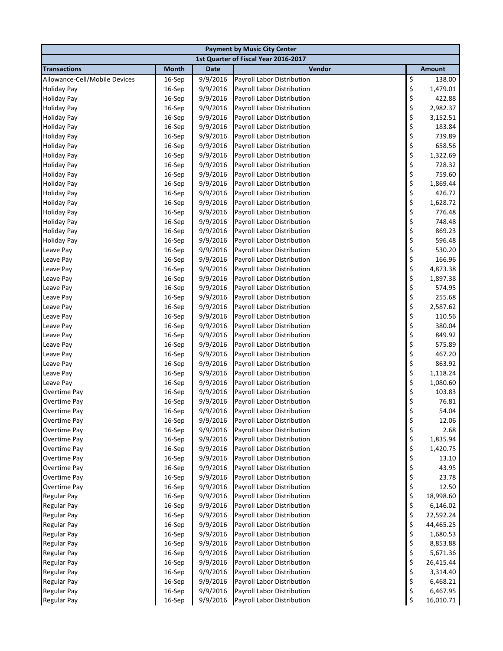| <b>Payment by Music City Center</b>      |                  |                      |                                                                 |          |                |  |  |
|------------------------------------------|------------------|----------------------|-----------------------------------------------------------------|----------|----------------|--|--|
|                                          |                  |                      | 1st Quarter of Fiscal Year 2016-2017                            |          |                |  |  |
| <b>Transactions</b>                      | <b>Month</b>     | <b>Date</b>          | Vendor                                                          |          | Amount         |  |  |
| Allowance-Cell/Mobile Devices            | 16-Sep           | 9/9/2016             | Payroll Labor Distribution                                      | \$       | 138.00         |  |  |
| <b>Holiday Pay</b>                       | 16-Sep           | 9/9/2016             | Payroll Labor Distribution                                      | \$       | 1,479.01       |  |  |
| <b>Holiday Pay</b>                       | 16-Sep           | 9/9/2016             | Payroll Labor Distribution                                      | \$       | 422.88         |  |  |
| <b>Holiday Pay</b>                       | 16-Sep           | 9/9/2016             | Payroll Labor Distribution                                      | \$       | 2,982.37       |  |  |
| <b>Holiday Pay</b>                       | 16-Sep           | 9/9/2016             | Payroll Labor Distribution                                      | \$       | 3,152.51       |  |  |
| <b>Holiday Pay</b>                       | 16-Sep           | 9/9/2016             | Payroll Labor Distribution                                      | \$       | 183.84         |  |  |
| <b>Holiday Pay</b>                       | 16-Sep           | 9/9/2016             | Payroll Labor Distribution                                      | \$       | 739.89         |  |  |
| <b>Holiday Pay</b>                       | 16-Sep           | 9/9/2016             | Payroll Labor Distribution                                      | \$       | 658.56         |  |  |
| <b>Holiday Pay</b>                       | 16-Sep           | 9/9/2016             | Payroll Labor Distribution                                      | \$       | 1,322.69       |  |  |
| <b>Holiday Pay</b>                       | 16-Sep           | 9/9/2016             | Payroll Labor Distribution                                      | \$       | 728.32         |  |  |
| <b>Holiday Pay</b>                       | 16-Sep           | 9/9/2016             | Payroll Labor Distribution                                      | \$       | 759.60         |  |  |
| <b>Holiday Pay</b>                       | 16-Sep           | 9/9/2016             | Payroll Labor Distribution                                      | \$       | 1,869.44       |  |  |
| <b>Holiday Pay</b>                       | 16-Sep           | 9/9/2016             | Payroll Labor Distribution                                      | \$       | 426.72         |  |  |
| <b>Holiday Pay</b>                       | 16-Sep           | 9/9/2016             | Payroll Labor Distribution                                      | \$       | 1,628.72       |  |  |
| <b>Holiday Pay</b>                       | 16-Sep           | 9/9/2016             | Payroll Labor Distribution                                      | \$       | 776.48         |  |  |
| <b>Holiday Pay</b>                       | 16-Sep           | 9/9/2016             | Payroll Labor Distribution                                      | \$       | 748.48         |  |  |
| <b>Holiday Pay</b>                       | 16-Sep           | 9/9/2016             | Payroll Labor Distribution                                      | \$       | 869.23         |  |  |
| <b>Holiday Pay</b>                       | 16-Sep           | 9/9/2016             | Payroll Labor Distribution                                      | \$       | 596.48         |  |  |
| Leave Pay                                | 16-Sep           | 9/9/2016             | Payroll Labor Distribution                                      | \$       | 530.20         |  |  |
| Leave Pay                                | 16-Sep           | 9/9/2016             | Payroll Labor Distribution                                      | \$       | 166.96         |  |  |
| Leave Pay                                | 16-Sep           | 9/9/2016             | Payroll Labor Distribution                                      | \$       | 4,873.38       |  |  |
| Leave Pay                                | 16-Sep           | 9/9/2016             | Payroll Labor Distribution                                      | \$       | 1,897.38       |  |  |
| Leave Pay                                | 16-Sep           | 9/9/2016             | Payroll Labor Distribution                                      | \$       | 574.95         |  |  |
| Leave Pay                                | 16-Sep           | 9/9/2016             | Payroll Labor Distribution                                      | \$       | 255.68         |  |  |
| Leave Pay                                | 16-Sep           | 9/9/2016             | Payroll Labor Distribution                                      | \$       | 2,587.62       |  |  |
| Leave Pay                                | 16-Sep           | 9/9/2016             | Payroll Labor Distribution                                      | \$       | 110.56         |  |  |
| Leave Pay                                | 16-Sep           | 9/9/2016             | Payroll Labor Distribution                                      | \$       | 380.04         |  |  |
| Leave Pay                                | 16-Sep           | 9/9/2016             | Payroll Labor Distribution                                      | \$       | 849.92         |  |  |
| Leave Pay                                | 16-Sep           | 9/9/2016             | Payroll Labor Distribution                                      | \$       | 575.89         |  |  |
| Leave Pay                                | 16-Sep           | 9/9/2016             | Payroll Labor Distribution                                      | \$       | 467.20         |  |  |
| Leave Pay                                | 16-Sep           | 9/9/2016             | Payroll Labor Distribution                                      | \$       | 863.92         |  |  |
| Leave Pay                                | 16-Sep           | 9/9/2016             | Payroll Labor Distribution                                      | \$       | 1,118.24       |  |  |
| Leave Pay                                | 16-Sep           | 9/9/2016             | Payroll Labor Distribution                                      | \$       | 1,080.60       |  |  |
| Overtime Pay                             | 16-Sep           | 9/9/2016             | Payroll Labor Distribution                                      | \$       | 103.83         |  |  |
| Overtime Pay                             | 16-Sep           | 9/9/2016             | Payroll Labor Distribution                                      | \$       | 76.81          |  |  |
| Overtime Pay                             | 16-Sep           | 9/9/2016             | Payroll Labor Distribution                                      | \$       | 54.04          |  |  |
| Overtime Pay                             | 16-Sep           | 9/9/2016             | Payroll Labor Distribution                                      | \$       | 12.06          |  |  |
| Overtime Pay                             | 16-Sep           | 9/9/2016             | Payroll Labor Distribution                                      | \$       | 2.68           |  |  |
| Overtime Pay                             | 16-Sep           | 9/9/2016             | Payroll Labor Distribution                                      | \$       | 1,835.94       |  |  |
| Overtime Pay                             | 16-Sep           | 9/9/2016             | Payroll Labor Distribution                                      | \$       | 1,420.75       |  |  |
| Overtime Pay                             | 16-Sep           | 9/9/2016<br>9/9/2016 | Payroll Labor Distribution                                      | \$<br>\$ | 13.10          |  |  |
| Overtime Pay                             | 16-Sep           | 9/9/2016             | Payroll Labor Distribution                                      |          | 43.95          |  |  |
| Overtime Pay<br>Overtime Pay             | 16-Sep           | 9/9/2016             | Payroll Labor Distribution                                      | \$       | 23.78<br>12.50 |  |  |
|                                          | 16-Sep<br>16-Sep | 9/9/2016             | Payroll Labor Distribution<br><b>Payroll Labor Distribution</b> | \$<br>\$ | 18,998.60      |  |  |
| <b>Regular Pay</b><br><b>Regular Pay</b> | 16-Sep           | 9/9/2016             | Payroll Labor Distribution                                      | \$       | 6,146.02       |  |  |
| <b>Regular Pay</b>                       | 16-Sep           | 9/9/2016             | Payroll Labor Distribution                                      | \$       | 22,592.24      |  |  |
| <b>Regular Pay</b>                       | 16-Sep           | 9/9/2016             | Payroll Labor Distribution                                      | \$       | 44,465.25      |  |  |
| <b>Regular Pay</b>                       | 16-Sep           | 9/9/2016             | Payroll Labor Distribution                                      | \$       | 1,680.53       |  |  |
| <b>Regular Pay</b>                       | 16-Sep           | 9/9/2016             | Payroll Labor Distribution                                      | \$       | 8,853.88       |  |  |
| <b>Regular Pay</b>                       | 16-Sep           | 9/9/2016             | Payroll Labor Distribution                                      | \$       | 5,671.36       |  |  |
| <b>Regular Pay</b>                       | 16-Sep           | 9/9/2016             | Payroll Labor Distribution                                      | \$       | 26,415.44      |  |  |
| Regular Pay                              | 16-Sep           | 9/9/2016             | Payroll Labor Distribution                                      | \$       | 3,314.40       |  |  |
| Regular Pay                              | 16-Sep           | 9/9/2016             | Payroll Labor Distribution                                      | \$       | 6,468.21       |  |  |
| <b>Regular Pay</b>                       | 16-Sep           | 9/9/2016             | Payroll Labor Distribution                                      | \$       | 6,467.95       |  |  |
| <b>Regular Pay</b>                       | 16-Sep           | 9/9/2016             | Payroll Labor Distribution                                      | \$       | 16,010.71      |  |  |
|                                          |                  |                      |                                                                 |          |                |  |  |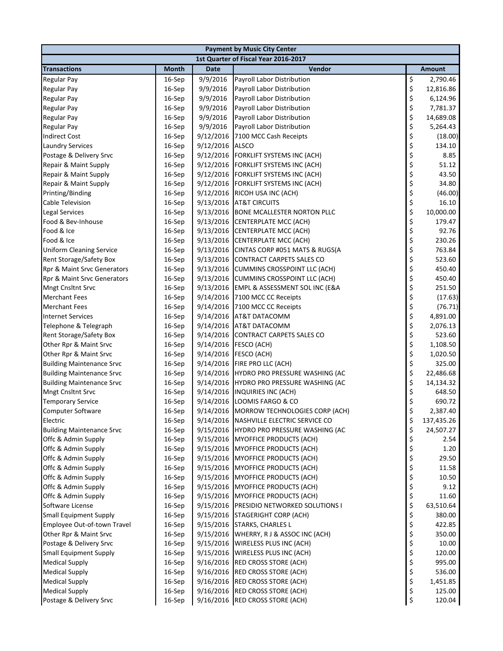|                                  | <b>Payment by Music City Center</b> |             |                                          |         |            |  |  |  |
|----------------------------------|-------------------------------------|-------------|------------------------------------------|---------|------------|--|--|--|
|                                  |                                     |             | 1st Quarter of Fiscal Year 2016-2017     |         |            |  |  |  |
| <b>Transactions</b>              | <b>Month</b>                        | <b>Date</b> | Vendor                                   |         | Amount     |  |  |  |
| <b>Regular Pay</b>               | 16-Sep                              | 9/9/2016    | Payroll Labor Distribution               | \$      | 2,790.46   |  |  |  |
| <b>Regular Pay</b>               | 16-Sep                              | 9/9/2016    | Payroll Labor Distribution               | \$      | 12,816.86  |  |  |  |
| <b>Regular Pay</b>               | 16-Sep                              | 9/9/2016    | Payroll Labor Distribution               | \$      | 6,124.96   |  |  |  |
| <b>Regular Pay</b>               | 16-Sep                              | 9/9/2016    | Payroll Labor Distribution               | \$      | 7,781.37   |  |  |  |
| <b>Regular Pay</b>               | 16-Sep                              | 9/9/2016    | Payroll Labor Distribution               | \$      | 14,689.08  |  |  |  |
| <b>Regular Pay</b>               | 16-Sep                              | 9/9/2016    | Payroll Labor Distribution               | \$      | 5,264.43   |  |  |  |
| <b>Indirect Cost</b>             | 16-Sep                              | 9/12/2016   | 7100 MCC Cash Receipts                   | \$      | (18.00)    |  |  |  |
| <b>Laundry Services</b>          | 16-Sep                              | 9/12/2016   | <b>ALSCO</b>                             | \$      | 134.10     |  |  |  |
| Postage & Delivery Srvc          | 16-Sep                              | 9/12/2016   | FORKLIFT SYSTEMS INC (ACH)               | \$      | 8.85       |  |  |  |
| Repair & Maint Supply            | 16-Sep                              | 9/12/2016   | FORKLIFT SYSTEMS INC (ACH)               | \$      | 51.12      |  |  |  |
| Repair & Maint Supply            | 16-Sep                              | 9/12/2016   | <b>FORKLIFT SYSTEMS INC (ACH)</b>        | \$      | 43.50      |  |  |  |
| Repair & Maint Supply            | 16-Sep                              | 9/12/2016   | FORKLIFT SYSTEMS INC (ACH)               | \$      | 34.80      |  |  |  |
| Printing/Binding                 | 16-Sep                              | 9/12/2016   | RICOH USA INC (ACH)                      | \$      | (46.00)    |  |  |  |
| <b>Cable Television</b>          | 16-Sep                              | 9/13/2016   | <b>AT&amp;T CIRCUITS</b>                 | \$      | 16.10      |  |  |  |
| <b>Legal Services</b>            | 16-Sep                              | 9/13/2016   | <b>BONE MCALLESTER NORTON PLLC</b>       | \$      | 10,000.00  |  |  |  |
| Food & Bev-Inhouse               | 16-Sep                              | 9/13/2016   | <b>CENTERPLATE MCC (ACH)</b>             | \$      | 179.47     |  |  |  |
| Food & Ice                       | 16-Sep                              | 9/13/2016   | <b>CENTERPLATE MCC (ACH)</b>             | \$      | 92.76      |  |  |  |
| Food & Ice                       | 16-Sep                              | 9/13/2016   | <b>CENTERPLATE MCC (ACH)</b>             | \$      | 230.26     |  |  |  |
| <b>Uniform Cleaning Service</b>  | 16-Sep                              | 9/13/2016   | CINTAS CORP #051 MATS & RUGS(A           | \$      | 763.84     |  |  |  |
| Rent Storage/Safety Box          | 16-Sep                              | 9/13/2016   | <b>CONTRACT CARPETS SALES CO</b>         | \$      | 523.60     |  |  |  |
| Rpr & Maint Srvc Generators      | 16-Sep                              | 9/13/2016   | <b>CUMMINS CROSSPOINT LLC (ACH)</b>      | \$      | 450.40     |  |  |  |
| Rpr & Maint Srvc Generators      | 16-Sep                              |             | 9/13/2016 CUMMINS CROSSPOINT LLC (ACH)   | \$      | 450.40     |  |  |  |
| <b>Mngt Cnsltnt Srvc</b>         | 16-Sep                              | 9/13/2016   | EMPL & ASSESSMENT SOL INC (E&A           | \$      | 251.50     |  |  |  |
| <b>Merchant Fees</b>             | 16-Sep                              | 9/14/2016   | 7100 MCC CC Receipts                     | \$      | (17.63)    |  |  |  |
| <b>Merchant Fees</b>             | 16-Sep                              | 9/14/2016   | 7100 MCC CC Receipts                     | \$      | (76.71)    |  |  |  |
| <b>Internet Services</b>         | 16-Sep                              | 9/14/2016   | AT&T DATACOMM                            | \$      | 4,891.00   |  |  |  |
| Telephone & Telegraph            | 16-Sep                              | 9/14/2016   | AT&T DATACOMM                            | \$      | 2,076.13   |  |  |  |
| Rent Storage/Safety Box          | 16-Sep                              | 9/14/2016   | <b>CONTRACT CARPETS SALES CO</b>         | \$      | 523.60     |  |  |  |
| Other Rpr & Maint Srvc           | 16-Sep                              |             | 9/14/2016 FESCO (ACH)                    | \$      | 1,108.50   |  |  |  |
| Other Rpr & Maint Srvc           | 16-Sep                              | 9/14/2016   | FESCO (ACH)                              | \$      | 1,020.50   |  |  |  |
| <b>Building Maintenance Srvc</b> | 16-Sep                              |             | 9/14/2016 FIRE PRO LLC (ACH)             | \$      | 325.00     |  |  |  |
| <b>Building Maintenance Srvc</b> | 16-Sep                              |             | 9/14/2016 HYDRO PRO PRESSURE WASHING (AC | \$      | 22,486.68  |  |  |  |
| <b>Building Maintenance Srvc</b> | 16-Sep                              |             | 9/14/2016 HYDRO PRO PRESSURE WASHING (AC | \$      | 14,134.32  |  |  |  |
| Mngt Cnsltnt Srvc                | 16-Sep                              | 9/14/2016   | INQUIRIES INC (ACH)                      | \$      | 648.50     |  |  |  |
| <b>Temporary Service</b>         | 16-Sep                              |             | 9/14/2016 LOOMIS FARGO & CO              | \$      | 690.72     |  |  |  |
| <b>Computer Software</b>         | $16-Sep$                            |             | 9/14/2016 MORROW TECHNOLOGIES CORP (ACH) | $\zeta$ | 2,387.40   |  |  |  |
| Electric                         | 16-Sep                              |             | 9/14/2016 NASHVILLE ELECTRIC SERVICE CO  | \$      | 137,435.26 |  |  |  |
| <b>Building Maintenance Srvc</b> | 16-Sep                              | 9/15/2016   | HYDRO PRO PRESSURE WASHING (AC           | \$      | 24,507.27  |  |  |  |
| Offc & Admin Supply              | 16-Sep                              | 9/15/2016   | <b>MYOFFICE PRODUCTS (ACH)</b>           | \$      | 2.54       |  |  |  |
| Offc & Admin Supply              | 16-Sep                              | 9/15/2016   | MYOFFICE PRODUCTS (ACH)                  | \$      | 1.20       |  |  |  |
| Offc & Admin Supply              | 16-Sep                              | 9/15/2016   | MYOFFICE PRODUCTS (ACH)                  | \$      | 29.50      |  |  |  |
| Offc & Admin Supply              | 16-Sep                              | 9/15/2016   | MYOFFICE PRODUCTS (ACH)                  | \$      | 11.58      |  |  |  |
| Offc & Admin Supply              | 16-Sep                              | 9/15/2016   | MYOFFICE PRODUCTS (ACH)                  | \$      | 10.50      |  |  |  |
| Offc & Admin Supply              | 16-Sep                              | 9/15/2016   | MYOFFICE PRODUCTS (ACH)                  | \$      | 9.12       |  |  |  |
| Offc & Admin Supply              | 16-Sep                              | 9/15/2016   | MYOFFICE PRODUCTS (ACH)                  | \$      | 11.60      |  |  |  |
| Software License                 | 16-Sep                              | 9/15/2016   | PRESIDIO NETWORKED SOLUTIONS I           | \$      | 63,510.64  |  |  |  |
| <b>Small Equipment Supply</b>    | 16-Sep                              | 9/15/2016   | <b>STAGERIGHT CORP (ACH)</b>             | \$      | 380.00     |  |  |  |
| Employee Out-of-town Travel      | 16-Sep                              |             | 9/15/2016 STARKS, CHARLES L              | \$      | 422.85     |  |  |  |
| Other Rpr & Maint Srvc           | 16-Sep                              | 9/15/2016   | WHERRY, R J & ASSOC INC (ACH)            | \$      | 350.00     |  |  |  |
| Postage & Delivery Srvc          | 16-Sep                              | 9/15/2016   | WIRELESS PLUS INC (ACH)                  | \$      | 10.00      |  |  |  |
| <b>Small Equipment Supply</b>    | 16-Sep                              | 9/15/2016   | WIRELESS PLUS INC (ACH)                  | \$      | 120.00     |  |  |  |
| <b>Medical Supply</b>            | 16-Sep                              | 9/16/2016   | <b>RED CROSS STORE (ACH)</b>             | \$      | 995.00     |  |  |  |
| <b>Medical Supply</b>            | 16-Sep                              |             | 9/16/2016 RED CROSS STORE (ACH)          | \$      | 536.00     |  |  |  |
| <b>Medical Supply</b>            | 16-Sep                              |             | 9/16/2016 RED CROSS STORE (ACH)          | \$      | 1,451.85   |  |  |  |
| <b>Medical Supply</b>            | 16-Sep                              |             | 9/16/2016 RED CROSS STORE (ACH)          | \$      | 125.00     |  |  |  |
| Postage & Delivery Srvc          | 16-Sep                              |             | 9/16/2016 RED CROSS STORE (ACH)          | \$      | 120.04     |  |  |  |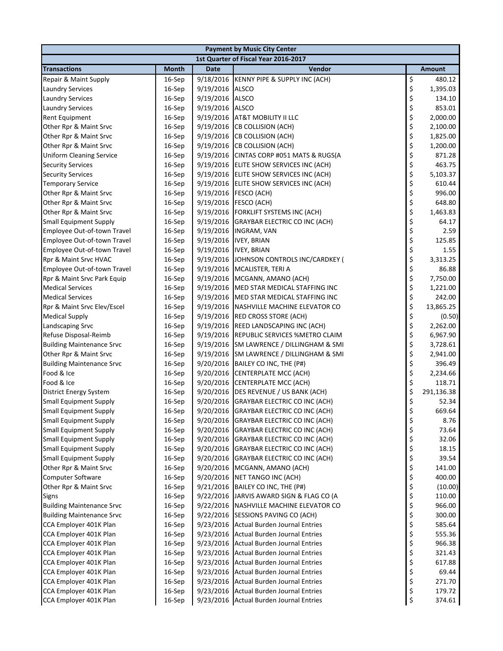|                                  | <b>Payment by Music City Center</b> |             |                                          |    |               |  |  |  |
|----------------------------------|-------------------------------------|-------------|------------------------------------------|----|---------------|--|--|--|
|                                  |                                     |             | 1st Quarter of Fiscal Year 2016-2017     |    |               |  |  |  |
| <b>Transactions</b>              | <b>Month</b>                        | <b>Date</b> | Vendor                                   |    | <b>Amount</b> |  |  |  |
| Repair & Maint Supply            | 16-Sep                              |             | 9/18/2016 KENNY PIPE & SUPPLY INC (ACH)  | \$ | 480.12        |  |  |  |
| <b>Laundry Services</b>          | 16-Sep                              | 9/19/2016   | <b>ALSCO</b>                             | \$ | 1,395.03      |  |  |  |
| <b>Laundry Services</b>          | 16-Sep                              | 9/19/2016   | <b>ALSCO</b>                             | \$ | 134.10        |  |  |  |
| <b>Laundry Services</b>          | 16-Sep                              | 9/19/2016   | <b>ALSCO</b>                             | \$ | 853.01        |  |  |  |
| Rent Equipment                   | 16-Sep                              | 9/19/2016   | <b>AT&amp;T MOBILITY II LLC</b>          | \$ | 2,000.00      |  |  |  |
| Other Rpr & Maint Srvc           | 16-Sep                              | 9/19/2016   | <b>CB COLLISION (ACH)</b>                | \$ | 2,100.00      |  |  |  |
| Other Rpr & Maint Srvc           | 16-Sep                              | 9/19/2016   | <b>CB COLLISION (ACH)</b>                | \$ | 1,825.00      |  |  |  |
| Other Rpr & Maint Srvc           | 16-Sep                              | 9/19/2016   | <b>CB COLLISION (ACH)</b>                | \$ | 1,200.00      |  |  |  |
| <b>Uniform Cleaning Service</b>  | 16-Sep                              |             | 9/19/2016 CINTAS CORP #051 MATS & RUGS(A | \$ | 871.28        |  |  |  |
| <b>Security Services</b>         | 16-Sep                              | 9/19/2016   | ELITE SHOW SERVICES INC (ACH)            | \$ | 463.75        |  |  |  |
| <b>Security Services</b>         | 16-Sep                              | 9/19/2016   | ELITE SHOW SERVICES INC (ACH)            | \$ | 5,103.37      |  |  |  |
| <b>Temporary Service</b>         | 16-Sep                              | 9/19/2016   | ELITE SHOW SERVICES INC (ACH)            | \$ | 610.44        |  |  |  |
| Other Rpr & Maint Srvc           | 16-Sep                              | 9/19/2016   | FESCO (ACH)                              | \$ | 996.00        |  |  |  |
| Other Rpr & Maint Srvc           | 16-Sep                              | 9/19/2016   | FESCO (ACH)                              | \$ | 648.80        |  |  |  |
| Other Rpr & Maint Srvc           | 16-Sep                              |             | 9/19/2016 FORKLIFT SYSTEMS INC (ACH)     | \$ | 1,463.83      |  |  |  |
| <b>Small Equipment Supply</b>    | 16-Sep                              | 9/19/2016   | GRAYBAR ELECTRIC CO INC (ACH)            | \$ | 64.17         |  |  |  |
| Employee Out-of-town Travel      | 16-Sep                              | 9/19/2016   | <b>INGRAM, VAN</b>                       | \$ | 2.59          |  |  |  |
| Employee Out-of-town Travel      | 16-Sep                              | 9/19/2016   | <b>IVEY, BRIAN</b>                       | \$ | 125.85        |  |  |  |
| Employee Out-of-town Travel      | 16-Sep                              | 9/19/2016   | <b>IVEY, BRIAN</b>                       | \$ | 1.55          |  |  |  |
| Rpr & Maint Srvc HVAC            | 16-Sep                              | 9/19/2016   | JOHNSON CONTROLS INC/CARDKEY (           | \$ | 3,313.25      |  |  |  |
| Employee Out-of-town Travel      | 16-Sep                              | 9/19/2016   | MCALISTER, TERI A                        | \$ | 86.88         |  |  |  |
| Rpr & Maint Srvc Park Equip      | 16-Sep                              | 9/19/2016   | MCGANN, AMANO (ACH)                      | \$ | 7,750.00      |  |  |  |
| <b>Medical Services</b>          | 16-Sep                              | 9/19/2016   | MED STAR MEDICAL STAFFING INC            | \$ | 1,221.00      |  |  |  |
| <b>Medical Services</b>          | 16-Sep                              | 9/19/2016   | MED STAR MEDICAL STAFFING INC            | \$ | 242.00        |  |  |  |
| Rpr & Maint Srvc Elev/Escel      | 16-Sep                              | 9/19/2016   | NASHVILLE MACHINE ELEVATOR CO            | \$ | 13,865.25     |  |  |  |
| <b>Medical Supply</b>            | 16-Sep                              | 9/19/2016   | <b>RED CROSS STORE (ACH)</b>             | \$ | (0.50)        |  |  |  |
| Landscaping Srvc                 | 16-Sep                              | 9/19/2016   | REED LANDSCAPING INC (ACH)               | \$ | 2,262.00      |  |  |  |
| Refuse Disposal-Reimb            | 16-Sep                              | 9/19/2016   | REPUBLIC SERVICES %METRO CLAIM           | \$ | 6,967.90      |  |  |  |
| <b>Building Maintenance Srvc</b> | 16-Sep                              | 9/19/2016   | SM LAWRENCE / DILLINGHAM & SMI           | \$ | 3,728.61      |  |  |  |
| Other Rpr & Maint Srvc           | 16-Sep                              | 9/19/2016   | SM LAWRENCE / DILLINGHAM & SMI           | \$ | 2,941.00      |  |  |  |
| <b>Building Maintenance Srvc</b> | 16-Sep                              | 9/20/2016   | BAILEY CO INC, THE (P#)                  | \$ | 396.49        |  |  |  |
| Food & Ice                       | 16-Sep                              | 9/20/2016   | <b>CENTERPLATE MCC (ACH)</b>             | \$ | 2,234.66      |  |  |  |
| Food & Ice                       | 16-Sep                              | 9/20/2016   | <b>CENTERPLATE MCC (ACH)</b>             | \$ | 118.71        |  |  |  |
| District Energy System           | 16-Sep                              | 9/20/2016   | DES REVENUE / US BANK (ACH)              | \$ | 291,136.38    |  |  |  |
| <b>Small Equipment Supply</b>    | 16-Sep                              | 9/20/2016   | <b>GRAYBAR ELECTRIC CO INC (ACH)</b>     | \$ | 52.34         |  |  |  |
| <b>Small Equipment Supply</b>    | 16-Sep                              |             | 9/20/2016 GRAYBAR ELECTRIC CO INC (ACH)  | Ś  | 669.64        |  |  |  |
| <b>Small Equipment Supply</b>    | 16-Sep                              | 9/20/2016   | GRAYBAR ELECTRIC CO INC (ACH)            | \$ | 8.76          |  |  |  |
| <b>Small Equipment Supply</b>    | 16-Sep                              | 9/20/2016   | <b>GRAYBAR ELECTRIC CO INC (ACH)</b>     | \$ | 73.64         |  |  |  |
| <b>Small Equipment Supply</b>    | 16-Sep                              | 9/20/2016   | GRAYBAR ELECTRIC CO INC (ACH)            | \$ | 32.06         |  |  |  |
| <b>Small Equipment Supply</b>    | 16-Sep                              | 9/20/2016   | GRAYBAR ELECTRIC CO INC (ACH)            | \$ | 18.15         |  |  |  |
| <b>Small Equipment Supply</b>    | 16-Sep                              | 9/20/2016   | <b>GRAYBAR ELECTRIC CO INC (ACH)</b>     | \$ | 39.54         |  |  |  |
| Other Rpr & Maint Srvc           | 16-Sep                              | 9/20/2016   | MCGANN, AMANO (ACH)                      | \$ | 141.00        |  |  |  |
| Computer Software                | 16-Sep                              | 9/20/2016   | NET TANGO INC (ACH)                      | \$ | 400.00        |  |  |  |
| Other Rpr & Maint Srvc           | 16-Sep                              | 9/21/2016   | BAILEY CO INC, THE (P#)                  | \$ | (10.00)       |  |  |  |
| <b>Signs</b>                     | 16-Sep                              | 9/22/2016   | JARVIS AWARD SIGN & FLAG CO (A           | \$ | 110.00        |  |  |  |
| <b>Building Maintenance Srvc</b> | 16-Sep                              | 9/22/2016   | NASHVILLE MACHINE ELEVATOR CO            | \$ | 966.00        |  |  |  |
| <b>Building Maintenance Srvc</b> | 16-Sep                              | 9/22/2016   | SESSIONS PAVING CO (ACH)                 | \$ | 300.00        |  |  |  |
| CCA Employer 401K Plan           | 16-Sep                              | 9/23/2016   | <b>Actual Burden Journal Entries</b>     | \$ | 585.64        |  |  |  |
| CCA Employer 401K Plan           | 16-Sep                              | 9/23/2016   | <b>Actual Burden Journal Entries</b>     | \$ | 555.36        |  |  |  |
| CCA Employer 401K Plan           | 16-Sep                              | 9/23/2016   | <b>Actual Burden Journal Entries</b>     | \$ | 966.38        |  |  |  |
| CCA Employer 401K Plan           | 16-Sep                              | 9/23/2016   | <b>Actual Burden Journal Entries</b>     | \$ | 321.43        |  |  |  |
| CCA Employer 401K Plan           | 16-Sep                              |             | 9/23/2016 Actual Burden Journal Entries  | \$ | 617.88        |  |  |  |
| CCA Employer 401K Plan           | 16-Sep                              |             | 9/23/2016 Actual Burden Journal Entries  | \$ | 69.44         |  |  |  |
| CCA Employer 401K Plan           | 16-Sep                              |             | 9/23/2016 Actual Burden Journal Entries  | \$ | 271.70        |  |  |  |
| CCA Employer 401K Plan           | 16-Sep                              |             | 9/23/2016 Actual Burden Journal Entries  | \$ | 179.72        |  |  |  |
| CCA Employer 401K Plan           | 16-Sep                              |             | 9/23/2016 Actual Burden Journal Entries  | \$ | 374.61        |  |  |  |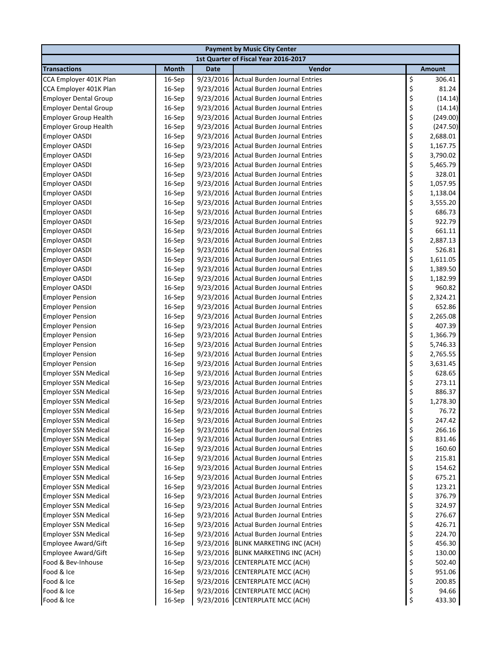|                              | <b>Payment by Music City Center</b> |             |                                         |    |               |  |  |  |
|------------------------------|-------------------------------------|-------------|-----------------------------------------|----|---------------|--|--|--|
|                              |                                     |             | 1st Quarter of Fiscal Year 2016-2017    |    |               |  |  |  |
| <b>Transactions</b>          | <b>Month</b>                        | <b>Date</b> | Vendor                                  |    | <b>Amount</b> |  |  |  |
| CCA Employer 401K Plan       | 16-Sep                              | 9/23/2016   | Actual Burden Journal Entries           | \$ | 306.41        |  |  |  |
| CCA Employer 401K Plan       | 16-Sep                              | 9/23/2016   | Actual Burden Journal Entries           | \$ | 81.24         |  |  |  |
| <b>Employer Dental Group</b> | 16-Sep                              | 9/23/2016   | Actual Burden Journal Entries           | \$ | (14.14)       |  |  |  |
| <b>Employer Dental Group</b> | 16-Sep                              | 9/23/2016   | Actual Burden Journal Entries           | \$ | (14.14)       |  |  |  |
| <b>Employer Group Health</b> | 16-Sep                              | 9/23/2016   | <b>Actual Burden Journal Entries</b>    | \$ | (249.00)      |  |  |  |
| <b>Employer Group Health</b> | 16-Sep                              | 9/23/2016   | Actual Burden Journal Entries           | \$ | (247.50)      |  |  |  |
| <b>Employer OASDI</b>        | 16-Sep                              | 9/23/2016   | Actual Burden Journal Entries           | \$ | 2,688.01      |  |  |  |
| <b>Employer OASDI</b>        | 16-Sep                              | 9/23/2016   | <b>Actual Burden Journal Entries</b>    | \$ | 1,167.75      |  |  |  |
| Employer OASDI               | 16-Sep                              | 9/23/2016   | <b>Actual Burden Journal Entries</b>    | \$ | 3,790.02      |  |  |  |
| <b>Employer OASDI</b>        | 16-Sep                              | 9/23/2016   | <b>Actual Burden Journal Entries</b>    | \$ | 5,465.79      |  |  |  |
| <b>Employer OASDI</b>        | 16-Sep                              | 9/23/2016   | <b>Actual Burden Journal Entries</b>    | \$ | 328.01        |  |  |  |
| <b>Employer OASDI</b>        | 16-Sep                              | 9/23/2016   | <b>Actual Burden Journal Entries</b>    | \$ | 1,057.95      |  |  |  |
| Employer OASDI               | 16-Sep                              | 9/23/2016   | <b>Actual Burden Journal Entries</b>    | \$ | 1,138.04      |  |  |  |
| Employer OASDI               | 16-Sep                              | 9/23/2016   | <b>Actual Burden Journal Entries</b>    | \$ | 3,555.20      |  |  |  |
| <b>Employer OASDI</b>        | 16-Sep                              | 9/23/2016   | Actual Burden Journal Entries           | \$ | 686.73        |  |  |  |
| Employer OASDI               | 16-Sep                              |             | 9/23/2016 Actual Burden Journal Entries | \$ | 922.79        |  |  |  |
| <b>Employer OASDI</b>        | 16-Sep                              | 9/23/2016   | Actual Burden Journal Entries           | \$ | 661.11        |  |  |  |
| <b>Employer OASDI</b>        | 16-Sep                              | 9/23/2016   | <b>Actual Burden Journal Entries</b>    | \$ | 2,887.13      |  |  |  |
| <b>Employer OASDI</b>        | 16-Sep                              | 9/23/2016   | <b>Actual Burden Journal Entries</b>    | \$ | 526.81        |  |  |  |
| <b>Employer OASDI</b>        | 16-Sep                              | 9/23/2016   | <b>Actual Burden Journal Entries</b>    | \$ | 1,611.05      |  |  |  |
| Employer OASDI               | 16-Sep                              | 9/23/2016   | <b>Actual Burden Journal Entries</b>    | \$ | 1,389.50      |  |  |  |
| Employer OASDI               | 16-Sep                              | 9/23/2016   | <b>Actual Burden Journal Entries</b>    | \$ | 1,182.99      |  |  |  |
| <b>Employer OASDI</b>        | 16-Sep                              | 9/23/2016   | <b>Actual Burden Journal Entries</b>    | \$ | 960.82        |  |  |  |
| <b>Employer Pension</b>      | 16-Sep                              | 9/23/2016   | <b>Actual Burden Journal Entries</b>    | \$ | 2,324.21      |  |  |  |
| <b>Employer Pension</b>      | 16-Sep                              | 9/23/2016   | <b>Actual Burden Journal Entries</b>    | \$ | 652.86        |  |  |  |
| <b>Employer Pension</b>      | 16-Sep                              | 9/23/2016   | <b>Actual Burden Journal Entries</b>    | \$ | 2,265.08      |  |  |  |
| <b>Employer Pension</b>      | 16-Sep                              | 9/23/2016   | <b>Actual Burden Journal Entries</b>    | \$ | 407.39        |  |  |  |
| <b>Employer Pension</b>      | 16-Sep                              | 9/23/2016   | <b>Actual Burden Journal Entries</b>    | \$ | 1,366.79      |  |  |  |
| <b>Employer Pension</b>      | 16-Sep                              | 9/23/2016   | Actual Burden Journal Entries           | \$ | 5,746.33      |  |  |  |
| <b>Employer Pension</b>      | 16-Sep                              | 9/23/2016   | Actual Burden Journal Entries           | \$ | 2,765.55      |  |  |  |
| <b>Employer Pension</b>      | 16-Sep                              | 9/23/2016   | Actual Burden Journal Entries           | \$ | 3,631.45      |  |  |  |
| <b>Employer SSN Medical</b>  | 16-Sep                              | 9/23/2016   | <b>Actual Burden Journal Entries</b>    | \$ | 628.65        |  |  |  |
| <b>Employer SSN Medical</b>  | 16-Sep                              | 9/23/2016   | <b>Actual Burden Journal Entries</b>    | \$ | 273.11        |  |  |  |
| <b>Employer SSN Medical</b>  | 16-Sep                              | 9/23/2016   | Actual Burden Journal Entries           | \$ | 886.37        |  |  |  |
| <b>Employer SSN Medical</b>  | 16-Sep                              | 9/23/2016   | Actual Burden Journal Entries           | \$ | 1,278.30      |  |  |  |
| <b>Employer SSN Medical</b>  | 16-Sep                              |             | 9/23/2016 Actual Burden Journal Entries | Ś  | 76.72         |  |  |  |
| <b>Employer SSN Medical</b>  | 16-Sep                              | 9/23/2016   | <b>Actual Burden Journal Entries</b>    | \$ | 247.42        |  |  |  |
| <b>Employer SSN Medical</b>  | 16-Sep                              | 9/23/2016   | <b>Actual Burden Journal Entries</b>    | \$ | 266.16        |  |  |  |
| <b>Employer SSN Medical</b>  | 16-Sep                              | 9/23/2016   | <b>Actual Burden Journal Entries</b>    | \$ | 831.46        |  |  |  |
| <b>Employer SSN Medical</b>  | 16-Sep                              |             | 9/23/2016 Actual Burden Journal Entries | \$ | 160.60        |  |  |  |
| <b>Employer SSN Medical</b>  | 16-Sep                              | 9/23/2016   | Actual Burden Journal Entries           | \$ | 215.81        |  |  |  |
| <b>Employer SSN Medical</b>  | 16-Sep                              | 9/23/2016   | Actual Burden Journal Entries           | \$ | 154.62        |  |  |  |
| <b>Employer SSN Medical</b>  | 16-Sep                              | 9/23/2016   | <b>Actual Burden Journal Entries</b>    | \$ | 675.21        |  |  |  |
| <b>Employer SSN Medical</b>  | 16-Sep                              | 9/23/2016   | <b>Actual Burden Journal Entries</b>    | \$ | 123.21        |  |  |  |
| <b>Employer SSN Medical</b>  | 16-Sep                              | 9/23/2016   | <b>Actual Burden Journal Entries</b>    | \$ | 376.79        |  |  |  |
| <b>Employer SSN Medical</b>  | 16-Sep                              | 9/23/2016   | Actual Burden Journal Entries           | \$ | 324.97        |  |  |  |
| <b>Employer SSN Medical</b>  | 16-Sep                              | 9/23/2016   | <b>Actual Burden Journal Entries</b>    | \$ | 276.67        |  |  |  |
| <b>Employer SSN Medical</b>  | 16-Sep                              | 9/23/2016   | <b>Actual Burden Journal Entries</b>    | \$ | 426.71        |  |  |  |
| <b>Employer SSN Medical</b>  | 16-Sep                              | 9/23/2016   | <b>Actual Burden Journal Entries</b>    | \$ | 224.70        |  |  |  |
| <b>Employee Award/Gift</b>   | 16-Sep                              | 9/23/2016   | BLINK MARKETING INC (ACH)               | \$ | 456.30        |  |  |  |
| <b>Employee Award/Gift</b>   | 16-Sep                              | 9/23/2016   | <b>BLINK MARKETING INC (ACH)</b>        | \$ | 130.00        |  |  |  |
| Food & Bev-Inhouse           | 16-Sep                              | 9/23/2016   | CENTERPLATE MCC (ACH)                   | \$ | 502.40        |  |  |  |
| Food & Ice                   | 16-Sep                              | 9/23/2016   | <b>CENTERPLATE MCC (ACH)</b>            | \$ | 951.06        |  |  |  |
| Food & Ice                   | 16-Sep                              | 9/23/2016   | <b>CENTERPLATE MCC (ACH)</b>            | \$ | 200.85        |  |  |  |
| Food & Ice                   | 16-Sep                              | 9/23/2016   | CENTERPLATE MCC (ACH)                   | \$ | 94.66         |  |  |  |
| Food & Ice                   | 16-Sep                              |             | 9/23/2016 CENTERPLATE MCC (ACH)         | \$ | 433.30        |  |  |  |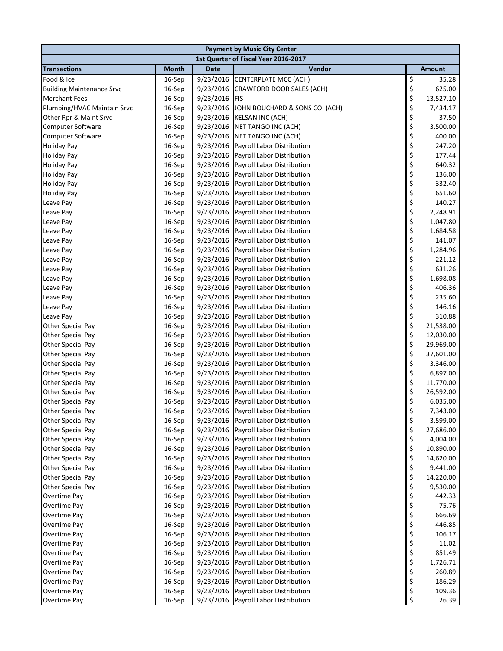| <b>Payment by Music City Center</b> |              |             |                                      |                |               |  |  |
|-------------------------------------|--------------|-------------|--------------------------------------|----------------|---------------|--|--|
|                                     |              |             | 1st Quarter of Fiscal Year 2016-2017 |                |               |  |  |
| <b>Transactions</b>                 | <b>Month</b> | <b>Date</b> | Vendor                               |                | <b>Amount</b> |  |  |
| Food & Ice                          | 16-Sep       |             | 9/23/2016 CENTERPLATE MCC (ACH)      | \$             | 35.28         |  |  |
| <b>Building Maintenance Srvc</b>    | 16-Sep       |             | 9/23/2016 CRAWFORD DOOR SALES (ACH)  | \$             | 625.00        |  |  |
| <b>Merchant Fees</b>                | 16-Sep       | 9/23/2016   | <b>FIS</b>                           | \$             | 13,527.10     |  |  |
| Plumbing/HVAC Maintain Srvc         | 16-Sep       | 9/23/2016   | JOHN BOUCHARD & SONS CO (ACH)        | \$             | 7,434.17      |  |  |
| Other Rpr & Maint Srvc              | 16-Sep       | 9/23/2016   | <b>KELSAN INC (ACH)</b>              | \$<br>\$<br>\$ | 37.50         |  |  |
| <b>Computer Software</b>            | 16-Sep       |             | 9/23/2016 NET TANGO INC (ACH)        |                | 3,500.00      |  |  |
| Computer Software                   | 16-Sep       |             | 9/23/2016 NET TANGO INC (ACH)        |                | 400.00        |  |  |
| <b>Holiday Pay</b>                  | 16-Sep       |             | 9/23/2016 Payroll Labor Distribution | \$             | 247.20        |  |  |
| <b>Holiday Pay</b>                  | 16-Sep       | 9/23/2016   | Payroll Labor Distribution           | \$             | 177.44        |  |  |
| <b>Holiday Pay</b>                  | 16-Sep       | 9/23/2016   | Payroll Labor Distribution           | \$             | 640.32        |  |  |
| <b>Holiday Pay</b>                  | 16-Sep       | 9/23/2016   | Payroll Labor Distribution           | \$             | 136.00        |  |  |
| <b>Holiday Pay</b>                  | 16-Sep       | 9/23/2016   | Payroll Labor Distribution           | \$             | 332.40        |  |  |
| <b>Holiday Pay</b>                  | 16-Sep       | 9/23/2016   | Payroll Labor Distribution           | \$             | 651.60        |  |  |
| Leave Pay                           | 16-Sep       |             | 9/23/2016 Payroll Labor Distribution | \$             | 140.27        |  |  |
| Leave Pay                           | 16-Sep       | 9/23/2016   | Payroll Labor Distribution           | \$             | 2,248.91      |  |  |
| Leave Pay                           | 16-Sep       | 9/23/2016   | Payroll Labor Distribution           | \$             | 1,047.80      |  |  |
| Leave Pay                           | 16-Sep       | 9/23/2016   | Payroll Labor Distribution           | \$             | 1,684.58      |  |  |
| Leave Pay                           | 16-Sep       | 9/23/2016   | Payroll Labor Distribution           | \$             | 141.07        |  |  |
| Leave Pay                           | 16-Sep       | 9/23/2016   | Payroll Labor Distribution           | \$             | 1,284.96      |  |  |
| Leave Pay                           | 16-Sep       | 9/23/2016   | Payroll Labor Distribution           | \$             | 221.12        |  |  |
| Leave Pay                           | 16-Sep       | 9/23/2016   | Payroll Labor Distribution           | \$             | 631.26        |  |  |
| Leave Pay                           | 16-Sep       | 9/23/2016   | Payroll Labor Distribution           | \$             | 1,698.08      |  |  |
| Leave Pay                           | 16-Sep       | 9/23/2016   | Payroll Labor Distribution           | \$             | 406.36        |  |  |
| Leave Pay                           | 16-Sep       | 9/23/2016   | Payroll Labor Distribution           | \$             | 235.60        |  |  |
| Leave Pay                           | 16-Sep       | 9/23/2016   | Payroll Labor Distribution           | \$             | 146.16        |  |  |
| Leave Pay                           | 16-Sep       | 9/23/2016   | Payroll Labor Distribution           | \$             | 310.88        |  |  |
| Other Special Pay                   | 16-Sep       | 9/23/2016   | Payroll Labor Distribution           | \$             | 21,538.00     |  |  |
| Other Special Pay                   | 16-Sep       | 9/23/2016   | Payroll Labor Distribution           | \$             | 12,030.00     |  |  |
| Other Special Pay                   | 16-Sep       | 9/23/2016   | Payroll Labor Distribution           | \$             | 29,969.00     |  |  |
| Other Special Pay                   | 16-Sep       | 9/23/2016   | Payroll Labor Distribution           | \$             | 37,601.00     |  |  |
| Other Special Pay                   | 16-Sep       | 9/23/2016   | Payroll Labor Distribution           | \$             | 3,346.00      |  |  |
| Other Special Pay                   | 16-Sep       | 9/23/2016   | Payroll Labor Distribution           | \$             | 6,897.00      |  |  |
| Other Special Pay                   | 16-Sep       |             | 9/23/2016 Payroll Labor Distribution | \$             | 11,770.00     |  |  |
| Other Special Pay                   | 16-Sep       | 9/23/2016   | Payroll Labor Distribution           | \$             | 26,592.00     |  |  |
| Other Special Pay                   | 16-Sep       | 9/23/2016   | Payroll Labor Distribution           | \$             | 6,035.00      |  |  |
| <b>Other Special Pay</b>            | 16-Sep       |             | 9/23/2016 Payroll Labor Distribution | \$             | 7,343.00      |  |  |
| Other Special Pay                   | 16-Sep       | 9/23/2016   | Payroll Labor Distribution           | \$             | 3,599.00      |  |  |
| Other Special Pay                   | 16-Sep       | 9/23/2016   | Payroll Labor Distribution           | \$             | 27,686.00     |  |  |
| Other Special Pay                   | 16-Sep       | 9/23/2016   | Payroll Labor Distribution           | \$             | 4,004.00      |  |  |
| Other Special Pay                   | 16-Sep       | 9/23/2016   | Payroll Labor Distribution           | \$             | 10,890.00     |  |  |
| Other Special Pay                   | 16-Sep       | 9/23/2016   | Payroll Labor Distribution           | \$             | 14,620.00     |  |  |
| Other Special Pay                   | 16-Sep       | 9/23/2016   | Payroll Labor Distribution           | \$<br>\$       | 9,441.00      |  |  |
| Other Special Pay                   | 16-Sep       | 9/23/2016   | Payroll Labor Distribution           |                | 14,220.00     |  |  |
| Other Special Pay                   | 16-Sep       | 9/23/2016   | Payroll Labor Distribution           | \$             | 9,530.00      |  |  |
| Overtime Pay                        | 16-Sep       | 9/23/2016   | Payroll Labor Distribution           | \$             | 442.33        |  |  |
| Overtime Pay                        | 16-Sep       | 9/23/2016   | Payroll Labor Distribution           | \$             | 75.76         |  |  |
| Overtime Pay                        | 16-Sep       | 9/23/2016   | Payroll Labor Distribution           | \$             | 666.69        |  |  |
| Overtime Pay                        | 16-Sep       | 9/23/2016   | Payroll Labor Distribution           | \$<br>\$       | 446.85        |  |  |
| Overtime Pay                        | 16-Sep       | 9/23/2016   | Payroll Labor Distribution           |                | 106.17        |  |  |
| Overtime Pay                        | 16-Sep       | 9/23/2016   | Payroll Labor Distribution           | \$<br>\$       | 11.02         |  |  |
| Overtime Pay                        | 16-Sep       | 9/23/2016   | Payroll Labor Distribution           |                | 851.49        |  |  |
| Overtime Pay                        | 16-Sep       |             | 9/23/2016 Payroll Labor Distribution | \$             | 1,726.71      |  |  |
| Overtime Pay                        | 16-Sep       | 9/23/2016   | Payroll Labor Distribution           | \$             | 260.89        |  |  |
| Overtime Pay                        | 16-Sep       | 9/23/2016   | Payroll Labor Distribution           | \$             | 186.29        |  |  |
| Overtime Pay                        | 16-Sep       | 9/23/2016   | Payroll Labor Distribution           | \$             | 109.36        |  |  |
| Overtime Pay                        | 16-Sep       | 9/23/2016   | Payroll Labor Distribution           | \$             | 26.39         |  |  |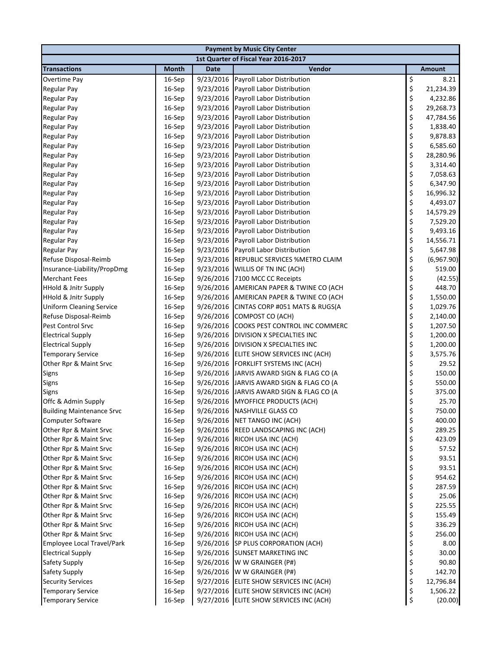| <b>Payment by Music City Center</b> |              |             |                                          |    |            |  |  |
|-------------------------------------|--------------|-------------|------------------------------------------|----|------------|--|--|
|                                     |              |             | 1st Quarter of Fiscal Year 2016-2017     |    |            |  |  |
| <b>Transactions</b>                 | <b>Month</b> | <b>Date</b> | Vendor                                   |    | Amount     |  |  |
| Overtime Pay                        | 16-Sep       | 9/23/2016   | Payroll Labor Distribution               | \$ | 8.21       |  |  |
| <b>Regular Pay</b>                  | 16-Sep       | 9/23/2016   | <b>Payroll Labor Distribution</b>        | \$ | 21,234.39  |  |  |
| <b>Regular Pay</b>                  | 16-Sep       | 9/23/2016   | Payroll Labor Distribution               | \$ | 4,232.86   |  |  |
| <b>Regular Pay</b>                  | 16-Sep       | 9/23/2016   | Payroll Labor Distribution               | \$ | 29,268.73  |  |  |
| <b>Regular Pay</b>                  | 16-Sep       | 9/23/2016   | Payroll Labor Distribution               | \$ | 47,784.56  |  |  |
| <b>Regular Pay</b>                  | 16-Sep       | 9/23/2016   | Payroll Labor Distribution               | \$ | 1,838.40   |  |  |
| <b>Regular Pay</b>                  | 16-Sep       | 9/23/2016   | Payroll Labor Distribution               | \$ | 9,878.83   |  |  |
| <b>Regular Pay</b>                  | 16-Sep       | 9/23/2016   | Payroll Labor Distribution               | \$ | 6,585.60   |  |  |
| <b>Regular Pay</b>                  | 16-Sep       | 9/23/2016   | <b>Payroll Labor Distribution</b>        | \$ | 28,280.96  |  |  |
| <b>Regular Pay</b>                  | 16-Sep       | 9/23/2016   | Payroll Labor Distribution               | \$ | 3,314.40   |  |  |
| <b>Regular Pay</b>                  | 16-Sep       | 9/23/2016   | Payroll Labor Distribution               | \$ | 7,058.63   |  |  |
| <b>Regular Pay</b>                  | 16-Sep       | 9/23/2016   | Payroll Labor Distribution               | \$ | 6,347.90   |  |  |
| <b>Regular Pay</b>                  | 16-Sep       | 9/23/2016   | Payroll Labor Distribution               | \$ | 16,996.32  |  |  |
| <b>Regular Pay</b>                  | 16-Sep       | 9/23/2016   | Payroll Labor Distribution               | \$ | 4,493.07   |  |  |
| <b>Regular Pay</b>                  | 16-Sep       | 9/23/2016   | Payroll Labor Distribution               | \$ | 14,579.29  |  |  |
| <b>Regular Pay</b>                  | 16-Sep       | 9/23/2016   | Payroll Labor Distribution               | \$ | 7,529.20   |  |  |
| <b>Regular Pay</b>                  | 16-Sep       | 9/23/2016   | Payroll Labor Distribution               | \$ | 9,493.16   |  |  |
| <b>Regular Pay</b>                  | 16-Sep       | 9/23/2016   | Payroll Labor Distribution               | \$ | 14,556.71  |  |  |
| <b>Regular Pay</b>                  | 16-Sep       | 9/23/2016   | Payroll Labor Distribution               | \$ | 5,647.98   |  |  |
| Refuse Disposal-Reimb               | 16-Sep       | 9/23/2016   | REPUBLIC SERVICES %METRO CLAIM           | \$ | (6,967.90) |  |  |
| Insurance-Liability/PropDmg         | 16-Sep       | 9/23/2016   | WILLIS OF TN INC (ACH)                   | \$ | 519.00     |  |  |
| <b>Merchant Fees</b>                | $16-$ Sep    | 9/26/2016   | 7100 MCC CC Receipts                     | \$ | (42.55)    |  |  |
| <b>HHold &amp; Jnitr Supply</b>     | 16-Sep       | 9/26/2016   | AMERICAN PAPER & TWINE CO (ACH           | \$ | 448.70     |  |  |
| <b>HHold &amp; Jnitr Supply</b>     | 16-Sep       | 9/26/2016   | AMERICAN PAPER & TWINE CO (ACH           | \$ | 1,550.00   |  |  |
| <b>Uniform Cleaning Service</b>     | 16-Sep       | 9/26/2016   | CINTAS CORP #051 MATS & RUGS(A           | \$ | 1,029.76   |  |  |
| Refuse Disposal-Reimb               | 16-Sep       | 9/26/2016   | COMPOST CO (ACH)                         | \$ | 2,140.00   |  |  |
| Pest Control Srvc                   | 16-Sep       | 9/26/2016   | COOKS PEST CONTROL INC COMMERC           | \$ | 1,207.50   |  |  |
| <b>Electrical Supply</b>            | 16-Sep       | 9/26/2016   | DIVISION X SPECIALTIES INC               | \$ | 1,200.00   |  |  |
| <b>Electrical Supply</b>            | 16-Sep       | 9/26/2016   | DIVISION X SPECIALTIES INC               | \$ | 1,200.00   |  |  |
| <b>Temporary Service</b>            | 16-Sep       |             | 9/26/2016 ELITE SHOW SERVICES INC (ACH)  | \$ | 3,575.76   |  |  |
| Other Rpr & Maint Srvc              | 16-Sep       |             | 9/26/2016 FORKLIFT SYSTEMS INC (ACH)     | \$ | 29.52      |  |  |
| Signs                               | 16-Sep       |             | 9/26/2016 JARVIS AWARD SIGN & FLAG CO (A | \$ | 150.00     |  |  |
| Signs                               | 16-Sep       |             | 9/26/2016 JARVIS AWARD SIGN & FLAG CO (A | \$ | 550.00     |  |  |
| <b>Signs</b>                        | $16-$ Sep    |             | 9/26/2016 JARVIS AWARD SIGN & FLAG CO (A | \$ | 375.00     |  |  |
| Offc & Admin Supply                 | 16-Sep       |             | 9/26/2016 MYOFFICE PRODUCTS (ACH)        | \$ | 25.70      |  |  |
| <b>Building Maintenance Srvc</b>    | 16-Sep       |             | 9/26/2016 NASHVILLE GLASS CO             | Ś  | 750.00     |  |  |
| <b>Computer Software</b>            | 16-Sep       |             | 9/26/2016 NET TANGO INC (ACH)            | \$ | 400.00     |  |  |
| Other Rpr & Maint Srvc              | 16-Sep       | 9/26/2016   | REED LANDSCAPING INC (ACH)               | \$ | 289.25     |  |  |
| Other Rpr & Maint Srvc              | 16-Sep       | 9/26/2016   | RICOH USA INC (ACH)                      | \$ | 423.09     |  |  |
| Other Rpr & Maint Srvc              | 16-Sep       | 9/26/2016   | RICOH USA INC (ACH)                      | \$ | 57.52      |  |  |
| Other Rpr & Maint Srvc              | 16-Sep       | 9/26/2016   | RICOH USA INC (ACH)                      | \$ | 93.51      |  |  |
| Other Rpr & Maint Srvc              | 16-Sep       | 9/26/2016   | RICOH USA INC (ACH)                      | \$ | 93.51      |  |  |
| Other Rpr & Maint Srvc              | 16-Sep       |             | 9/26/2016 RICOH USA INC (ACH)            | \$ | 954.62     |  |  |
| Other Rpr & Maint Srvc              | 16-Sep       | 9/26/2016   | RICOH USA INC (ACH)                      | \$ | 287.59     |  |  |
| Other Rpr & Maint Srvc              | 16-Sep       | 9/26/2016   | RICOH USA INC (ACH)                      | \$ | 25.06      |  |  |
| Other Rpr & Maint Srvc              | 16-Sep       | 9/26/2016   | RICOH USA INC (ACH)                      | \$ | 225.55     |  |  |
| Other Rpr & Maint Srvc              | 16-Sep       | 9/26/2016   | RICOH USA INC (ACH)                      | \$ | 155.49     |  |  |
| Other Rpr & Maint Srvc              | 16-Sep       | 9/26/2016   | RICOH USA INC (ACH)                      | \$ | 336.29     |  |  |
| Other Rpr & Maint Srvc              | 16-Sep       |             | 9/26/2016 RICOH USA INC (ACH)            | \$ | 256.00     |  |  |
| Employee Local Travel/Park          | 16-Sep       | 9/26/2016   | SP PLUS CORPORATION (ACH)                | \$ | 8.00       |  |  |
| <b>Electrical Supply</b>            | 16-Sep       | 9/26/2016   | <b>SUNSET MARKETING INC</b>              | \$ | 30.00      |  |  |
| Safety Supply                       | 16-Sep       | 9/26/2016   | W W GRAINGER (P#)                        | \$ | 90.80      |  |  |
| Safety Supply                       | 16-Sep       | 9/26/2016   | W W GRAINGER (P#)                        | \$ | 142.70     |  |  |
| <b>Security Services</b>            | 16-Sep       | 9/27/2016   | ELITE SHOW SERVICES INC (ACH)            | \$ | 12,796.84  |  |  |
| <b>Temporary Service</b>            | 16-Sep       | 9/27/2016   | ELITE SHOW SERVICES INC (ACH)            | \$ | 1,506.22   |  |  |
| <b>Temporary Service</b>            | 16-Sep       |             | 9/27/2016 ELITE SHOW SERVICES INC (ACH)  | \$ | (20.00)    |  |  |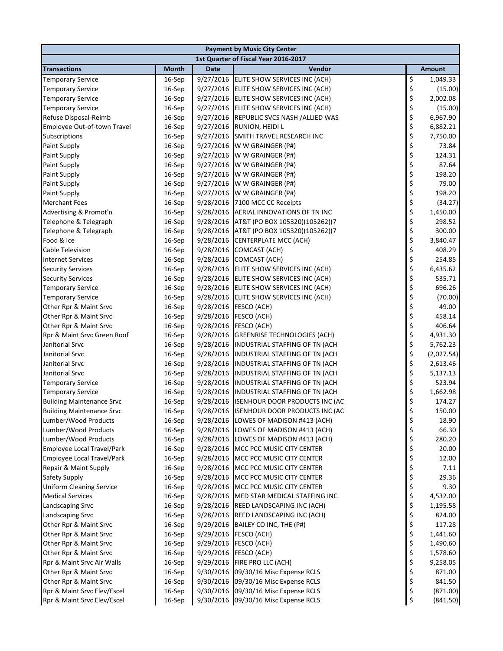| <b>Payment by Music City Center</b>  |              |             |                                          |          |               |  |
|--------------------------------------|--------------|-------------|------------------------------------------|----------|---------------|--|
| 1st Quarter of Fiscal Year 2016-2017 |              |             |                                          |          |               |  |
| <b>Transactions</b>                  | <b>Month</b> | <b>Date</b> | Vendor                                   |          | <b>Amount</b> |  |
| <b>Temporary Service</b>             | 16-Sep       | 9/27/2016   | ELITE SHOW SERVICES INC (ACH)            | \$       | 1,049.33      |  |
| <b>Temporary Service</b>             | 16-Sep       | 9/27/2016   | ELITE SHOW SERVICES INC (ACH)            | \$       | (15.00)       |  |
| <b>Temporary Service</b>             | 16-Sep       | 9/27/2016   | ELITE SHOW SERVICES INC (ACH)            | \$       | 2,002.08      |  |
| <b>Temporary Service</b>             | 16-Sep       |             | 9/27/2016 ELITE SHOW SERVICES INC (ACH)  | \$       | (15.00)       |  |
| Refuse Disposal-Reimb                | 16-Sep       | 9/27/2016   | REPUBLIC SVCS NASH / ALLIED WAS          | \$       | 6,967.90      |  |
| Employee Out-of-town Travel          | 16-Sep       | 9/27/2016   | RUNION, HEIDI L                          | \$       | 6,882.21      |  |
| Subscriptions                        | 16-Sep       | 9/27/2016   | SMITH TRAVEL RESEARCH INC                | \$       | 7,750.00      |  |
| <b>Paint Supply</b>                  | 16-Sep       | 9/27/2016   | W W GRAINGER (P#)                        |          | 73.84         |  |
| Paint Supply                         | 16-Sep       | 9/27/2016   | W W GRAINGER (P#)                        | \$<br>\$ | 124.31        |  |
| Paint Supply                         | 16-Sep       | 9/27/2016   | W W GRAINGER (P#)                        | \$       | 87.64         |  |
| <b>Paint Supply</b>                  | 16-Sep       | 9/27/2016   | W W GRAINGER (P#)                        | \$       | 198.20        |  |
| <b>Paint Supply</b>                  | 16-Sep       | 9/27/2016   | W W GRAINGER (P#)                        | \$       | 79.00         |  |
| <b>Paint Supply</b>                  | 16-Sep       | 9/27/2016   | W W GRAINGER (P#)                        | \$       | 198.20        |  |
| <b>Merchant Fees</b>                 | 16-Sep       | 9/28/2016   | 7100 MCC CC Receipts                     | \$       | (34.27)       |  |
| Advertising & Promot'n               | 16-Sep       | 9/28/2016   | AERIAL INNOVATIONS OF TN INC             | \$       | 1,450.00      |  |
| Telephone & Telegraph                | 16-Sep       | 9/28/2016   | AT&T (PO BOX 105320)(105262)(7           | \$       | 298.52        |  |
| Telephone & Telegraph                | 16-Sep       | 9/28/2016   | AT&T (PO BOX 105320)(105262)(7           | \$       | 300.00        |  |
| Food & Ice                           | 16-Sep       | 9/28/2016   | CENTERPLATE MCC (ACH)                    | \$       | 3,840.47      |  |
| <b>Cable Television</b>              | 16-Sep       | 9/28/2016   | COMCAST (ACH)                            | \$       | 408.29        |  |
| <b>Internet Services</b>             | 16-Sep       | 9/28/2016   | COMCAST (ACH)                            | \$       | 254.85        |  |
| <b>Security Services</b>             | 16-Sep       |             | 9/28/2016 ELITE SHOW SERVICES INC (ACH)  | \$       | 6,435.62      |  |
| <b>Security Services</b>             | 16-Sep       |             | 9/28/2016 ELITE SHOW SERVICES INC (ACH)  | \$       | 535.71        |  |
| <b>Temporary Service</b>             | 16-Sep       |             | 9/28/2016 ELITE SHOW SERVICES INC (ACH)  | \$       | 696.26        |  |
| <b>Temporary Service</b>             | 16-Sep       | 9/28/2016   | ELITE SHOW SERVICES INC (ACH)            | \$       | (70.00)       |  |
| Other Rpr & Maint Srvc               | 16-Sep       | 9/28/2016   | FESCO (ACH)                              | \$       | 49.00         |  |
| Other Rpr & Maint Srvc               | 16-Sep       | 9/28/2016   | FESCO (ACH)                              | \$       | 458.14        |  |
| Other Rpr & Maint Srvc               | 16-Sep       | 9/28/2016   | FESCO (ACH)                              | \$       | 406.64        |  |
| Rpr & Maint Srvc Green Roof          | 16-Sep       | 9/28/2016   | <b>GREENRISE TECHNOLOGIES (ACH)</b>      | \$       | 4,931.30      |  |
| Janitorial Srvc                      | 16-Sep       | 9/28/2016   | INDUSTRIAL STAFFING OF TN (ACH           | \$       | 5,762.23      |  |
| Janitorial Srvc                      | 16-Sep       | 9/28/2016   | INDUSTRIAL STAFFING OF TN (ACH           | \$       | (2,027.54)    |  |
| Janitorial Srvc                      | 16-Sep       | 9/28/2016   | INDUSTRIAL STAFFING OF TN (ACH           | \$       | 2,613.46      |  |
| Janitorial Srvc                      | 16-Sep       | 9/28/2016   | INDUSTRIAL STAFFING OF TN (ACH           | \$       | 5,137.13      |  |
| <b>Temporary Service</b>             | 16-Sep       | 9/28/2016   | INDUSTRIAL STAFFING OF TN (ACH           | \$       | 523.94        |  |
| <b>Temporary Service</b>             | 16-Sep       | 9/28/2016   | INDUSTRIAL STAFFING OF TN (ACH           | \$       | 1,662.98      |  |
| <b>Building Maintenance Srvc</b>     | 16-Sep       | 9/28/2016   | ISENHOUR DOOR PRODUCTS INC (AC           | \$       | 174.27        |  |
| Building Maintenance Srvc            | $16-Sep$     |             | 9/28/2016 ISENHOUR DOOR PRODUCTS INC (AC | Ś        | 150.00        |  |
| Lumber/Wood Products                 | 16-Sep       | 9/28/2016   | LOWES OF MADISON #413 (ACH)              | \$       | 18.90         |  |
| Lumber/Wood Products                 | 16-Sep       | 9/28/2016   | LOWES OF MADISON #413 (ACH)              | \$       | 66.30         |  |
| Lumber/Wood Products                 | 16-Sep       | 9/28/2016   | LOWES OF MADISON #413 (ACH)              | \$       | 280.20        |  |
| Employee Local Travel/Park           | 16-Sep       |             | 9/28/2016 MCC PCC MUSIC CITY CENTER      | \$       | 20.00         |  |
| Employee Local Travel/Park           | 16-Sep       | 9/28/2016   | MCC PCC MUSIC CITY CENTER                | \$       | 12.00         |  |
| Repair & Maint Supply                | 16-Sep       | 9/28/2016   | MCC PCC MUSIC CITY CENTER                | \$       | 7.11          |  |
| Safety Supply                        | 16-Sep       | 9/28/2016   | MCC PCC MUSIC CITY CENTER                | \$       | 29.36         |  |
| <b>Uniform Cleaning Service</b>      | 16-Sep       | 9/28/2016   | MCC PCC MUSIC CITY CENTER                | \$       | 9.30          |  |
| <b>Medical Services</b>              | 16-Sep       | 9/28/2016   | MED STAR MEDICAL STAFFING INC            | \$       | 4,532.00      |  |
| Landscaping Srvc                     | 16-Sep       |             | 9/28/2016 REED LANDSCAPING INC (ACH)     | \$       | 1,195.58      |  |
| Landscaping Srvc                     | 16-Sep       | 9/28/2016   | REED LANDSCAPING INC (ACH)               | \$       | 824.00        |  |
| Other Rpr & Maint Srvc               | 16-Sep       | 9/29/2016   | BAILEY CO INC, THE (P#)                  | \$       | 117.28        |  |
| Other Rpr & Maint Srvc               | 16-Sep       | 9/29/2016   | FESCO (ACH)                              | \$       | 1,441.60      |  |
| Other Rpr & Maint Srvc               | 16-Sep       | 9/29/2016   | FESCO (ACH)                              | \$       | 1,490.60      |  |
| Other Rpr & Maint Srvc               | 16-Sep       | 9/29/2016   | FESCO (ACH)                              | \$       | 1,578.60      |  |
| Rpr & Maint Srvc Air Walls           | 16-Sep       | 9/29/2016   | FIRE PRO LLC (ACH)                       | \$       | 9,258.05      |  |
| Other Rpr & Maint Srvc               | 16-Sep       |             | 9/30/2016 09/30/16 Misc Expense RCLS     | \$       | 871.00        |  |
| Other Rpr & Maint Srvc               | 16-Sep       |             | 9/30/2016 09/30/16 Misc Expense RCLS     | \$       | 841.50        |  |
| Rpr & Maint Srvc Elev/Escel          | 16-Sep       | 9/30/2016   | 09/30/16 Misc Expense RCLS               | \$       | (871.00)      |  |
| Rpr & Maint Srvc Elev/Escel          | 16-Sep       |             | 9/30/2016 09/30/16 Misc Expense RCLS     | \$       | (841.50)      |  |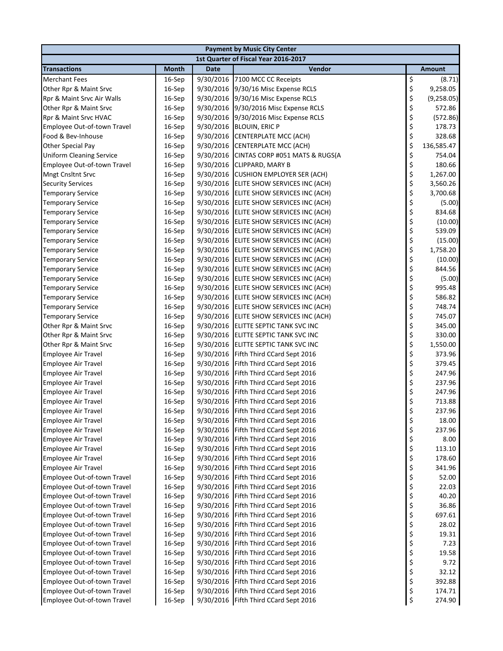| <b>Payment by Music City Center</b>  |              |           |                                       |          |               |  |
|--------------------------------------|--------------|-----------|---------------------------------------|----------|---------------|--|
| 1st Quarter of Fiscal Year 2016-2017 |              |           |                                       |          |               |  |
| <b>Transactions</b>                  | <b>Month</b> | Date      | Vendor                                |          | <b>Amount</b> |  |
| <b>Merchant Fees</b>                 | 16-Sep       | 9/30/2016 | 7100 MCC CC Receipts                  | \$       | (8.71)        |  |
| Other Rpr & Maint Srvc               | 16-Sep       | 9/30/2016 | 9/30/16 Misc Expense RCLS             | \$       | 9,258.05      |  |
| Rpr & Maint Srvc Air Walls           | 16-Sep       | 9/30/2016 | 9/30/16 Misc Expense RCLS             | \$       | (9,258.05)    |  |
| Other Rpr & Maint Srvc               | 16-Sep       | 9/30/2016 | 9/30/2016 Misc Expense RCLS           | \$       | 572.86        |  |
| Rpr & Maint Srvc HVAC                | 16-Sep       | 9/30/2016 | 9/30/2016 Misc Expense RCLS           | \$       | (572.86)      |  |
| Employee Out-of-town Travel          | 16-Sep       | 9/30/2016 | <b>BLOUIN, ERIC P</b>                 | \$       | 178.73        |  |
| Food & Bev-Inhouse                   | 16-Sep       | 9/30/2016 | CENTERPLATE MCC (ACH)                 | \$       | 328.68        |  |
| Other Special Pay                    | 16-Sep       | 9/30/2016 | CENTERPLATE MCC (ACH)                 | \$       | 136,585.47    |  |
| <b>Uniform Cleaning Service</b>      | 16-Sep       | 9/30/2016 | CINTAS CORP #051 MATS & RUGS(A        | \$       | 754.04        |  |
| Employee Out-of-town Travel          | 16-Sep       | 9/30/2016 | CLIPPARD, MARY B                      | \$       | 180.66        |  |
| <b>Mngt Cnsltnt Srvc</b>             | 16-Sep       | 9/30/2016 | <b>CUSHION EMPLOYER SER (ACH)</b>     | \$       | 1,267.00      |  |
| <b>Security Services</b>             | 16-Sep       | 9/30/2016 | ELITE SHOW SERVICES INC (ACH)         | \$       | 3,560.26      |  |
| <b>Temporary Service</b>             | 16-Sep       | 9/30/2016 | ELITE SHOW SERVICES INC (ACH)         | \$       | 3,700.68      |  |
| <b>Temporary Service</b>             | 16-Sep       | 9/30/2016 | ELITE SHOW SERVICES INC (ACH)         | \$       | (5.00)        |  |
| <b>Temporary Service</b>             | 16-Sep       | 9/30/2016 | ELITE SHOW SERVICES INC (ACH)         | \$       | 834.68        |  |
| <b>Temporary Service</b>             | 16-Sep       | 9/30/2016 | ELITE SHOW SERVICES INC (ACH)         | \$       | (10.00)       |  |
| <b>Temporary Service</b>             | 16-Sep       | 9/30/2016 | ELITE SHOW SERVICES INC (ACH)         | \$       | 539.09        |  |
| <b>Temporary Service</b>             | 16-Sep       | 9/30/2016 | ELITE SHOW SERVICES INC (ACH)         | \$       | (15.00)       |  |
| <b>Temporary Service</b>             | 16-Sep       | 9/30/2016 | ELITE SHOW SERVICES INC (ACH)         | \$       | 1,758.20      |  |
| <b>Temporary Service</b>             | 16-Sep       | 9/30/2016 | ELITE SHOW SERVICES INC (ACH)         | \$       | (10.00)       |  |
| <b>Temporary Service</b>             | 16-Sep       | 9/30/2016 | ELITE SHOW SERVICES INC (ACH)         | \$       | 844.56        |  |
| <b>Temporary Service</b>             | 16-Sep       | 9/30/2016 | ELITE SHOW SERVICES INC (ACH)         | \$       | (5.00)        |  |
| <b>Temporary Service</b>             | 16-Sep       | 9/30/2016 | ELITE SHOW SERVICES INC (ACH)         | \$       | 995.48        |  |
| <b>Temporary Service</b>             | 16-Sep       | 9/30/2016 | ELITE SHOW SERVICES INC (ACH)         | \$       | 586.82        |  |
| <b>Temporary Service</b>             | 16-Sep       | 9/30/2016 | ELITE SHOW SERVICES INC (ACH)         | \$       | 748.74        |  |
| <b>Temporary Service</b>             | 16-Sep       | 9/30/2016 | ELITE SHOW SERVICES INC (ACH)         | \$       | 745.07        |  |
| Other Rpr & Maint Srvc               | 16-Sep       | 9/30/2016 | ELITTE SEPTIC TANK SVC INC            | \$       | 345.00        |  |
| Other Rpr & Maint Srvc               | 16-Sep       | 9/30/2016 | ELITTE SEPTIC TANK SVC INC            | \$       | 330.00        |  |
| Other Rpr & Maint Srvc               | 16-Sep       | 9/30/2016 | ELITTE SEPTIC TANK SVC INC            | \$       | 1,550.00      |  |
| <b>Employee Air Travel</b>           | 16-Sep       | 9/30/2016 | Fifth Third CCard Sept 2016           | \$       | 373.96        |  |
| <b>Employee Air Travel</b>           | 16-Sep       | 9/30/2016 | Fifth Third CCard Sept 2016           | \$       | 379.45        |  |
| <b>Employee Air Travel</b>           | 16-Sep       | 9/30/2016 | Fifth Third CCard Sept 2016           | \$       | 247.96        |  |
| <b>Employee Air Travel</b>           | 16-Sep       | 9/30/2016 | Fifth Third CCard Sept 2016           | \$       | 237.96        |  |
| <b>Employee Air Travel</b>           | 16-Sep       | 9/30/2016 | Fifth Third CCard Sept 2016           | \$       | 247.96        |  |
| <b>Employee Air Travel</b>           | 16-Sep       | 9/30/2016 | Fifth Third CCard Sept 2016           | \$       | 713.88        |  |
| Employee Air Travel                  | 16-Sep       |           | 9/30/2016 Fifth Third CCard Sept 2016 | Ś        | 237.96        |  |
| <b>Employee Air Travel</b>           | 16-Sep       | 9/30/2016 | Fifth Third CCard Sept 2016           | \$       | 18.00         |  |
| <b>Employee Air Travel</b>           | 16-Sep       | 9/30/2016 | Fifth Third CCard Sept 2016           | \$       | 237.96        |  |
| Employee Air Travel                  | 16-Sep       | 9/30/2016 | Fifth Third CCard Sept 2016           | \$       | 8.00          |  |
| <b>Employee Air Travel</b>           | 16-Sep       | 9/30/2016 | Fifth Third CCard Sept 2016           | \$       | 113.10        |  |
| <b>Employee Air Travel</b>           | 16-Sep       | 9/30/2016 | Fifth Third CCard Sept 2016           | \$       | 178.60        |  |
| <b>Employee Air Travel</b>           | 16-Sep       | 9/30/2016 | Fifth Third CCard Sept 2016           | \$       | 341.96        |  |
| Employee Out-of-town Travel          | 16-Sep       | 9/30/2016 | Fifth Third CCard Sept 2016           | \$       | 52.00         |  |
| Employee Out-of-town Travel          | 16-Sep       | 9/30/2016 | Fifth Third CCard Sept 2016           | \$       | 22.03         |  |
| Employee Out-of-town Travel          | 16-Sep       | 9/30/2016 | Fifth Third CCard Sept 2016           | \$<br>\$ | 40.20         |  |
| Employee Out-of-town Travel          | 16-Sep       | 9/30/2016 | Fifth Third CCard Sept 2016           |          | 36.86         |  |
| Employee Out-of-town Travel          | 16-Sep       | 9/30/2016 | Fifth Third CCard Sept 2016           | \$       | 697.61        |  |
| Employee Out-of-town Travel          | 16-Sep       | 9/30/2016 | Fifth Third CCard Sept 2016           | \$<br>\$ | 28.02         |  |
| Employee Out-of-town Travel          | 16-Sep       | 9/30/2016 | Fifth Third CCard Sept 2016           |          | 19.31         |  |
| Employee Out-of-town Travel          | 16-Sep       | 9/30/2016 | Fifth Third CCard Sept 2016           | \$       | 7.23          |  |
| Employee Out-of-town Travel          | 16-Sep       | 9/30/2016 | Fifth Third CCard Sept 2016           | \$<br>\$ | 19.58         |  |
| Employee Out-of-town Travel          | 16-Sep       | 9/30/2016 | Fifth Third CCard Sept 2016           |          | 9.72          |  |
| Employee Out-of-town Travel          | 16-Sep       | 9/30/2016 | Fifth Third CCard Sept 2016           | \$       | 32.12         |  |
| Employee Out-of-town Travel          | 16-Sep       | 9/30/2016 | Fifth Third CCard Sept 2016           | \$       | 392.88        |  |
| Employee Out-of-town Travel          | 16-Sep       | 9/30/2016 | Fifth Third CCard Sept 2016           | \$       | 174.71        |  |
| Employee Out-of-town Travel          | 16-Sep       | 9/30/2016 | Fifth Third CCard Sept 2016           | \$       | 274.90        |  |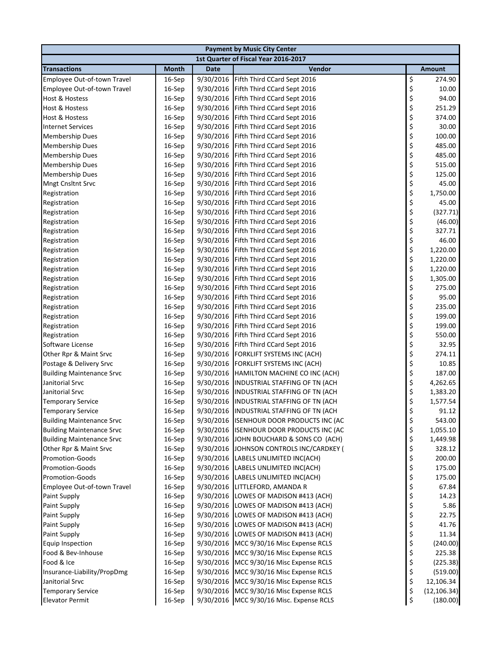| <b>Payment by Music City Center</b>  |              |             |                                          |    |              |  |
|--------------------------------------|--------------|-------------|------------------------------------------|----|--------------|--|
| 1st Quarter of Fiscal Year 2016-2017 |              |             |                                          |    |              |  |
| <b>Transactions</b>                  | <b>Month</b> | <b>Date</b> | Vendor                                   |    | Amount       |  |
| Employee Out-of-town Travel          | 16-Sep       | 9/30/2016   | Fifth Third CCard Sept 2016              | \$ | 274.90       |  |
| Employee Out-of-town Travel          | 16-Sep       | 9/30/2016   | Fifth Third CCard Sept 2016              | \$ | 10.00        |  |
| Host & Hostess                       | 16-Sep       | 9/30/2016   | Fifth Third CCard Sept 2016              | \$ | 94.00        |  |
| Host & Hostess                       | 16-Sep       | 9/30/2016   | Fifth Third CCard Sept 2016              | \$ | 251.29       |  |
| Host & Hostess                       | 16-Sep       | 9/30/2016   | Fifth Third CCard Sept 2016              | \$ | 374.00       |  |
| <b>Internet Services</b>             | 16-Sep       | 9/30/2016   | Fifth Third CCard Sept 2016              | \$ | 30.00        |  |
| <b>Membership Dues</b>               | 16-Sep       | 9/30/2016   | Fifth Third CCard Sept 2016              | \$ | 100.00       |  |
| <b>Membership Dues</b>               | 16-Sep       | 9/30/2016   | Fifth Third CCard Sept 2016              | \$ | 485.00       |  |
| <b>Membership Dues</b>               | 16-Sep       | 9/30/2016   | Fifth Third CCard Sept 2016              | \$ | 485.00       |  |
| <b>Membership Dues</b>               | 16-Sep       | 9/30/2016   | Fifth Third CCard Sept 2016              | \$ | 515.00       |  |
| <b>Membership Dues</b>               | 16-Sep       | 9/30/2016   | Fifth Third CCard Sept 2016              | \$ | 125.00       |  |
| <b>Mngt Cnsltnt Srvc</b>             | 16-Sep       | 9/30/2016   | Fifth Third CCard Sept 2016              | \$ | 45.00        |  |
| Registration                         | 16-Sep       | 9/30/2016   | Fifth Third CCard Sept 2016              | \$ | 1,750.00     |  |
| Registration                         | 16-Sep       | 9/30/2016   | Fifth Third CCard Sept 2016              | \$ | 45.00        |  |
| Registration                         | 16-Sep       | 9/30/2016   | Fifth Third CCard Sept 2016              | \$ | (327.71)     |  |
| Registration                         | 16-Sep       | 9/30/2016   | Fifth Third CCard Sept 2016              | \$ | (46.00)      |  |
| Registration                         | 16-Sep       | 9/30/2016   | Fifth Third CCard Sept 2016              | \$ | 327.71       |  |
| Registration                         | 16-Sep       | 9/30/2016   | Fifth Third CCard Sept 2016              | \$ | 46.00        |  |
| Registration                         | 16-Sep       | 9/30/2016   | Fifth Third CCard Sept 2016              | \$ | 1,220.00     |  |
| Registration                         | 16-Sep       | 9/30/2016   | Fifth Third CCard Sept 2016              | \$ | 1,220.00     |  |
| Registration                         | 16-Sep       | 9/30/2016   | Fifth Third CCard Sept 2016              | \$ | 1,220.00     |  |
| Registration                         | 16-Sep       | 9/30/2016   | Fifth Third CCard Sept 2016              | \$ | 1,305.00     |  |
| Registration                         | 16-Sep       | 9/30/2016   | Fifth Third CCard Sept 2016              | \$ | 275.00       |  |
| Registration                         | 16-Sep       | 9/30/2016   | Fifth Third CCard Sept 2016              | \$ | 95.00        |  |
| Registration                         | 16-Sep       | 9/30/2016   | Fifth Third CCard Sept 2016              | \$ | 235.00       |  |
| Registration                         | 16-Sep       | 9/30/2016   | Fifth Third CCard Sept 2016              | \$ | 199.00       |  |
| Registration                         | 16-Sep       | 9/30/2016   | Fifth Third CCard Sept 2016              | \$ | 199.00       |  |
| Registration                         | 16-Sep       | 9/30/2016   | Fifth Third CCard Sept 2016              | \$ | 550.00       |  |
| Software License                     | 16-Sep       | 9/30/2016   | Fifth Third CCard Sept 2016              | \$ | 32.95        |  |
| Other Rpr & Maint Srvc               | 16-Sep       | 9/30/2016   | FORKLIFT SYSTEMS INC (ACH)               | \$ | 274.11       |  |
| Postage & Delivery Srvc              | 16-Sep       | 9/30/2016   | FORKLIFT SYSTEMS INC (ACH)               | \$ | 10.85        |  |
| <b>Building Maintenance Srvc</b>     | 16-Sep       | 9/30/2016   | HAMILTON MACHINE CO INC (ACH)            | \$ | 187.00       |  |
| Janitorial Srvc                      | 16-Sep       | 9/30/2016   | INDUSTRIAL STAFFING OF TN (ACH           | \$ | 4,262.65     |  |
| Janitorial Srvc                      | 16-Sep       | 9/30/2016   | INDUSTRIAL STAFFING OF TN (ACH           | \$ | 1,383.20     |  |
| <b>Temporary Service</b>             | 16-Sep       | 9/30/2016   | INDUSTRIAL STAFFING OF TN (ACH           | \$ | 1,577.54     |  |
| <b>Temporary Service</b>             | 16-Sep       |             | 9/30/2016 INDUSTRIAL STAFFING OF TN (ACH | \$ | 91.12        |  |
| <b>Building Maintenance Srvc</b>     | $16-$ Sep    | 9/30/2016   | <b>ISENHOUR DOOR PRODUCTS INC (AC</b>    | \$ | 543.00       |  |
| <b>Building Maintenance Srvc</b>     | 16-Sep       | 9/30/2016   | ISENHOUR DOOR PRODUCTS INC (AC           | \$ | 1,055.10     |  |
| <b>Building Maintenance Srvc</b>     | 16-Sep       | 9/30/2016   | JOHN BOUCHARD & SONS CO (ACH)            | \$ | 1,449.98     |  |
| Other Rpr & Maint Srvc               | 16-Sep       | 9/30/2016   | JOHNSON CONTROLS INC/CARDKEY (           | \$ | 328.12       |  |
| Promotion-Goods                      | 16-Sep       | 9/30/2016   | LABELS UNLIMITED INC(ACH)                | \$ | 200.00       |  |
| Promotion-Goods                      | 16-Sep       | 9/30/2016   | LABELS UNLIMITED INC(ACH)                | \$ | 175.00       |  |
| Promotion-Goods                      | 16-Sep       | 9/30/2016   | LABELS UNLIMITED INC(ACH)                | \$ | 175.00       |  |
| Employee Out-of-town Travel          | 16-Sep       | 9/30/2016   | LITTLEFORD, AMANDA R                     | \$ | 67.84        |  |
| Paint Supply                         | 16-Sep       | 9/30/2016   | LOWES OF MADISON #413 (ACH)              | \$ | 14.23        |  |
| <b>Paint Supply</b>                  | 16-Sep       |             | 9/30/2016 LOWES OF MADISON #413 (ACH)    | \$ | 5.86         |  |
| <b>Paint Supply</b>                  | 16-Sep       |             | 9/30/2016 LOWES OF MADISON #413 (ACH)    | \$ | 22.75        |  |
| Paint Supply                         | 16-Sep       |             | 9/30/2016 LOWES OF MADISON #413 (ACH)    | \$ | 41.76        |  |
| <b>Paint Supply</b>                  | 16-Sep       |             | 9/30/2016 LOWES OF MADISON #413 (ACH)    | \$ | 11.34        |  |
| <b>Equip Inspection</b>              | 16-Sep       | 9/30/2016   | MCC 9/30/16 Misc Expense RCLS            | \$ | (240.00)     |  |
| Food & Bev-Inhouse                   | 16-Sep       | 9/30/2016   | MCC 9/30/16 Misc Expense RCLS            | \$ | 225.38       |  |
| Food & Ice                           | 16-Sep       | 9/30/2016   | MCC 9/30/16 Misc Expense RCLS            | \$ | (225.38)     |  |
| Insurance-Liability/PropDmg          | 16-Sep       |             | 9/30/2016 MCC 9/30/16 Misc Expense RCLS  | \$ | (519.00)     |  |
| Janitorial Srvc                      | 16-Sep       |             | 9/30/2016 MCC 9/30/16 Misc Expense RCLS  | \$ | 12,106.34    |  |
| <b>Temporary Service</b>             | 16-Sep       |             | 9/30/2016 MCC 9/30/16 Misc Expense RCLS  | \$ | (12, 106.34) |  |
| <b>Elevator Permit</b>               | 16-Sep       |             | 9/30/2016 MCC 9/30/16 Misc. Expense RCLS | \$ | (180.00)     |  |